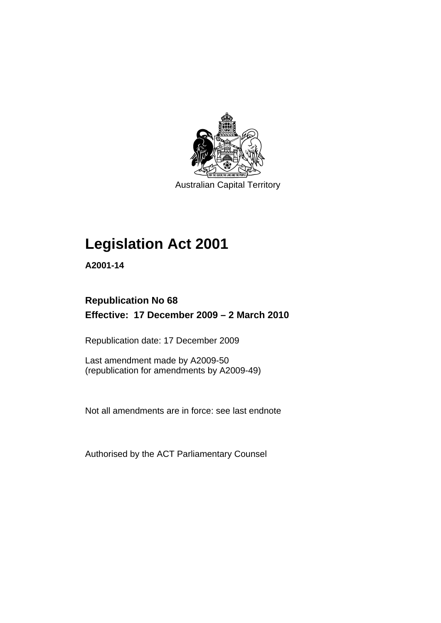

Australian Capital Territory

## **[Legislation Act 2001](#page-16-0)**

**A2001-14** 

## **Republication No 68 Effective: 17 December 2009 – 2 March 2010**

Republication date: 17 December 2009

Last amendment made by A2009-50 (republication for amendments by A2009-49)

Not all amendments are in force: see last endnote

Authorised by the ACT Parliamentary Counsel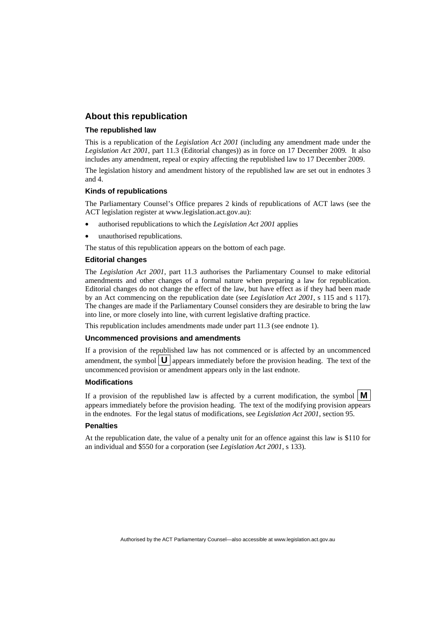## **About this republication**

#### **The republished law**

This is a republication of the *Legislation Act 2001* (including any amendment made under the *Legislation Act 2001*, part 11.3 (Editorial changes)) as in force on 17 December 2009*.* It also includes any amendment, repeal or expiry affecting the republished law to 17 December 2009.

The legislation history and amendment history of the republished law are set out in endnotes 3 and 4.

#### **Kinds of republications**

The Parliamentary Counsel's Office prepares 2 kinds of republications of ACT laws (see the ACT legislation register at www.legislation.act.gov.au):

- authorised republications to which the *Legislation Act 2001* applies
- unauthorised republications.

The status of this republication appears on the bottom of each page.

#### **Editorial changes**

The *Legislation Act 2001*, part 11.3 authorises the Parliamentary Counsel to make editorial amendments and other changes of a formal nature when preparing a law for republication. Editorial changes do not change the effect of the law, but have effect as if they had been made by an Act commencing on the republication date (see *Legislation Act 2001*, s 115 and s 117). The changes are made if the Parliamentary Counsel considers they are desirable to bring the law into line, or more closely into line, with current legislative drafting practice.

This republication includes amendments made under part 11.3 (see endnote 1).

#### **Uncommenced provisions and amendments**

If a provision of the republished law has not commenced or is affected by an uncommenced amendment, the symbol  $\mathbf{U}$  appears immediately before the provision heading. The text of the uncommenced provision or amendment appears only in the last endnote.

#### **Modifications**

If a provision of the republished law is affected by a current modification, the symbol  $\mathbf{M}$ appears immediately before the provision heading. The text of the modifying provision appears in the endnotes. For the legal status of modifications, see *Legislation Act 2001*, section 95.

#### **Penalties**

At the republication date, the value of a penalty unit for an offence against this law is \$110 for an individual and \$550 for a corporation (see *Legislation Act 2001*, s 133).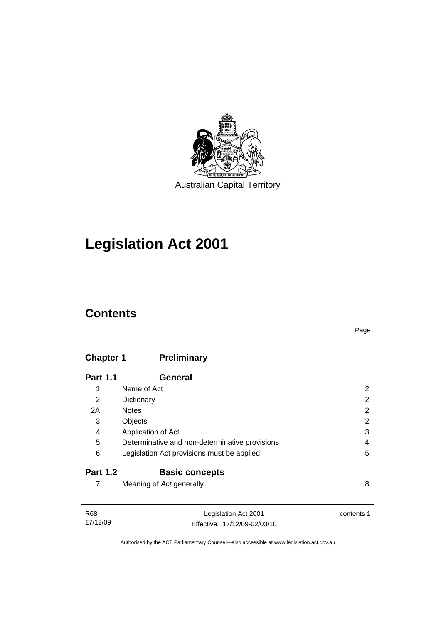

## **[Legislation Act 2001](#page-16-0)**

## **Contents**

## **Chapter 1 Preliminary**

| <b>Part 1.1</b> | General                                        |   |
|-----------------|------------------------------------------------|---|
| 1               | Name of Act                                    | 2 |
| 2               | Dictionary                                     | 2 |
| 2A              | <b>Notes</b>                                   | 2 |
| 3               | Objects                                        | 2 |
| 4               | Application of Act                             | 3 |
| 5               | Determinative and non-determinative provisions | 4 |
| 6               | Legislation Act provisions must be applied     | 5 |
| <b>Part 1.2</b> | <b>Basic concepts</b>                          |   |
|                 | Meaning of Act generally                       | 8 |

| R68      | Legislation Act 2001         | contents 1 |
|----------|------------------------------|------------|
| 17/12/09 | Effective: 17/12/09-02/03/10 |            |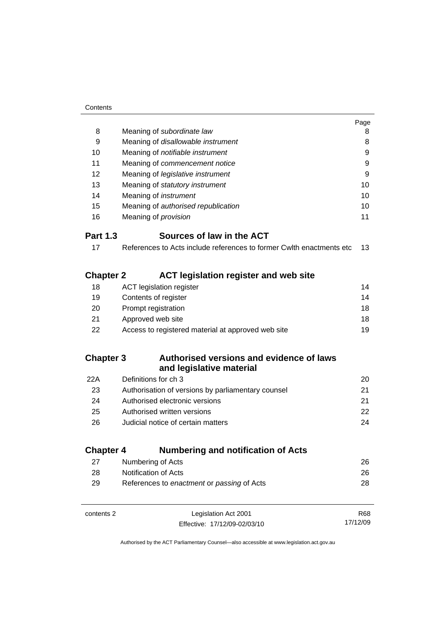|                  |                                                                      | Page |
|------------------|----------------------------------------------------------------------|------|
| 8                | Meaning of subordinate law                                           | 8    |
| 9                | Meaning of disallowable instrument                                   | 8    |
| 10               | Meaning of notifiable instrument                                     | 9    |
| 11               | Meaning of commencement notice                                       | 9    |
| 12               | Meaning of legislative instrument                                    | 9    |
| 13               | Meaning of statutory instrument                                      | 10   |
| 14               | Meaning of <i>instrument</i>                                         | 10   |
| 15               | Meaning of authorised republication                                  | 10   |
| 16               | Meaning of <i>provision</i>                                          | 11   |
| <b>Part 1.3</b>  | Sources of law in the ACT                                            |      |
| 17               | References to Acts include references to former Cwlth enactments etc | 13   |
| <b>Chapter 2</b> | <b>ACT legislation register and web site</b>                         |      |
| 18               | <b>ACT legislation register</b>                                      | 14   |
| 19               | Contents of register                                                 | 14   |
| 20               | Prompt registration                                                  | 18   |
| 21               | Approved web site                                                    | 18   |
| 22               | Access to registered material at approved web site                   | 19   |
| <b>Chapter 3</b> | Authorised versions and evidence of laws<br>and legislative material |      |
| 22A              | Definitions for ch 3                                                 | 20   |
| 23               | Authorisation of versions by parliamentary counsel                   | 21   |
| 24               | Authorised electronic versions                                       | 21   |
| 25               | Authorised written versions                                          | 22   |
| 26               | Judicial notice of certain matters                                   | 24   |
| <b>Chapter 4</b> | <b>Numbering and notification of Acts</b>                            |      |
| 27               | Numbering of Acts                                                    | 26   |
| 28               | Notification of Acts                                                 | 26   |
| 29               | References to enactment or passing of Acts                           | 28   |
|                  |                                                                      |      |

| contents 2 | Legislation Act 2001         | R68      |
|------------|------------------------------|----------|
|            | Effective: 17/12/09-02/03/10 | 17/12/09 |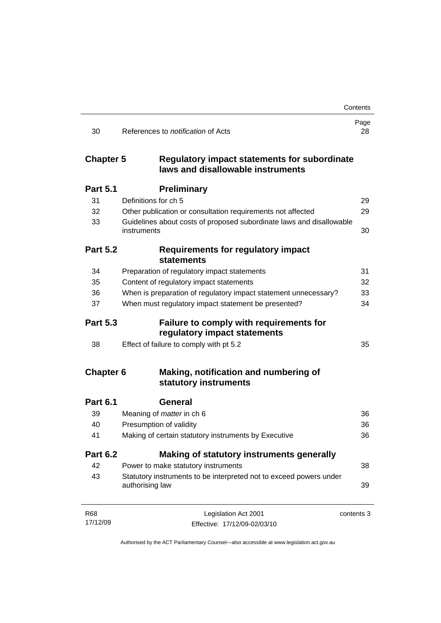|                  |                                                                                          | Contents   |
|------------------|------------------------------------------------------------------------------------------|------------|
| 30               | References to <i>notification</i> of Acts                                                | Page<br>28 |
| <b>Chapter 5</b> | <b>Regulatory impact statements for subordinate</b><br>laws and disallowable instruments |            |
| <b>Part 5.1</b>  | <b>Preliminary</b>                                                                       |            |
| 31               | Definitions for ch 5                                                                     | 29         |
| 32               | Other publication or consultation requirements not affected                              | 29         |
| 33               | Guidelines about costs of proposed subordinate laws and disallowable<br>instruments      | 30         |
| <b>Part 5.2</b>  | <b>Requirements for regulatory impact</b><br><b>statements</b>                           |            |
| 34               | Preparation of regulatory impact statements                                              | 31         |
| 35               | Content of regulatory impact statements                                                  | 32         |
| 36               | When is preparation of regulatory impact statement unnecessary?                          | 33         |
| 37               | When must regulatory impact statement be presented?                                      | 34         |
| <b>Part 5.3</b>  | Failure to comply with requirements for<br>regulatory impact statements                  |            |
| 38               | Effect of failure to comply with pt 5.2                                                  | 35         |
| <b>Chapter 6</b> | Making, notification and numbering of<br>statutory instruments                           |            |
| <b>Part 6.1</b>  | <b>General</b>                                                                           |            |
| 39               | Meaning of <i>matter</i> in ch 6                                                         | 36         |
| 40               | Presumption of validity                                                                  | 36         |
| 41               | Making of certain statutory instruments by Executive                                     | 36         |
| <b>Part 6.2</b>  | Making of statutory instruments generally                                                |            |
| 42               | Power to make statutory instruments                                                      | 38         |
| 43               | Statutory instruments to be interpreted not to exceed powers under<br>authorising law    | 39         |
| R68              | Legislation Act 2001                                                                     | contents 3 |
| 17/12/09         | Effective: 17/12/09-02/03/10                                                             |            |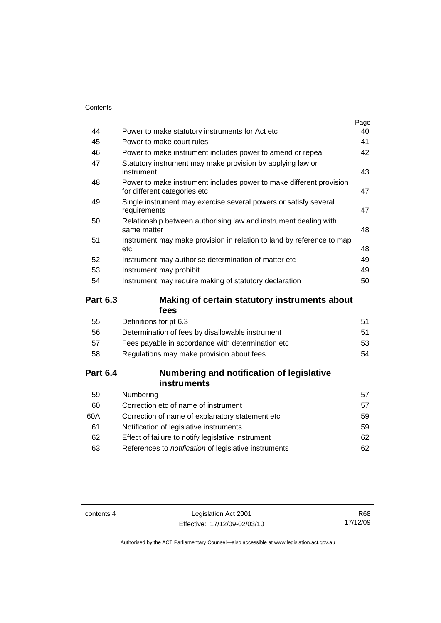|    |                                                                                                     | Page |
|----|-----------------------------------------------------------------------------------------------------|------|
| 44 | Power to make statutory instruments for Act etc                                                     | 40   |
| 45 | Power to make court rules                                                                           | 41   |
| 46 | Power to make instrument includes power to amend or repeal                                          | 42   |
| 47 | Statutory instrument may make provision by applying law or<br>instrument                            | 43   |
| 48 | Power to make instrument includes power to make different provision<br>for different categories etc | 47   |
| 49 | Single instrument may exercise several powers or satisfy several<br>requirements                    | 47   |
| 50 | Relationship between authorising law and instrument dealing with<br>same matter                     | 48   |
| 51 | Instrument may make provision in relation to land by reference to map<br>etc                        | 48   |
| 52 | Instrument may authorise determination of matter etc                                                | 49   |
| 53 | Instrument may prohibit                                                                             | 49   |
| 54 | Instrument may require making of statutory declaration                                              | 50   |
|    |                                                                                                     |      |

## **Part 6.3 Making of certain statutory instruments about fees**

| 55 | Definitions for pt 6.3                             | 51 |
|----|----------------------------------------------------|----|
| 56 | Determination of fees by disallowable instrument   | 51 |
| 57 | Fees payable in accordance with determination etc. | 53 |
| 58 | Regulations may make provision about fees          | 54 |
|    |                                                    |    |

## **Part 6.4 Numbering and notification of legislative instruments**

| Numbering                                                    | 57  |
|--------------------------------------------------------------|-----|
| Correction etc of name of instrument                         | 57  |
| Correction of name of explanatory statement etc.             | 59  |
| Notification of legislative instruments                      | 59  |
| Effect of failure to notify legislative instrument           | 62. |
| References to <i>notification</i> of legislative instruments | 62. |
|                                                              |     |

contents 4 Legislation Act 2001 Effective: 17/12/09-02/03/10

R68 17/12/09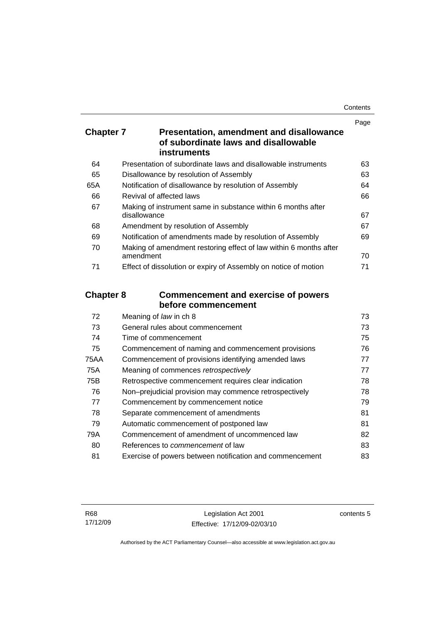| Contents |
|----------|
|----------|

|                  |                                                                                         | Page |
|------------------|-----------------------------------------------------------------------------------------|------|
| <b>Chapter 7</b> | <b>Presentation, amendment and disallowance</b><br>of subordinate laws and disallowable |      |
|                  | <b>instruments</b>                                                                      |      |
| 64               | Presentation of subordinate laws and disallowable instruments                           | 63   |
| 65               | Disallowance by resolution of Assembly                                                  | 63   |
| 65A              | Notification of disallowance by resolution of Assembly                                  | 64   |
| 66               | Revival of affected laws                                                                | 66   |
| 67               | Making of instrument same in substance within 6 months after<br>disallowance            | 67   |
| 68               | Amendment by resolution of Assembly                                                     | 67   |
| 69               | Notification of amendments made by resolution of Assembly                               | 69   |
| 70               | Making of amendment restoring effect of law within 6 months after<br>amendment          | 70   |
| 71               | Effect of dissolution or expiry of Assembly on notice of motion                         | 71   |
| <b>Chapter 8</b> | <b>Commencement and exercise of powers</b>                                              |      |
|                  | before commencement                                                                     |      |
| 72               | Meaning of law in ch 8                                                                  | 73   |
| 73               | General rules about commencement                                                        | 73   |
| 74               | Time of commencement                                                                    | 75   |
| 75               | Commencement of naming and commencement provisions                                      | 76   |
| <b>75AA</b>      | Commencement of provisions identifying amended laws                                     | 77   |
| <b>75A</b>       | Meaning of commences retrospectively                                                    | 77   |
| 75B              | Retrospective commencement requires clear indication                                    | 78   |
| 76               | Non-prejudicial provision may commence retrospectively                                  | 78   |
| 77               | Commencement by commencement notice                                                     | 79   |
| 78               | Separate commencement of amendments                                                     | 81   |
| 79               | Automatic commencement of postponed law                                                 | 81   |
| 79A              | Commencement of amendment of uncommenced law                                            | 82   |
| $\Omega$         | $D$ afaxanaan ta'aammaanaamaantaf laur                                                  | nn.  |

80 References to *commencement* of law [83](#page-98-0) 81 Exercise of powers between notification and commencement [83](#page-98-0)

contents 5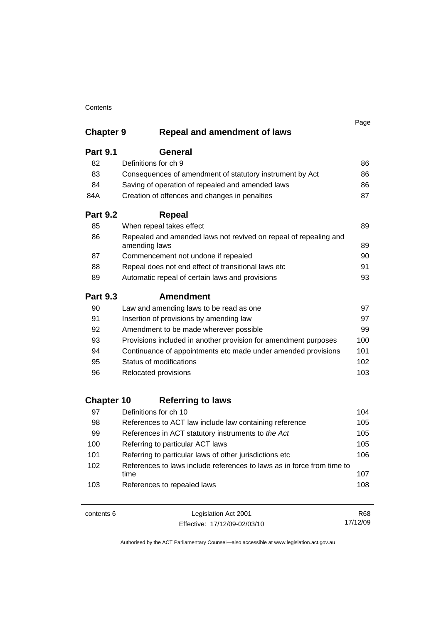|                   |                                                                                   | Page |
|-------------------|-----------------------------------------------------------------------------------|------|
| <b>Chapter 9</b>  | <b>Repeal and amendment of laws</b>                                               |      |
| <b>Part 9.1</b>   | General                                                                           |      |
| 82                | Definitions for ch 9                                                              | 86   |
| 83                | Consequences of amendment of statutory instrument by Act                          | 86   |
| 84                | Saving of operation of repealed and amended laws                                  | 86   |
| 84A               | Creation of offences and changes in penalties                                     | 87   |
| <b>Part 9.2</b>   | <b>Repeal</b>                                                                     |      |
| 85                | When repeal takes effect                                                          | 89   |
| 86                | Repealed and amended laws not revived on repeal of repealing and<br>amending laws | 89   |
| 87                | Commencement not undone if repealed                                               | 90   |
| 88                | Repeal does not end effect of transitional laws etc                               | 91   |
| 89                | Automatic repeal of certain laws and provisions                                   | 93   |
| <b>Part 9.3</b>   | <b>Amendment</b>                                                                  |      |
| 90                | Law and amending laws to be read as one                                           | 97   |
| 91                | Insertion of provisions by amending law                                           | 97   |
| 92                | Amendment to be made wherever possible                                            | 99   |
| 93                | Provisions included in another provision for amendment purposes                   | 100  |
| 94                | Continuance of appointments etc made under amended provisions                     | 101  |
| 95                | Status of modifications                                                           | 102  |
| 96                | Relocated provisions                                                              | 103  |
| <b>Chapter 10</b> | <b>Referring to laws</b>                                                          |      |
| 97                | Definitions for ch 10                                                             | 104  |
| 98                | References to ACT law include law containing reference                            | 105  |
| 99                | References in ACT statutory instruments to the Act                                | 105  |
| 100               | Referring to particular ACT laws                                                  | 105  |
| 101               | Referring to particular laws of other jurisdictions etc                           | 106  |
| 102               | References to laws include references to laws as in force from time to<br>time    | 107  |
| 103               | References to repealed laws                                                       | 108  |

| contents 6 | Legislation Act 2001         | R68      |
|------------|------------------------------|----------|
|            | Effective: 17/12/09-02/03/10 | 17/12/09 |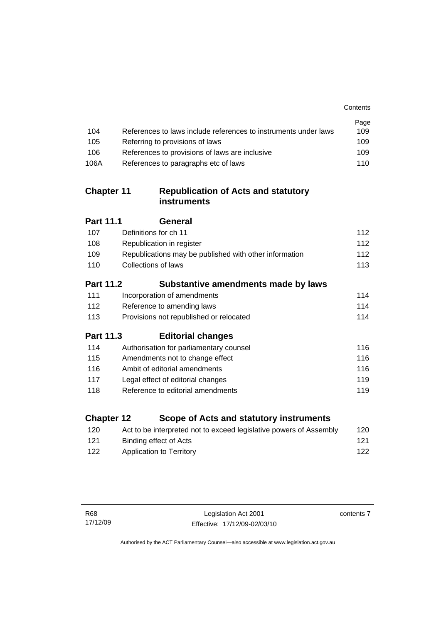|                   |                                                                    | Contents |
|-------------------|--------------------------------------------------------------------|----------|
|                   |                                                                    | Page     |
| 104               | References to laws include references to instruments under laws    | 109      |
| 105               | Referring to provisions of laws                                    | 109      |
| 106               | References to provisions of laws are inclusive                     | 109      |
| 106A              | References to paragraphs etc of laws                               | 110      |
| <b>Chapter 11</b> | <b>Republication of Acts and statutory</b><br><b>instruments</b>   |          |
| <b>Part 11.1</b>  | General                                                            |          |
| 107               | Definitions for ch 11                                              | 112      |
| 108               | Republication in register                                          | 112      |
| 109               | Republications may be published with other information             | 112      |
| 110               | <b>Collections of laws</b>                                         | 113      |
| <b>Part 11.2</b>  | Substantive amendments made by laws                                |          |
| 111               | Incorporation of amendments                                        | 114      |
| 112               | Reference to amending laws                                         | 114      |
| 113               | Provisions not republished or relocated                            | 114      |
| <b>Part 11.3</b>  | <b>Editorial changes</b>                                           |          |
| 114               | Authorisation for parliamentary counsel                            | 116      |
| 115               | Amendments not to change effect                                    | 116      |
| 116               | Ambit of editorial amendments                                      | 116      |
| 117               | Legal effect of editorial changes                                  | 119      |
| 118               | Reference to editorial amendments                                  | 119      |
| <b>Chapter 12</b> | Scope of Acts and statutory instruments                            |          |
| 120               | Act to be interpreted not to exceed legislative powers of Assembly | 120      |

| ∃∠∪ | Act to be interpreted not to exceed legislative powers of Assembly | 1 Z U |
|-----|--------------------------------------------------------------------|-------|
| 121 | Binding effect of Acts                                             | 121   |
| 122 | Application to Territory                                           | 122   |

contents 7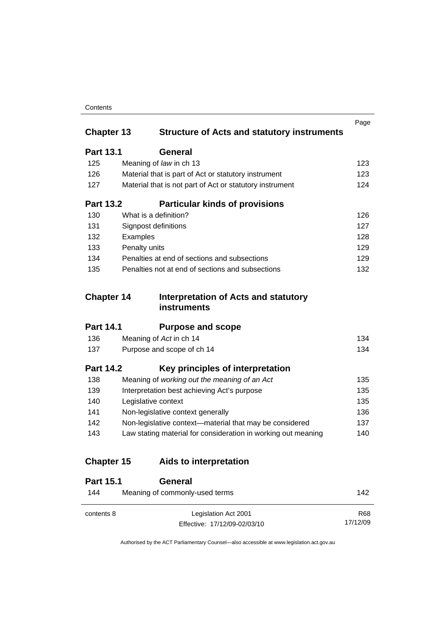|                   |                                                               | Page |
|-------------------|---------------------------------------------------------------|------|
| <b>Chapter 13</b> | <b>Structure of Acts and statutory instruments</b>            |      |
| <b>Part 13.1</b>  | General                                                       |      |
| 125               | Meaning of law in ch 13                                       | 123  |
| 126               | Material that is part of Act or statutory instrument          | 123  |
| 127               | Material that is not part of Act or statutory instrument      | 124  |
| <b>Part 13.2</b>  | <b>Particular kinds of provisions</b>                         |      |
| 130               | What is a definition?                                         | 126  |
| 131               | <b>Signpost definitions</b>                                   | 127  |
| 132               | Examples                                                      | 128  |
| 133               | Penalty units                                                 | 129  |
| 134               | Penalties at end of sections and subsections                  | 129  |
| 135               | Penalties not at end of sections and subsections              | 132  |
| <b>Chapter 14</b> |                                                               |      |
|                   | <b>Interpretation of Acts and statutory</b><br>instruments    |      |
| <b>Part 14.1</b>  | <b>Purpose and scope</b>                                      |      |
| 136               | Meaning of Act in ch 14                                       | 134  |
| 137               | Purpose and scope of ch 14                                    | 134  |
| <b>Part 14.2</b>  | Key principles of interpretation                              |      |
| 138               | Meaning of working out the meaning of an Act                  | 135  |
| 139               | Interpretation best achieving Act's purpose                   | 135  |
| 140               | Legislative context                                           | 135  |
| 141               | Non-legislative context generally                             | 136  |
| 142               | Non-legislative context-material that may be considered       | 137  |
| 143               | Law stating material for consideration in working out meaning | 140  |
| <b>Chapter 15</b> | Aids to interpretation                                        |      |
| <b>Part 15.1</b>  | <b>General</b>                                                |      |
| 144               | Meaning of commonly-used terms                                | 142  |

Authorised by the ACT Parliamentary Counsel—also accessible at www.legislation.act.gov.au

R68 17/12/09

Effective: 17/12/09-02/03/10

contents 8 Legislation Act 2001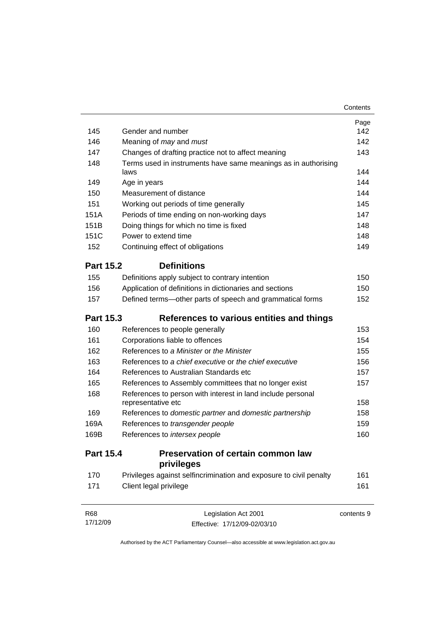|                  |                                                                    | Page       |
|------------------|--------------------------------------------------------------------|------------|
| 145              | Gender and number                                                  | 142        |
| 146              | Meaning of may and must                                            | 142        |
| 147              | Changes of drafting practice not to affect meaning                 | 143        |
| 148              | Terms used in instruments have same meanings as in authorising     |            |
|                  | laws                                                               | 144        |
| 149              | Age in years                                                       | 144        |
| 150              | Measurement of distance                                            | 144        |
| 151              | Working out periods of time generally                              | 145        |
| 151A             | Periods of time ending on non-working days                         | 147        |
| 151B             | Doing things for which no time is fixed                            | 148        |
| 151C             | Power to extend time                                               | 148        |
| 152              | Continuing effect of obligations                                   | 149        |
| <b>Part 15.2</b> | <b>Definitions</b>                                                 |            |
| 155              | Definitions apply subject to contrary intention                    | 150        |
| 156              | Application of definitions in dictionaries and sections            | 150        |
| 157              | Defined terms-other parts of speech and grammatical forms          | 152        |
| <b>Part 15.3</b> | References to various entities and things                          |            |
| 160              | References to people generally                                     | 153        |
| 161              | Corporations liable to offences                                    | 154        |
| 162              | References to a Minister or the Minister                           | 155        |
| 163              | References to a chief executive or the chief executive             | 156        |
| 164              | References to Australian Standards etc                             | 157        |
| 165              | References to Assembly committees that no longer exist             | 157        |
| 168              | References to person with interest in land include personal        |            |
|                  | representative etc                                                 | 158        |
| 169              | References to domestic partner and domestic partnership            | 158        |
| 169A             | References to transgender people                                   | 159        |
| 169B             | References to intersex people                                      | 160        |
| <b>Part 15.4</b> | Preservation of certain common law<br>privileges                   |            |
| 170              | Privileges against selfincrimination and exposure to civil penalty | 161        |
| 171              | Client legal privilege                                             | 161        |
| <b>R68</b>       | Legislation Act 2001                                               | contents 9 |
|                  |                                                                    |            |

Authorised by the ACT Parliamentary Counsel—also accessible at www.legislation.act.gov.au

Effective: 17/12/09-02/03/10

17/12/09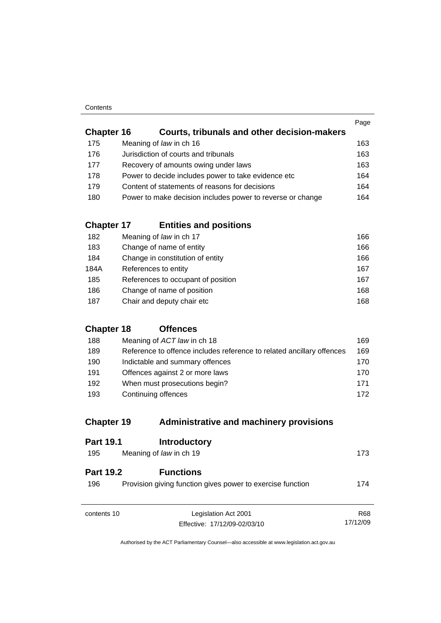|                   |                                                            | Page |
|-------------------|------------------------------------------------------------|------|
| <b>Chapter 16</b> | Courts, tribunals and other decision-makers                |      |
| 175               | Meaning of law in ch 16                                    | 163  |
| 176               | Jurisdiction of courts and tribunals                       | 163  |
| 177               | Recovery of amounts owing under laws                       | 163  |
| 178               | Power to decide includes power to take evidence etc        | 164  |
| 179               | Content of statements of reasons for decisions             | 164  |
| 180               | Power to make decision includes power to reverse or change | 164  |
|                   |                                                            |      |

## **Chapter 17 Entities and positions**

| 182  | Meaning of law in ch 17            | 166 |
|------|------------------------------------|-----|
| 183  | Change of name of entity           | 166 |
| 184  | Change in constitution of entity   | 166 |
| 184A | References to entity               | 167 |
| 185  | References to occupant of position | 167 |
| 186  | Change of name of position         | 168 |
| 187  | Chair and deputy chair etc         | 168 |

## **Chapter 18 Offences**

| 188 | Meaning of ACT law in ch 18                                           | 169. |
|-----|-----------------------------------------------------------------------|------|
| 189 | Reference to offence includes reference to related ancillary offences | 169  |
| 190 | Indictable and summary offences                                       | 170. |
| 191 | Offences against 2 or more laws                                       | 170. |
| 192 | When must prosecutions begin?                                         | 171  |
| 193 | Continuing offences                                                   | 172  |

## **Chapter 19 Administrative and machinery provisions**

| <b>Part 19.1</b>        | <b>Introductory</b>                                                            |            |
|-------------------------|--------------------------------------------------------------------------------|------------|
| 195                     | Meaning of law in ch 19                                                        | 173        |
| <b>Part 19.2</b><br>196 | <b>Functions</b><br>Provision giving function gives power to exercise function | 174        |
| contents 10             | Legislation Act 2001                                                           | <b>R68</b> |
|                         | Effective: 17/12/09-02/03/10                                                   | 17/12/09   |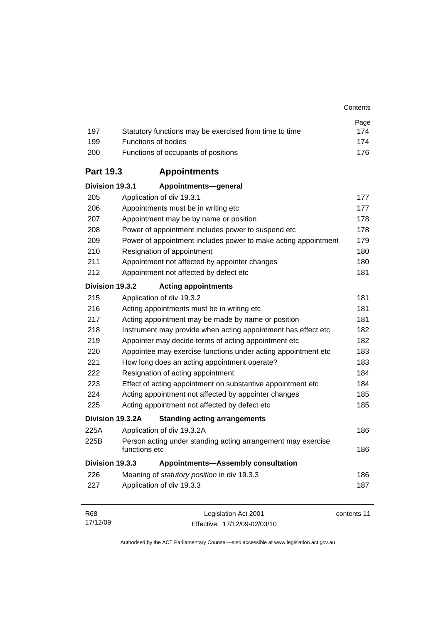| 197              | Statutory functions may be exercised from time to time                        | Page<br>174 |
|------------------|-------------------------------------------------------------------------------|-------------|
| 199              | Functions of bodies                                                           | 174         |
| 200              | Functions of occupants of positions                                           | 176         |
| <b>Part 19.3</b> | <b>Appointments</b>                                                           |             |
| Division 19.3.1  | Appointments-general                                                          |             |
| 205              | Application of div 19.3.1                                                     | 177         |
| 206              | Appointments must be in writing etc                                           | 177         |
| 207              | Appointment may be by name or position                                        | 178         |
| 208              | Power of appointment includes power to suspend etc                            | 178         |
| 209              | Power of appointment includes power to make acting appointment                | 179         |
| 210              | Resignation of appointment                                                    | 180         |
| 211              | Appointment not affected by appointer changes                                 | 180         |
| 212              | Appointment not affected by defect etc                                        | 181         |
| Division 19.3.2  | <b>Acting appointments</b>                                                    |             |
| 215              | Application of div 19.3.2                                                     | 181         |
| 216              | Acting appointments must be in writing etc                                    | 181         |
| 217              | Acting appointment may be made by name or position                            | 181         |
| 218              | Instrument may provide when acting appointment has effect etc                 | 182         |
| 219              | Appointer may decide terms of acting appointment etc                          | 182         |
| 220              | Appointee may exercise functions under acting appointment etc                 | 183         |
| 221              | How long does an acting appointment operate?                                  | 183         |
| 222              | Resignation of acting appointment                                             | 184         |
| 223              | Effect of acting appointment on substantive appointment etc                   | 184         |
| 224              | Acting appointment not affected by appointer changes                          | 185         |
| 225              | Acting appointment not affected by defect etc                                 | 185         |
|                  | Division 19.3.2A<br><b>Standing acting arrangements</b>                       |             |
| 225A             | Application of div 19.3.2A                                                    | 186         |
| 225B             | Person acting under standing acting arrangement may exercise<br>functions etc | 186         |
| Division 19.3.3  | <b>Appointments-Assembly consultation</b>                                     |             |
| 226              | Meaning of statutory position in div 19.3.3                                   | 186         |
| 227              | Application of div 19.3.3                                                     | 187         |
| <b>R68</b>       | Legislation Act 2001                                                          | contents 11 |

| R68      | Legislation Act 2001         | contents 1 |
|----------|------------------------------|------------|
| 17/12/09 | Effective: 17/12/09-02/03/10 |            |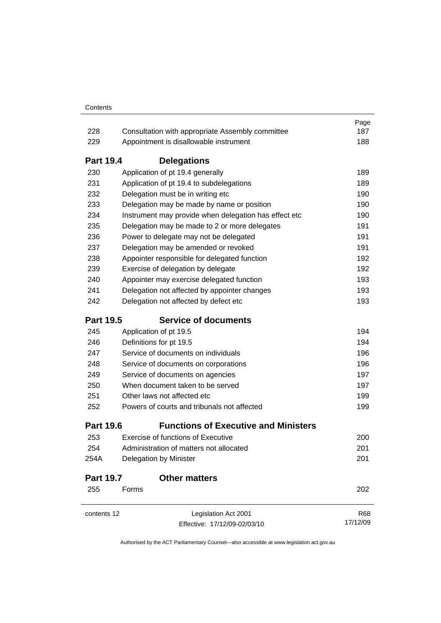|                          |                                                                                                                                                                                           | Page                     |     |                                              |     |
|--------------------------|-------------------------------------------------------------------------------------------------------------------------------------------------------------------------------------------|--------------------------|-----|----------------------------------------------|-----|
| 228                      | Consultation with appropriate Assembly committee                                                                                                                                          | 187                      |     |                                              |     |
| 229                      | Appointment is disallowable instrument                                                                                                                                                    | 188                      |     |                                              |     |
| <b>Part 19.4</b>         | <b>Delegations</b>                                                                                                                                                                        |                          |     |                                              |     |
| 230                      | Application of pt 19.4 generally                                                                                                                                                          | 189                      |     |                                              |     |
| 231                      | Application of pt 19.4 to subdelegations                                                                                                                                                  | 189                      |     |                                              |     |
| 232<br>233<br>234<br>235 | Delegation must be in writing etc<br>Delegation may be made by name or position<br>Instrument may provide when delegation has effect etc<br>Delegation may be made to 2 or more delegates | 190<br>190<br>190<br>191 |     |                                              |     |
|                          |                                                                                                                                                                                           |                          | 236 | Power to delegate may not be delegated       | 191 |
|                          |                                                                                                                                                                                           |                          | 237 | Delegation may be amended or revoked         | 191 |
|                          |                                                                                                                                                                                           |                          | 238 | Appointer responsible for delegated function | 192 |
| 239                      | Exercise of delegation by delegate                                                                                                                                                        | 192                      |     |                                              |     |
| 240                      | Appointer may exercise delegated function                                                                                                                                                 | 193                      |     |                                              |     |
| 241                      | Delegation not affected by appointer changes                                                                                                                                              | 193                      |     |                                              |     |
| 242                      | Delegation not affected by defect etc                                                                                                                                                     | 193                      |     |                                              |     |
| <b>Part 19.5</b>         | <b>Service of documents</b>                                                                                                                                                               |                          |     |                                              |     |
| 245                      | Application of pt 19.5                                                                                                                                                                    | 194                      |     |                                              |     |
| 246                      | Definitions for pt 19.5                                                                                                                                                                   | 194                      |     |                                              |     |
| 247                      | Service of documents on individuals<br>Service of documents on corporations<br>Service of documents on agencies<br>When document taken to be served<br>Other laws not affected etc        | 196                      |     |                                              |     |
| 248                      |                                                                                                                                                                                           | 196<br>197<br>197<br>199 |     |                                              |     |
| 249                      |                                                                                                                                                                                           |                          |     |                                              |     |
| 250<br>251               |                                                                                                                                                                                           |                          |     |                                              |     |
|                          |                                                                                                                                                                                           |                          | 252 | Powers of courts and tribunals not affected  | 199 |
| <b>Part 19.6</b>         | <b>Functions of Executive and Ministers</b>                                                                                                                                               |                          |     |                                              |     |
| 253                      | <b>Exercise of functions of Executive</b>                                                                                                                                                 | 200                      |     |                                              |     |
| 254                      | Administration of matters not allocated                                                                                                                                                   | 201                      |     |                                              |     |
| 254A                     | Delegation by Minister                                                                                                                                                                    | 201                      |     |                                              |     |
| <b>Part 19.7</b>         | <b>Other matters</b>                                                                                                                                                                      |                          |     |                                              |     |
| 255                      | Forms                                                                                                                                                                                     | 202                      |     |                                              |     |
| contents 12              | Legislation Act 2001                                                                                                                                                                      | <b>R68</b>               |     |                                              |     |
|                          | Effective: 17/12/09-02/03/10                                                                                                                                                              | 17/12/09                 |     |                                              |     |
|                          |                                                                                                                                                                                           |                          |     |                                              |     |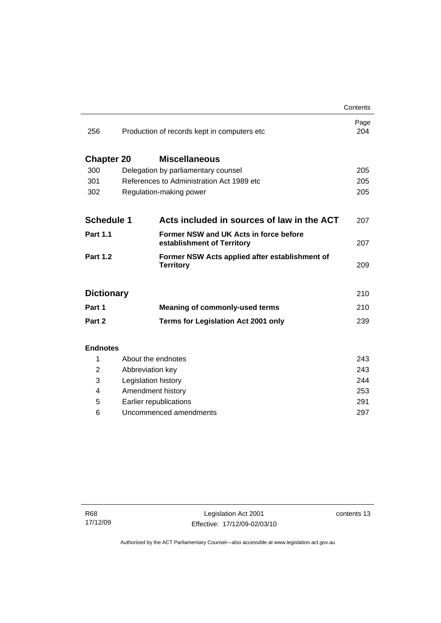|                   |                                                                      | Contents    |
|-------------------|----------------------------------------------------------------------|-------------|
| 256               | Production of records kept in computers etc                          | Page<br>204 |
| <b>Chapter 20</b> | <b>Miscellaneous</b>                                                 |             |
| 300               | Delegation by parliamentary counsel                                  | 205         |
| 301               | References to Administration Act 1989 etc                            |             |
| 302               | Regulation-making power                                              |             |
|                   |                                                                      |             |
| <b>Schedule 1</b> | Acts included in sources of law in the ACT                           | 207         |
| <b>Part 1.1</b>   | Former NSW and UK Acts in force before<br>establishment of Territory | 207         |
| <b>Part 1.2</b>   | Former NSW Acts applied after establishment of<br><b>Territory</b>   | 209         |
| <b>Dictionary</b> |                                                                      | 210         |
| Part 1            | <b>Meaning of commonly-used terms</b>                                | 210         |
| Part 2            | <b>Terms for Legislation Act 2001 only</b>                           | 239         |
|                   |                                                                      |             |
| <b>Endnotes</b>   |                                                                      |             |
| 1                 | About the endnotes                                                   | 243         |
| 2                 | Abbreviation key                                                     | 243         |
| 3                 | Legislation history                                                  |             |
| 4                 | Amendment history                                                    |             |
| 5                 | Earlier republications                                               |             |

6 Uncommenced amendments [297](#page-312-0)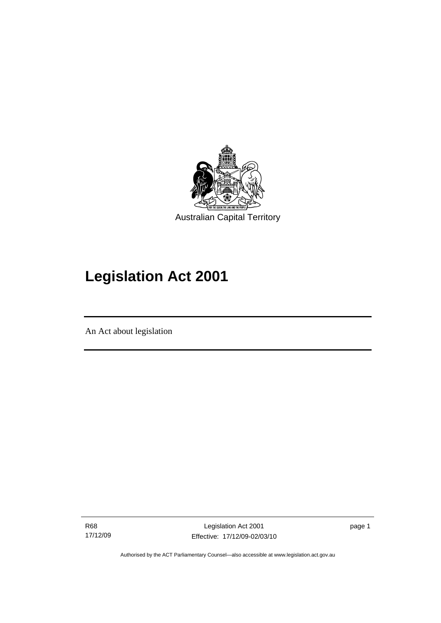<span id="page-16-0"></span>

# **Legislation Act 2001**

An Act about legislation

I

R68 17/12/09

Legislation Act 2001 Effective: 17/12/09-02/03/10 page 1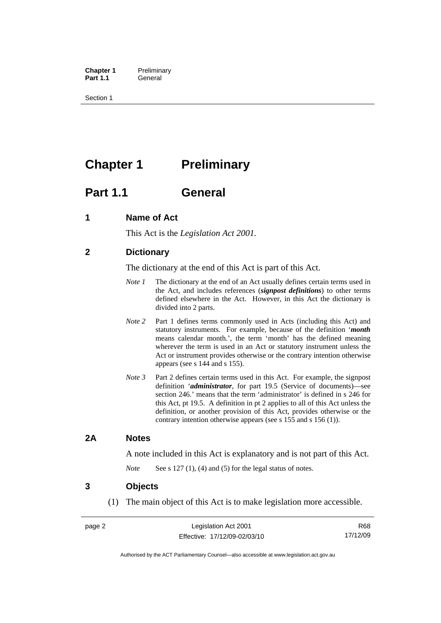<span id="page-17-0"></span>**Chapter 1** Preliminary<br>**Part 1.1** General General

Section 1

## **Chapter 1** Preliminary

## **Part 1.1 General**

## **1 Name of Act**

This Act is the *Legislation Act 2001.* 

## **2 Dictionary**

The dictionary at the end of this Act is part of this Act.

- *Note 1* The dictionary at the end of an Act usually defines certain terms used in the Act, and includes references (*signpost definitions*) to other terms defined elsewhere in the Act. However, in this Act the dictionary is divided into 2 parts.
- *Note* 2 Part 1 defines terms commonly used in Acts (including this Act) and statutory instruments. For example, because of the definition '*month* means calendar month.', the term 'month' has the defined meaning wherever the term is used in an Act or statutory instrument unless the Act or instrument provides otherwise or the contrary intention otherwise appears (see s 144 and s 155).
- *Note 3* Part 2 defines certain terms used in this Act. For example, the signpost definition '*administrator*, for part 19.5 (Service of documents)—see section 246.' means that the term 'administrator' is defined in s 246 for this Act, pt 19.5. A definition in pt 2 applies to all of this Act unless the definition, or another provision of this Act, provides otherwise or the contrary intention otherwise appears (see s 155 and s 156 (1)).

## **2A Notes**

A note included in this Act is explanatory and is not part of this Act.

*Note* See s 127 (1), (4) and (5) for the legal status of notes.

### **3 Objects**

(1) The main object of this Act is to make legislation more accessible.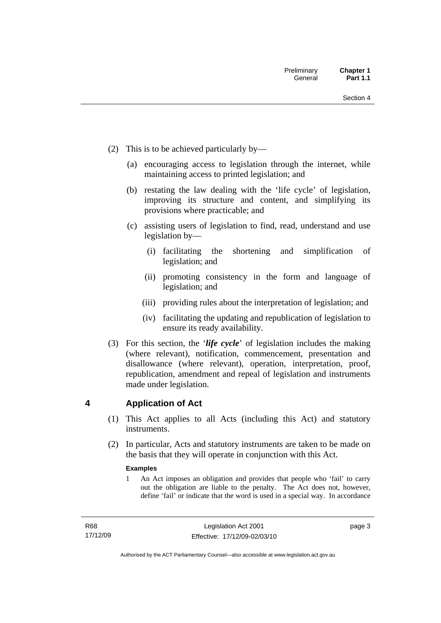- <span id="page-18-0"></span> (2) This is to be achieved particularly by—
	- (a) encouraging access to legislation through the internet, while maintaining access to printed legislation; and
	- (b) restating the law dealing with the 'life cycle' of legislation, improving its structure and content, and simplifying its provisions where practicable; and
	- (c) assisting users of legislation to find, read, understand and use legislation by—
		- (i) facilitating the shortening and simplification of legislation; and
		- (ii) promoting consistency in the form and language of legislation; and
		- (iii) providing rules about the interpretation of legislation; and
		- (iv) facilitating the updating and republication of legislation to ensure its ready availability.
- (3) For this section, the '*life cycle*' of legislation includes the making (where relevant), notification, commencement, presentation and disallowance (where relevant), operation, interpretation, proof, republication, amendment and repeal of legislation and instruments made under legislation.

## **4 Application of Act**

- (1) This Act applies to all Acts (including this Act) and statutory **instruments**
- (2) In particular, Acts and statutory instruments are taken to be made on the basis that they will operate in conjunction with this Act.

#### **Examples**

1 An Act imposes an obligation and provides that people who 'fail' to carry out the obligation are liable to the penalty. The Act does not, however, define 'fail' or indicate that the word is used in a special way. In accordance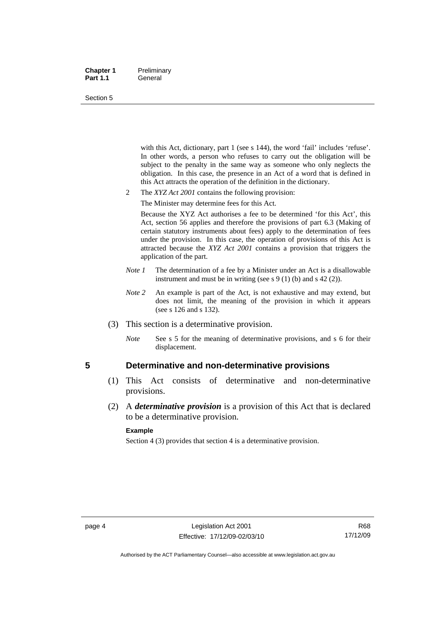#### <span id="page-19-0"></span>**Chapter 1** Preliminary Part 1.1 **General**

#### Section 5

with this Act, dictionary, part 1 (see s 144), the word 'fail' includes 'refuse'. In other words, a person who refuses to carry out the obligation will be subject to the penalty in the same way as someone who only neglects the obligation. In this case, the presence in an Act of a word that is defined in this Act attracts the operation of the definition in the dictionary.

- 2 The *XYZ Act 2001* contains the following provision:
	- The Minister may determine fees for this Act.

Because the XYZ Act authorises a fee to be determined 'for this Act', this Act, section 56 applies and therefore the provisions of part 6.3 (Making of certain statutory instruments about fees) apply to the determination of fees under the provision. In this case, the operation of provisions of this Act is attracted because the *XYZ Act 2001* contains a provision that triggers the application of the part.

- *Note 1* The determination of a fee by a Minister under an Act is a disallowable instrument and must be in writing (see s 9 (1) (b) and s 42 (2)).
- *Note* 2 An example is part of the Act, is not exhaustive and may extend, but does not limit, the meaning of the provision in which it appears (see s 126 and s 132).
- (3) This section is a determinative provision.
	- *Note* See s 5 for the meaning of determinative provisions, and s 6 for their displacement.

### **5 Determinative and non-determinative provisions**

- (1) This Act consists of determinative and non-determinative provisions.
- (2) A *determinative provision* is a provision of this Act that is declared to be a determinative provision.

#### **Example**

Section 4 (3) provides that section 4 is a determinative provision.

Authorised by the ACT Parliamentary Counsel—also accessible at www.legislation.act.gov.au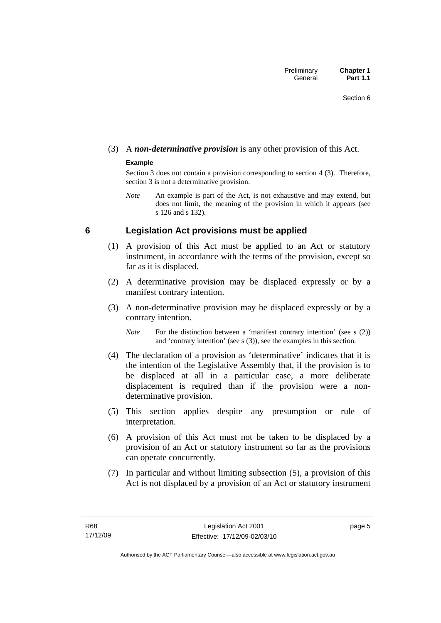## <span id="page-20-0"></span>(3) A *non-determinative provision* is any other provision of this Act.

### **Example**

Section 3 does not contain a provision corresponding to section 4 (3). Therefore, section 3 is not a determinative provision.

*Note* An example is part of the Act, is not exhaustive and may extend, but does not limit, the meaning of the provision in which it appears (see s 126 and s 132).

## **6 Legislation Act provisions must be applied**

- (1) A provision of this Act must be applied to an Act or statutory instrument, in accordance with the terms of the provision, except so far as it is displaced.
- (2) A determinative provision may be displaced expressly or by a manifest contrary intention.
- (3) A non-determinative provision may be displaced expressly or by a contrary intention.

*Note* For the distinction between a 'manifest contrary intention' (see s (2)) and 'contrary intention' (see s (3)), see the examples in this section.

- (4) The declaration of a provision as 'determinative' indicates that it is the intention of the Legislative Assembly that, if the provision is to be displaced at all in a particular case, a more deliberate displacement is required than if the provision were a nondeterminative provision.
- (5) This section applies despite any presumption or rule of interpretation.
- (6) A provision of this Act must not be taken to be displaced by a provision of an Act or statutory instrument so far as the provisions can operate concurrently.
- (7) In particular and without limiting subsection (5), a provision of this Act is not displaced by a provision of an Act or statutory instrument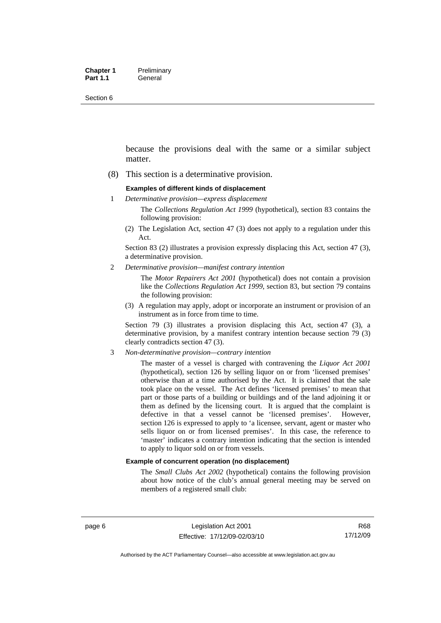Section 6

because the provisions deal with the same or a similar subject matter.

(8) This section is a determinative provision.

#### **Examples of different kinds of displacement**

1 *Determinative provision—express displacement*

The *Collections Regulation Act 1999* (hypothetical), section 83 contains the following provision:

(2) The Legislation Act, section 47 (3) does not apply to a regulation under this Act.

Section 83 (2) illustrates a provision expressly displacing this Act, section 47 (3), a determinative provision.

2 *Determinative provision—manifest contrary intention*

The *Motor Repairers Act 2001* (hypothetical) does not contain a provision like the *Collections Regulation Act 1999*, section 83, but section 79 contains the following provision:

(3) A regulation may apply, adopt or incorporate an instrument or provision of an instrument as in force from time to time.

Section 79 (3) illustrates a provision displacing this Act, section 47 (3), a determinative provision, by a manifest contrary intention because section 79 (3) clearly contradicts section 47 (3).

3 *Non-determinative provision—contrary intention*

The master of a vessel is charged with contravening the *Liquor Act 2001* (hypothetical), section 126 by selling liquor on or from 'licensed premises' otherwise than at a time authorised by the Act. It is claimed that the sale took place on the vessel. The Act defines 'licensed premises' to mean that part or those parts of a building or buildings and of the land adjoining it or them as defined by the licensing court. It is argued that the complaint is defective in that a vessel cannot be 'licensed premises'. However, section 126 is expressed to apply to 'a licensee, servant, agent or master who sells liquor on or from licensed premises'. In this case, the reference to 'master' indicates a contrary intention indicating that the section is intended to apply to liquor sold on or from vessels.

#### **Example of concurrent operation (no displacement)**

The *Small Clubs Act 2002* (hypothetical) contains the following provision about how notice of the club's annual general meeting may be served on members of a registered small club: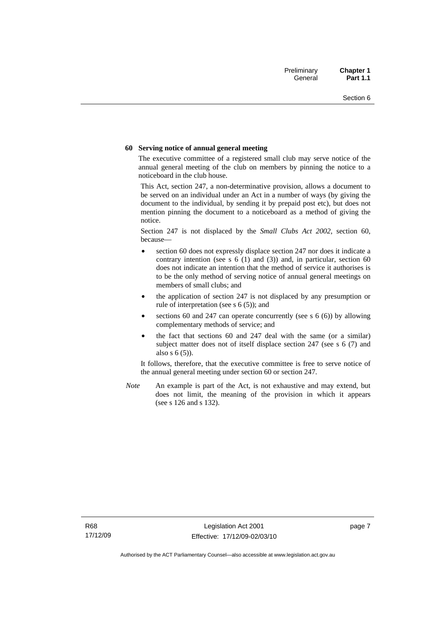#### **60 Serving notice of annual general meeting**

The executive committee of a registered small club may serve notice of the annual general meeting of the club on members by pinning the notice to a noticeboard in the club house.

This Act, section 247, a non-determinative provision, allows a document to be served on an individual under an Act in a number of ways (by giving the document to the individual, by sending it by prepaid post etc), but does not mention pinning the document to a noticeboard as a method of giving the notice.

Section 247 is not displaced by the *Small Clubs Act 2002*, section 60, because—

- section 60 does not expressly displace section 247 nor does it indicate a contrary intention (see s  $6(1)$  and  $(3)$ ) and, in particular, section  $60$ does not indicate an intention that the method of service it authorises is to be the only method of serving notice of annual general meetings on members of small clubs; and
- the application of section 247 is not displaced by any presumption or rule of interpretation (see s 6 (5)); and
- sections 60 and 247 can operate concurrently (see s  $6(6)$ ) by allowing complementary methods of service; and
- the fact that sections 60 and 247 deal with the same (or a similar) subject matter does not of itself displace section 247 (see s 6 (7) and also s 6 (5)).

It follows, therefore, that the executive committee is free to serve notice of the annual general meeting under section 60 or section 247.

*Note* An example is part of the Act, is not exhaustive and may extend, but does not limit, the meaning of the provision in which it appears (see s 126 and s 132).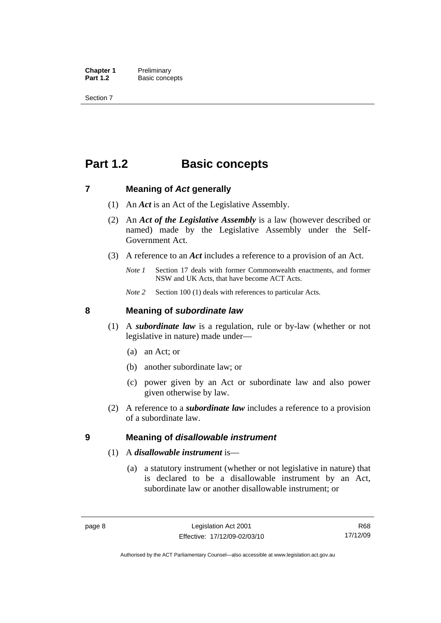<span id="page-23-0"></span>**Chapter 1** Preliminary<br>**Part 1.2** Basic conce **Basic concepts** 

Section 7

## **Part 1.2 Basic concepts**

### **7 Meaning of** *Act* **generally**

- (1) An *Act* is an Act of the Legislative Assembly.
- (2) An *Act of the Legislative Assembly* is a law (however described or named) made by the Legislative Assembly under the Self-Government Act.
- (3) A reference to an *Act* includes a reference to a provision of an Act.
	- *Note 1* Section 17 deals with former Commonwealth enactments, and former NSW and UK Acts, that have become ACT Acts.
	- *Note 2* Section 100 (1) deals with references to particular Acts.

### **8 Meaning of** *subordinate law*

- (1) A *subordinate law* is a regulation, rule or by-law (whether or not legislative in nature) made under—
	- (a) an Act; or
	- (b) another subordinate law; or
	- (c) power given by an Act or subordinate law and also power given otherwise by law.
- (2) A reference to a *subordinate law* includes a reference to a provision of a subordinate law.

### **9 Meaning of** *disallowable instrument*

### (1) A *disallowable instrument* is—

 (a) a statutory instrument (whether or not legislative in nature) that is declared to be a disallowable instrument by an Act, subordinate law or another disallowable instrument; or

R68 17/12/09

Authorised by the ACT Parliamentary Counsel—also accessible at www.legislation.act.gov.au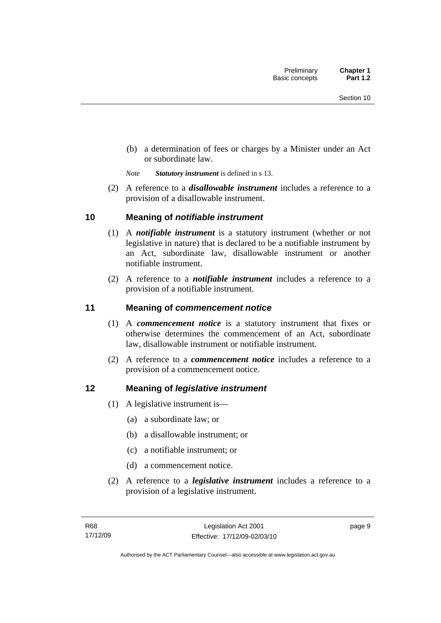<span id="page-24-0"></span> (b) a determination of fees or charges by a Minister under an Act or subordinate law.

*Note Statutory instrument* is defined in s 13.

 (2) A reference to a *disallowable instrument* includes a reference to a provision of a disallowable instrument.

## **10 Meaning of** *notifiable instrument*

- (1) A *notifiable instrument* is a statutory instrument (whether or not legislative in nature) that is declared to be a notifiable instrument by an Act, subordinate law, disallowable instrument or another notifiable instrument.
- (2) A reference to a *notifiable instrument* includes a reference to a provision of a notifiable instrument.

## **11 Meaning of** *commencement notice*

- (1) A *commencement notice* is a statutory instrument that fixes or otherwise determines the commencement of an Act, subordinate law, disallowable instrument or notifiable instrument.
- (2) A reference to a *commencement notice* includes a reference to a provision of a commencement notice.

## **12 Meaning of** *legislative instrument*

- (1) A legislative instrument is—
	- (a) a subordinate law; or
	- (b) a disallowable instrument; or
	- (c) a notifiable instrument; or
	- (d) a commencement notice.
- (2) A reference to a *legislative instrument* includes a reference to a provision of a legislative instrument.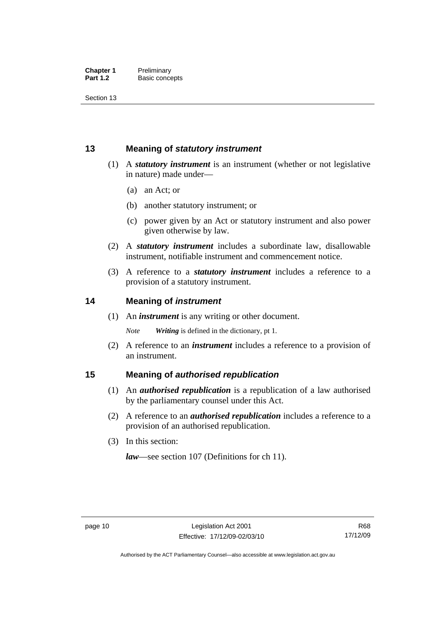<span id="page-25-0"></span>Section 13

## **13 Meaning of** *statutory instrument*

- (1) A *statutory instrument* is an instrument (whether or not legislative in nature) made under—
	- (a) an Act; or
	- (b) another statutory instrument; or
	- (c) power given by an Act or statutory instrument and also power given otherwise by law.
- (2) A *statutory instrument* includes a subordinate law, disallowable instrument, notifiable instrument and commencement notice.
- (3) A reference to a *statutory instrument* includes a reference to a provision of a statutory instrument.

## **14 Meaning of** *instrument*

(1) An *instrument* is any writing or other document.

*Note Writing* is defined in the dictionary, pt 1.

 (2) A reference to an *instrument* includes a reference to a provision of an instrument.

## **15 Meaning of** *authorised republication*

- (1) An *authorised republication* is a republication of a law authorised by the parliamentary counsel under this Act.
- (2) A reference to an *authorised republication* includes a reference to a provision of an authorised republication.
- (3) In this section:

*law*—see section 107 (Definitions for ch 11).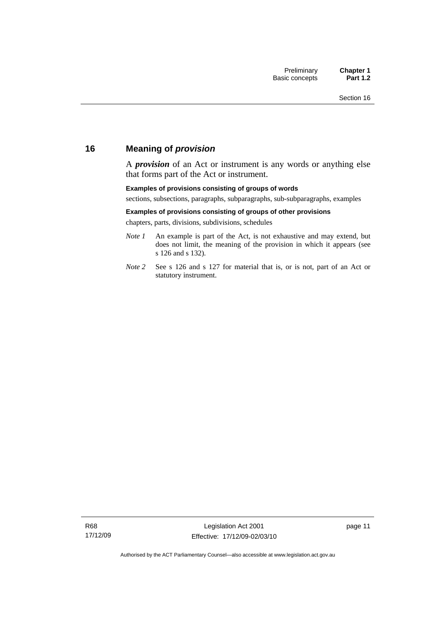## <span id="page-26-0"></span>**16 Meaning of** *provision*

A *provision* of an Act or instrument is any words or anything else that forms part of the Act or instrument.

#### **Examples of provisions consisting of groups of words**

sections, subsections, paragraphs, subparagraphs, sub-subparagraphs, examples

#### **Examples of provisions consisting of groups of other provisions**

chapters, parts, divisions, subdivisions, schedules

- *Note 1* An example is part of the Act, is not exhaustive and may extend, but does not limit, the meaning of the provision in which it appears (see s 126 and s 132).
- *Note 2* See s 126 and s 127 for material that is, or is not, part of an Act or statutory instrument.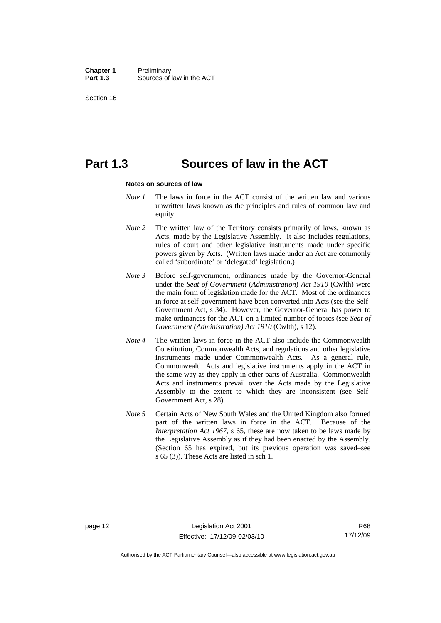**Chapter 1** Preliminary<br>**Part 1.3** Sources of Sources of law in the ACT

Section 16

## **Part 1.3 Sources of law in the ACT**

#### **Notes on sources of law**

- *Note 1* The laws in force in the ACT consist of the written law and various unwritten laws known as the principles and rules of common law and equity.
- *Note* 2 The written law of the Territory consists primarily of laws, known as Acts, made by the Legislative Assembly. It also includes regulations, rules of court and other legislative instruments made under specific powers given by Acts. (Written laws made under an Act are commonly called 'subordinate' or 'delegated' legislation.)
- *Note 3* Before self-government, ordinances made by the Governor-General under the *Seat of Government* (*Administration*) *Act 1910* (Cwlth) were the main form of legislation made for the ACT. Most of the ordinances in force at self-government have been converted into Acts (see the Self-Government Act, s 34). However, the Governor-General has power to make ordinances for the ACT on a limited number of topics (see *Seat of Government (Administration) Act 1910* (Cwlth), s 12).
- *Note 4* The written laws in force in the ACT also include the Commonwealth Constitution, Commonwealth Acts, and regulations and other legislative instruments made under Commonwealth Acts. As a general rule, Commonwealth Acts and legislative instruments apply in the ACT in the same way as they apply in other parts of Australia. Commonwealth Acts and instruments prevail over the Acts made by the Legislative Assembly to the extent to which they are inconsistent (see Self-Government Act, s 28).
- *Note 5* Certain Acts of New South Wales and the United Kingdom also formed part of the written laws in force in the ACT. Because of the *Interpretation Act 1967*, s 65, these are now taken to be laws made by the Legislative Assembly as if they had been enacted by the Assembly. (Section 65 has expired, but its previous operation was saved–see s 65 (3)). These Acts are listed in sch 1.

Authorised by the ACT Parliamentary Counsel—also accessible at www.legislation.act.gov.au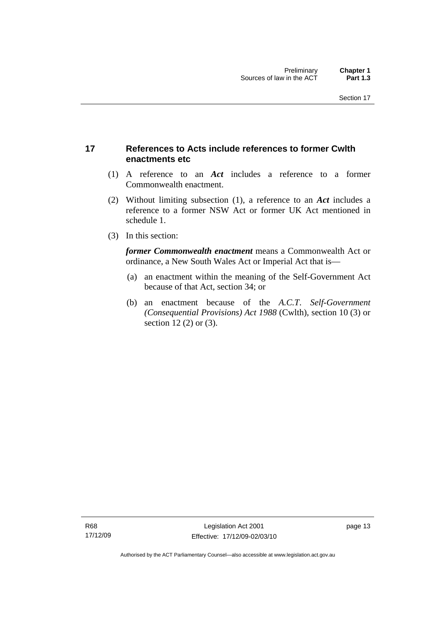## <span id="page-28-0"></span>**17 References to Acts include references to former Cwlth enactments etc**

- (1) A reference to an *Act* includes a reference to a former Commonwealth enactment.
- (2) Without limiting subsection (1), a reference to an *Act* includes a reference to a former NSW Act or former UK Act mentioned in schedule 1.
- (3) In this section:

*former Commonwealth enactment* means a Commonwealth Act or ordinance, a New South Wales Act or Imperial Act that is—

- (a) an enactment within the meaning of the Self-Government Act because of that Act, section 34; or
- (b) an enactment because of the *A.C.T*. *Self-Government (Consequential Provisions) Act 1988* (Cwlth), section 10 (3) or section 12 (2) or (3).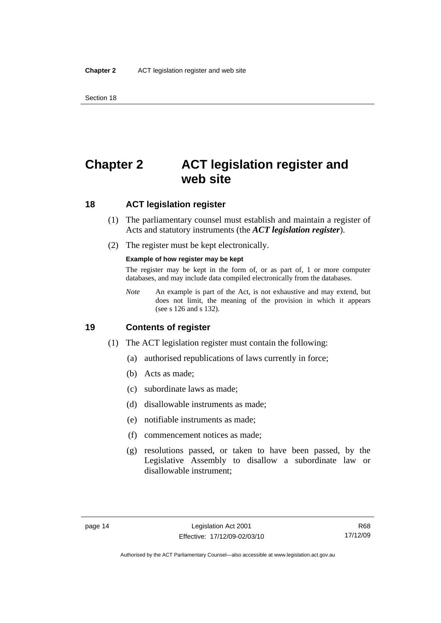## <span id="page-29-0"></span>**Chapter 2 ACT legislation register and web site**

## **18 ACT legislation register**

- (1) The parliamentary counsel must establish and maintain a register of Acts and statutory instruments (the *ACT legislation register*).
- (2) The register must be kept electronically.

#### **Example of how register may be kept**

The register may be kept in the form of, or as part of, 1 or more computer databases, and may include data compiled electronically from the databases.

*Note* An example is part of the Act, is not exhaustive and may extend, but does not limit, the meaning of the provision in which it appears (see s 126 and s 132).

## **19 Contents of register**

- (1) The ACT legislation register must contain the following:
	- (a) authorised republications of laws currently in force;
	- (b) Acts as made;
	- (c) subordinate laws as made;
	- (d) disallowable instruments as made;
	- (e) notifiable instruments as made;
	- (f) commencement notices as made;
	- (g) resolutions passed, or taken to have been passed, by the Legislative Assembly to disallow a subordinate law or disallowable instrument;

Authorised by the ACT Parliamentary Counsel—also accessible at www.legislation.act.gov.au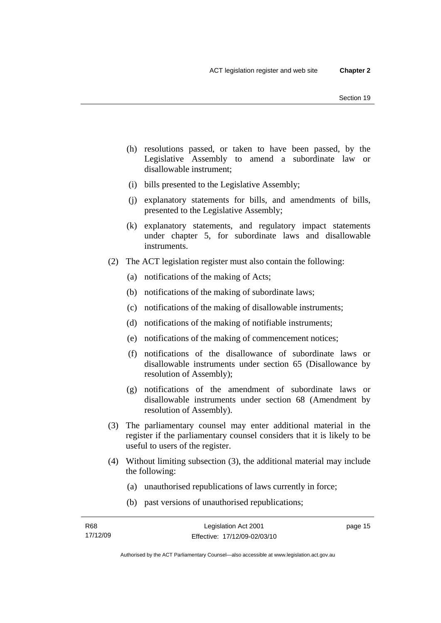- (h) resolutions passed, or taken to have been passed, by the Legislative Assembly to amend a subordinate law or disallowable instrument;
- (i) bills presented to the Legislative Assembly;
- (j) explanatory statements for bills, and amendments of bills, presented to the Legislative Assembly;
- (k) explanatory statements, and regulatory impact statements under chapter 5, for subordinate laws and disallowable instruments.
- (2) The ACT legislation register must also contain the following:
	- (a) notifications of the making of Acts;
	- (b) notifications of the making of subordinate laws;
	- (c) notifications of the making of disallowable instruments;
	- (d) notifications of the making of notifiable instruments;
	- (e) notifications of the making of commencement notices;
	- (f) notifications of the disallowance of subordinate laws or disallowable instruments under section 65 (Disallowance by resolution of Assembly);
	- (g) notifications of the amendment of subordinate laws or disallowable instruments under section 68 (Amendment by resolution of Assembly).
- (3) The parliamentary counsel may enter additional material in the register if the parliamentary counsel considers that it is likely to be useful to users of the register.
- (4) Without limiting subsection (3), the additional material may include the following:
	- (a) unauthorised republications of laws currently in force;
	- (b) past versions of unauthorised republications;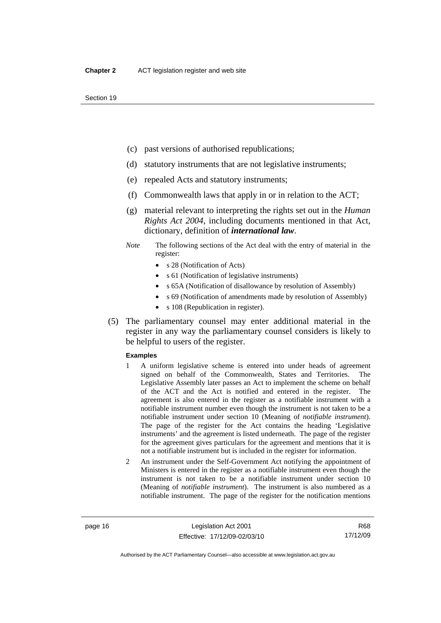- (c) past versions of authorised republications;
- (d) statutory instruments that are not legislative instruments;
- (e) repealed Acts and statutory instruments;
- (f) Commonwealth laws that apply in or in relation to the ACT;
- (g) material relevant to interpreting the rights set out in the *Human Rights Act 2004*, including documents mentioned in that Act, dictionary, definition of *international law*.
- *Note* The following sections of the Act deal with the entry of material in the register:
	- s 28 (Notification of Acts)
	- s 61 (Notification of legislative instruments)
	- s 65A (Notification of disallowance by resolution of Assembly)
	- s 69 (Notification of amendments made by resolution of Assembly)
	- s 108 (Republication in register).
- (5) The parliamentary counsel may enter additional material in the register in any way the parliamentary counsel considers is likely to be helpful to users of the register.

#### **Examples**

- 1 A uniform legislative scheme is entered into under heads of agreement signed on behalf of the Commonwealth, States and Territories. The Legislative Assembly later passes an Act to implement the scheme on behalf of the ACT and the Act is notified and entered in the register. The agreement is also entered in the register as a notifiable instrument with a notifiable instrument number even though the instrument is not taken to be a notifiable instrument under section 10 (Meaning of *notifiable instrument*). The page of the register for the Act contains the heading 'Legislative instruments' and the agreement is listed underneath. The page of the register for the agreement gives particulars for the agreement and mentions that it is not a notifiable instrument but is included in the register for information.
- 2 An instrument under the Self-Government Act notifying the appointment of Ministers is entered in the register as a notifiable instrument even though the instrument is not taken to be a notifiable instrument under section 10 (Meaning of *notifiable instrument*). The instrument is also numbered as a notifiable instrument. The page of the register for the notification mentions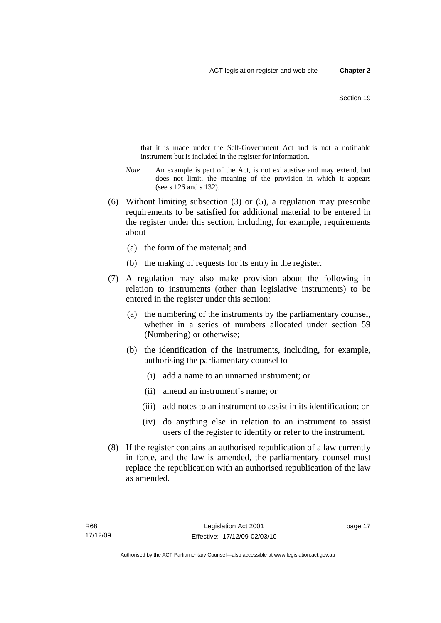that it is made under the Self-Government Act and is not a notifiable instrument but is included in the register for information.

- *Note* An example is part of the Act, is not exhaustive and may extend, but does not limit, the meaning of the provision in which it appears (see s 126 and s 132).
- (6) Without limiting subsection (3) or (5), a regulation may prescribe requirements to be satisfied for additional material to be entered in the register under this section, including, for example, requirements about—
	- (a) the form of the material; and
	- (b) the making of requests for its entry in the register.
- (7) A regulation may also make provision about the following in relation to instruments (other than legislative instruments) to be entered in the register under this section:
	- (a) the numbering of the instruments by the parliamentary counsel, whether in a series of numbers allocated under section 59 (Numbering) or otherwise;
	- (b) the identification of the instruments, including, for example, authorising the parliamentary counsel to—
		- (i) add a name to an unnamed instrument; or
		- (ii) amend an instrument's name; or
		- (iii) add notes to an instrument to assist in its identification; or
		- (iv) do anything else in relation to an instrument to assist users of the register to identify or refer to the instrument.
- (8) If the register contains an authorised republication of a law currently in force, and the law is amended, the parliamentary counsel must replace the republication with an authorised republication of the law as amended.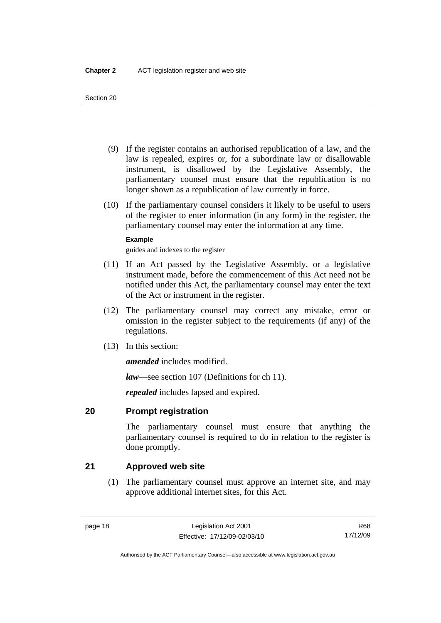- <span id="page-33-0"></span> (9) If the register contains an authorised republication of a law, and the law is repealed, expires or, for a subordinate law or disallowable instrument, is disallowed by the Legislative Assembly, the parliamentary counsel must ensure that the republication is no longer shown as a republication of law currently in force.
- (10) If the parliamentary counsel considers it likely to be useful to users of the register to enter information (in any form) in the register, the parliamentary counsel may enter the information at any time.

### **Example**

guides and indexes to the register

- (11) If an Act passed by the Legislative Assembly, or a legislative instrument made, before the commencement of this Act need not be notified under this Act, the parliamentary counsel may enter the text of the Act or instrument in the register.
- (12) The parliamentary counsel may correct any mistake, error or omission in the register subject to the requirements (if any) of the regulations.
- (13) In this section:

*amended* includes modified.

*law*—see section 107 (Definitions for ch 11).

*repealed* includes lapsed and expired.

## **20 Prompt registration**

The parliamentary counsel must ensure that anything the parliamentary counsel is required to do in relation to the register is done promptly.

## **21 Approved web site**

 (1) The parliamentary counsel must approve an internet site, and may approve additional internet sites, for this Act.

R68 17/12/09

Authorised by the ACT Parliamentary Counsel—also accessible at www.legislation.act.gov.au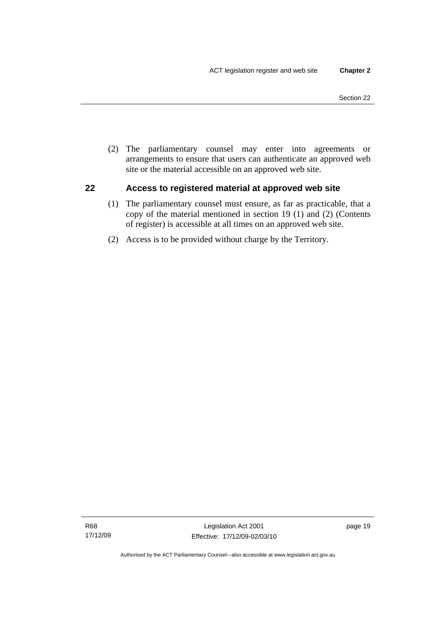<span id="page-34-0"></span> (2) The parliamentary counsel may enter into agreements or arrangements to ensure that users can authenticate an approved web site or the material accessible on an approved web site.

## **22 Access to registered material at approved web site**

- (1) The parliamentary counsel must ensure, as far as practicable, that a copy of the material mentioned in section 19 (1) and (2) (Contents of register) is accessible at all times on an approved web site.
- (2) Access is to be provided without charge by the Territory.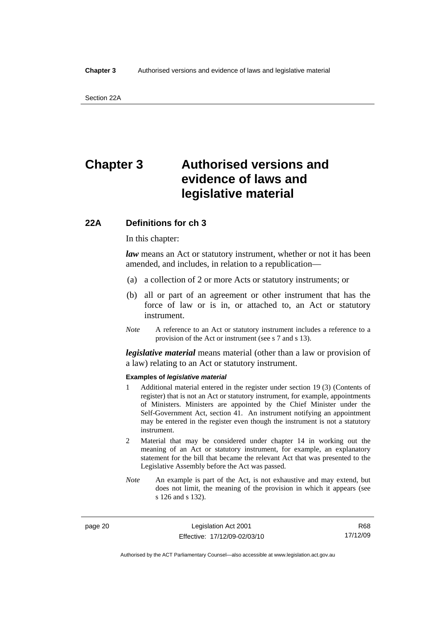## <span id="page-35-0"></span>**Chapter 3 Authorised versions and evidence of laws and legislative material**

## **22A Definitions for ch 3**

In this chapter:

*law* means an Act or statutory instrument, whether or not it has been amended, and includes, in relation to a republication—

- (a) a collection of 2 or more Acts or statutory instruments; or
- (b) all or part of an agreement or other instrument that has the force of law or is in, or attached to, an Act or statutory instrument.
- *Note* A reference to an Act or statutory instrument includes a reference to a provision of the Act or instrument (see s 7 and s 13).

*legislative material* means material (other than a law or provision of a law) relating to an Act or statutory instrument.

#### **Examples of** *legislative material*

- 1 Additional material entered in the register under section 19 (3) (Contents of register) that is not an Act or statutory instrument, for example, appointments of Ministers. Ministers are appointed by the Chief Minister under the Self-Government Act, section 41. An instrument notifying an appointment may be entered in the register even though the instrument is not a statutory instrument.
- 2 Material that may be considered under chapter 14 in working out the meaning of an Act or statutory instrument, for example, an explanatory statement for the bill that became the relevant Act that was presented to the Legislative Assembly before the Act was passed.
- *Note* An example is part of the Act, is not exhaustive and may extend, but does not limit, the meaning of the provision in which it appears (see s 126 and s 132).

page 20 Legislation Act 2001 Effective: 17/12/09-02/03/10

R68 17/12/09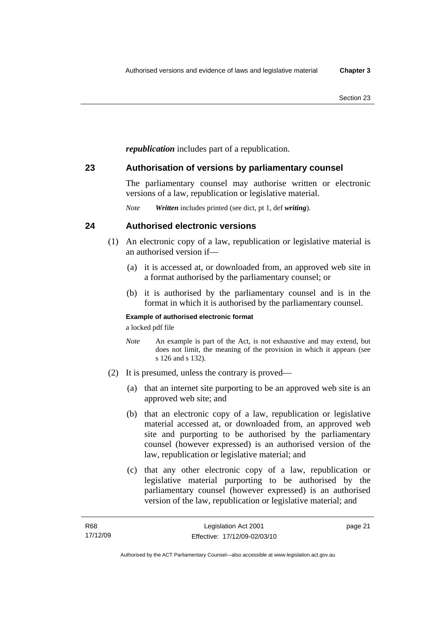*republication* includes part of a republication.

## **23 Authorisation of versions by parliamentary counsel**

The parliamentary counsel may authorise written or electronic versions of a law, republication or legislative material.

*Note Written* includes printed (see dict, pt 1, def *writing*).

## **24 Authorised electronic versions**

- (1) An electronic copy of a law, republication or legislative material is an authorised version if—
	- (a) it is accessed at, or downloaded from, an approved web site in a format authorised by the parliamentary counsel; or
	- (b) it is authorised by the parliamentary counsel and is in the format in which it is authorised by the parliamentary counsel.

### **Example of authorised electronic format**

a locked pdf file

- *Note* An example is part of the Act, is not exhaustive and may extend, but does not limit, the meaning of the provision in which it appears (see s 126 and s 132).
- (2) It is presumed, unless the contrary is proved—
	- (a) that an internet site purporting to be an approved web site is an approved web site; and
	- (b) that an electronic copy of a law, republication or legislative material accessed at, or downloaded from, an approved web site and purporting to be authorised by the parliamentary counsel (however expressed) is an authorised version of the law, republication or legislative material; and
	- (c) that any other electronic copy of a law, republication or legislative material purporting to be authorised by the parliamentary counsel (however expressed) is an authorised version of the law, republication or legislative material; and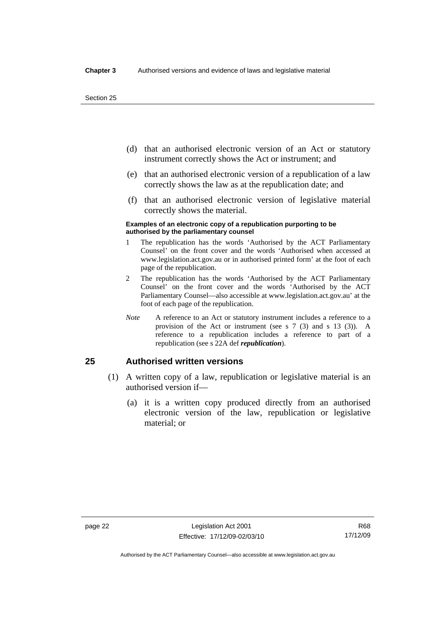- (d) that an authorised electronic version of an Act or statutory instrument correctly shows the Act or instrument; and
- (e) that an authorised electronic version of a republication of a law correctly shows the law as at the republication date; and
- (f) that an authorised electronic version of legislative material correctly shows the material.

#### **Examples of an electronic copy of a republication purporting to be authorised by the parliamentary counsel**

- 1 The republication has the words 'Authorised by the ACT Parliamentary Counsel' on the front cover and the words 'Authorised when accessed at www.legislation.act.gov.au or in authorised printed form' at the foot of each page of the republication.
- 2 The republication has the words 'Authorised by the ACT Parliamentary Counsel' on the front cover and the words 'Authorised by the ACT Parliamentary Counsel—also accessible at www.legislation.act.gov.au' at the foot of each page of the republication.
- *Note* A reference to an Act or statutory instrument includes a reference to a provision of the Act or instrument (see s 7 (3) and s 13 (3)). A reference to a republication includes a reference to part of a republication (see s 22A def *republication*).

## **25 Authorised written versions**

- (1) A written copy of a law, republication or legislative material is an authorised version if—
	- (a) it is a written copy produced directly from an authorised electronic version of the law, republication or legislative material; or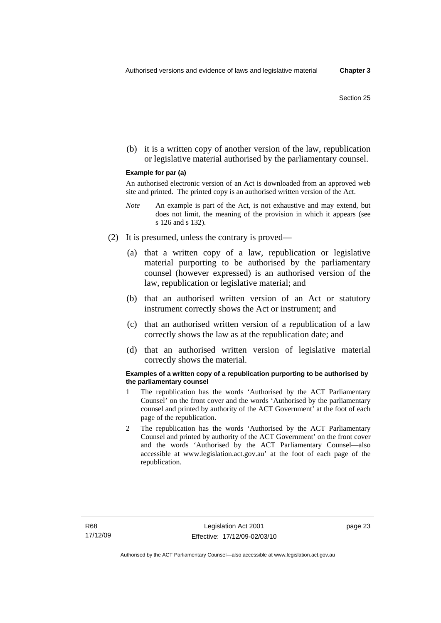(b) it is a written copy of another version of the law, republication or legislative material authorised by the parliamentary counsel.

#### **Example for par (a)**

An authorised electronic version of an Act is downloaded from an approved web site and printed. The printed copy is an authorised written version of the Act.

- *Note* An example is part of the Act, is not exhaustive and may extend, but does not limit, the meaning of the provision in which it appears (see s 126 and s 132).
- (2) It is presumed, unless the contrary is proved—
	- (a) that a written copy of a law, republication or legislative material purporting to be authorised by the parliamentary counsel (however expressed) is an authorised version of the law, republication or legislative material; and
	- (b) that an authorised written version of an Act or statutory instrument correctly shows the Act or instrument; and
	- (c) that an authorised written version of a republication of a law correctly shows the law as at the republication date; and
	- (d) that an authorised written version of legislative material correctly shows the material.

#### **Examples of a written copy of a republication purporting to be authorised by the parliamentary counsel**

- 1 The republication has the words 'Authorised by the ACT Parliamentary Counsel' on the front cover and the words 'Authorised by the parliamentary counsel and printed by authority of the ACT Government' at the foot of each page of the republication.
- 2 The republication has the words 'Authorised by the ACT Parliamentary Counsel and printed by authority of the ACT Government' on the front cover and the words 'Authorised by the ACT Parliamentary Counsel—also accessible at www.legislation.act.gov.au' at the foot of each page of the republication.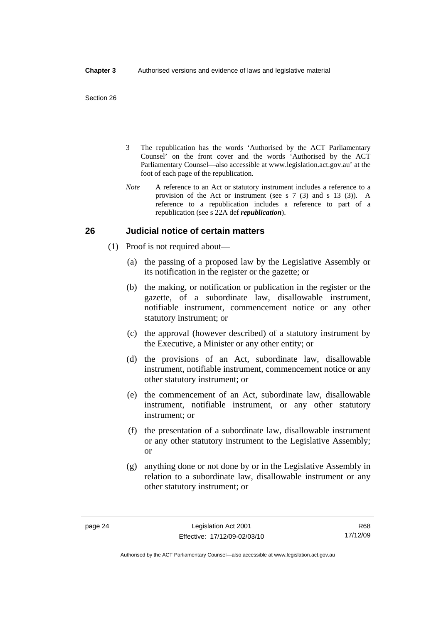- 3 The republication has the words 'Authorised by the ACT Parliamentary Counsel' on the front cover and the words 'Authorised by the ACT Parliamentary Counsel—also accessible at www.legislation.act.gov.au' at the foot of each page of the republication.
- *Note* A reference to an Act or statutory instrument includes a reference to a provision of the Act or instrument (see s 7 (3) and s 13 (3)). A reference to a republication includes a reference to part of a republication (see s 22A def *republication*).

## **26 Judicial notice of certain matters**

- (1) Proof is not required about—
	- (a) the passing of a proposed law by the Legislative Assembly or its notification in the register or the gazette; or
	- (b) the making, or notification or publication in the register or the gazette, of a subordinate law, disallowable instrument, notifiable instrument, commencement notice or any other statutory instrument; or
	- (c) the approval (however described) of a statutory instrument by the Executive, a Minister or any other entity; or
	- (d) the provisions of an Act, subordinate law, disallowable instrument, notifiable instrument, commencement notice or any other statutory instrument; or
	- (e) the commencement of an Act, subordinate law, disallowable instrument, notifiable instrument, or any other statutory instrument; or
	- (f) the presentation of a subordinate law, disallowable instrument or any other statutory instrument to the Legislative Assembly; or
	- (g) anything done or not done by or in the Legislative Assembly in relation to a subordinate law, disallowable instrument or any other statutory instrument; or

R68 17/12/09

Authorised by the ACT Parliamentary Counsel—also accessible at www.legislation.act.gov.au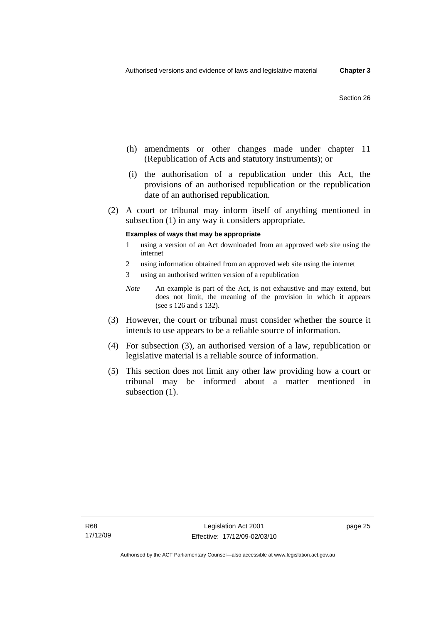- (h) amendments or other changes made under chapter 11 (Republication of Acts and statutory instruments); or
- (i) the authorisation of a republication under this Act, the provisions of an authorised republication or the republication date of an authorised republication.
- (2) A court or tribunal may inform itself of anything mentioned in subsection (1) in any way it considers appropriate.

#### **Examples of ways that may be appropriate**

- 1 using a version of an Act downloaded from an approved web site using the internet
- 2 using information obtained from an approved web site using the internet
- 3 using an authorised written version of a republication
- *Note* An example is part of the Act, is not exhaustive and may extend, but does not limit, the meaning of the provision in which it appears (see s 126 and s 132).
- (3) However, the court or tribunal must consider whether the source it intends to use appears to be a reliable source of information.
- (4) For subsection (3), an authorised version of a law, republication or legislative material is a reliable source of information.
- (5) This section does not limit any other law providing how a court or tribunal may be informed about a matter mentioned in subsection  $(1)$ .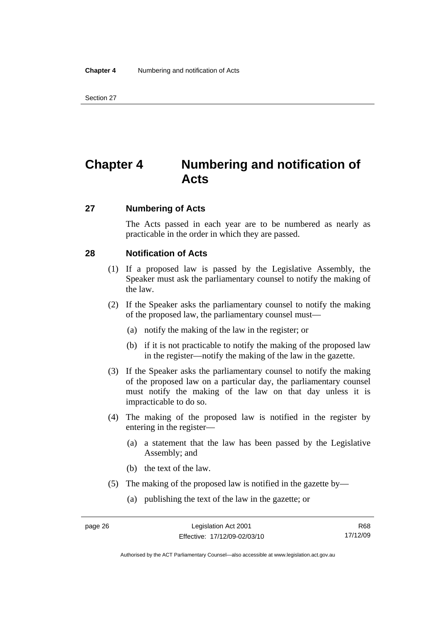## **Chapter 4 Numbering and notification of Acts**

### **27 Numbering of Acts**

The Acts passed in each year are to be numbered as nearly as practicable in the order in which they are passed.

## **28 Notification of Acts**

- (1) If a proposed law is passed by the Legislative Assembly, the Speaker must ask the parliamentary counsel to notify the making of the law.
- (2) If the Speaker asks the parliamentary counsel to notify the making of the proposed law, the parliamentary counsel must—
	- (a) notify the making of the law in the register; or
	- (b) if it is not practicable to notify the making of the proposed law in the register—notify the making of the law in the gazette.
- (3) If the Speaker asks the parliamentary counsel to notify the making of the proposed law on a particular day, the parliamentary counsel must notify the making of the law on that day unless it is impracticable to do so.
- (4) The making of the proposed law is notified in the register by entering in the register—
	- (a) a statement that the law has been passed by the Legislative Assembly; and
	- (b) the text of the law.
- (5) The making of the proposed law is notified in the gazette by—
	- (a) publishing the text of the law in the gazette; or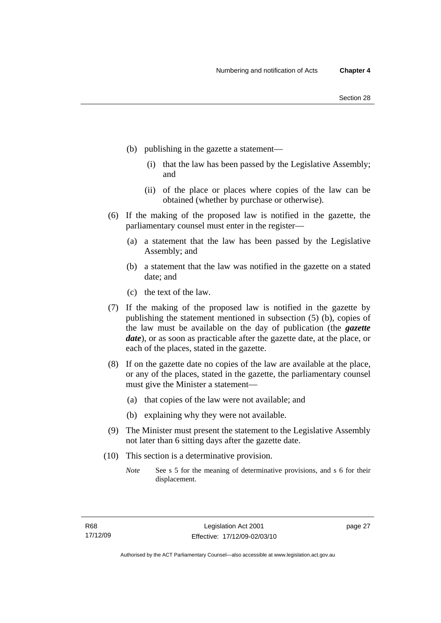- (b) publishing in the gazette a statement—
	- (i) that the law has been passed by the Legislative Assembly; and
	- (ii) of the place or places where copies of the law can be obtained (whether by purchase or otherwise).
- (6) If the making of the proposed law is notified in the gazette, the parliamentary counsel must enter in the register—
	- (a) a statement that the law has been passed by the Legislative Assembly; and
	- (b) a statement that the law was notified in the gazette on a stated date; and
	- (c) the text of the law.
- (7) If the making of the proposed law is notified in the gazette by publishing the statement mentioned in subsection (5) (b), copies of the law must be available on the day of publication (the *gazette date*), or as soon as practicable after the gazette date, at the place, or each of the places, stated in the gazette.
- (8) If on the gazette date no copies of the law are available at the place, or any of the places, stated in the gazette, the parliamentary counsel must give the Minister a statement—
	- (a) that copies of the law were not available; and
	- (b) explaining why they were not available.
- (9) The Minister must present the statement to the Legislative Assembly not later than 6 sitting days after the gazette date.
- (10) This section is a determinative provision.
	- *Note* See s 5 for the meaning of determinative provisions, and s 6 for their displacement.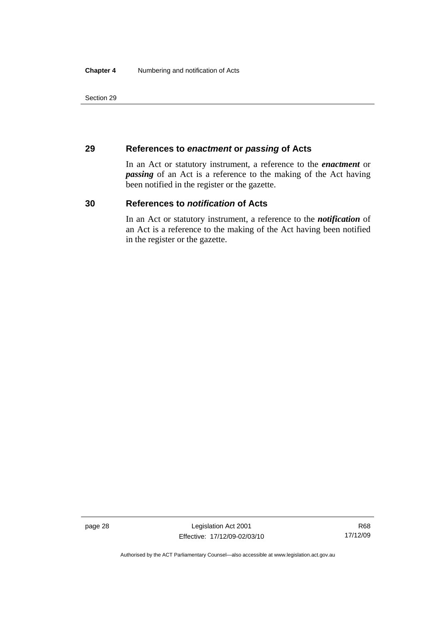## **29 References to** *enactment* **or** *passing* **of Acts**

In an Act or statutory instrument, a reference to the *enactment* or *passing* of an Act is a reference to the making of the Act having been notified in the register or the gazette.

## **30 References to** *notification* **of Acts**

In an Act or statutory instrument, a reference to the *notification* of an Act is a reference to the making of the Act having been notified in the register or the gazette.

page 28 Legislation Act 2001 Effective: 17/12/09-02/03/10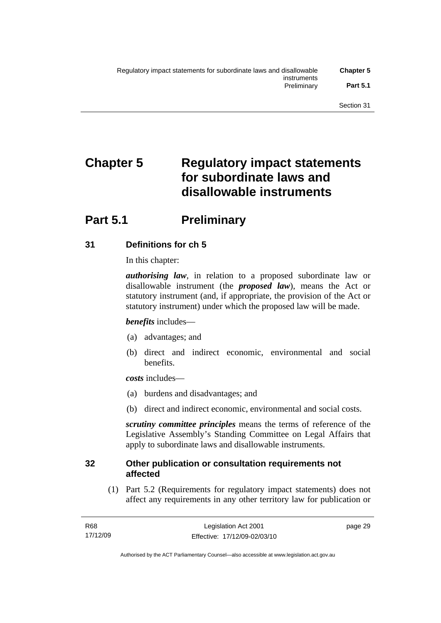# **Chapter 5 Regulatory impact statements for subordinate laws and disallowable instruments**

## **Part 5.1** Preliminary

## **31 Definitions for ch 5**

In this chapter:

*authorising law*, in relation to a proposed subordinate law or disallowable instrument (the *proposed law*), means the Act or statutory instrument (and, if appropriate, the provision of the Act or statutory instrument) under which the proposed law will be made.

## *benefits* includes—

- (a) advantages; and
- (b) direct and indirect economic, environmental and social benefits.

*costs* includes—

- (a) burdens and disadvantages; and
- (b) direct and indirect economic, environmental and social costs.

*scrutiny committee principles* means the terms of reference of the Legislative Assembly's Standing Committee on Legal Affairs that apply to subordinate laws and disallowable instruments.

## **32 Other publication or consultation requirements not affected**

 (1) Part 5.2 (Requirements for regulatory impact statements) does not affect any requirements in any other territory law for publication or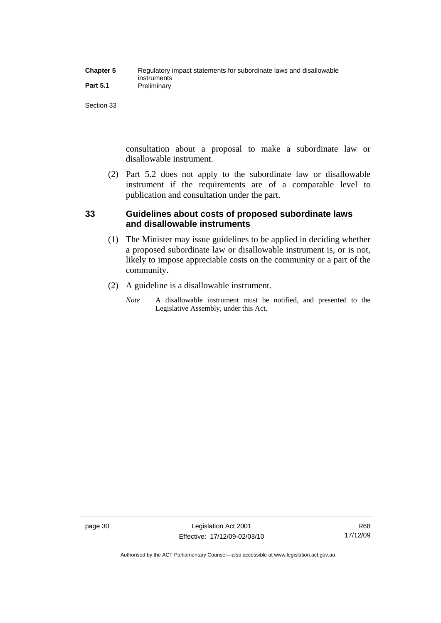| <b>Chapter 5</b> | Regulatory impact statements for subordinate laws and disallowable |
|------------------|--------------------------------------------------------------------|
|                  | instruments                                                        |
| <b>Part 5.1</b>  | Preliminary                                                        |

consultation about a proposal to make a subordinate law or disallowable instrument.

 (2) Part 5.2 does not apply to the subordinate law or disallowable instrument if the requirements are of a comparable level to publication and consultation under the part.

## **33 Guidelines about costs of proposed subordinate laws and disallowable instruments**

- (1) The Minister may issue guidelines to be applied in deciding whether a proposed subordinate law or disallowable instrument is, or is not, likely to impose appreciable costs on the community or a part of the community.
- (2) A guideline is a disallowable instrument.
	- *Note* A disallowable instrument must be notified, and presented to the Legislative Assembly, under this Act.

Authorised by the ACT Parliamentary Counsel—also accessible at www.legislation.act.gov.au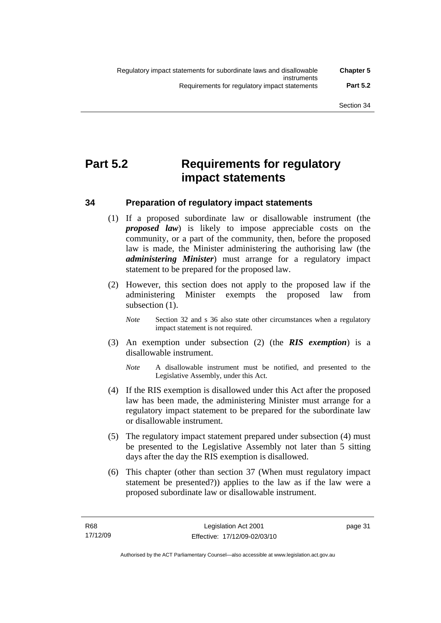## **Part 5.2 Requirements for regulatory impact statements**

## **34 Preparation of regulatory impact statements**

- (1) If a proposed subordinate law or disallowable instrument (the *proposed law*) is likely to impose appreciable costs on the community, or a part of the community, then, before the proposed law is made, the Minister administering the authorising law (the *administering Minister*) must arrange for a regulatory impact statement to be prepared for the proposed law.
- (2) However, this section does not apply to the proposed law if the administering Minister exempts the proposed law from subsection (1).
	- *Note* Section 32 and s 36 also state other circumstances when a regulatory impact statement is not required.
- (3) An exemption under subsection (2) (the *RIS exemption*) is a disallowable instrument.
	- *Note* A disallowable instrument must be notified, and presented to the Legislative Assembly, under this Act.
- (4) If the RIS exemption is disallowed under this Act after the proposed law has been made, the administering Minister must arrange for a regulatory impact statement to be prepared for the subordinate law or disallowable instrument.
- (5) The regulatory impact statement prepared under subsection (4) must be presented to the Legislative Assembly not later than 5 sitting days after the day the RIS exemption is disallowed.
- (6) This chapter (other than section 37 (When must regulatory impact statement be presented?)) applies to the law as if the law were a proposed subordinate law or disallowable instrument.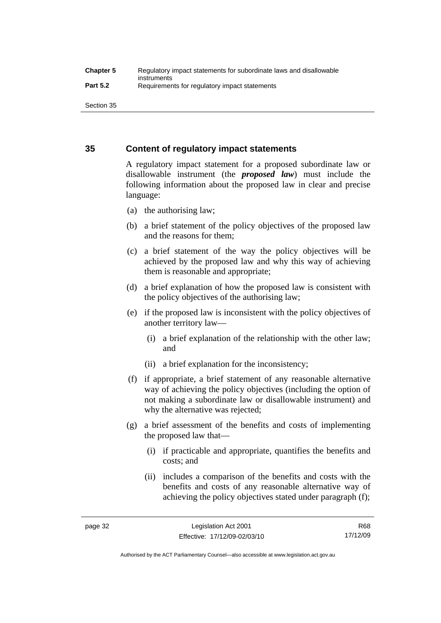## **35 Content of regulatory impact statements**

A regulatory impact statement for a proposed subordinate law or disallowable instrument (the *proposed law*) must include the following information about the proposed law in clear and precise language:

- (a) the authorising law;
- (b) a brief statement of the policy objectives of the proposed law and the reasons for them;
- (c) a brief statement of the way the policy objectives will be achieved by the proposed law and why this way of achieving them is reasonable and appropriate;
- (d) a brief explanation of how the proposed law is consistent with the policy objectives of the authorising law;
- (e) if the proposed law is inconsistent with the policy objectives of another territory law—
	- (i) a brief explanation of the relationship with the other law; and
	- (ii) a brief explanation for the inconsistency;
- (f) if appropriate, a brief statement of any reasonable alternative way of achieving the policy objectives (including the option of not making a subordinate law or disallowable instrument) and why the alternative was rejected;
- (g) a brief assessment of the benefits and costs of implementing the proposed law that—
	- (i) if practicable and appropriate, quantifies the benefits and costs; and
	- (ii) includes a comparison of the benefits and costs with the benefits and costs of any reasonable alternative way of achieving the policy objectives stated under paragraph (f);

R68 17/12/09

Authorised by the ACT Parliamentary Counsel—also accessible at www.legislation.act.gov.au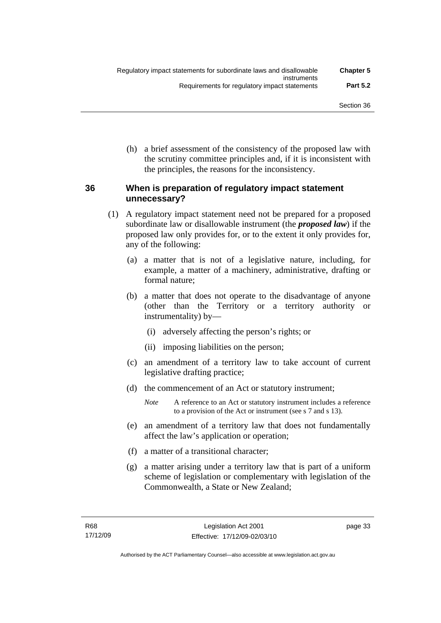(h) a brief assessment of the consistency of the proposed law with the scrutiny committee principles and, if it is inconsistent with the principles, the reasons for the inconsistency.

## **36 When is preparation of regulatory impact statement unnecessary?**

- (1) A regulatory impact statement need not be prepared for a proposed subordinate law or disallowable instrument (the *proposed law*) if the proposed law only provides for, or to the extent it only provides for, any of the following:
	- (a) a matter that is not of a legislative nature, including, for example, a matter of a machinery, administrative, drafting or formal nature;
	- (b) a matter that does not operate to the disadvantage of anyone (other than the Territory or a territory authority or instrumentality) by—
		- (i) adversely affecting the person's rights; or
		- (ii) imposing liabilities on the person;
	- (c) an amendment of a territory law to take account of current legislative drafting practice;
	- (d) the commencement of an Act or statutory instrument;
		- *Note* A reference to an Act or statutory instrument includes a reference to a provision of the Act or instrument (see s 7 and s 13).
	- (e) an amendment of a territory law that does not fundamentally affect the law's application or operation;
	- (f) a matter of a transitional character;
	- (g) a matter arising under a territory law that is part of a uniform scheme of legislation or complementary with legislation of the Commonwealth, a State or New Zealand;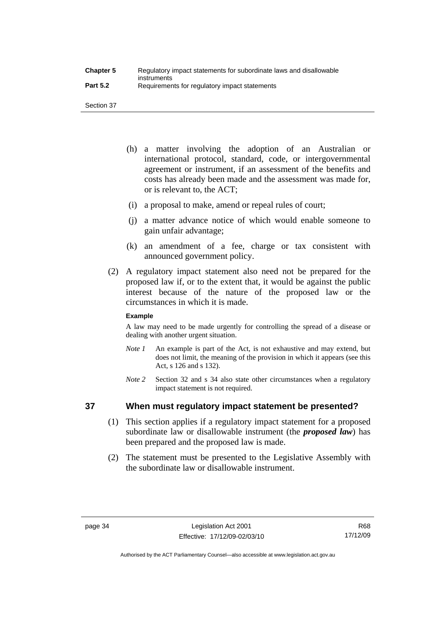- (h) a matter involving the adoption of an Australian or international protocol, standard, code, or intergovernmental agreement or instrument, if an assessment of the benefits and costs has already been made and the assessment was made for, or is relevant to, the ACT;
- (i) a proposal to make, amend or repeal rules of court;
- (j) a matter advance notice of which would enable someone to gain unfair advantage;
- (k) an amendment of a fee, charge or tax consistent with announced government policy.
- (2) A regulatory impact statement also need not be prepared for the proposed law if, or to the extent that, it would be against the public interest because of the nature of the proposed law or the circumstances in which it is made.

### **Example**

A law may need to be made urgently for controlling the spread of a disease or dealing with another urgent situation.

- *Note 1* An example is part of the Act, is not exhaustive and may extend, but does not limit, the meaning of the provision in which it appears (see this Act, s 126 and s 132).
- *Note* 2 Section 32 and s 34 also state other circumstances when a regulatory impact statement is not required.

## **37 When must regulatory impact statement be presented?**

- (1) This section applies if a regulatory impact statement for a proposed subordinate law or disallowable instrument (the *proposed law*) has been prepared and the proposed law is made.
- (2) The statement must be presented to the Legislative Assembly with the subordinate law or disallowable instrument.

Authorised by the ACT Parliamentary Counsel—also accessible at www.legislation.act.gov.au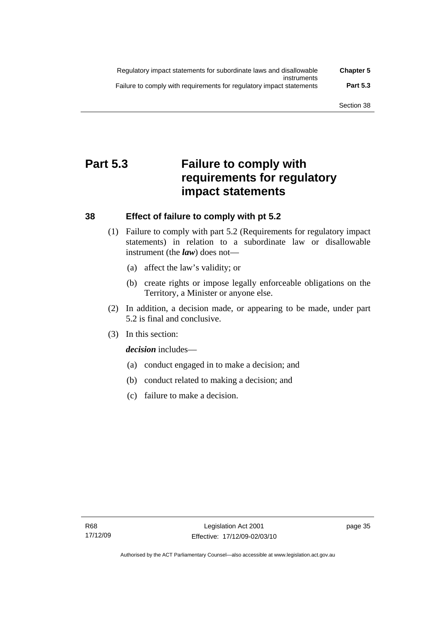| Regulatory impact statements for subordinate laws and disallowable   | <b>Chapter 5</b> |
|----------------------------------------------------------------------|------------------|
| instruments                                                          |                  |
| Failure to comply with requirements for regulatory impact statements | <b>Part 5.3</b>  |

## **Part 5.3 Failure to comply with requirements for regulatory impact statements**

## **38 Effect of failure to comply with pt 5.2**

- (1) Failure to comply with part 5.2 (Requirements for regulatory impact statements) in relation to a subordinate law or disallowable instrument (the *law*) does not—
	- (a) affect the law's validity; or
	- (b) create rights or impose legally enforceable obligations on the Territory, a Minister or anyone else.
- (2) In addition, a decision made, or appearing to be made, under part 5.2 is final and conclusive.
- (3) In this section:

*decision* includes—

- (a) conduct engaged in to make a decision; and
- (b) conduct related to making a decision; and
- (c) failure to make a decision.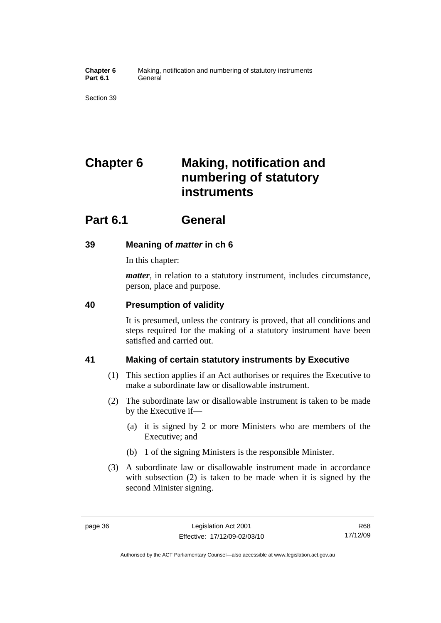**Chapter 6** Making, notification and numbering of statutory instruments Part 6.1 **General** 

Section 39

# **Chapter 6 Making, notification and numbering of statutory instruments**

## **Part 6.1 General**

## **39 Meaning of** *matter* **in ch 6**

In this chapter:

*matter*, in relation to a statutory instrument, includes circumstance, person, place and purpose.

## **40 Presumption of validity**

It is presumed, unless the contrary is proved, that all conditions and steps required for the making of a statutory instrument have been satisfied and carried out.

## **41 Making of certain statutory instruments by Executive**

- (1) This section applies if an Act authorises or requires the Executive to make a subordinate law or disallowable instrument.
- (2) The subordinate law or disallowable instrument is taken to be made by the Executive if—
	- (a) it is signed by 2 or more Ministers who are members of the Executive; and
	- (b) 1 of the signing Ministers is the responsible Minister.
- (3) A subordinate law or disallowable instrument made in accordance with subsection (2) is taken to be made when it is signed by the second Minister signing.

Authorised by the ACT Parliamentary Counsel—also accessible at www.legislation.act.gov.au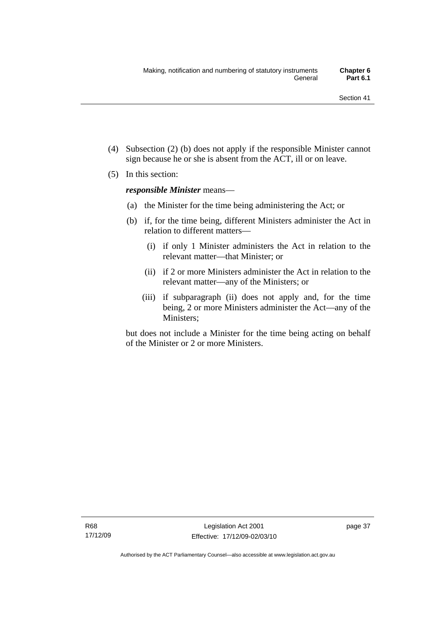- (4) Subsection (2) (b) does not apply if the responsible Minister cannot sign because he or she is absent from the ACT, ill or on leave.
- (5) In this section:

*responsible Minister* means—

- (a) the Minister for the time being administering the Act; or
- (b) if, for the time being, different Ministers administer the Act in relation to different matters—
	- (i) if only 1 Minister administers the Act in relation to the relevant matter—that Minister; or
	- (ii) if 2 or more Ministers administer the Act in relation to the relevant matter—any of the Ministers; or
	- (iii) if subparagraph (ii) does not apply and, for the time being, 2 or more Ministers administer the Act—any of the Ministers;

but does not include a Minister for the time being acting on behalf of the Minister or 2 or more Ministers.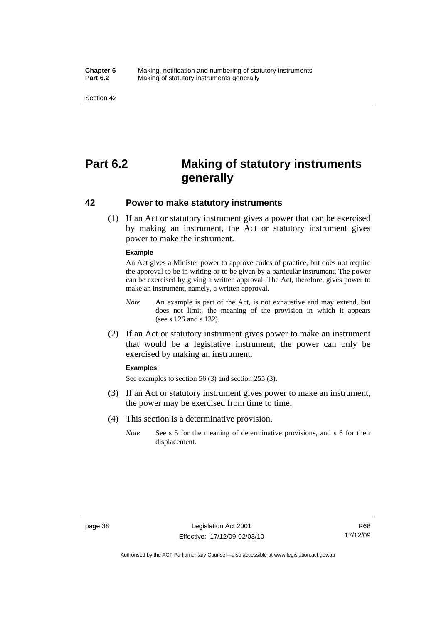#### **Chapter 6** Making, notification and numbering of statutory instruments<br>**Part 6.2** Making of statutory instruments generally **Making of statutory instruments generally**

Section 42

## **Part 6.2 Making of statutory instruments generally**

### **42 Power to make statutory instruments**

 (1) If an Act or statutory instrument gives a power that can be exercised by making an instrument, the Act or statutory instrument gives power to make the instrument.

#### **Example**

An Act gives a Minister power to approve codes of practice, but does not require the approval to be in writing or to be given by a particular instrument. The power can be exercised by giving a written approval. The Act, therefore, gives power to make an instrument, namely, a written approval.

- *Note* An example is part of the Act, is not exhaustive and may extend, but does not limit, the meaning of the provision in which it appears (see s 126 and s 132).
- (2) If an Act or statutory instrument gives power to make an instrument that would be a legislative instrument, the power can only be exercised by making an instrument.

#### **Examples**

See examples to section 56 (3) and section 255 (3).

- (3) If an Act or statutory instrument gives power to make an instrument, the power may be exercised from time to time.
- (4) This section is a determinative provision.
	- *Note* See s 5 for the meaning of determinative provisions, and s 6 for their displacement.

Authorised by the ACT Parliamentary Counsel—also accessible at www.legislation.act.gov.au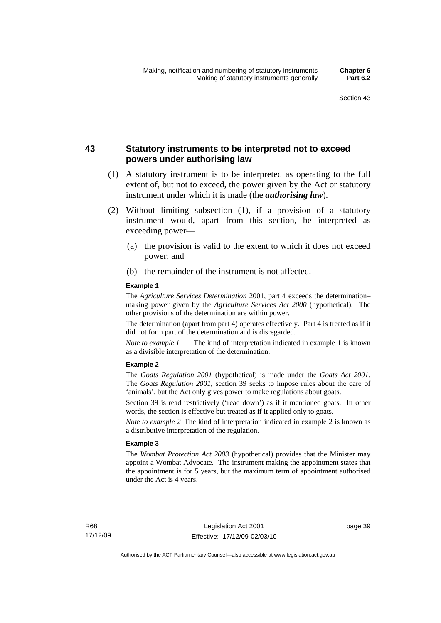## **43 Statutory instruments to be interpreted not to exceed powers under authorising law**

- (1) A statutory instrument is to be interpreted as operating to the full extent of, but not to exceed, the power given by the Act or statutory instrument under which it is made (the *authorising law*).
- (2) Without limiting subsection (1), if a provision of a statutory instrument would, apart from this section, be interpreted as exceeding power—
	- (a) the provision is valid to the extent to which it does not exceed power; and
	- (b) the remainder of the instrument is not affected.

#### **Example 1**

The *Agriculture Services Determination* 2001, part 4 exceeds the determination– making power given by the *Agriculture Services Act 2000* (hypothetical). The other provisions of the determination are within power.

The determination (apart from part 4) operates effectively. Part 4 is treated as if it did not form part of the determination and is disregarded.

*Note to example 1* The kind of interpretation indicated in example 1 is known as a divisible interpretation of the determination.

#### **Example 2**

The *Goats Regulation 2001* (hypothetical) is made under the *Goats Act 2001*. The *Goats Regulation 2001*, section 39 seeks to impose rules about the care of 'animals', but the Act only gives power to make regulations about goats.

Section 39 is read restrictively ('read down') as if it mentioned goats. In other words, the section is effective but treated as if it applied only to goats.

*Note to example 2* The kind of interpretation indicated in example 2 is known as a distributive interpretation of the regulation.

#### **Example 3**

The *Wombat Protection Act 2003* (hypothetical) provides that the Minister may appoint a Wombat Advocate. The instrument making the appointment states that the appointment is for 5 years, but the maximum term of appointment authorised under the Act is 4 years.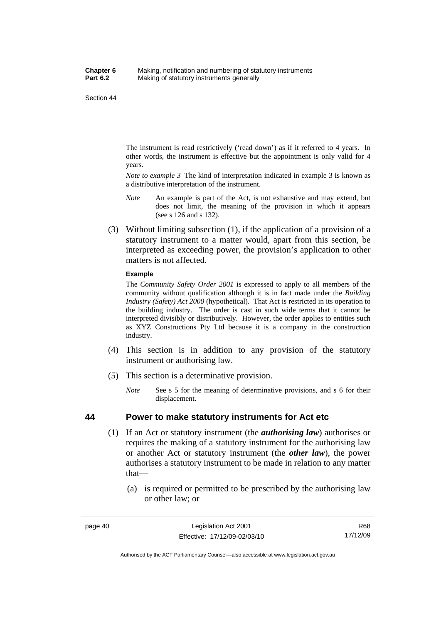The instrument is read restrictively ('read down') as if it referred to 4 years. In other words, the instrument is effective but the appointment is only valid for 4 years.

*Note to example 3* The kind of interpretation indicated in example 3 is known as a distributive interpretation of the instrument.

- *Note* An example is part of the Act, is not exhaustive and may extend, but does not limit, the meaning of the provision in which it appears (see s 126 and s 132).
- (3) Without limiting subsection (1), if the application of a provision of a statutory instrument to a matter would, apart from this section, be interpreted as exceeding power, the provision's application to other matters is not affected.

#### **Example**

The *Community Safety Order 2001* is expressed to apply to all members of the community without qualification although it is in fact made under the *Building Industry (Safety) Act 2000* (hypothetical). That Act is restricted in its operation to the building industry. The order is cast in such wide terms that it cannot be interpreted divisibly or distributively. However, the order applies to entities such as XYZ Constructions Pty Ltd because it is a company in the construction industry.

- (4) This section is in addition to any provision of the statutory instrument or authorising law.
- (5) This section is a determinative provision.
	- *Note* See s 5 for the meaning of determinative provisions, and s 6 for their displacement.

### **44 Power to make statutory instruments for Act etc**

- (1) If an Act or statutory instrument (the *authorising law*) authorises or requires the making of a statutory instrument for the authorising law or another Act or statutory instrument (the *other law*), the power authorises a statutory instrument to be made in relation to any matter that—
	- (a) is required or permitted to be prescribed by the authorising law or other law; or

R68 17/12/09

Authorised by the ACT Parliamentary Counsel—also accessible at www.legislation.act.gov.au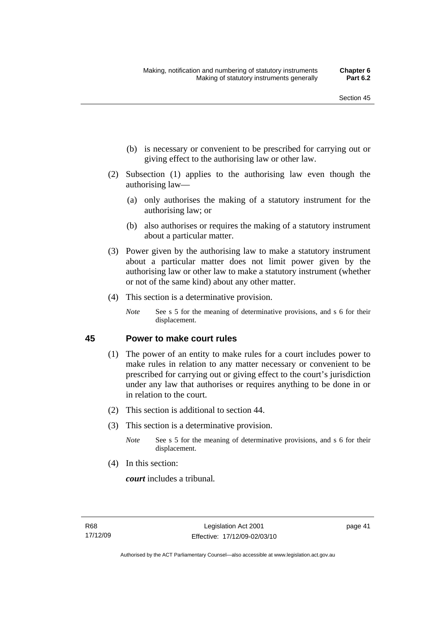- (b) is necessary or convenient to be prescribed for carrying out or giving effect to the authorising law or other law.
- (2) Subsection (1) applies to the authorising law even though the authorising law—
	- (a) only authorises the making of a statutory instrument for the authorising law; or
	- (b) also authorises or requires the making of a statutory instrument about a particular matter.
- (3) Power given by the authorising law to make a statutory instrument about a particular matter does not limit power given by the authorising law or other law to make a statutory instrument (whether or not of the same kind) about any other matter.
- (4) This section is a determinative provision.
	- *Note* See s 5 for the meaning of determinative provisions, and s 6 for their displacement.

### **45 Power to make court rules**

- (1) The power of an entity to make rules for a court includes power to make rules in relation to any matter necessary or convenient to be prescribed for carrying out or giving effect to the court's jurisdiction under any law that authorises or requires anything to be done in or in relation to the court.
- (2) This section is additional to section 44.
- (3) This section is a determinative provision.
	- *Note* See s 5 for the meaning of determinative provisions, and s 6 for their displacement.
- (4) In this section:

*court* includes a tribunal*.*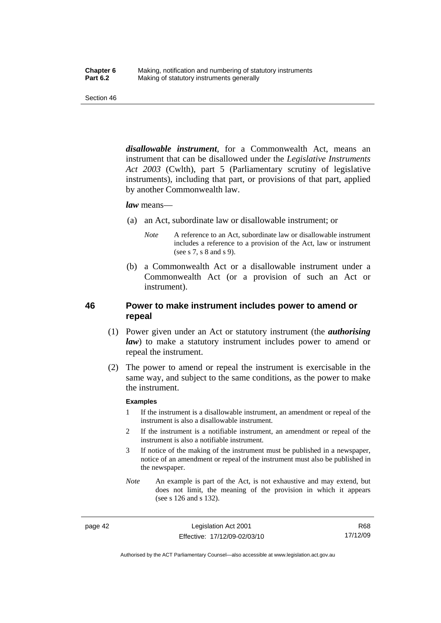*disallowable instrument*, for a Commonwealth Act, means an instrument that can be disallowed under the *Legislative Instruments Act 2003* (Cwlth), part 5 (Parliamentary scrutiny of legislative instruments), including that part, or provisions of that part, applied by another Commonwealth law.

#### *law* means—

- (a) an Act, subordinate law or disallowable instrument; or
	- *Note* A reference to an Act, subordinate law or disallowable instrument includes a reference to a provision of the Act, law or instrument (see s 7, s 8 and s 9).
- (b) a Commonwealth Act or a disallowable instrument under a Commonwealth Act (or a provision of such an Act or instrument).

## **46 Power to make instrument includes power to amend or repeal**

- (1) Power given under an Act or statutory instrument (the *authorising law*) to make a statutory instrument includes power to amend or repeal the instrument.
- (2) The power to amend or repeal the instrument is exercisable in the same way, and subject to the same conditions, as the power to make the instrument.

#### **Examples**

- 1 If the instrument is a disallowable instrument, an amendment or repeal of the instrument is also a disallowable instrument.
- 2 If the instrument is a notifiable instrument, an amendment or repeal of the instrument is also a notifiable instrument.
- 3 If notice of the making of the instrument must be published in a newspaper, notice of an amendment or repeal of the instrument must also be published in the newspaper.
- *Note* An example is part of the Act, is not exhaustive and may extend, but does not limit, the meaning of the provision in which it appears (see s 126 and s 132).

page 42 Legislation Act 2001 Effective: 17/12/09-02/03/10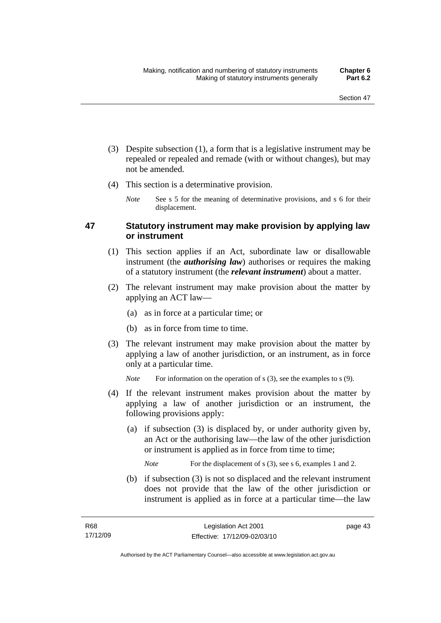- (3) Despite subsection (1), a form that is a legislative instrument may be repealed or repealed and remade (with or without changes), but may not be amended.
- (4) This section is a determinative provision.
	- *Note* See s 5 for the meaning of determinative provisions, and s 6 for their displacement.

## **47 Statutory instrument may make provision by applying law or instrument**

- (1) This section applies if an Act, subordinate law or disallowable instrument (the *authorising law*) authorises or requires the making of a statutory instrument (the *relevant instrument*) about a matter.
- (2) The relevant instrument may make provision about the matter by applying an ACT law—
	- (a) as in force at a particular time; or
	- (b) as in force from time to time.
- (3) The relevant instrument may make provision about the matter by applying a law of another jurisdiction, or an instrument, as in force only at a particular time.

*Note* For information on the operation of s (3), see the examples to s (9).

- (4) If the relevant instrument makes provision about the matter by applying a law of another jurisdiction or an instrument, the following provisions apply:
	- (a) if subsection (3) is displaced by, or under authority given by, an Act or the authorising law—the law of the other jurisdiction or instrument is applied as in force from time to time;

*Note* For the displacement of s (3), see s 6, examples 1 and 2.

 (b) if subsection (3) is not so displaced and the relevant instrument does not provide that the law of the other jurisdiction or instrument is applied as in force at a particular time—the law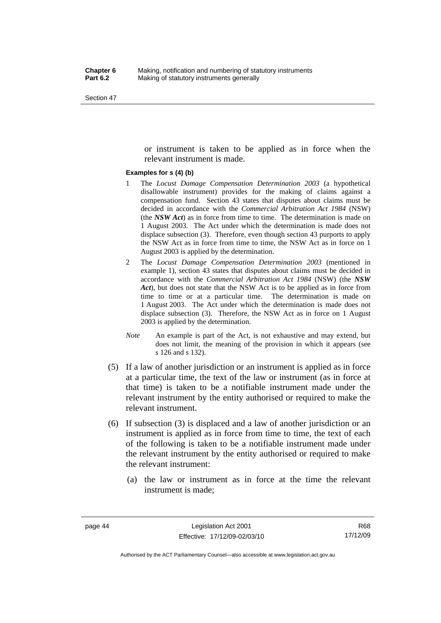or instrument is taken to be applied as in force when the relevant instrument is made.

#### **Examples for s (4) (b)**

- 1 The *Locust Damage Compensation Determination 2003* (a hypothetical disallowable instrument) provides for the making of claims against a compensation fund. Section 43 states that disputes about claims must be decided in accordance with the *Commercial Arbitration Act 1984* (NSW) (the *NSW Act*) as in force from time to time. The determination is made on 1 August 2003. The Act under which the determination is made does not displace subsection (3). Therefore, even though section 43 purports to apply the NSW Act as in force from time to time, the NSW Act as in force on 1 August 2003 is applied by the determination.
- 2 The *Locust Damage Compensation Determination 2003* (mentioned in example 1), section 43 states that disputes about claims must be decided in accordance with the *Commercial Arbitration Act 1984* (NSW) (the *NSW Act*), but does not state that the NSW Act is to be applied as in force from time to time or at a particular time. The determination is made on 1 August 2003. The Act under which the determination is made does not displace subsection (3). Therefore, the NSW Act as in force on 1 August 2003 is applied by the determination.
- *Note* An example is part of the Act, is not exhaustive and may extend, but does not limit, the meaning of the provision in which it appears (see s 126 and s 132).
- (5) If a law of another jurisdiction or an instrument is applied as in force at a particular time, the text of the law or instrument (as in force at that time) is taken to be a notifiable instrument made under the relevant instrument by the entity authorised or required to make the relevant instrument.
- (6) If subsection (3) is displaced and a law of another jurisdiction or an instrument is applied as in force from time to time, the text of each of the following is taken to be a notifiable instrument made under the relevant instrument by the entity authorised or required to make the relevant instrument:
	- (a) the law or instrument as in force at the time the relevant instrument is made;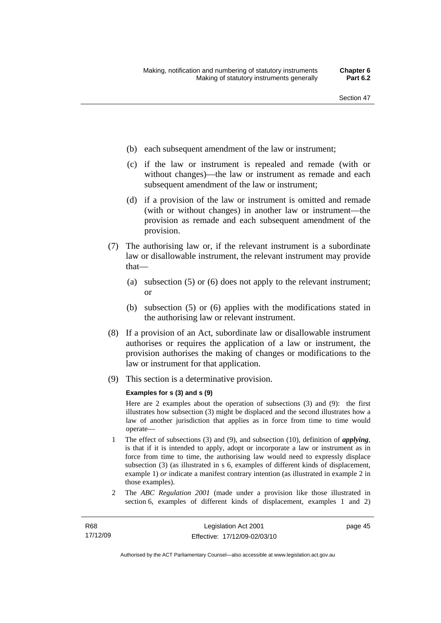- (b) each subsequent amendment of the law or instrument;
- (c) if the law or instrument is repealed and remade (with or without changes)—the law or instrument as remade and each subsequent amendment of the law or instrument;
- (d) if a provision of the law or instrument is omitted and remade (with or without changes) in another law or instrument—the provision as remade and each subsequent amendment of the provision.
- (7) The authorising law or, if the relevant instrument is a subordinate law or disallowable instrument, the relevant instrument may provide that—
	- (a) subsection (5) or (6) does not apply to the relevant instrument; or
	- (b) subsection (5) or (6) applies with the modifications stated in the authorising law or relevant instrument.
- (8) If a provision of an Act, subordinate law or disallowable instrument authorises or requires the application of a law or instrument, the provision authorises the making of changes or modifications to the law or instrument for that application.
- (9) This section is a determinative provision.

#### **Examples for s (3) and s (9)**

Here are 2 examples about the operation of subsections (3) and (9): the first illustrates how subsection (3) might be displaced and the second illustrates how a law of another jurisdiction that applies as in force from time to time would operate—

- 1 The effect of subsections (3) and (9), and subsection (10), definition of *applying*, is that if it is intended to apply, adopt or incorporate a law or instrument as in force from time to time, the authorising law would need to expressly displace subsection (3) (as illustrated in s 6, examples of different kinds of displacement, example 1) *or* indicate a manifest contrary intention (as illustrated in example 2 in those examples).
- 2 The *ABC Regulation 2001* (made under a provision like those illustrated in section 6, examples of different kinds of displacement, examples 1 and 2)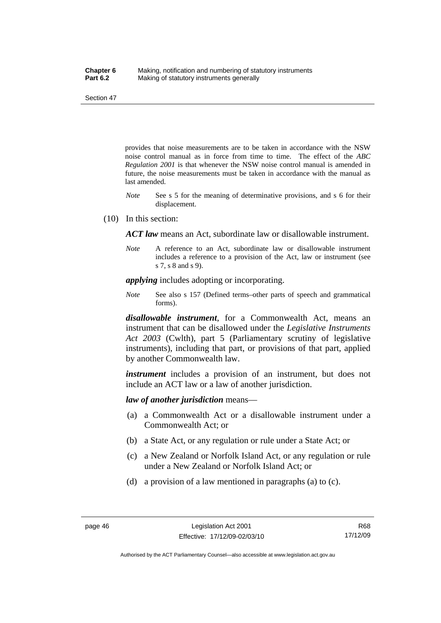provides that noise measurements are to be taken in accordance with the NSW noise control manual as in force from time to time. The effect of the *ABC Regulation 2001* is that whenever the NSW noise control manual is amended in future, the noise measurements must be taken in accordance with the manual as last amended.

- *Note* See s 5 for the meaning of determinative provisions, and s 6 for their displacement.
- (10) In this section:

*ACT law* means an Act, subordinate law or disallowable instrument.

*Note* A reference to an Act, subordinate law or disallowable instrument includes a reference to a provision of the Act, law or instrument (see s 7, s 8 and s 9).

*applying* includes adopting or incorporating.

*Note* See also s 157 (Defined terms–other parts of speech and grammatical forms).

*disallowable instrument*, for a Commonwealth Act, means an instrument that can be disallowed under the *Legislative Instruments Act 2003* (Cwlth), part 5 (Parliamentary scrutiny of legislative instruments), including that part, or provisions of that part, applied by another Commonwealth law.

*instrument* includes a provision of an instrument, but does not include an ACT law or a law of another jurisdiction.

*law of another jurisdiction* means—

- (a) a Commonwealth Act or a disallowable instrument under a Commonwealth Act; or
- (b) a State Act, or any regulation or rule under a State Act; or
- (c) a New Zealand or Norfolk Island Act, or any regulation or rule under a New Zealand or Norfolk Island Act; or
- (d) a provision of a law mentioned in paragraphs (a) to (c).

Authorised by the ACT Parliamentary Counsel—also accessible at www.legislation.act.gov.au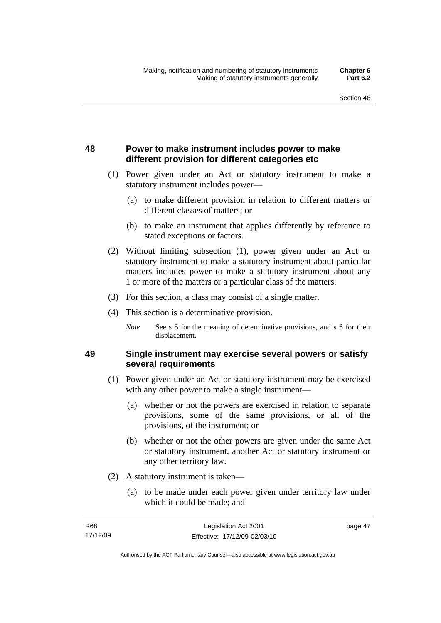## **48 Power to make instrument includes power to make different provision for different categories etc**

- (1) Power given under an Act or statutory instrument to make a statutory instrument includes power—
	- (a) to make different provision in relation to different matters or different classes of matters; or
	- (b) to make an instrument that applies differently by reference to stated exceptions or factors.
- (2) Without limiting subsection (1), power given under an Act or statutory instrument to make a statutory instrument about particular matters includes power to make a statutory instrument about any 1 or more of the matters or a particular class of the matters.
- (3) For this section, a class may consist of a single matter.
- (4) This section is a determinative provision.
	- *Note* See s 5 for the meaning of determinative provisions, and s 6 for their displacement.

## **49 Single instrument may exercise several powers or satisfy several requirements**

- (1) Power given under an Act or statutory instrument may be exercised with any other power to make a single instrument—
	- (a) whether or not the powers are exercised in relation to separate provisions, some of the same provisions, or all of the provisions, of the instrument; or
	- (b) whether or not the other powers are given under the same Act or statutory instrument, another Act or statutory instrument or any other territory law.
- (2) A statutory instrument is taken—
	- (a) to be made under each power given under territory law under which it could be made; and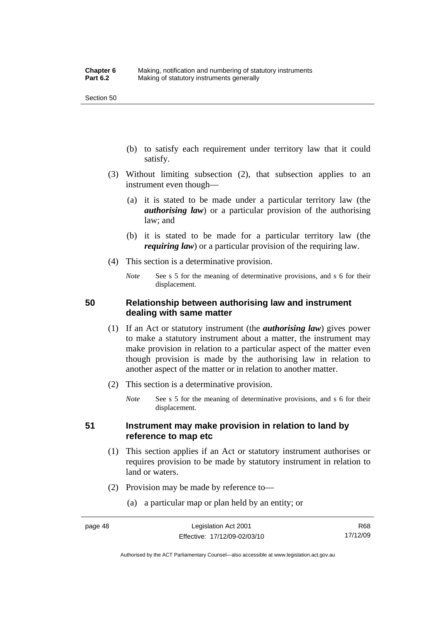- (b) to satisfy each requirement under territory law that it could satisfy.
- (3) Without limiting subsection (2), that subsection applies to an instrument even though—
	- (a) it is stated to be made under a particular territory law (the *authorising law*) or a particular provision of the authorising law; and
	- (b) it is stated to be made for a particular territory law (the *requiring law*) or a particular provision of the requiring law.
- (4) This section is a determinative provision.
	- *Note* See s 5 for the meaning of determinative provisions, and s 6 for their displacement.

## **50 Relationship between authorising law and instrument dealing with same matter**

- (1) If an Act or statutory instrument (the *authorising law*) gives power to make a statutory instrument about a matter, the instrument may make provision in relation to a particular aspect of the matter even though provision is made by the authorising law in relation to another aspect of the matter or in relation to another matter.
- (2) This section is a determinative provision.
	- *Note* See s 5 for the meaning of determinative provisions, and s 6 for their displacement.

## **51 Instrument may make provision in relation to land by reference to map etc**

- (1) This section applies if an Act or statutory instrument authorises or requires provision to be made by statutory instrument in relation to land or waters.
- (2) Provision may be made by reference to—
	- (a) a particular map or plan held by an entity; or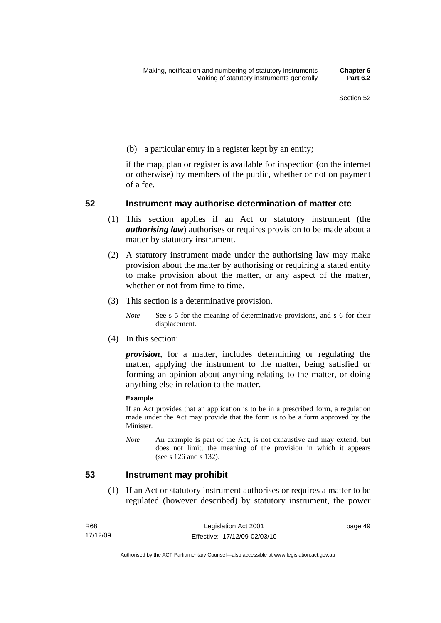(b) a particular entry in a register kept by an entity;

if the map, plan or register is available for inspection (on the internet or otherwise) by members of the public, whether or not on payment of a fee.

### **52 Instrument may authorise determination of matter etc**

- (1) This section applies if an Act or statutory instrument (the *authorising law*) authorises or requires provision to be made about a matter by statutory instrument.
- (2) A statutory instrument made under the authorising law may make provision about the matter by authorising or requiring a stated entity to make provision about the matter, or any aspect of the matter, whether or not from time to time.
- (3) This section is a determinative provision.
	- *Note* See s 5 for the meaning of determinative provisions, and s 6 for their displacement.
- (4) In this section:

*provision*, for a matter, includes determining or regulating the matter, applying the instrument to the matter, being satisfied or forming an opinion about anything relating to the matter, or doing anything else in relation to the matter.

#### **Example**

If an Act provides that an application is to be in a prescribed form, a regulation made under the Act may provide that the form is to be a form approved by the Minister.

*Note* An example is part of the Act, is not exhaustive and may extend, but does not limit, the meaning of the provision in which it appears (see s 126 and s 132).

### **53 Instrument may prohibit**

 (1) If an Act or statutory instrument authorises or requires a matter to be regulated (however described) by statutory instrument, the power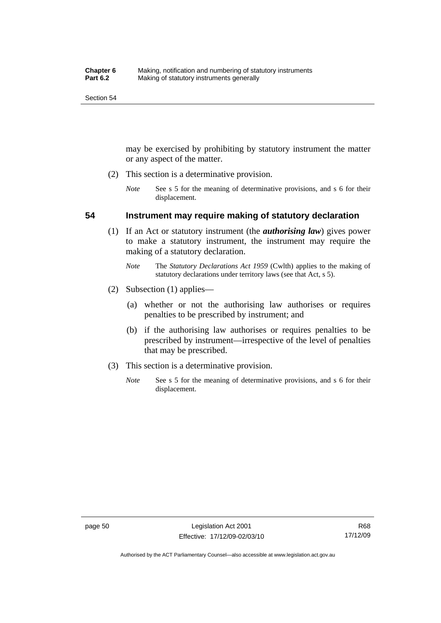may be exercised by prohibiting by statutory instrument the matter or any aspect of the matter.

- (2) This section is a determinative provision.
	- *Note* See s 5 for the meaning of determinative provisions, and s 6 for their displacement.

### **54 Instrument may require making of statutory declaration**

- (1) If an Act or statutory instrument (the *authorising law*) gives power to make a statutory instrument, the instrument may require the making of a statutory declaration.
	- *Note* The *Statutory Declarations Act 1959* (Cwlth) applies to the making of statutory declarations under territory laws (see that Act, s 5).
- (2) Subsection (1) applies—
	- (a) whether or not the authorising law authorises or requires penalties to be prescribed by instrument; and
	- (b) if the authorising law authorises or requires penalties to be prescribed by instrument—irrespective of the level of penalties that may be prescribed.
- (3) This section is a determinative provision.
	- *Note* See s 5 for the meaning of determinative provisions, and s 6 for their displacement.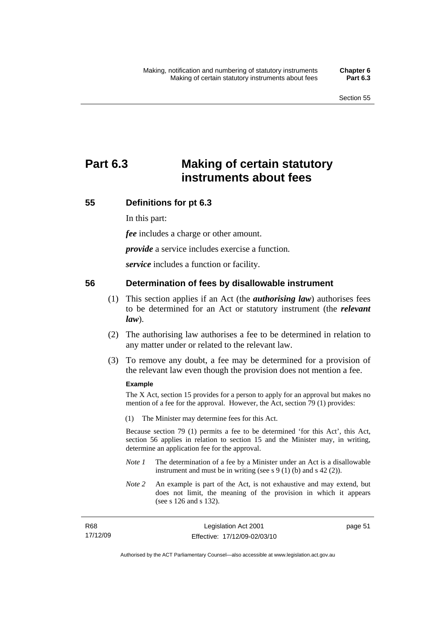# **Part 6.3 Making of certain statutory instruments about fees**

## **55 Definitions for pt 6.3**

In this part:

*fee* includes a charge or other amount.

*provide* a service includes exercise a function.

*service* includes a function or facility.

## **56 Determination of fees by disallowable instrument**

- (1) This section applies if an Act (the *authorising law*) authorises fees to be determined for an Act or statutory instrument (the *relevant law*).
- (2) The authorising law authorises a fee to be determined in relation to any matter under or related to the relevant law.
- (3) To remove any doubt, a fee may be determined for a provision of the relevant law even though the provision does not mention a fee.

### **Example**

The X Act, section 15 provides for a person to apply for an approval but makes no mention of a fee for the approval. However, the Act, section 79 (1) provides:

(1) The Minister may determine fees for this Act.

Because section 79 (1) permits a fee to be determined 'for this Act', this Act, section 56 applies in relation to section 15 and the Minister may, in writing, determine an application fee for the approval.

- *Note 1* The determination of a fee by a Minister under an Act is a disallowable instrument and must be in writing (see s 9 (1) (b) and s 42 (2)).
- *Note 2* An example is part of the Act, is not exhaustive and may extend, but does not limit, the meaning of the provision in which it appears (see s 126 and s 132).

| R68      | Legislation Act 2001         |
|----------|------------------------------|
| 17/12/09 | Effective: 17/12/09-02/03/10 |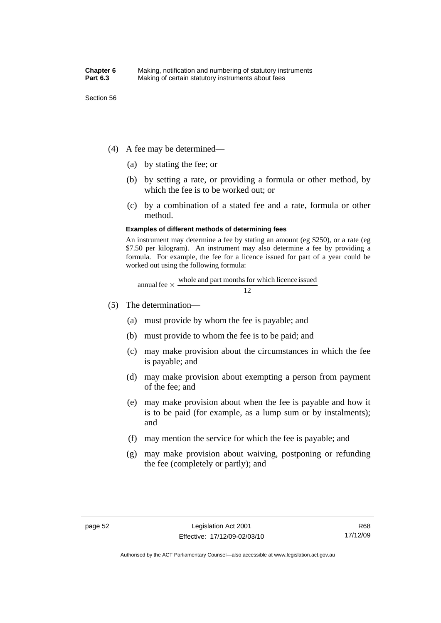- (4) A fee may be determined—
	- (a) by stating the fee; or
	- (b) by setting a rate, or providing a formula or other method, by which the fee is to be worked out; or
	- (c) by a combination of a stated fee and a rate, formula or other method.

#### **Examples of different methods of determining fees**

An instrument may determine a fee by stating an amount (eg \$250), or a rate (eg \$7.50 per kilogram). An instrument may also determine a fee by providing a formula. For example, the fee for a licence issued for part of a year could be worked out using the following formula:

annual fee 
$$
\times
$$
  $\frac{\text{whole and part months for which licence issued}}{12}$ 

- (5) The determination—
	- (a) must provide by whom the fee is payable; and
	- (b) must provide to whom the fee is to be paid; and
	- (c) may make provision about the circumstances in which the fee is payable; and
	- (d) may make provision about exempting a person from payment of the fee; and
	- (e) may make provision about when the fee is payable and how it is to be paid (for example, as a lump sum or by instalments); and
	- (f) may mention the service for which the fee is payable; and
	- (g) may make provision about waiving, postponing or refunding the fee (completely or partly); and

Authorised by the ACT Parliamentary Counsel—also accessible at www.legislation.act.gov.au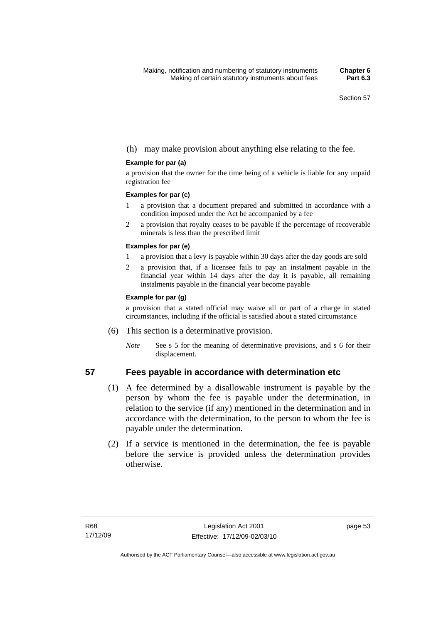### (h) may make provision about anything else relating to the fee.

#### **Example for par (a)**

a provision that the owner for the time being of a vehicle is liable for any unpaid registration fee

#### **Examples for par (c)**

- 1 a provision that a document prepared and submitted in accordance with a condition imposed under the Act be accompanied by a fee
- 2 a provision that royalty ceases to be payable if the percentage of recoverable minerals is less than the prescribed limit

#### **Examples for par (e)**

- 1 a provision that a levy is payable within 30 days after the day goods are sold
- 2 a provision that, if a licensee fails to pay an instalment payable in the financial year within 14 days after the day it is payable, all remaining instalments payable in the financial year become payable

#### **Example for par (g)**

a provision that a stated official may waive all or part of a charge in stated circumstances, including if the official is satisfied about a stated circumstance

- (6) This section is a determinative provision.
	- *Note* See s 5 for the meaning of determinative provisions, and s 6 for their displacement.

### **57 Fees payable in accordance with determination etc**

- (1) A fee determined by a disallowable instrument is payable by the person by whom the fee is payable under the determination, in relation to the service (if any) mentioned in the determination and in accordance with the determination, to the person to whom the fee is payable under the determination.
- (2) If a service is mentioned in the determination, the fee is payable before the service is provided unless the determination provides otherwise.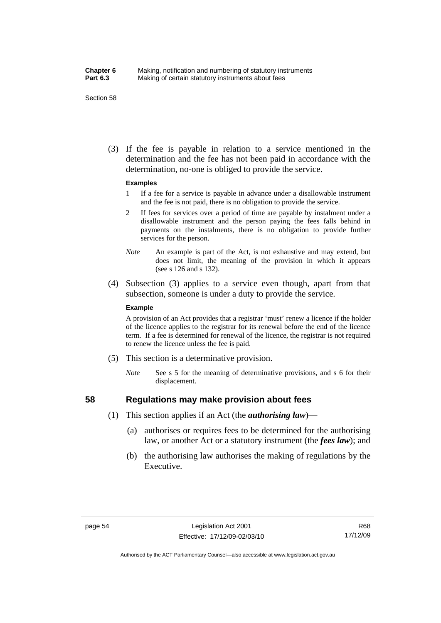#### **Chapter 6** Making, notification and numbering of statutory instruments<br>**Part 6.3** Making of certain statutory instruments about fees Making of certain statutory instruments about fees

Section 58

 (3) If the fee is payable in relation to a service mentioned in the determination and the fee has not been paid in accordance with the determination, no-one is obliged to provide the service.

#### **Examples**

- 1 If a fee for a service is payable in advance under a disallowable instrument and the fee is not paid, there is no obligation to provide the service.
- 2 If fees for services over a period of time are payable by instalment under a disallowable instrument and the person paying the fees falls behind in payments on the instalments, there is no obligation to provide further services for the person.
- *Note* An example is part of the Act, is not exhaustive and may extend, but does not limit, the meaning of the provision in which it appears (see s 126 and s 132).
- (4) Subsection (3) applies to a service even though, apart from that subsection, someone is under a duty to provide the service.

#### **Example**

A provision of an Act provides that a registrar 'must' renew a licence if the holder of the licence applies to the registrar for its renewal before the end of the licence term. If a fee is determined for renewal of the licence, the registrar is not required to renew the licence unless the fee is paid.

- (5) This section is a determinative provision.
	- *Note* See s 5 for the meaning of determinative provisions, and s 6 for their displacement.

### **58 Regulations may make provision about fees**

- (1) This section applies if an Act (the *authorising law*)—
	- (a) authorises or requires fees to be determined for the authorising law, or another Act or a statutory instrument (the *fees law*); and
	- (b) the authorising law authorises the making of regulations by the Executive.

Authorised by the ACT Parliamentary Counsel—also accessible at www.legislation.act.gov.au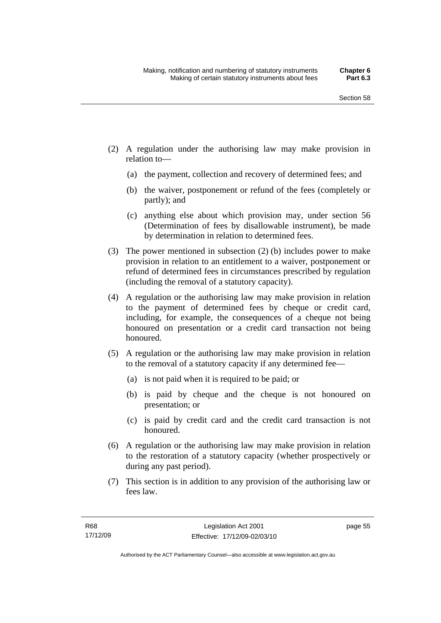- (2) A regulation under the authorising law may make provision in relation to—
	- (a) the payment, collection and recovery of determined fees; and
	- (b) the waiver, postponement or refund of the fees (completely or partly); and
	- (c) anything else about which provision may, under section 56 (Determination of fees by disallowable instrument), be made by determination in relation to determined fees.
- (3) The power mentioned in subsection (2) (b) includes power to make provision in relation to an entitlement to a waiver, postponement or refund of determined fees in circumstances prescribed by regulation (including the removal of a statutory capacity).
- (4) A regulation or the authorising law may make provision in relation to the payment of determined fees by cheque or credit card, including, for example, the consequences of a cheque not being honoured on presentation or a credit card transaction not being honoured.
- (5) A regulation or the authorising law may make provision in relation to the removal of a statutory capacity if any determined fee—
	- (a) is not paid when it is required to be paid; or
	- (b) is paid by cheque and the cheque is not honoured on presentation; or
	- (c) is paid by credit card and the credit card transaction is not honoured.
- (6) A regulation or the authorising law may make provision in relation to the restoration of a statutory capacity (whether prospectively or during any past period).
- (7) This section is in addition to any provision of the authorising law or fees law.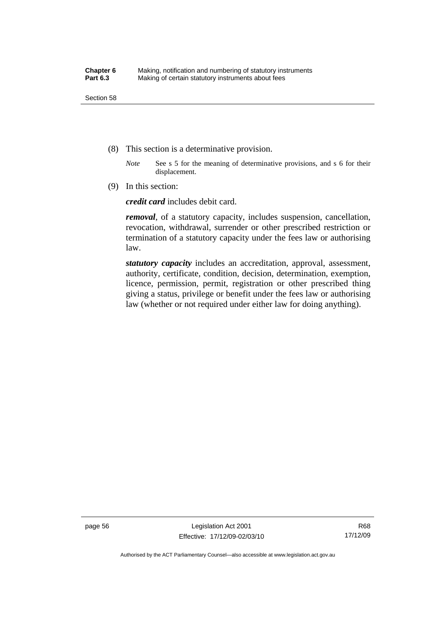- (8) This section is a determinative provision.
	- *Note* See s 5 for the meaning of determinative provisions, and s 6 for their displacement.
- (9) In this section:

*credit card* includes debit card.

*removal*, of a statutory capacity, includes suspension, cancellation, revocation, withdrawal, surrender or other prescribed restriction or termination of a statutory capacity under the fees law or authorising law.

*statutory capacity* includes an accreditation, approval, assessment, authority, certificate, condition, decision, determination, exemption, licence, permission, permit, registration or other prescribed thing giving a status, privilege or benefit under the fees law or authorising law (whether or not required under either law for doing anything).

page 56 Legislation Act 2001 Effective: 17/12/09-02/03/10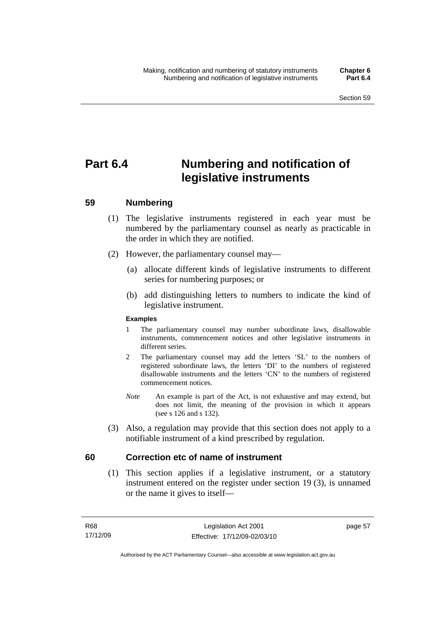# **Part 6.4 Numbering and notification of legislative instruments**

# **59 Numbering**

- (1) The legislative instruments registered in each year must be numbered by the parliamentary counsel as nearly as practicable in the order in which they are notified.
- (2) However, the parliamentary counsel may—
	- (a) allocate different kinds of legislative instruments to different series for numbering purposes; or
	- (b) add distinguishing letters to numbers to indicate the kind of legislative instrument.

## **Examples**

- 1 The parliamentary counsel may number subordinate laws, disallowable instruments, commencement notices and other legislative instruments in different series.
- 2 The parliamentary counsel may add the letters 'SL' to the numbers of registered subordinate laws, the letters 'DI' to the numbers of registered disallowable instruments and the letters 'CN' to the numbers of registered commencement notices.
- *Note* An example is part of the Act, is not exhaustive and may extend, but does not limit, the meaning of the provision in which it appears (see s 126 and s 132).
- (3) Also, a regulation may provide that this section does not apply to a notifiable instrument of a kind prescribed by regulation.

# **60 Correction etc of name of instrument**

 (1) This section applies if a legislative instrument, or a statutory instrument entered on the register under section 19 (3), is unnamed or the name it gives to itself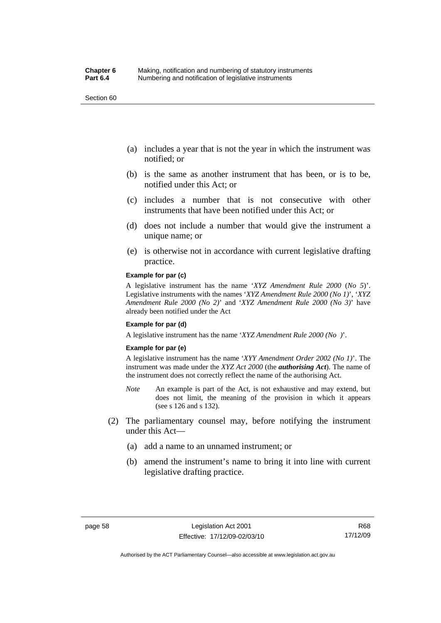Section 60

- (a) includes a year that is not the year in which the instrument was notified; or
- (b) is the same as another instrument that has been, or is to be, notified under this Act; or
- (c) includes a number that is not consecutive with other instruments that have been notified under this Act; or
- (d) does not include a number that would give the instrument a unique name; or
- (e) is otherwise not in accordance with current legislative drafting practice.

#### **Example for par (c)**

A legislative instrument has the name '*XYZ Amendment Rule 2000* (*No 5*)'. Legislative instruments with the names '*XYZ Amendment Rule 2000 (No 1)*', '*XYZ Amendment Rule 2000 (No 2)*' and '*XYZ Amendment Rule 2000 (No 3)*' have already been notified under the Act

#### **Example for par (d)**

A legislative instrument has the name '*XYZ Amendment Rule 2000 (No )*'.

#### **Example for par (e)**

A legislative instrument has the name '*XYY Amendment Order 2002 (No 1)*'. The instrument was made under the *XYZ Act 2000* (the *authorising Act*). The name of the instrument does not correctly reflect the name of the authorising Act.

- *Note* An example is part of the Act, is not exhaustive and may extend, but does not limit, the meaning of the provision in which it appears (see s 126 and s 132).
- (2) The parliamentary counsel may, before notifying the instrument under this Act—
	- (a) add a name to an unnamed instrument; or
	- (b) amend the instrument's name to bring it into line with current legislative drafting practice.

Authorised by the ACT Parliamentary Counsel—also accessible at www.legislation.act.gov.au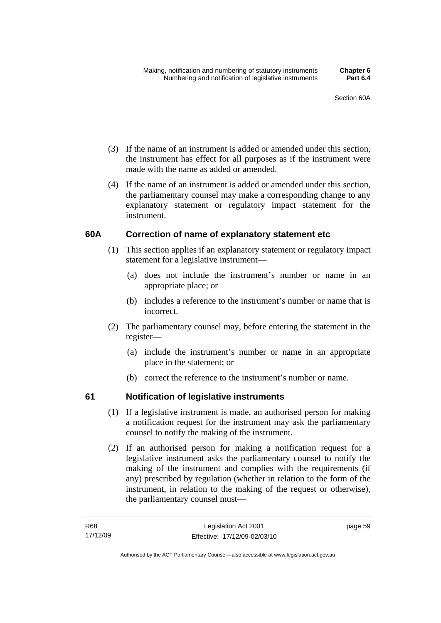- (3) If the name of an instrument is added or amended under this section, the instrument has effect for all purposes as if the instrument were made with the name as added or amended.
- (4) If the name of an instrument is added or amended under this section, the parliamentary counsel may make a corresponding change to any explanatory statement or regulatory impact statement for the instrument.

# **60A Correction of name of explanatory statement etc**

- (1) This section applies if an explanatory statement or regulatory impact statement for a legislative instrument—
	- (a) does not include the instrument's number or name in an appropriate place; or
	- (b) includes a reference to the instrument's number or name that is incorrect.
- (2) The parliamentary counsel may, before entering the statement in the register—
	- (a) include the instrument's number or name in an appropriate place in the statement; or
	- (b) correct the reference to the instrument's number or name.

# **61 Notification of legislative instruments**

- (1) If a legislative instrument is made, an authorised person for making a notification request for the instrument may ask the parliamentary counsel to notify the making of the instrument.
- (2) If an authorised person for making a notification request for a legislative instrument asks the parliamentary counsel to notify the making of the instrument and complies with the requirements (if any) prescribed by regulation (whether in relation to the form of the instrument, in relation to the making of the request or otherwise), the parliamentary counsel must—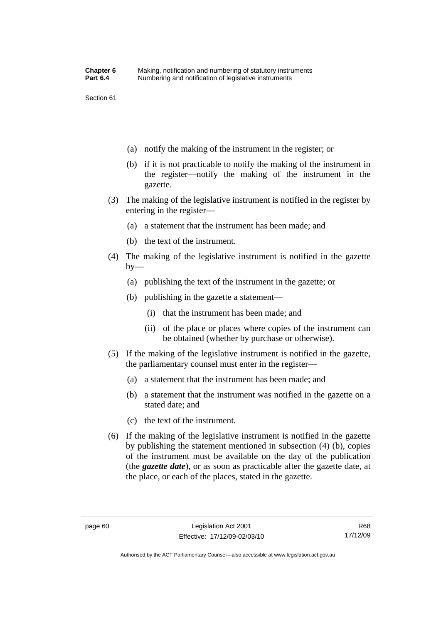Section 61

- (a) notify the making of the instrument in the register; or
- (b) if it is not practicable to notify the making of the instrument in the register—notify the making of the instrument in the gazette.
- (3) The making of the legislative instrument is notified in the register by entering in the register—
	- (a) a statement that the instrument has been made; and
	- (b) the text of the instrument.
- (4) The making of the legislative instrument is notified in the gazette  $by-$ 
	- (a) publishing the text of the instrument in the gazette; or
	- (b) publishing in the gazette a statement—
		- (i) that the instrument has been made; and
		- (ii) of the place or places where copies of the instrument can be obtained (whether by purchase or otherwise).
- (5) If the making of the legislative instrument is notified in the gazette, the parliamentary counsel must enter in the register—
	- (a) a statement that the instrument has been made; and
	- (b) a statement that the instrument was notified in the gazette on a stated date; and
	- (c) the text of the instrument.
- (6) If the making of the legislative instrument is notified in the gazette by publishing the statement mentioned in subsection (4) (b), copies of the instrument must be available on the day of the publication (the *gazette date*), or as soon as practicable after the gazette date, at the place, or each of the places, stated in the gazette.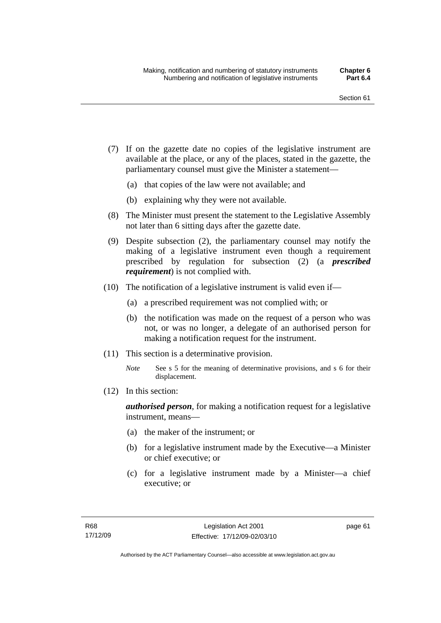- (7) If on the gazette date no copies of the legislative instrument are available at the place, or any of the places, stated in the gazette, the parliamentary counsel must give the Minister a statement—
	- (a) that copies of the law were not available; and
	- (b) explaining why they were not available.
- (8) The Minister must present the statement to the Legislative Assembly not later than 6 sitting days after the gazette date.
- (9) Despite subsection (2), the parliamentary counsel may notify the making of a legislative instrument even though a requirement prescribed by regulation for subsection (2) (a *prescribed requirement*) is not complied with.
- (10) The notification of a legislative instrument is valid even if—
	- (a) a prescribed requirement was not complied with; or
	- (b) the notification was made on the request of a person who was not, or was no longer, a delegate of an authorised person for making a notification request for the instrument.
- (11) This section is a determinative provision.
	- *Note* See s 5 for the meaning of determinative provisions, and s 6 for their displacement.
- (12) In this section:

*authorised person*, for making a notification request for a legislative instrument, means—

- (a) the maker of the instrument; or
- (b) for a legislative instrument made by the Executive—a Minister or chief executive; or
- (c) for a legislative instrument made by a Minister—a chief executive; or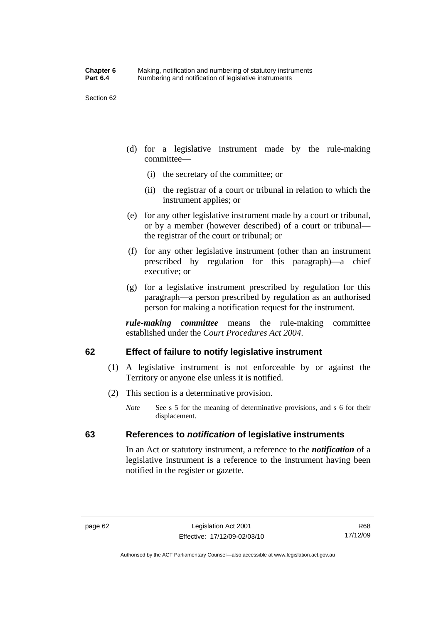Section 62

- (d) for a legislative instrument made by the rule-making committee—
	- (i) the secretary of the committee; or
	- (ii) the registrar of a court or tribunal in relation to which the instrument applies; or
- (e) for any other legislative instrument made by a court or tribunal, or by a member (however described) of a court or tribunal the registrar of the court or tribunal; or
- (f) for any other legislative instrument (other than an instrument prescribed by regulation for this paragraph)—a chief executive; or
- (g) for a legislative instrument prescribed by regulation for this paragraph—a person prescribed by regulation as an authorised person for making a notification request for the instrument.

*rule-making committee* means the rule-making committee established under the *Court Procedures Act 2004*.

# **62 Effect of failure to notify legislative instrument**

- (1) A legislative instrument is not enforceable by or against the Territory or anyone else unless it is notified.
- (2) This section is a determinative provision.
	- *Note* See s 5 for the meaning of determinative provisions, and s 6 for their displacement.

# **63 References to** *notification* **of legislative instruments**

In an Act or statutory instrument, a reference to the *notification* of a legislative instrument is a reference to the instrument having been notified in the register or gazette.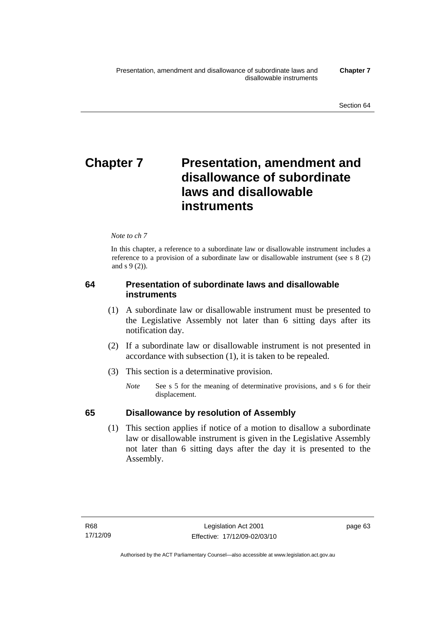# **Chapter 7** Presentation, amendment and **disallowance of subordinate laws and disallowable instruments**

## *Note to ch 7*

In this chapter, a reference to a subordinate law or disallowable instrument includes a reference to a provision of a subordinate law or disallowable instrument (see s 8 (2) and s 9 (2)).

# **64 Presentation of subordinate laws and disallowable instruments**

- (1) A subordinate law or disallowable instrument must be presented to the Legislative Assembly not later than 6 sitting days after its notification day.
- (2) If a subordinate law or disallowable instrument is not presented in accordance with subsection (1), it is taken to be repealed.
- (3) This section is a determinative provision.
	- *Note* See s 5 for the meaning of determinative provisions, and s 6 for their displacement.

# **65 Disallowance by resolution of Assembly**

 (1) This section applies if notice of a motion to disallow a subordinate law or disallowable instrument is given in the Legislative Assembly not later than 6 sitting days after the day it is presented to the Assembly.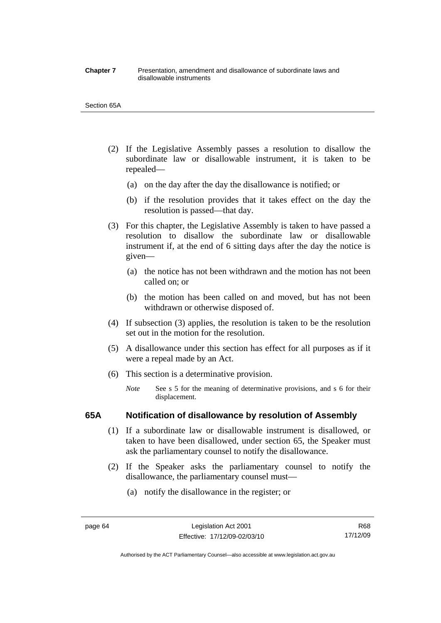#### **Chapter 7** Presentation, amendment and disallowance of subordinate laws and disallowable instruments

#### Section 65A

- (2) If the Legislative Assembly passes a resolution to disallow the subordinate law or disallowable instrument, it is taken to be repealed—
	- (a) on the day after the day the disallowance is notified; or
	- (b) if the resolution provides that it takes effect on the day the resolution is passed—that day.
- (3) For this chapter, the Legislative Assembly is taken to have passed a resolution to disallow the subordinate law or disallowable instrument if, at the end of 6 sitting days after the day the notice is given—
	- (a) the notice has not been withdrawn and the motion has not been called on; or
	- (b) the motion has been called on and moved, but has not been withdrawn or otherwise disposed of.
- (4) If subsection (3) applies, the resolution is taken to be the resolution set out in the motion for the resolution.
- (5) A disallowance under this section has effect for all purposes as if it were a repeal made by an Act.
- (6) This section is a determinative provision.
	- *Note* See s 5 for the meaning of determinative provisions, and s 6 for their displacement.

## **65A Notification of disallowance by resolution of Assembly**

- (1) If a subordinate law or disallowable instrument is disallowed, or taken to have been disallowed, under section 65, the Speaker must ask the parliamentary counsel to notify the disallowance.
- (2) If the Speaker asks the parliamentary counsel to notify the disallowance, the parliamentary counsel must—
	- (a) notify the disallowance in the register; or

Authorised by the ACT Parliamentary Counsel—also accessible at www.legislation.act.gov.au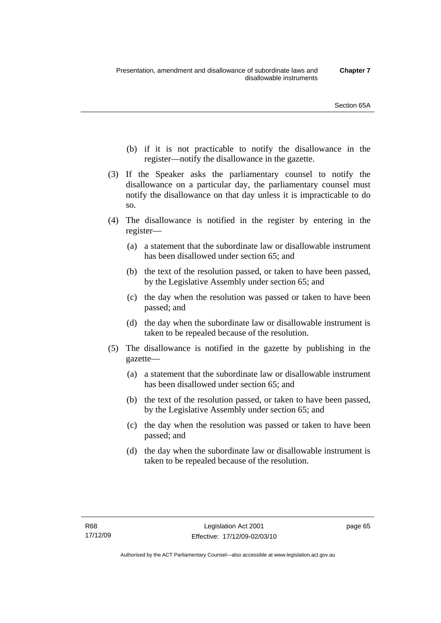- (b) if it is not practicable to notify the disallowance in the register—notify the disallowance in the gazette.
- (3) If the Speaker asks the parliamentary counsel to notify the disallowance on a particular day, the parliamentary counsel must notify the disallowance on that day unless it is impracticable to do so.
- (4) The disallowance is notified in the register by entering in the register—
	- (a) a statement that the subordinate law or disallowable instrument has been disallowed under section 65; and
	- (b) the text of the resolution passed, or taken to have been passed, by the Legislative Assembly under section 65; and
	- (c) the day when the resolution was passed or taken to have been passed; and
	- (d) the day when the subordinate law or disallowable instrument is taken to be repealed because of the resolution.
- (5) The disallowance is notified in the gazette by publishing in the gazette—
	- (a) a statement that the subordinate law or disallowable instrument has been disallowed under section 65; and
	- (b) the text of the resolution passed, or taken to have been passed, by the Legislative Assembly under section 65; and
	- (c) the day when the resolution was passed or taken to have been passed; and
	- (d) the day when the subordinate law or disallowable instrument is taken to be repealed because of the resolution.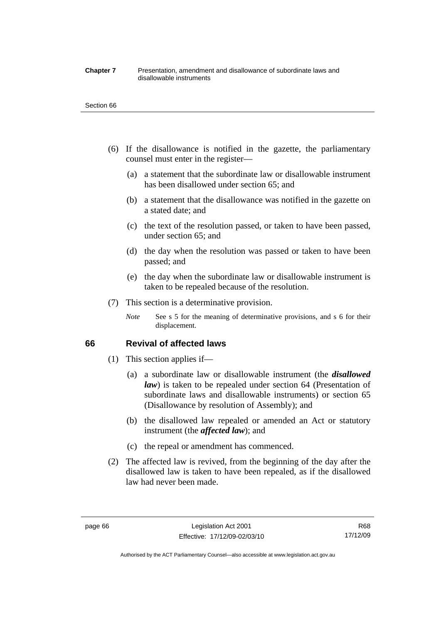#### **Chapter 7** Presentation, amendment and disallowance of subordinate laws and disallowable instruments

#### Section 66

- (6) If the disallowance is notified in the gazette, the parliamentary counsel must enter in the register—
	- (a) a statement that the subordinate law or disallowable instrument has been disallowed under section 65; and
	- (b) a statement that the disallowance was notified in the gazette on a stated date; and
	- (c) the text of the resolution passed, or taken to have been passed, under section 65; and
	- (d) the day when the resolution was passed or taken to have been passed; and
	- (e) the day when the subordinate law or disallowable instrument is taken to be repealed because of the resolution.
- (7) This section is a determinative provision.
	- *Note* See s 5 for the meaning of determinative provisions, and s 6 for their displacement.

## **66 Revival of affected laws**

- (1) This section applies if—
	- (a) a subordinate law or disallowable instrument (the *disallowed law*) is taken to be repealed under section 64 (Presentation of subordinate laws and disallowable instruments) or section 65 (Disallowance by resolution of Assembly); and
	- (b) the disallowed law repealed or amended an Act or statutory instrument (the *affected law*); and
	- (c) the repeal or amendment has commenced.
- (2) The affected law is revived, from the beginning of the day after the disallowed law is taken to have been repealed, as if the disallowed law had never been made.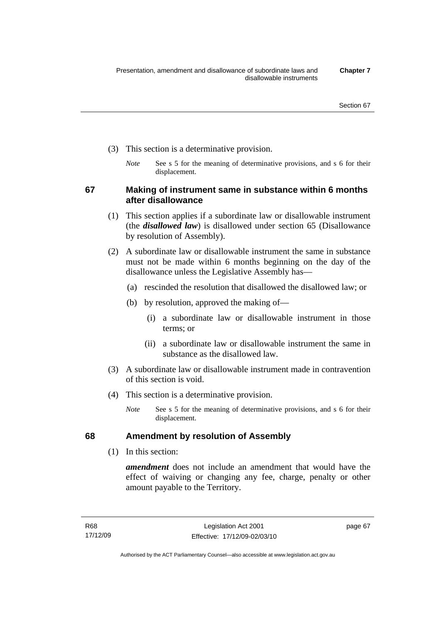- (3) This section is a determinative provision.
	- *Note* See s 5 for the meaning of determinative provisions, and s 6 for their displacement.

**67 Making of instrument same in substance within 6 months after disallowance** 

- (1) This section applies if a subordinate law or disallowable instrument (the *disallowed law*) is disallowed under section 65 (Disallowance by resolution of Assembly).
- (2) A subordinate law or disallowable instrument the same in substance must not be made within 6 months beginning on the day of the disallowance unless the Legislative Assembly has—
	- (a) rescinded the resolution that disallowed the disallowed law; or
	- (b) by resolution, approved the making of—
		- (i) a subordinate law or disallowable instrument in those terms; or
		- (ii) a subordinate law or disallowable instrument the same in substance as the disallowed law.
- (3) A subordinate law or disallowable instrument made in contravention of this section is void.
- (4) This section is a determinative provision.
	- *Note* See s 5 for the meaning of determinative provisions, and s 6 for their displacement.

# **68 Amendment by resolution of Assembly**

(1) In this section:

*amendment* does not include an amendment that would have the effect of waiving or changing any fee, charge, penalty or other amount payable to the Territory.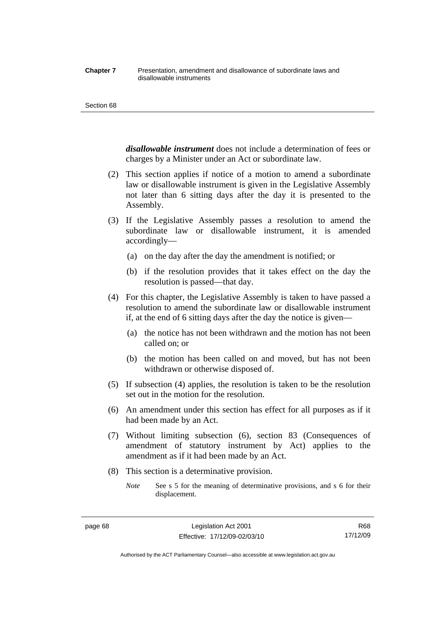#### **Chapter 7** Presentation, amendment and disallowance of subordinate laws and disallowable instruments

#### Section 68

*disallowable instrument* does not include a determination of fees or charges by a Minister under an Act or subordinate law.

- (2) This section applies if notice of a motion to amend a subordinate law or disallowable instrument is given in the Legislative Assembly not later than 6 sitting days after the day it is presented to the Assembly.
- (3) If the Legislative Assembly passes a resolution to amend the subordinate law or disallowable instrument, it is amended accordingly—
	- (a) on the day after the day the amendment is notified; or
	- (b) if the resolution provides that it takes effect on the day the resolution is passed—that day.
- (4) For this chapter, the Legislative Assembly is taken to have passed a resolution to amend the subordinate law or disallowable instrument if, at the end of 6 sitting days after the day the notice is given—
	- (a) the notice has not been withdrawn and the motion has not been called on; or
	- (b) the motion has been called on and moved, but has not been withdrawn or otherwise disposed of.
- (5) If subsection (4) applies, the resolution is taken to be the resolution set out in the motion for the resolution.
- (6) An amendment under this section has effect for all purposes as if it had been made by an Act.
- (7) Without limiting subsection (6), section 83 (Consequences of amendment of statutory instrument by Act) applies to the amendment as if it had been made by an Act.
- (8) This section is a determinative provision.
	- *Note* See s 5 for the meaning of determinative provisions, and s 6 for their displacement.

Authorised by the ACT Parliamentary Counsel—also accessible at www.legislation.act.gov.au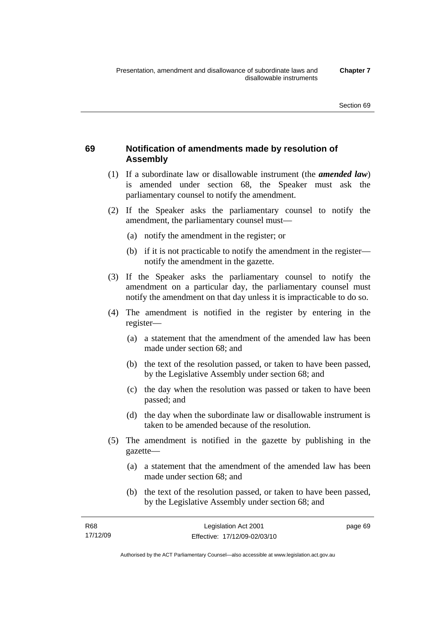# **69 Notification of amendments made by resolution of**

# **Assembly**  (1) If a subordinate law or disallowable instrument (the *amended law*)

- is amended under section 68, the Speaker must ask the parliamentary counsel to notify the amendment.
- (2) If the Speaker asks the parliamentary counsel to notify the amendment, the parliamentary counsel must—
	- (a) notify the amendment in the register; or
	- (b) if it is not practicable to notify the amendment in the register notify the amendment in the gazette.
- (3) If the Speaker asks the parliamentary counsel to notify the amendment on a particular day, the parliamentary counsel must notify the amendment on that day unless it is impracticable to do so.
- (4) The amendment is notified in the register by entering in the register—
	- (a) a statement that the amendment of the amended law has been made under section 68; and
	- (b) the text of the resolution passed, or taken to have been passed, by the Legislative Assembly under section 68; and
	- (c) the day when the resolution was passed or taken to have been passed; and
	- (d) the day when the subordinate law or disallowable instrument is taken to be amended because of the resolution.
- (5) The amendment is notified in the gazette by publishing in the gazette—
	- (a) a statement that the amendment of the amended law has been made under section 68; and
	- (b) the text of the resolution passed, or taken to have been passed, by the Legislative Assembly under section 68; and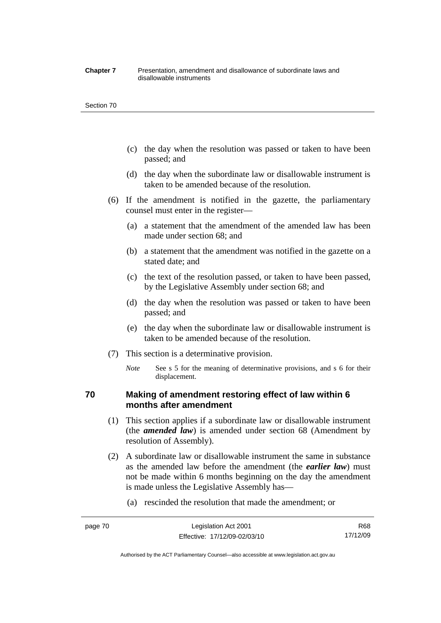#### **Chapter 7** Presentation, amendment and disallowance of subordinate laws and disallowable instruments

#### Section 70

- (c) the day when the resolution was passed or taken to have been passed; and
- (d) the day when the subordinate law or disallowable instrument is taken to be amended because of the resolution.
- (6) If the amendment is notified in the gazette, the parliamentary counsel must enter in the register—
	- (a) a statement that the amendment of the amended law has been made under section 68; and
	- (b) a statement that the amendment was notified in the gazette on a stated date; and
	- (c) the text of the resolution passed, or taken to have been passed, by the Legislative Assembly under section 68; and
	- (d) the day when the resolution was passed or taken to have been passed; and
	- (e) the day when the subordinate law or disallowable instrument is taken to be amended because of the resolution.
- (7) This section is a determinative provision.
	- *Note* See s 5 for the meaning of determinative provisions, and s 6 for their displacement.

# **70 Making of amendment restoring effect of law within 6 months after amendment**

- (1) This section applies if a subordinate law or disallowable instrument (the *amended law*) is amended under section 68 (Amendment by resolution of Assembly).
- (2) A subordinate law or disallowable instrument the same in substance as the amended law before the amendment (the *earlier law*) must not be made within 6 months beginning on the day the amendment is made unless the Legislative Assembly has—
	- (a) rescinded the resolution that made the amendment; or

Authorised by the ACT Parliamentary Counsel—also accessible at www.legislation.act.gov.au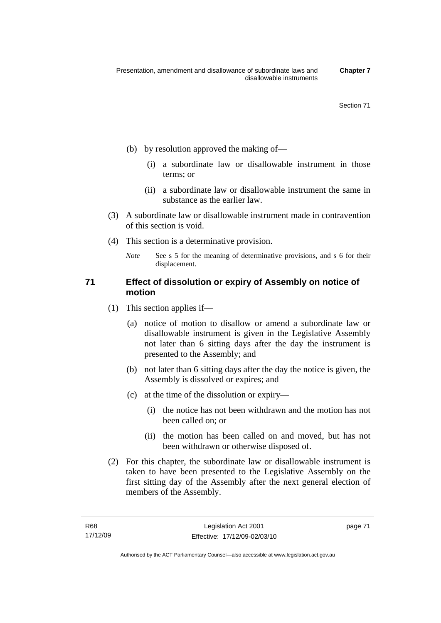- (b) by resolution approved the making of—
	- (i) a subordinate law or disallowable instrument in those terms; or
	- (ii) a subordinate law or disallowable instrument the same in substance as the earlier law.
- (3) A subordinate law or disallowable instrument made in contravention of this section is void.
- (4) This section is a determinative provision.
	- *Note* See s 5 for the meaning of determinative provisions, and s 6 for their displacement.

# **71 Effect of dissolution or expiry of Assembly on notice of motion**

- (1) This section applies if—
	- (a) notice of motion to disallow or amend a subordinate law or disallowable instrument is given in the Legislative Assembly not later than 6 sitting days after the day the instrument is presented to the Assembly; and
	- (b) not later than 6 sitting days after the day the notice is given, the Assembly is dissolved or expires; and
	- (c) at the time of the dissolution or expiry—
		- (i) the notice has not been withdrawn and the motion has not been called on; or
		- (ii) the motion has been called on and moved, but has not been withdrawn or otherwise disposed of.
- (2) For this chapter, the subordinate law or disallowable instrument is taken to have been presented to the Legislative Assembly on the first sitting day of the Assembly after the next general election of members of the Assembly.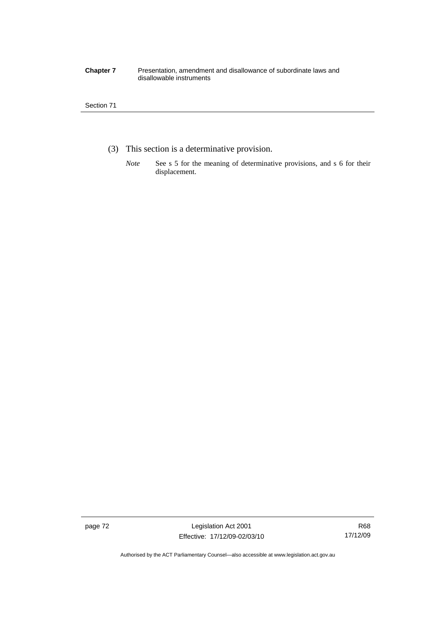#### **Chapter 7** Presentation, amendment and disallowance of subordinate laws and disallowable instruments

## Section 71

- (3) This section is a determinative provision.
	- *Note* See s 5 for the meaning of determinative provisions, and s 6 for their displacement.

page 72 Legislation Act 2001 Effective: 17/12/09-02/03/10

Authorised by the ACT Parliamentary Counsel—also accessible at www.legislation.act.gov.au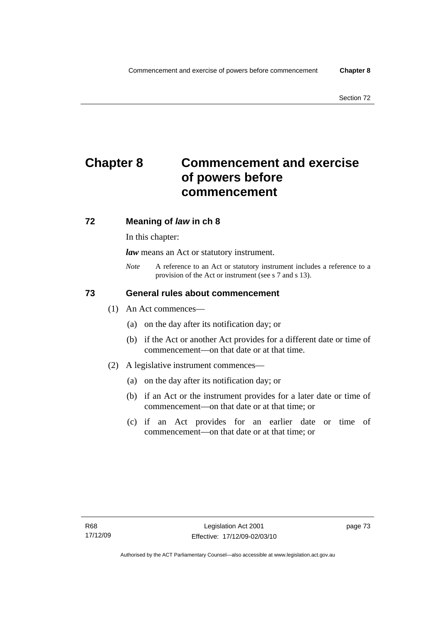# **Chapter 8 Commencement and exercise of powers before commencement**

# **72 Meaning of** *law* **in ch 8**

In this chapter:

*law* means an Act or statutory instrument.

*Note* A reference to an Act or statutory instrument includes a reference to a provision of the Act or instrument (see s 7 and s 13).

# **73 General rules about commencement**

- (1) An Act commences—
	- (a) on the day after its notification day; or
	- (b) if the Act or another Act provides for a different date or time of commencement—on that date or at that time.
- (2) A legislative instrument commences—
	- (a) on the day after its notification day; or
	- (b) if an Act or the instrument provides for a later date or time of commencement—on that date or at that time; or
	- (c) if an Act provides for an earlier date or time of commencement—on that date or at that time; or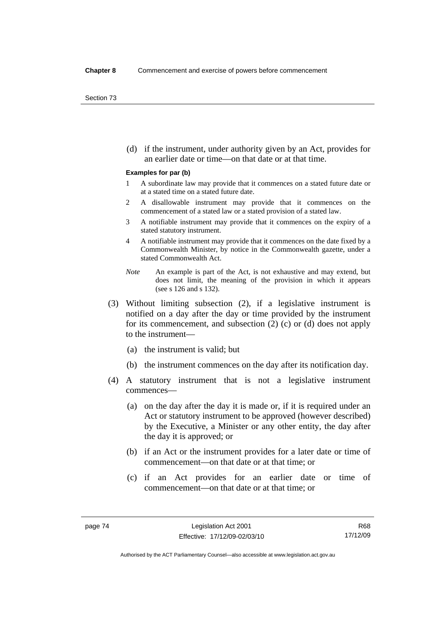(d) if the instrument, under authority given by an Act, provides for an earlier date or time—on that date or at that time.

#### **Examples for par (b)**

- 1 A subordinate law may provide that it commences on a stated future date or at a stated time on a stated future date.
- 2 A disallowable instrument may provide that it commences on the commencement of a stated law or a stated provision of a stated law.
- 3 A notifiable instrument may provide that it commences on the expiry of a stated statutory instrument.
- 4 A notifiable instrument may provide that it commences on the date fixed by a Commonwealth Minister, by notice in the Commonwealth gazette, under a stated Commonwealth Act.
- *Note* An example is part of the Act, is not exhaustive and may extend, but does not limit, the meaning of the provision in which it appears (see s 126 and s 132).
- (3) Without limiting subsection (2), if a legislative instrument is notified on a day after the day or time provided by the instrument for its commencement, and subsection (2) (c) or (d) does not apply to the instrument—
	- (a) the instrument is valid; but
	- (b) the instrument commences on the day after its notification day.
- (4) A statutory instrument that is not a legislative instrument commences—
	- (a) on the day after the day it is made or, if it is required under an Act or statutory instrument to be approved (however described) by the Executive, a Minister or any other entity, the day after the day it is approved; or
	- (b) if an Act or the instrument provides for a later date or time of commencement—on that date or at that time; or
	- (c) if an Act provides for an earlier date or time of commencement—on that date or at that time; or

Authorised by the ACT Parliamentary Counsel—also accessible at www.legislation.act.gov.au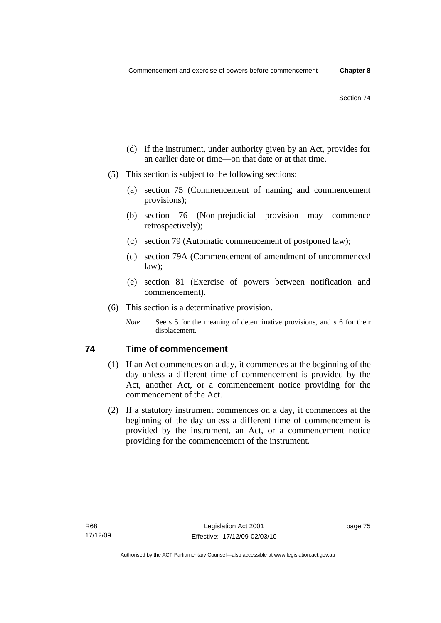- (d) if the instrument, under authority given by an Act, provides for an earlier date or time—on that date or at that time.
- (5) This section is subject to the following sections:
	- (a) section 75 (Commencement of naming and commencement provisions);
	- (b) section 76 (Non-prejudicial provision may commence retrospectively);
	- (c) section 79 (Automatic commencement of postponed law);
	- (d) section 79A (Commencement of amendment of uncommenced law);
	- (e) section 81 (Exercise of powers between notification and commencement).
- (6) This section is a determinative provision.
	- *Note* See s 5 for the meaning of determinative provisions, and s 6 for their displacement.

# **74 Time of commencement**

- (1) If an Act commences on a day, it commences at the beginning of the day unless a different time of commencement is provided by the Act, another Act, or a commencement notice providing for the commencement of the Act.
- (2) If a statutory instrument commences on a day, it commences at the beginning of the day unless a different time of commencement is provided by the instrument, an Act, or a commencement notice providing for the commencement of the instrument.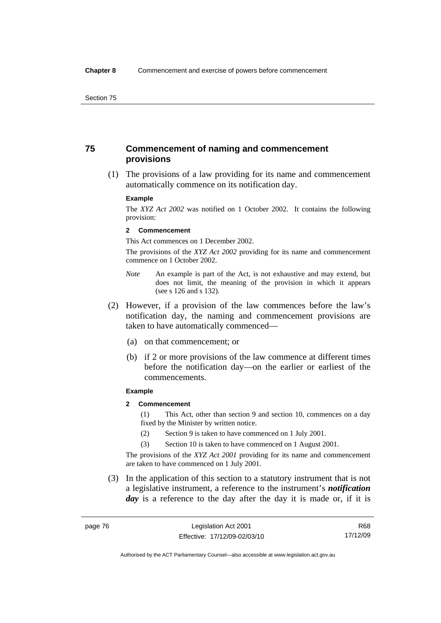# **75 Commencement of naming and commencement provisions**

 (1) The provisions of a law providing for its name and commencement automatically commence on its notification day.

#### **Example**

The *XYZ Act 2002* was notified on 1 October 2002. It contains the following provision:

#### **2 Commencement**

This Act commences on 1 December 2002.

The provisions of the *XYZ Act 2002* providing for its name and commencement commence on 1 October 2002.

- *Note* An example is part of the Act, is not exhaustive and may extend, but does not limit, the meaning of the provision in which it appears (see s 126 and s 132).
- (2) However, if a provision of the law commences before the law's notification day, the naming and commencement provisions are taken to have automatically commenced—
	- (a) on that commencement; or
	- (b) if 2 or more provisions of the law commence at different times before the notification day—on the earlier or earliest of the commencements.

#### **Example**

## **2 Commencement**

(1) This Act, other than section 9 and section 10, commences on a day fixed by the Minister by written notice.

- (2) Section 9 is taken to have commenced on 1 July 2001.
- (3) Section 10 is taken to have commenced on 1 August 2001.

The provisions of the *XYZ Act 2001* providing for its name and commencement are taken to have commenced on 1 July 2001.

 (3) In the application of this section to a statutory instrument that is not a legislative instrument, a reference to the instrument's *notification*  day is a reference to the day after the day it is made or, if it is

R68 17/12/09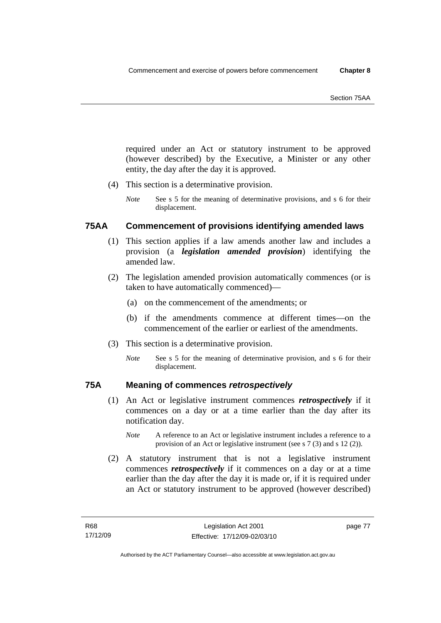required under an Act or statutory instrument to be approved (however described) by the Executive, a Minister or any other entity, the day after the day it is approved.

- (4) This section is a determinative provision.
	- *Note* See s 5 for the meaning of determinative provisions, and s 6 for their displacement.

# **75AA Commencement of provisions identifying amended laws**

- (1) This section applies if a law amends another law and includes a provision (a *legislation amended provision*) identifying the amended law.
- (2) The legislation amended provision automatically commences (or is taken to have automatically commenced)—
	- (a) on the commencement of the amendments; or
	- (b) if the amendments commence at different times—on the commencement of the earlier or earliest of the amendments.
- (3) This section is a determinative provision.
	- *Note* See s 5 for the meaning of determinative provision, and s 6 for their displacement.

# **75A Meaning of commences** *retrospectively*

- (1) An Act or legislative instrument commences *retrospectively* if it commences on a day or at a time earlier than the day after its notification day.
	- *Note* A reference to an Act or legislative instrument includes a reference to a provision of an Act or legislative instrument (see s 7 (3) and s 12 (2)).
- (2) A statutory instrument that is not a legislative instrument commences *retrospectively* if it commences on a day or at a time earlier than the day after the day it is made or, if it is required under an Act or statutory instrument to be approved (however described)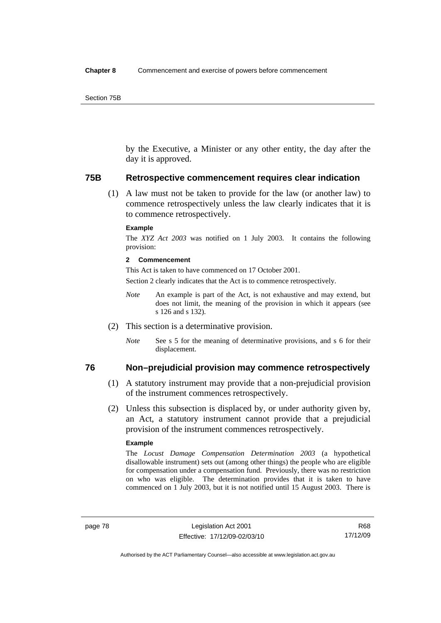by the Executive, a Minister or any other entity, the day after the day it is approved.

#### **75B Retrospective commencement requires clear indication**

 (1) A law must not be taken to provide for the law (or another law) to commence retrospectively unless the law clearly indicates that it is to commence retrospectively.

#### **Example**

The *XYZ Act 2003* was notified on 1 July 2003. It contains the following provision:

#### **2 Commencement**

This Act is taken to have commenced on 17 October 2001.

Section 2 clearly indicates that the Act is to commence retrospectively.

- *Note* An example is part of the Act, is not exhaustive and may extend, but does not limit, the meaning of the provision in which it appears (see s 126 and s 132).
- (2) This section is a determinative provision.
	- *Note* See s 5 for the meaning of determinative provisions, and s 6 for their displacement.

# **76 Non–prejudicial provision may commence retrospectively**

- (1) A statutory instrument may provide that a non-prejudicial provision of the instrument commences retrospectively.
- (2) Unless this subsection is displaced by, or under authority given by, an Act, a statutory instrument cannot provide that a prejudicial provision of the instrument commences retrospectively.

#### **Example**

The *Locust Damage Compensation Determination 2003* (a hypothetical disallowable instrument) sets out (among other things) the people who are eligible for compensation under a compensation fund. Previously, there was no restriction on who was eligible. The determination provides that it is taken to have commenced on 1 July 2003, but it is not notified until 15 August 2003. There is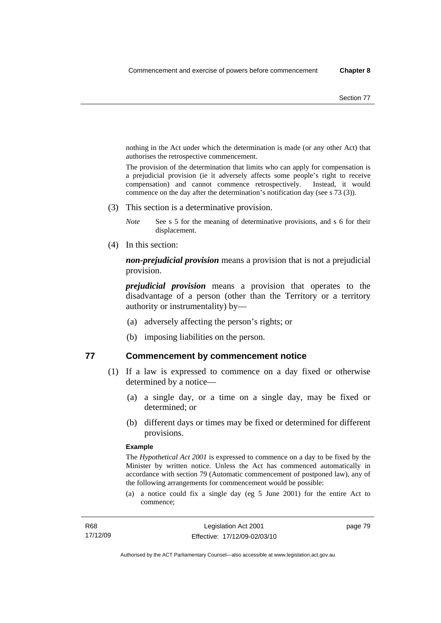nothing in the Act under which the determination is made (or any other Act) that authorises the retrospective commencement.

The provision of the determination that limits who can apply for compensation is a prejudicial provision (ie it adversely affects some people's right to receive compensation) and cannot commence retrospectively. Instead, it would commence on the day after the determination's notification day (see s 73 (3)).

(3) This section is a determinative provision.

*Note* See s 5 for the meaning of determinative provisions, and s 6 for their displacement.

(4) In this section:

*non-prejudicial provision* means a provision that is not a prejudicial provision.

*prejudicial provision* means a provision that operates to the disadvantage of a person (other than the Territory or a territory authority or instrumentality) by—

- (a) adversely affecting the person's rights; or
- (b) imposing liabilities on the person.

## **77 Commencement by commencement notice**

- (1) If a law is expressed to commence on a day fixed or otherwise determined by a notice—
	- (a) a single day, or a time on a single day, may be fixed or determined; or
	- (b) different days or times may be fixed or determined for different provisions.

#### **Example**

The *Hypothetical Act 2001* is expressed to commence on a day to be fixed by the Minister by written notice. Unless the Act has commenced automatically in accordance with section 79 (Automatic commencement of postponed law), any of the following arrangements for commencement would be possible:

(a) a notice could fix a single day (eg 5 June 2001) for the entire Act to commence;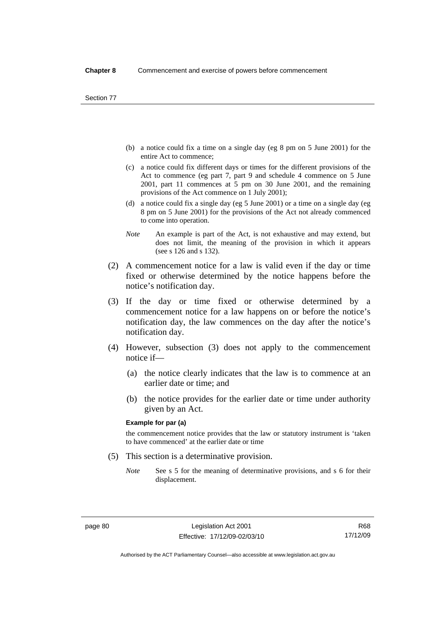- (b) a notice could fix a time on a single day (eg 8 pm on 5 June 2001) for the entire Act to commence;
- (c) a notice could fix different days or times for the different provisions of the Act to commence (eg part 7, part 9 and schedule 4 commence on 5 June 2001, part 11 commences at 5 pm on 30 June 2001, and the remaining provisions of the Act commence on 1 July 2001);
- (d) a notice could fix a single day (eg 5 June 2001) or a time on a single day (eg 8 pm on 5 June 2001) for the provisions of the Act not already commenced to come into operation.
- *Note* An example is part of the Act, is not exhaustive and may extend, but does not limit, the meaning of the provision in which it appears (see s 126 and s 132).
- (2) A commencement notice for a law is valid even if the day or time fixed or otherwise determined by the notice happens before the notice's notification day.
- (3) If the day or time fixed or otherwise determined by a commencement notice for a law happens on or before the notice's notification day, the law commences on the day after the notice's notification day.
- (4) However, subsection (3) does not apply to the commencement notice if—
	- (a) the notice clearly indicates that the law is to commence at an earlier date or time; and
	- (b) the notice provides for the earlier date or time under authority given by an Act.

#### **Example for par (a)**

the commencement notice provides that the law or statutory instrument is 'taken to have commenced' at the earlier date or time

- (5) This section is a determinative provision.
	- *Note* See s 5 for the meaning of determinative provisions, and s 6 for their displacement.

R68 17/12/09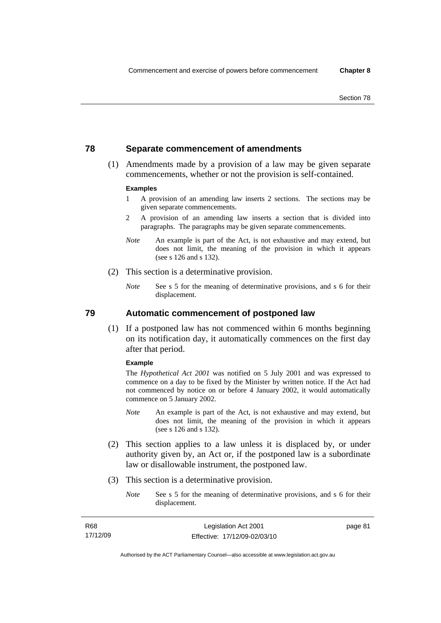# **78 Separate commencement of amendments**

 (1) Amendments made by a provision of a law may be given separate commencements, whether or not the provision is self-contained.

#### **Examples**

- 1 A provision of an amending law inserts 2 sections. The sections may be given separate commencements.
- 2 A provision of an amending law inserts a section that is divided into paragraphs. The paragraphs may be given separate commencements.
- *Note* An example is part of the Act, is not exhaustive and may extend, but does not limit, the meaning of the provision in which it appears (see s 126 and s 132).
- (2) This section is a determinative provision.
	- *Note* See s 5 for the meaning of determinative provisions, and s 6 for their displacement.

**79 Automatic commencement of postponed law** 

 (1) If a postponed law has not commenced within 6 months beginning on its notification day, it automatically commences on the first day after that period.

#### **Example**

The *Hypothetical Act 2001* was notified on 5 July 2001 and was expressed to commence on a day to be fixed by the Minister by written notice. If the Act had not commenced by notice on or before 4 January 2002, it would automatically commence on 5 January 2002.

- *Note* An example is part of the Act, is not exhaustive and may extend, but does not limit, the meaning of the provision in which it appears (see s 126 and s 132).
- (2) This section applies to a law unless it is displaced by, or under authority given by, an Act or, if the postponed law is a subordinate law or disallowable instrument, the postponed law.
- (3) This section is a determinative provision.
	- *Note* See s 5 for the meaning of determinative provisions, and s 6 for their displacement.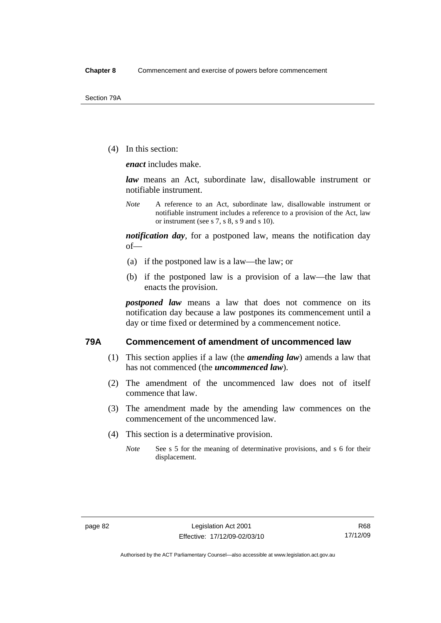(4) In this section:

*enact* includes make.

*law* means an Act, subordinate law, disallowable instrument or notifiable instrument.

*Note* A reference to an Act, subordinate law, disallowable instrument or notifiable instrument includes a reference to a provision of the Act, law or instrument (see s 7, s 8, s 9 and s 10).

*notification day*, for a postponed law, means the notification day of—

- (a) if the postponed law is a law—the law; or
- (b) if the postponed law is a provision of a law—the law that enacts the provision.

*postponed law* means a law that does not commence on its notification day because a law postpones its commencement until a day or time fixed or determined by a commencement notice.

## **79A Commencement of amendment of uncommenced law**

- (1) This section applies if a law (the *amending law*) amends a law that has not commenced (the *uncommenced law*).
- (2) The amendment of the uncommenced law does not of itself commence that law.
- (3) The amendment made by the amending law commences on the commencement of the uncommenced law.
- (4) This section is a determinative provision.
	- *Note* See s 5 for the meaning of determinative provisions, and s 6 for their displacement.

Authorised by the ACT Parliamentary Counsel—also accessible at www.legislation.act.gov.au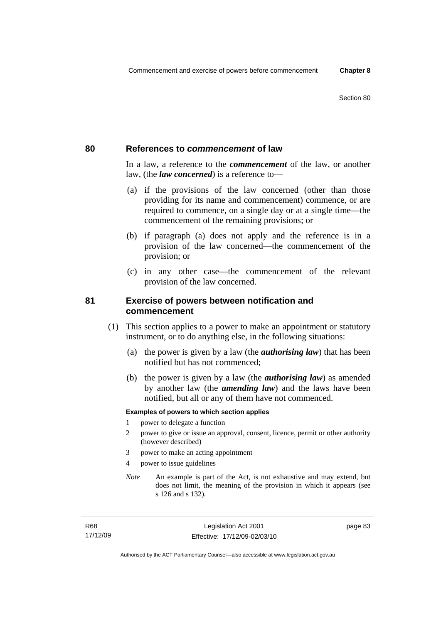## **80 References to** *commencement* **of law**

In a law, a reference to the *commencement* of the law, or another law, (the *law concerned*) is a reference to—

- (a) if the provisions of the law concerned (other than those providing for its name and commencement) commence, or are required to commence, on a single day or at a single time—the commencement of the remaining provisions; or
- (b) if paragraph (a) does not apply and the reference is in a provision of the law concerned—the commencement of the provision; or
- (c) in any other case—the commencement of the relevant provision of the law concerned.

# **81 Exercise of powers between notification and commencement**

- (1) This section applies to a power to make an appointment or statutory instrument, or to do anything else, in the following situations:
	- (a) the power is given by a law (the *authorising law*) that has been notified but has not commenced;
	- (b) the power is given by a law (the *authorising law*) as amended by another law (the *amending law*) and the laws have been notified, but all or any of them have not commenced.

#### **Examples of powers to which section applies**

- 1 power to delegate a function
- 2 power to give or issue an approval, consent, licence, permit or other authority (however described)
- 3 power to make an acting appointment
- 4 power to issue guidelines
- *Note* An example is part of the Act, is not exhaustive and may extend, but does not limit, the meaning of the provision in which it appears (see s 126 and s 132).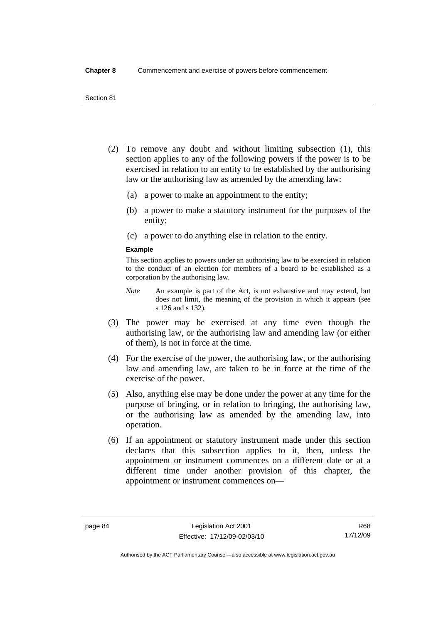- (2) To remove any doubt and without limiting subsection (1), this section applies to any of the following powers if the power is to be exercised in relation to an entity to be established by the authorising law or the authorising law as amended by the amending law:
	- (a) a power to make an appointment to the entity;
	- (b) a power to make a statutory instrument for the purposes of the entity;
	- (c) a power to do anything else in relation to the entity.

#### **Example**

This section applies to powers under an authorising law to be exercised in relation to the conduct of an election for members of a board to be established as a corporation by the authorising law.

- *Note* An example is part of the Act, is not exhaustive and may extend, but does not limit, the meaning of the provision in which it appears (see s 126 and s 132).
- (3) The power may be exercised at any time even though the authorising law, or the authorising law and amending law (or either of them), is not in force at the time.
- (4) For the exercise of the power, the authorising law, or the authorising law and amending law, are taken to be in force at the time of the exercise of the power.
- (5) Also, anything else may be done under the power at any time for the purpose of bringing, or in relation to bringing, the authorising law, or the authorising law as amended by the amending law, into operation.
- (6) If an appointment or statutory instrument made under this section declares that this subsection applies to it, then, unless the appointment or instrument commences on a different date or at a different time under another provision of this chapter, the appointment or instrument commences on—

Authorised by the ACT Parliamentary Counsel—also accessible at www.legislation.act.gov.au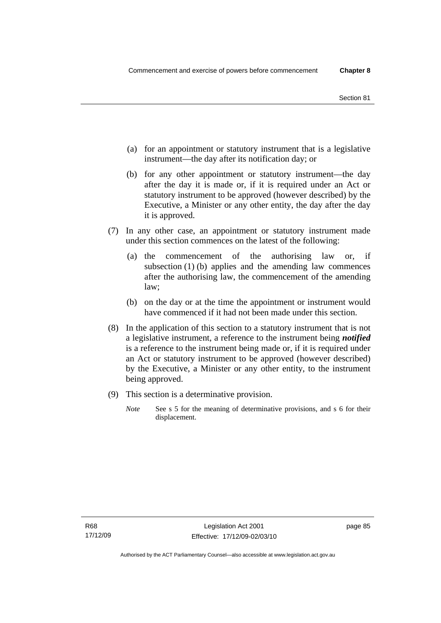- (a) for an appointment or statutory instrument that is a legislative instrument—the day after its notification day; or
- (b) for any other appointment or statutory instrument—the day after the day it is made or, if it is required under an Act or statutory instrument to be approved (however described) by the Executive, a Minister or any other entity, the day after the day it is approved.
- (7) In any other case, an appointment or statutory instrument made under this section commences on the latest of the following:
	- (a) the commencement of the authorising law or, if subsection (1) (b) applies and the amending law commences after the authorising law, the commencement of the amending law;
	- (b) on the day or at the time the appointment or instrument would have commenced if it had not been made under this section.
- (8) In the application of this section to a statutory instrument that is not a legislative instrument, a reference to the instrument being *notified*  is a reference to the instrument being made or, if it is required under an Act or statutory instrument to be approved (however described) by the Executive, a Minister or any other entity, to the instrument being approved.
- (9) This section is a determinative provision.
	- *Note* See s 5 for the meaning of determinative provisions, and s 6 for their displacement.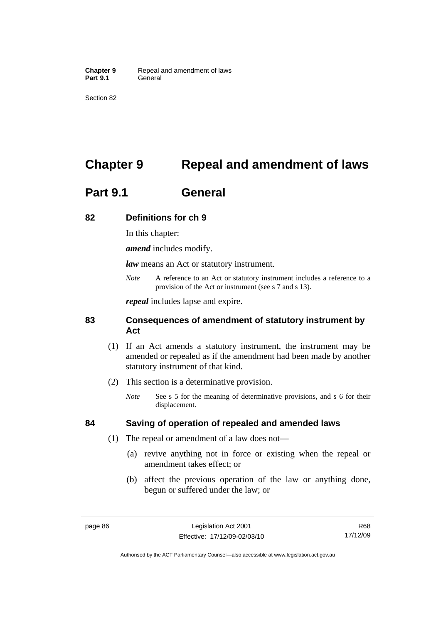Section 82

# **Chapter 9 Repeal and amendment of laws**

# **Part 9.1 General**

# **82 Definitions for ch 9**

In this chapter:

*amend* includes modify.

*law* means an Act or statutory instrument.

*Note* A reference to an Act or statutory instrument includes a reference to a provision of the Act or instrument (see s 7 and s 13).

*repeal* includes lapse and expire.

# **83 Consequences of amendment of statutory instrument by Act**

- (1) If an Act amends a statutory instrument, the instrument may be amended or repealed as if the amendment had been made by another statutory instrument of that kind.
- (2) This section is a determinative provision.
	- *Note* See s 5 for the meaning of determinative provisions, and s 6 for their displacement.

# **84 Saving of operation of repealed and amended laws**

- (1) The repeal or amendment of a law does not—
	- (a) revive anything not in force or existing when the repeal or amendment takes effect; or
	- (b) affect the previous operation of the law or anything done, begun or suffered under the law; or

Authorised by the ACT Parliamentary Counsel—also accessible at www.legislation.act.gov.au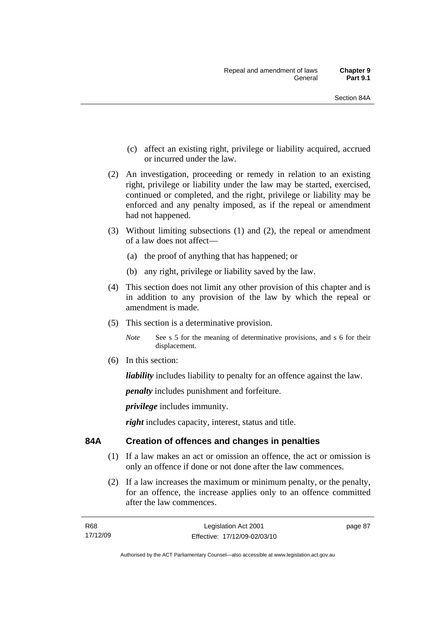- (c) affect an existing right, privilege or liability acquired, accrued or incurred under the law.
- (2) An investigation, proceeding or remedy in relation to an existing right, privilege or liability under the law may be started, exercised, continued or completed, and the right, privilege or liability may be enforced and any penalty imposed, as if the repeal or amendment had not happened.
- (3) Without limiting subsections (1) and (2), the repeal or amendment of a law does not affect—
	- (a) the proof of anything that has happened; or
	- (b) any right, privilege or liability saved by the law.
- (4) This section does not limit any other provision of this chapter and is in addition to any provision of the law by which the repeal or amendment is made.
- (5) This section is a determinative provision.

*Note* See s 5 for the meaning of determinative provisions, and s 6 for their displacement.

(6) In this section:

*liability* includes liability to penalty for an offence against the law.

*penalty* includes punishment and forfeiture.

*privilege* includes immunity.

*right* includes capacity, interest, status and title.

# **84A Creation of offences and changes in penalties**

- (1) If a law makes an act or omission an offence, the act or omission is only an offence if done or not done after the law commences.
- (2) If a law increases the maximum or minimum penalty, or the penalty, for an offence, the increase applies only to an offence committed after the law commences.

| R68      | Legislation Act 2001         |
|----------|------------------------------|
| 17/12/09 | Effective: 17/12/09-02/03/10 |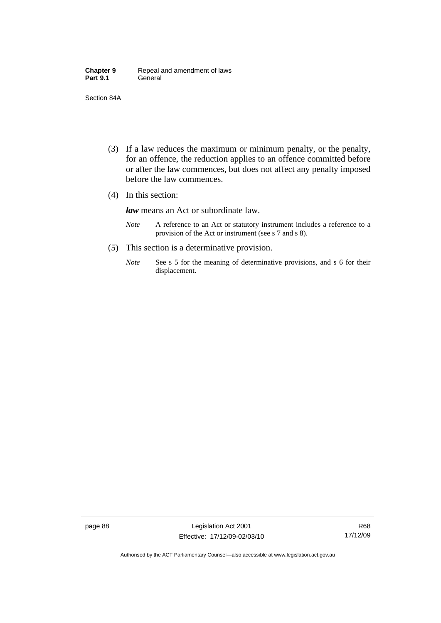| <b>Chapter 9</b> | Repeal and amendment of laws |
|------------------|------------------------------|
| <b>Part 9.1</b>  | General                      |

Section 84A

- (3) If a law reduces the maximum or minimum penalty, or the penalty, for an offence, the reduction applies to an offence committed before or after the law commences, but does not affect any penalty imposed before the law commences.
- (4) In this section:

*law* means an Act or subordinate law.

- *Note* A reference to an Act or statutory instrument includes a reference to a provision of the Act or instrument (see s 7 and s 8).
- (5) This section is a determinative provision.
	- *Note* See s 5 for the meaning of determinative provisions, and s 6 for their displacement.

page 88 Legislation Act 2001 Effective: 17/12/09-02/03/10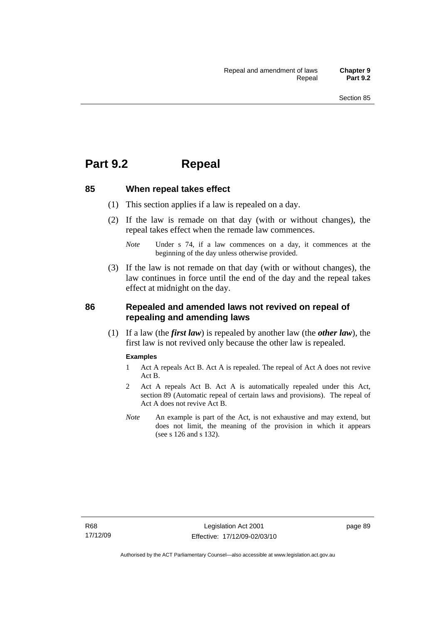# **Part 9.2 Repeal**

#### **85 When repeal takes effect**

- (1) This section applies if a law is repealed on a day.
- (2) If the law is remade on that day (with or without changes), the repeal takes effect when the remade law commences.

 (3) If the law is not remade on that day (with or without changes), the law continues in force until the end of the day and the repeal takes effect at midnight on the day.

# **86 Repealed and amended laws not revived on repeal of repealing and amending laws**

 (1) If a law (the *first law*) is repealed by another law (the *other law*), the first law is not revived only because the other law is repealed.

#### **Examples**

- 1 Act A repeals Act B. Act A is repealed. The repeal of Act A does not revive Act B.
- 2 Act A repeals Act B. Act A is automatically repealed under this Act, section 89 (Automatic repeal of certain laws and provisions). The repeal of Act A does not revive Act B.
- *Note* An example is part of the Act, is not exhaustive and may extend, but does not limit, the meaning of the provision in which it appears (see s 126 and s 132).

*Note* Under s 74, if a law commences on a day, it commences at the beginning of the day unless otherwise provided.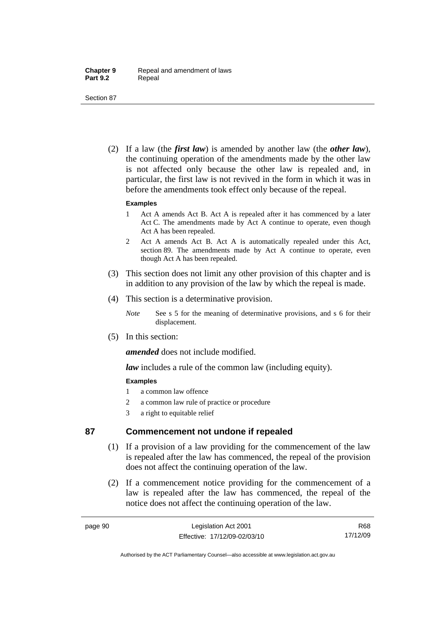Section 87

 (2) If a law (the *first law*) is amended by another law (the *other law*), the continuing operation of the amendments made by the other law is not affected only because the other law is repealed and, in particular, the first law is not revived in the form in which it was in before the amendments took effect only because of the repeal.

#### **Examples**

- 1 Act A amends Act B. Act A is repealed after it has commenced by a later Act C. The amendments made by Act A continue to operate, even though Act A has been repealed.
- 2 Act A amends Act B. Act A is automatically repealed under this Act, section 89. The amendments made by Act A continue to operate, even though Act A has been repealed.
- (3) This section does not limit any other provision of this chapter and is in addition to any provision of the law by which the repeal is made.
- (4) This section is a determinative provision.
	- *Note* See s 5 for the meaning of determinative provisions, and s 6 for their displacement.
- (5) In this section:

*amended* does not include modified.

*law* includes a rule of the common law (including equity).

## **Examples**

- 1 a common law offence
- 2 a common law rule of practice or procedure
- 3 a right to equitable relief

# **87 Commencement not undone if repealed**

- (1) If a provision of a law providing for the commencement of the law is repealed after the law has commenced, the repeal of the provision does not affect the continuing operation of the law.
- (2) If a commencement notice providing for the commencement of a law is repealed after the law has commenced, the repeal of the notice does not affect the continuing operation of the law.

R68 17/12/09

Authorised by the ACT Parliamentary Counsel—also accessible at www.legislation.act.gov.au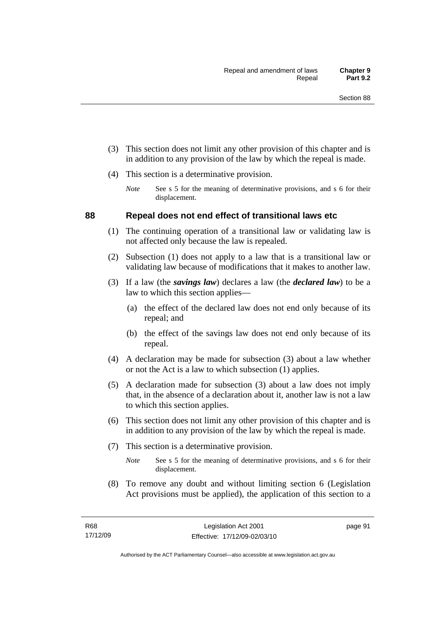- (3) This section does not limit any other provision of this chapter and is in addition to any provision of the law by which the repeal is made.
- (4) This section is a determinative provision.
	- *Note* See s 5 for the meaning of determinative provisions, and s 6 for their displacement.

## **88 Repeal does not end effect of transitional laws etc**

- (1) The continuing operation of a transitional law or validating law is not affected only because the law is repealed.
- (2) Subsection (1) does not apply to a law that is a transitional law or validating law because of modifications that it makes to another law.
- (3) If a law (the *savings law*) declares a law (the *declared law*) to be a law to which this section applies—
	- (a) the effect of the declared law does not end only because of its repeal; and
	- (b) the effect of the savings law does not end only because of its repeal.
- (4) A declaration may be made for subsection (3) about a law whether or not the Act is a law to which subsection (1) applies.
- (5) A declaration made for subsection (3) about a law does not imply that, in the absence of a declaration about it, another law is not a law to which this section applies.
- (6) This section does not limit any other provision of this chapter and is in addition to any provision of the law by which the repeal is made.
- (7) This section is a determinative provision.
	- *Note* See s 5 for the meaning of determinative provisions, and s 6 for their displacement.
- (8) To remove any doubt and without limiting section 6 (Legislation Act provisions must be applied), the application of this section to a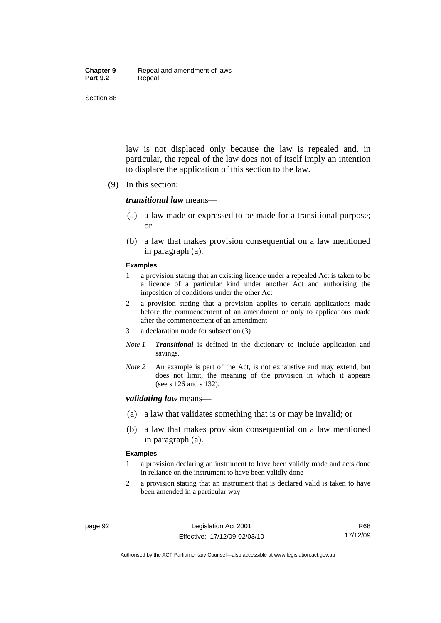#### **Chapter 9** Repeal and amendment of laws Part 9.2 **Repeal**

Section 88

law is not displaced only because the law is repealed and, in particular, the repeal of the law does not of itself imply an intention to displace the application of this section to the law.

(9) In this section:

#### *transitional law* means—

- (a) a law made or expressed to be made for a transitional purpose; or
- (b) a law that makes provision consequential on a law mentioned in paragraph (a).

#### **Examples**

- 1 a provision stating that an existing licence under a repealed Act is taken to be a licence of a particular kind under another Act and authorising the imposition of conditions under the other Act
- 2 a provision stating that a provision applies to certain applications made before the commencement of an amendment or only to applications made after the commencement of an amendment
- 3 a declaration made for subsection (3)
- *Note 1 Transitional* is defined in the dictionary to include application and savings.
- *Note 2* An example is part of the Act, is not exhaustive and may extend, but does not limit, the meaning of the provision in which it appears (see s 126 and s 132).

#### *validating law* means—

- (a) a law that validates something that is or may be invalid; or
- (b) a law that makes provision consequential on a law mentioned in paragraph (a).

#### **Examples**

- 1 a provision declaring an instrument to have been validly made and acts done in reliance on the instrument to have been validly done
- 2 a provision stating that an instrument that is declared valid is taken to have been amended in a particular way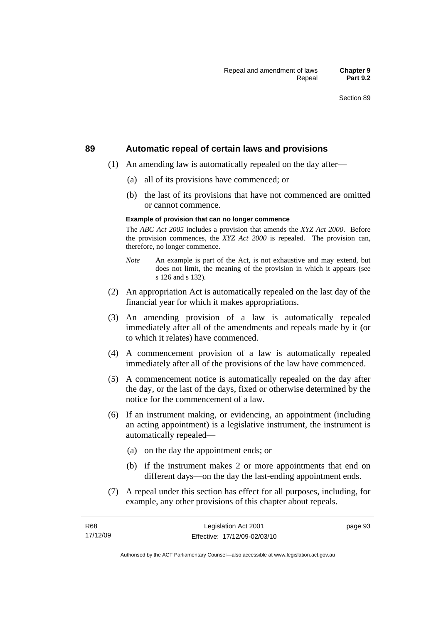#### **89 Automatic repeal of certain laws and provisions**

- (1) An amending law is automatically repealed on the day after—
	- (a) all of its provisions have commenced; or
	- (b) the last of its provisions that have not commenced are omitted or cannot commence.

#### **Example of provision that can no longer commence**

The *ABC Act 2005* includes a provision that amends the *XYZ Act 2000*. Before the provision commences, the *XYZ Act 2000* is repealed. The provision can, therefore, no longer commence.

- *Note* An example is part of the Act, is not exhaustive and may extend, but does not limit, the meaning of the provision in which it appears (see s 126 and s 132).
- (2) An appropriation Act is automatically repealed on the last day of the financial year for which it makes appropriations.
- (3) An amending provision of a law is automatically repealed immediately after all of the amendments and repeals made by it (or to which it relates) have commenced.
- (4) A commencement provision of a law is automatically repealed immediately after all of the provisions of the law have commenced.
- (5) A commencement notice is automatically repealed on the day after the day, or the last of the days, fixed or otherwise determined by the notice for the commencement of a law.
- (6) If an instrument making, or evidencing, an appointment (including an acting appointment) is a legislative instrument, the instrument is automatically repealed—
	- (a) on the day the appointment ends; or
	- (b) if the instrument makes 2 or more appointments that end on different days—on the day the last-ending appointment ends.
- (7) A repeal under this section has effect for all purposes, including, for example, any other provisions of this chapter about repeals.

Authorised by the ACT Parliamentary Counsel—also accessible at www.legislation.act.gov.au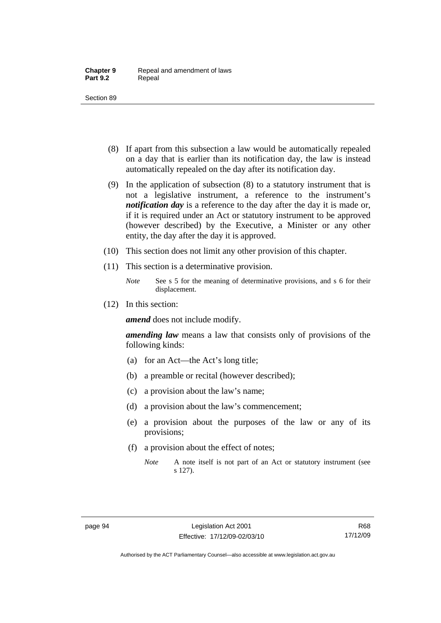- (8) If apart from this subsection a law would be automatically repealed on a day that is earlier than its notification day, the law is instead automatically repealed on the day after its notification day.
- (9) In the application of subsection (8) to a statutory instrument that is not a legislative instrument, a reference to the instrument's *notification day* is a reference to the day after the day it is made or, if it is required under an Act or statutory instrument to be approved (however described) by the Executive, a Minister or any other entity, the day after the day it is approved.
- (10) This section does not limit any other provision of this chapter.
- (11) This section is a determinative provision.
	- *Note* See s 5 for the meaning of determinative provisions, and s 6 for their displacement.
- (12) In this section:

*amend* does not include modify.

*amending law* means a law that consists only of provisions of the following kinds:

- (a) for an Act—the Act's long title;
- (b) a preamble or recital (however described);
- (c) a provision about the law's name;
- (d) a provision about the law's commencement;
- (e) a provision about the purposes of the law or any of its provisions;
- (f) a provision about the effect of notes;
	- *Note* A note itself is not part of an Act or statutory instrument (see s 127).

Authorised by the ACT Parliamentary Counsel—also accessible at www.legislation.act.gov.au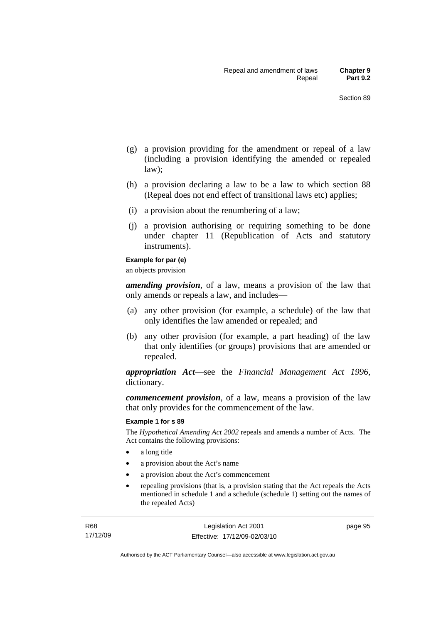- (g) a provision providing for the amendment or repeal of a law (including a provision identifying the amended or repealed law);
- (h) a provision declaring a law to be a law to which section 88 (Repeal does not end effect of transitional laws etc) applies;
- (i) a provision about the renumbering of a law;
- (j) a provision authorising or requiring something to be done under chapter 11 (Republication of Acts and statutory instruments).

#### **Example for par (e)**

an objects provision

*amending provision*, of a law, means a provision of the law that only amends or repeals a law, and includes—

- (a) any other provision (for example, a schedule) of the law that only identifies the law amended or repealed; and
- (b) any other provision (for example, a part heading) of the law that only identifies (or groups) provisions that are amended or repealed.

*appropriation Act*—see the *Financial Management Act 1996*, dictionary.

*commencement provision*, of a law, means a provision of the law that only provides for the commencement of the law.

#### **Example 1 for s 89**

The *Hypothetical Amending Act 2002* repeals and amends a number of Acts. The Act contains the following provisions:

- a long title
- a provision about the Act's name
- a provision about the Act's commencement
- repealing provisions (that is, a provision stating that the Act repeals the Acts mentioned in schedule 1 and a schedule (schedule 1) setting out the names of the repealed Acts)

page 95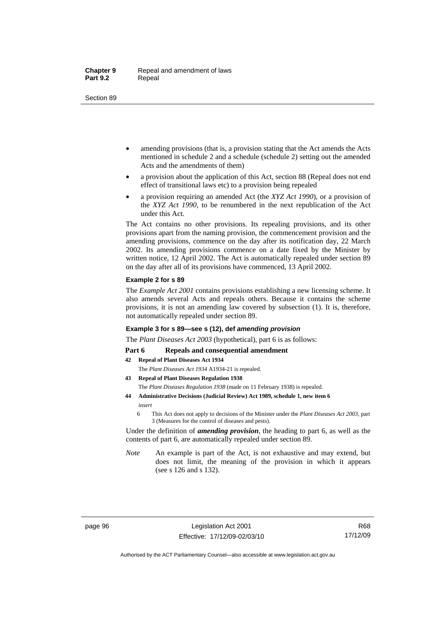- amending provisions (that is, a provision stating that the Act amends the Acts mentioned in schedule 2 and a schedule (schedule 2) setting out the amended Acts and the amendments of them)
- a provision about the application of this Act, section 88 (Repeal does not end effect of transitional laws etc) to a provision being repealed
- a provision requiring an amended Act (the *XYZ Act 1990*), or a provision of the *XYZ Act 1990*, to be renumbered in the next republication of the Act under this Act.

The Act contains no other provisions. Its repealing provisions, and its other provisions apart from the naming provision, the commencement provision and the amending provisions, commence on the day after its notification day, 22 March 2002. Its amending provisions commence on a date fixed by the Minister by written notice, 12 April 2002. The Act is automatically repealed under section 89 on the day after all of its provisions have commenced, 13 April 2002.

#### **Example 2 for s 89**

The *Example Act 2001* contains provisions establishing a new licensing scheme. It also amends several Acts and repeals others. Because it contains the scheme provisions, it is not an amending law covered by subsection (1). It is, therefore, not automatically repealed under section 89.

#### **Example 3 for s 89—see s (12), def** *amending provision*

The *Plant Diseases Act 2003* (hypothetical), part 6 is as follows:

#### Part 6 Repeals and consequential amendment

- **42 Repeal of Plant Diseases Act 1934**
	- The *Plant Diseases Act 1934* A1934-21 is repealed.
- **43 Repeal of Plant Diseases Regulation 1938** The *Plant Diseases Regulation 1938* (made on 11 February 1938) is repealed.
- **44 Administrative Decisions (Judicial Review) Act 1989, schedule 1, new item 6**  *insert* 
	- 6 This Act does not apply to decisions of the Minister under the *Plant Diseases Act 2003*, part 3 (Measures for the control of diseases and pests).

Under the definition of *amending provision*, the heading to part 6, as well as the contents of part 6, are automatically repealed under section 89.

*Note* An example is part of the Act, is not exhaustive and may extend, but does not limit, the meaning of the provision in which it appears (see s 126 and s 132).

Authorised by the ACT Parliamentary Counsel—also accessible at www.legislation.act.gov.au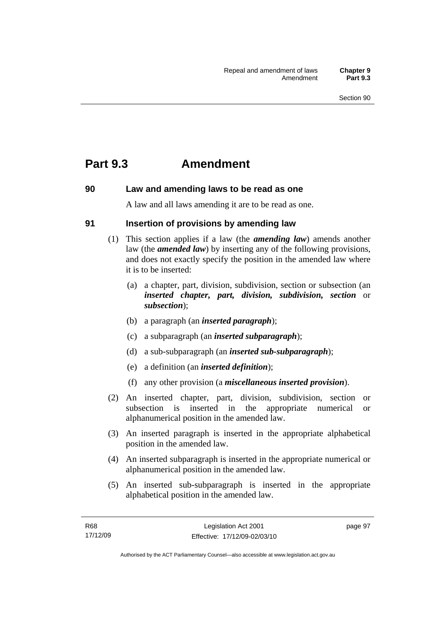## **Part 9.3 Amendment**

## **90 Law and amending laws to be read as one**

A law and all laws amending it are to be read as one.

## **91 Insertion of provisions by amending law**

- (1) This section applies if a law (the *amending law*) amends another law (the *amended law*) by inserting any of the following provisions, and does not exactly specify the position in the amended law where it is to be inserted:
	- (a) a chapter, part, division, subdivision, section or subsection (an *inserted chapter, part, division, subdivision, section* or *subsection*);
	- (b) a paragraph (an *inserted paragraph*);
	- (c) a subparagraph (an *inserted subparagraph*);
	- (d) a sub-subparagraph (an *inserted sub-subparagraph*);
	- (e) a definition (an *inserted definition*);
	- (f) any other provision (a *miscellaneous inserted provision*).
- (2) An inserted chapter, part, division, subdivision, section or subsection is inserted in the appropriate numerical or alphanumerical position in the amended law.
- (3) An inserted paragraph is inserted in the appropriate alphabetical position in the amended law.
- (4) An inserted subparagraph is inserted in the appropriate numerical or alphanumerical position in the amended law.
- (5) An inserted sub-subparagraph is inserted in the appropriate alphabetical position in the amended law.

page 97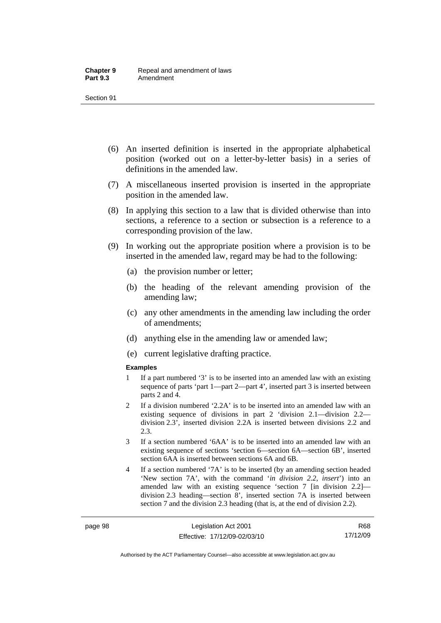- (6) An inserted definition is inserted in the appropriate alphabetical position (worked out on a letter-by-letter basis) in a series of definitions in the amended law.
- (7) A miscellaneous inserted provision is inserted in the appropriate position in the amended law.
- (8) In applying this section to a law that is divided otherwise than into sections, a reference to a section or subsection is a reference to a corresponding provision of the law.
- (9) In working out the appropriate position where a provision is to be inserted in the amended law, regard may be had to the following:
	- (a) the provision number or letter;
	- (b) the heading of the relevant amending provision of the amending law;
	- (c) any other amendments in the amending law including the order of amendments;
	- (d) anything else in the amending law or amended law;
	- (e) current legislative drafting practice.

#### **Examples**

- 1 If a part numbered '3' is to be inserted into an amended law with an existing sequence of parts 'part 1—part 2—part 4', inserted part 3 is inserted between parts 2 and 4.
- 2 If a division numbered '2.2A' is to be inserted into an amended law with an existing sequence of divisions in part 2 'division 2.1—division 2.2 division 2.3', inserted division 2.2A is inserted between divisions 2.2 and 2.3.
- 3 If a section numbered '6AA' is to be inserted into an amended law with an existing sequence of sections 'section 6—section 6A—section 6B', inserted section 6AA is inserted between sections 6A and 6B.
- 4 If a section numbered '7A' is to be inserted (by an amending section headed 'New section 7A', with the command '*in division 2.2, insert*') into an amended law with an existing sequence 'section 7 [in division 2.2] division 2.3 heading—section 8', inserted section 7A is inserted between section 7 and the division 2.3 heading (that is, at the end of division 2.2).

Authorised by the ACT Parliamentary Counsel—also accessible at www.legislation.act.gov.au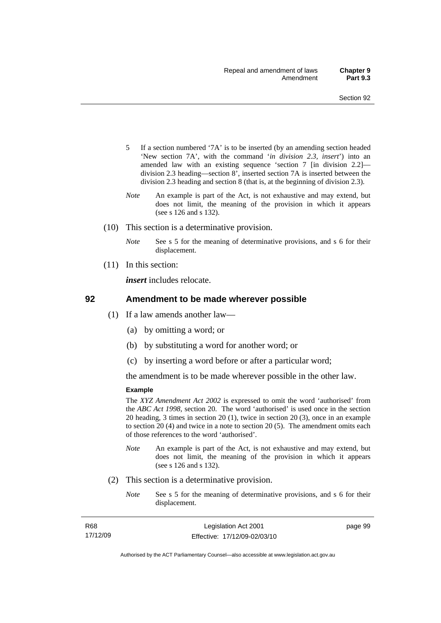- 5 If a section numbered '7A' is to be inserted (by an amending section headed 'New section 7A', with the command '*in division 2.3, insert*') into an amended law with an existing sequence 'section 7 [in division 2.2] division 2.3 heading—section 8', inserted section 7A is inserted between the division 2.3 heading and section 8 (that is, at the beginning of division 2.3).
- *Note* An example is part of the Act, is not exhaustive and may extend, but does not limit, the meaning of the provision in which it appears (see s 126 and s 132).
- (10) This section is a determinative provision.
	- *Note* See s 5 for the meaning of determinative provisions, and s 6 for their displacement.
- (11) In this section:

*insert* includes relocate.

#### **92 Amendment to be made wherever possible**

- (1) If a law amends another law—
	- (a) by omitting a word; or
	- (b) by substituting a word for another word; or
	- (c) by inserting a word before or after a particular word;

the amendment is to be made wherever possible in the other law.

#### **Example**

The *XYZ Amendment Act 2002* is expressed to omit the word 'authorised' from the *ABC Act 1998*, section 20. The word 'authorised' is used once in the section 20 heading, 3 times in section 20 (1), twice in section 20 (3), once in an example to section 20 (4) and twice in a note to section 20 (5). The amendment omits each of those references to the word 'authorised'.

- *Note* An example is part of the Act, is not exhaustive and may extend, but does not limit, the meaning of the provision in which it appears (see s 126 and s 132).
- (2) This section is a determinative provision.
	- *Note* See s 5 for the meaning of determinative provisions, and s 6 for their displacement.

| R68      | Legislation Act 2001         | page 99 |
|----------|------------------------------|---------|
| 17/12/09 | Effective: 17/12/09-02/03/10 |         |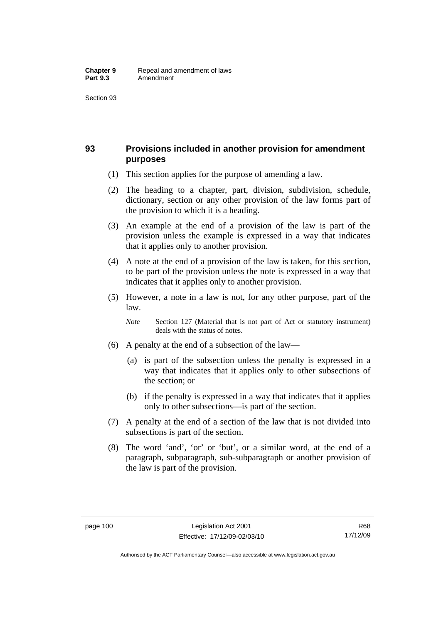## **93 Provisions included in another provision for amendment purposes**

- (1) This section applies for the purpose of amending a law.
- (2) The heading to a chapter, part, division, subdivision, schedule, dictionary, section or any other provision of the law forms part of the provision to which it is a heading.
- (3) An example at the end of a provision of the law is part of the provision unless the example is expressed in a way that indicates that it applies only to another provision.
- (4) A note at the end of a provision of the law is taken, for this section, to be part of the provision unless the note is expressed in a way that indicates that it applies only to another provision.
- (5) However, a note in a law is not, for any other purpose, part of the law.

*Note* Section 127 (Material that is not part of Act or statutory instrument) deals with the status of notes.

- (6) A penalty at the end of a subsection of the law—
	- (a) is part of the subsection unless the penalty is expressed in a way that indicates that it applies only to other subsections of the section; or
	- (b) if the penalty is expressed in a way that indicates that it applies only to other subsections—is part of the section.
- (7) A penalty at the end of a section of the law that is not divided into subsections is part of the section.
- (8) The word 'and', 'or' or 'but', or a similar word, at the end of a paragraph, subparagraph, sub-subparagraph or another provision of the law is part of the provision.

Authorised by the ACT Parliamentary Counsel—also accessible at www.legislation.act.gov.au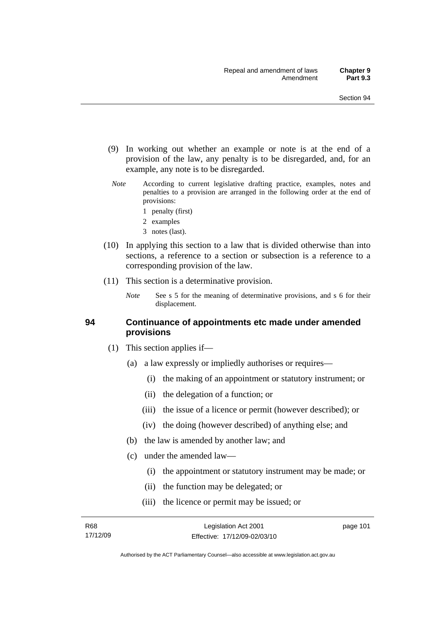- (9) In working out whether an example or note is at the end of a provision of the law, any penalty is to be disregarded, and, for an example, any note is to be disregarded.
- *Note* According to current legislative drafting practice, examples, notes and penalties to a provision are arranged in the following order at the end of provisions:
	- 1 penalty (first)
	- 2 examples
	- 3 notes (last).
- (10) In applying this section to a law that is divided otherwise than into sections, a reference to a section or subsection is a reference to a corresponding provision of the law.
- (11) This section is a determinative provision.
	- *Note* See s 5 for the meaning of determinative provisions, and s 6 for their displacement.

#### **94 Continuance of appointments etc made under amended provisions**

- (1) This section applies if—
	- (a) a law expressly or impliedly authorises or requires—
		- (i) the making of an appointment or statutory instrument; or
		- (ii) the delegation of a function; or
		- (iii) the issue of a licence or permit (however described); or
		- (iv) the doing (however described) of anything else; and
	- (b) the law is amended by another law; and
	- (c) under the amended law—
		- (i) the appointment or statutory instrument may be made; or
		- (ii) the function may be delegated; or
		- (iii) the licence or permit may be issued; or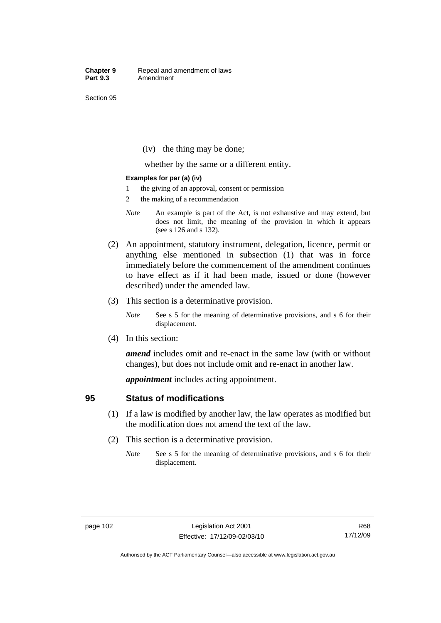(iv) the thing may be done;

whether by the same or a different entity.

#### **Examples for par (a) (iv)**

- 1 the giving of an approval, consent or permission
- 2 the making of a recommendation
- *Note* An example is part of the Act, is not exhaustive and may extend, but does not limit, the meaning of the provision in which it appears (see s 126 and s 132).
- (2) An appointment, statutory instrument, delegation, licence, permit or anything else mentioned in subsection (1) that was in force immediately before the commencement of the amendment continues to have effect as if it had been made, issued or done (however described) under the amended law.
- (3) This section is a determinative provision.
	- *Note* See s 5 for the meaning of determinative provisions, and s 6 for their displacement.
- (4) In this section:

*amend* includes omit and re-enact in the same law (with or without changes), but does not include omit and re-enact in another law.

*appointment* includes acting appointment.

### **95 Status of modifications**

- (1) If a law is modified by another law, the law operates as modified but the modification does not amend the text of the law.
- (2) This section is a determinative provision.
	- *Note* See s 5 for the meaning of determinative provisions, and s 6 for their displacement.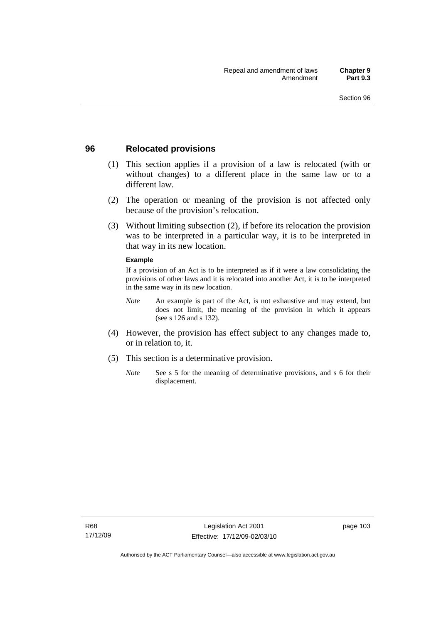### **96 Relocated provisions**

- (1) This section applies if a provision of a law is relocated (with or without changes) to a different place in the same law or to a different law.
- (2) The operation or meaning of the provision is not affected only because of the provision's relocation.
- (3) Without limiting subsection (2), if before its relocation the provision was to be interpreted in a particular way, it is to be interpreted in that way in its new location.

#### **Example**

If a provision of an Act is to be interpreted as if it were a law consolidating the provisions of other laws and it is relocated into another Act, it is to be interpreted in the same way in its new location.

- *Note* An example is part of the Act, is not exhaustive and may extend, but does not limit, the meaning of the provision in which it appears (see s 126 and s 132).
- (4) However, the provision has effect subject to any changes made to, or in relation to, it.
- (5) This section is a determinative provision.
	- *Note* See s 5 for the meaning of determinative provisions, and s 6 for their displacement.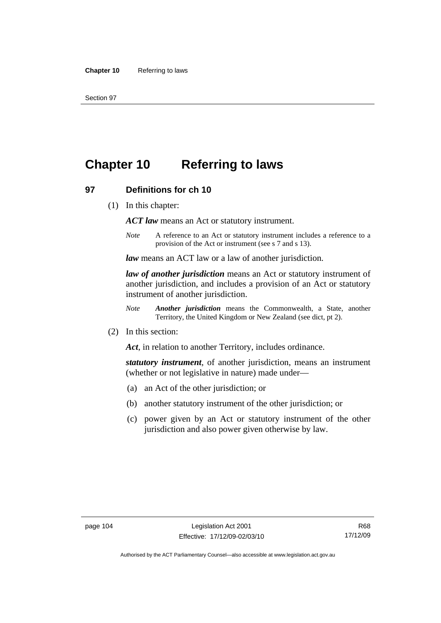# **Chapter 10 Referring to laws**

#### **97 Definitions for ch 10**

(1) In this chapter:

*ACT law* means an Act or statutory instrument.

*Note* A reference to an Act or statutory instrument includes a reference to a provision of the Act or instrument (see s 7 and s 13).

*law* means an ACT law or a law of another jurisdiction.

*law of another jurisdiction* means an Act or statutory instrument of another jurisdiction, and includes a provision of an Act or statutory instrument of another jurisdiction.

- *Note Another jurisdiction* means the Commonwealth, a State, another Territory, the United Kingdom or New Zealand (see dict, pt 2).
- (2) In this section:

*Act*, in relation to another Territory, includes ordinance.

*statutory instrument*, of another jurisdiction, means an instrument (whether or not legislative in nature) made under—

- (a) an Act of the other jurisdiction; or
- (b) another statutory instrument of the other jurisdiction; or
- (c) power given by an Act or statutory instrument of the other jurisdiction and also power given otherwise by law.

Authorised by the ACT Parliamentary Counsel—also accessible at www.legislation.act.gov.au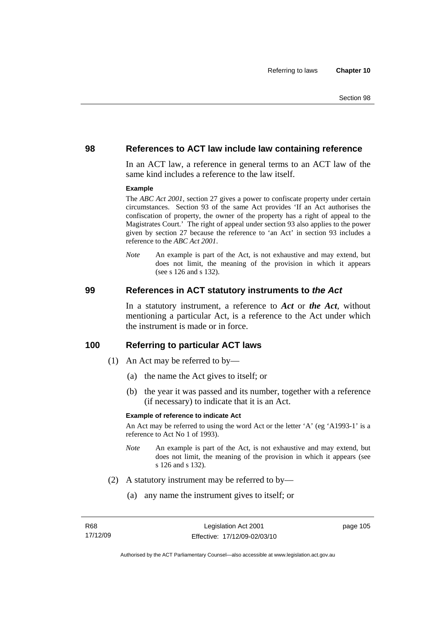#### **98 References to ACT law include law containing reference**

In an ACT law, a reference in general terms to an ACT law of the same kind includes a reference to the law itself.

#### **Example**

The *ABC Act 2001*, section 27 gives a power to confiscate property under certain circumstances. Section 93 of the same Act provides 'If an Act authorises the confiscation of property, the owner of the property has a right of appeal to the Magistrates Court.' The right of appeal under section 93 also applies to the power given by section 27 because the reference to 'an Act' in section 93 includes a reference to the *ABC Act 2001*.

*Note* An example is part of the Act, is not exhaustive and may extend, but does not limit, the meaning of the provision in which it appears (see s 126 and s 132).

#### **99 References in ACT statutory instruments to** *the Act*

In a statutory instrument, a reference to *Act* or *the Act*, without mentioning a particular Act, is a reference to the Act under which the instrument is made or in force.

#### **100 Referring to particular ACT laws**

- (1) An Act may be referred to by—
	- (a) the name the Act gives to itself; or
	- (b) the year it was passed and its number, together with a reference (if necessary) to indicate that it is an Act.

#### **Example of reference to indicate Act**

An Act may be referred to using the word Act or the letter 'A' (eg 'A1993-1' is a reference to Act No 1 of 1993).

- *Note* An example is part of the Act, is not exhaustive and may extend, but does not limit, the meaning of the provision in which it appears (see s 126 and s 132).
- (2) A statutory instrument may be referred to by—
	- (a) any name the instrument gives to itself; or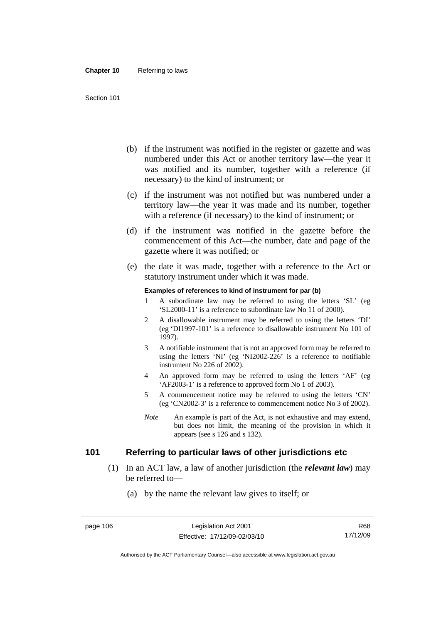- (b) if the instrument was notified in the register or gazette and was numbered under this Act or another territory law—the year it was notified and its number, together with a reference (if necessary) to the kind of instrument; or
- (c) if the instrument was not notified but was numbered under a territory law—the year it was made and its number, together with a reference (if necessary) to the kind of instrument; or
- (d) if the instrument was notified in the gazette before the commencement of this Act—the number, date and page of the gazette where it was notified; or
- (e) the date it was made, together with a reference to the Act or statutory instrument under which it was made.

#### **Examples of references to kind of instrument for par (b)**

- 1 A subordinate law may be referred to using the letters 'SL' (eg 'SL2000-11' is a reference to subordinate law No 11 of 2000).
- 2 A disallowable instrument may be referred to using the letters 'DI' (eg 'DI1997-101' is a reference to disallowable instrument No 101 of 1997).
- 3 A notifiable instrument that is not an approved form may be referred to using the letters 'NI' (eg 'NI2002-226' is a reference to notifiable instrument No 226 of 2002).
- 4 An approved form may be referred to using the letters 'AF' (eg 'AF2003-1' is a reference to approved form No 1 of 2003).
- 5 A commencement notice may be referred to using the letters 'CN' (eg 'CN2002-3' is a reference to commencement notice No 3 of 2002).
- *Note* An example is part of the Act, is not exhaustive and may extend, but does not limit, the meaning of the provision in which it appears (see s 126 and s 132).

## **101 Referring to particular laws of other jurisdictions etc**

- (1) In an ACT law, a law of another jurisdiction (the *relevant law*) may be referred to—
	- (a) by the name the relevant law gives to itself; or

Authorised by the ACT Parliamentary Counsel—also accessible at www.legislation.act.gov.au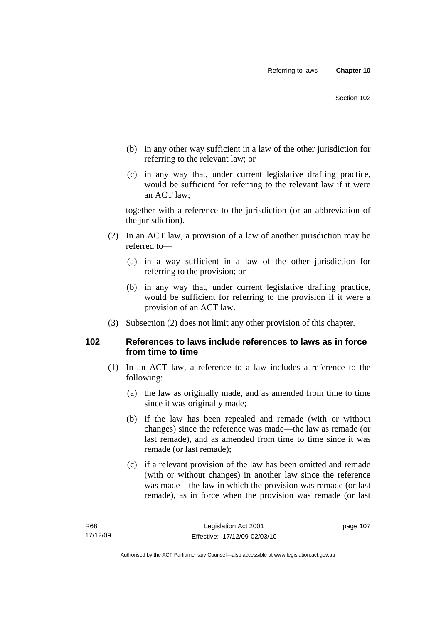- (b) in any other way sufficient in a law of the other jurisdiction for referring to the relevant law; or
- (c) in any way that, under current legislative drafting practice, would be sufficient for referring to the relevant law if it were an ACT law;

together with a reference to the jurisdiction (or an abbreviation of the jurisdiction).

- (2) In an ACT law, a provision of a law of another jurisdiction may be referred to—
	- (a) in a way sufficient in a law of the other jurisdiction for referring to the provision; or
	- (b) in any way that, under current legislative drafting practice, would be sufficient for referring to the provision if it were a provision of an ACT law.
- (3) Subsection (2) does not limit any other provision of this chapter.

## **102 References to laws include references to laws as in force from time to time**

- (1) In an ACT law, a reference to a law includes a reference to the following:
	- (a) the law as originally made, and as amended from time to time since it was originally made;
	- (b) if the law has been repealed and remade (with or without changes) since the reference was made—the law as remade (or last remade), and as amended from time to time since it was remade (or last remade);
	- (c) if a relevant provision of the law has been omitted and remade (with or without changes) in another law since the reference was made—the law in which the provision was remade (or last remade), as in force when the provision was remade (or last

page 107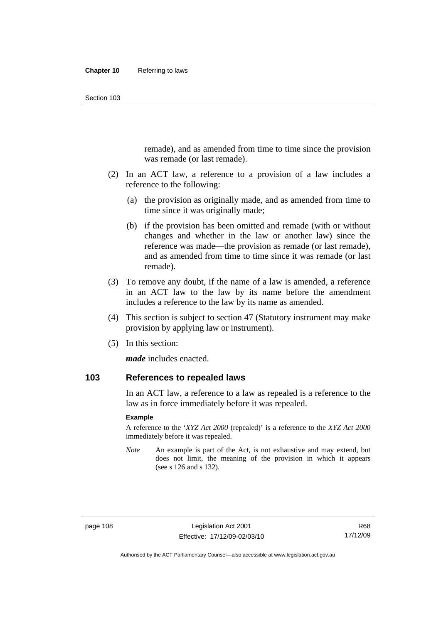remade), and as amended from time to time since the provision was remade (or last remade).

- (2) In an ACT law, a reference to a provision of a law includes a reference to the following:
	- (a) the provision as originally made, and as amended from time to time since it was originally made;
	- (b) if the provision has been omitted and remade (with or without changes and whether in the law or another law) since the reference was made—the provision as remade (or last remade), and as amended from time to time since it was remade (or last remade).
- (3) To remove any doubt, if the name of a law is amended, a reference in an ACT law to the law by its name before the amendment includes a reference to the law by its name as amended.
- (4) This section is subject to section 47 (Statutory instrument may make provision by applying law or instrument).
- (5) In this section:

*made* includes enacted.

## **103 References to repealed laws**

In an ACT law, a reference to a law as repealed is a reference to the law as in force immediately before it was repealed.

#### **Example**

A reference to the '*XYZ Act 2000* (repealed)' is a reference to the *XYZ Act 2000* immediately before it was repealed.

*Note* An example is part of the Act, is not exhaustive and may extend, but does not limit, the meaning of the provision in which it appears (see s 126 and s 132).

R68 17/12/09

Authorised by the ACT Parliamentary Counsel—also accessible at www.legislation.act.gov.au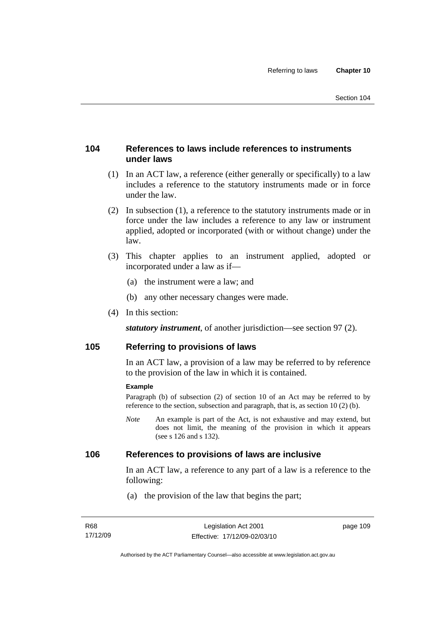## **104 References to laws include references to instruments under laws**

- (1) In an ACT law, a reference (either generally or specifically) to a law includes a reference to the statutory instruments made or in force under the law.
- (2) In subsection (1), a reference to the statutory instruments made or in force under the law includes a reference to any law or instrument applied, adopted or incorporated (with or without change) under the law.
- (3) This chapter applies to an instrument applied, adopted or incorporated under a law as if—
	- (a) the instrument were a law; and
	- (b) any other necessary changes were made.
- (4) In this section:

*statutory instrument*, of another jurisdiction—see section 97 (2).

## **105 Referring to provisions of laws**

In an ACT law, a provision of a law may be referred to by reference to the provision of the law in which it is contained.

#### **Example**

Paragraph (b) of subsection (2) of section 10 of an Act may be referred to by reference to the section, subsection and paragraph, that is, as section 10 (2) (b).

*Note* An example is part of the Act, is not exhaustive and may extend, but does not limit, the meaning of the provision in which it appears (see s 126 and s 132).

### **106 References to provisions of laws are inclusive**

In an ACT law, a reference to any part of a law is a reference to the following:

(a) the provision of the law that begins the part;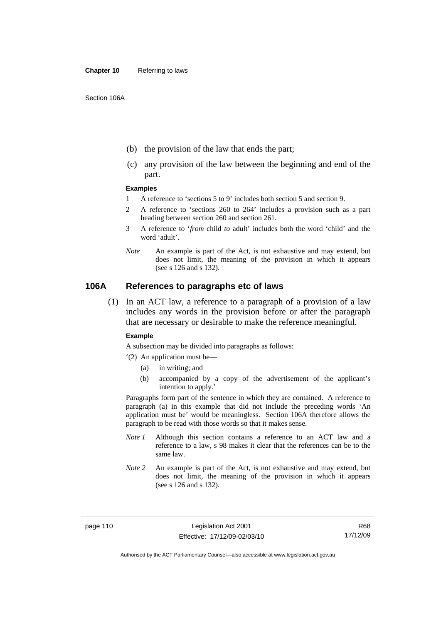- (b) the provision of the law that ends the part;
- (c) any provision of the law between the beginning and end of the part.

#### **Examples**

- 1 A reference to 'sections 5 to 9' includes both section 5 and section 9.
- 2 A reference to 'sections 260 to 264' includes a provision such as a part heading between section 260 and section 261.
- 3 A reference to '*from* child *to* adult' includes both the word 'child' and the word 'adult'.
- *Note* An example is part of the Act, is not exhaustive and may extend, but does not limit, the meaning of the provision in which it appears (see s 126 and s 132).

#### **106A References to paragraphs etc of laws**

 (1) In an ACT law, a reference to a paragraph of a provision of a law includes any words in the provision before or after the paragraph that are necessary or desirable to make the reference meaningful.

#### **Example**

A subsection may be divided into paragraphs as follows:

- '(2) An application must be—
	- (a) in writing; and
	- (b) accompanied by a copy of the advertisement of the applicant's intention to apply.'

Paragraphs form part of the sentence in which they are contained. A reference to paragraph (a) in this example that did not include the preceding words 'An application must be' would be meaningless. Section 106A therefore allows the paragraph to be read with those words so that it makes sense.

- *Note 1* Although this section contains a reference to an ACT law and a reference to a law, s 98 makes it clear that the references can be to the same law.
- *Note 2* An example is part of the Act, is not exhaustive and may extend, but does not limit, the meaning of the provision in which it appears (see s 126 and s 132).

Authorised by the ACT Parliamentary Counsel—also accessible at www.legislation.act.gov.au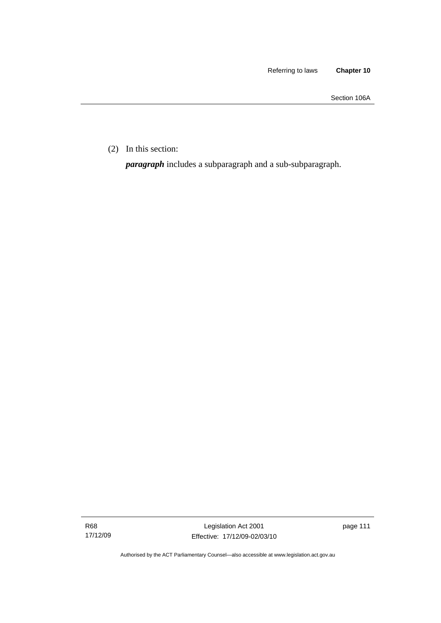Section 106A

(2) In this section:

*paragraph* includes a subparagraph and a sub-subparagraph.

R68 17/12/09 page 111

Authorised by the ACT Parliamentary Counsel—also accessible at www.legislation.act.gov.au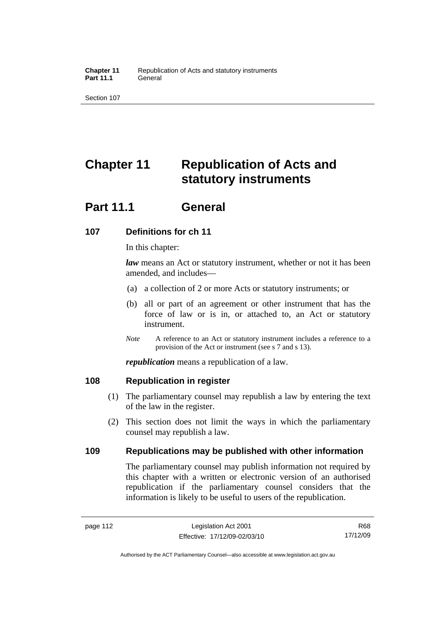# **Chapter 11 Republication of Acts and statutory instruments**

## **Part 11.1 General**

## **107 Definitions for ch 11**

In this chapter:

*law* means an Act or statutory instrument, whether or not it has been amended, and includes—

- (a) a collection of 2 or more Acts or statutory instruments; or
- (b) all or part of an agreement or other instrument that has the force of law or is in, or attached to, an Act or statutory instrument.
- *Note* A reference to an Act or statutory instrument includes a reference to a provision of the Act or instrument (see s 7 and s 13).

*republication* means a republication of a law.

## **108 Republication in register**

- (1) The parliamentary counsel may republish a law by entering the text of the law in the register.
- (2) This section does not limit the ways in which the parliamentary counsel may republish a law.

## **109 Republications may be published with other information**

The parliamentary counsel may publish information not required by this chapter with a written or electronic version of an authorised republication if the parliamentary counsel considers that the information is likely to be useful to users of the republication.

R68 17/12/09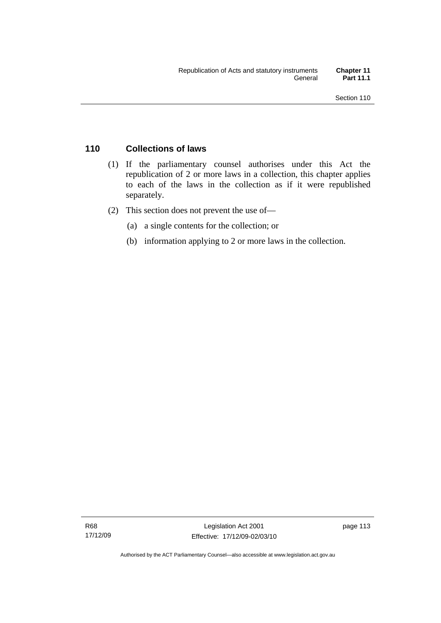## **110 Collections of laws**

- (1) If the parliamentary counsel authorises under this Act the republication of 2 or more laws in a collection, this chapter applies to each of the laws in the collection as if it were republished separately.
- (2) This section does not prevent the use of—
	- (a) a single contents for the collection; or
	- (b) information applying to 2 or more laws in the collection.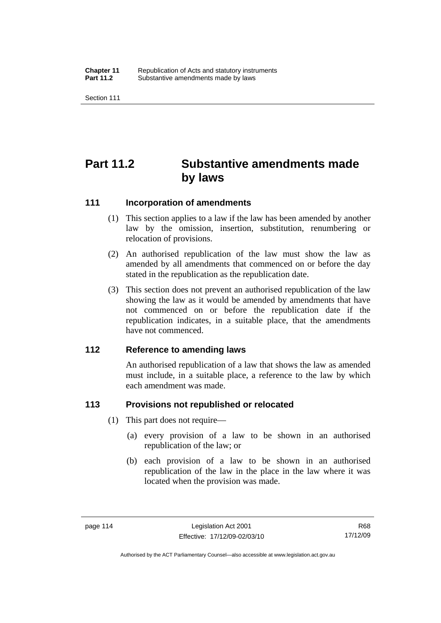# **Part 11.2 Substantive amendments made by laws**

### **111 Incorporation of amendments**

- (1) This section applies to a law if the law has been amended by another law by the omission, insertion, substitution, renumbering or relocation of provisions.
- (2) An authorised republication of the law must show the law as amended by all amendments that commenced on or before the day stated in the republication as the republication date.
- (3) This section does not prevent an authorised republication of the law showing the law as it would be amended by amendments that have not commenced on or before the republication date if the republication indicates, in a suitable place, that the amendments have not commenced.

### **112 Reference to amending laws**

An authorised republication of a law that shows the law as amended must include, in a suitable place, a reference to the law by which each amendment was made.

## **113 Provisions not republished or relocated**

- (1) This part does not require—
	- (a) every provision of a law to be shown in an authorised republication of the law; or
	- (b) each provision of a law to be shown in an authorised republication of the law in the place in the law where it was located when the provision was made.

R68 17/12/09

Authorised by the ACT Parliamentary Counsel—also accessible at www.legislation.act.gov.au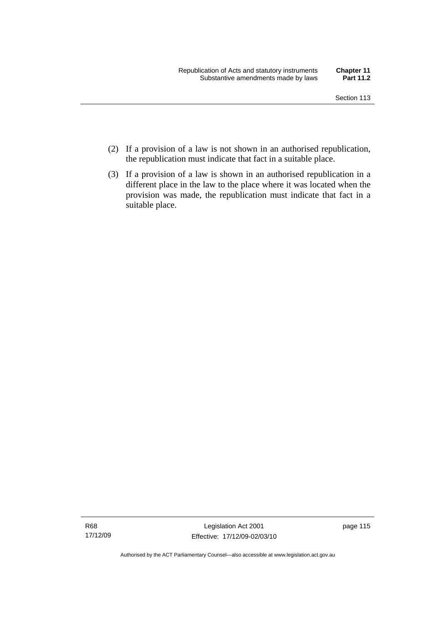- (2) If a provision of a law is not shown in an authorised republication, the republication must indicate that fact in a suitable place.
- (3) If a provision of a law is shown in an authorised republication in a different place in the law to the place where it was located when the provision was made, the republication must indicate that fact in a suitable place.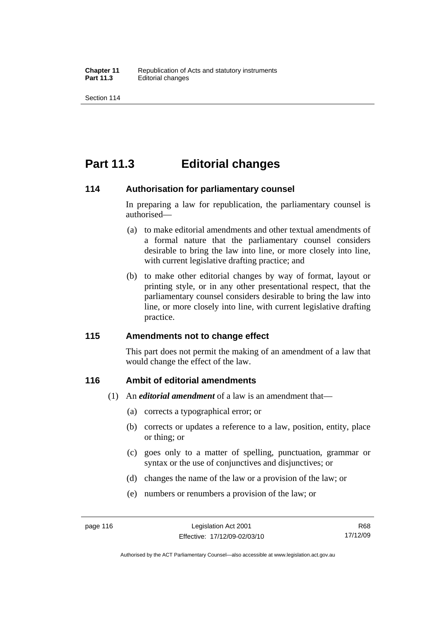## **Part 11.3 Editorial changes**

### **114 Authorisation for parliamentary counsel**

In preparing a law for republication, the parliamentary counsel is authorised—

- (a) to make editorial amendments and other textual amendments of a formal nature that the parliamentary counsel considers desirable to bring the law into line, or more closely into line, with current legislative drafting practice; and
- (b) to make other editorial changes by way of format, layout or printing style, or in any other presentational respect, that the parliamentary counsel considers desirable to bring the law into line, or more closely into line, with current legislative drafting practice.

## **115 Amendments not to change effect**

This part does not permit the making of an amendment of a law that would change the effect of the law.

## **116 Ambit of editorial amendments**

- (1) An *editorial amendment* of a law is an amendment that—
	- (a) corrects a typographical error; or
	- (b) corrects or updates a reference to a law, position, entity, place or thing; or
	- (c) goes only to a matter of spelling, punctuation, grammar or syntax or the use of conjunctives and disjunctives; or
	- (d) changes the name of the law or a provision of the law; or
	- (e) numbers or renumbers a provision of the law; or

Authorised by the ACT Parliamentary Counsel—also accessible at www.legislation.act.gov.au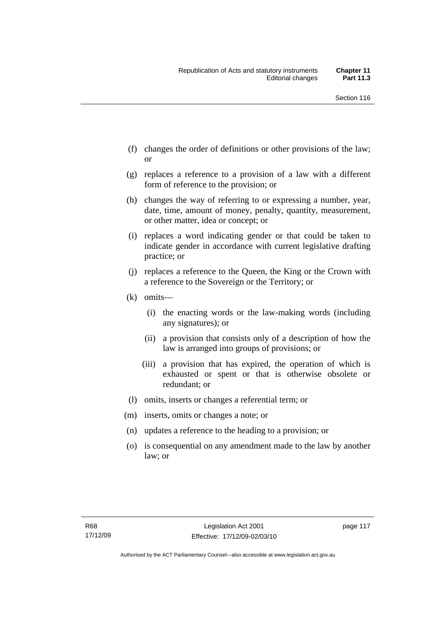- (f) changes the order of definitions or other provisions of the law; or
- (g) replaces a reference to a provision of a law with a different form of reference to the provision; or
- (h) changes the way of referring to or expressing a number, year, date, time, amount of money, penalty, quantity, measurement, or other matter, idea or concept; or
- (i) replaces a word indicating gender or that could be taken to indicate gender in accordance with current legislative drafting practice; or
- (j) replaces a reference to the Queen, the King or the Crown with a reference to the Sovereign or the Territory; or
- (k) omits—
	- (i) the enacting words or the law-making words (including any signatures); or
	- (ii) a provision that consists only of a description of how the law is arranged into groups of provisions; or
	- (iii) a provision that has expired, the operation of which is exhausted or spent or that is otherwise obsolete or redundant; or
- (l) omits, inserts or changes a referential term; or
- (m) inserts, omits or changes a note; or
- (n) updates a reference to the heading to a provision; or
- (o) is consequential on any amendment made to the law by another law; or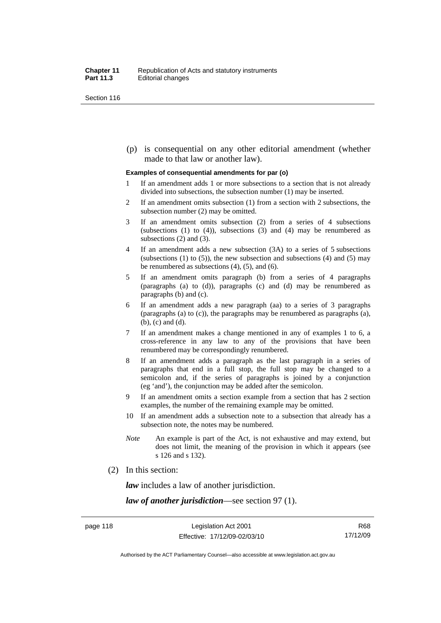(p) is consequential on any other editorial amendment (whether made to that law or another law).

#### **Examples of consequential amendments for par (o)**

- 1 If an amendment adds 1 or more subsections to a section that is not already divided into subsections, the subsection number (1) may be inserted.
- 2 If an amendment omits subsection (1) from a section with 2 subsections, the subsection number (2) may be omitted.
- 3 If an amendment omits subsection (2) from a series of 4 subsections (subsections  $(1)$  to  $(4)$ ), subsections  $(3)$  and  $(4)$  may be renumbered as subsections (2) and (3).
- 4 If an amendment adds a new subsection (3A) to a series of 5 subsections (subsections  $(1)$  to  $(5)$ ), the new subsection and subsections  $(4)$  and  $(5)$  may be renumbered as subsections (4), (5), and (6).
- 5 If an amendment omits paragraph (b) from a series of 4 paragraphs (paragraphs (a) to (d)), paragraphs (c) and (d) may be renumbered as paragraphs (b) and (c).
- 6 If an amendment adds a new paragraph (aa) to a series of 3 paragraphs (paragraphs (a) to (c)), the paragraphs may be renumbered as paragraphs (a), (b), (c) and (d).
- 7 If an amendment makes a change mentioned in any of examples 1 to 6, a cross-reference in any law to any of the provisions that have been renumbered may be correspondingly renumbered.
- 8 If an amendment adds a paragraph as the last paragraph in a series of paragraphs that end in a full stop, the full stop may be changed to a semicolon and, if the series of paragraphs is joined by a conjunction (eg 'and'), the conjunction may be added after the semicolon.
- 9 If an amendment omits a section example from a section that has 2 section examples, the number of the remaining example may be omitted.
- 10 If an amendment adds a subsection note to a subsection that already has a subsection note, the notes may be numbered.
- *Note* An example is part of the Act, is not exhaustive and may extend, but does not limit, the meaning of the provision in which it appears (see s 126 and s 132).
- (2) In this section:

*law* includes a law of another jurisdiction.

*law of another jurisdiction*—see section 97 (1).

R68 17/12/09

Authorised by the ACT Parliamentary Counsel—also accessible at www.legislation.act.gov.au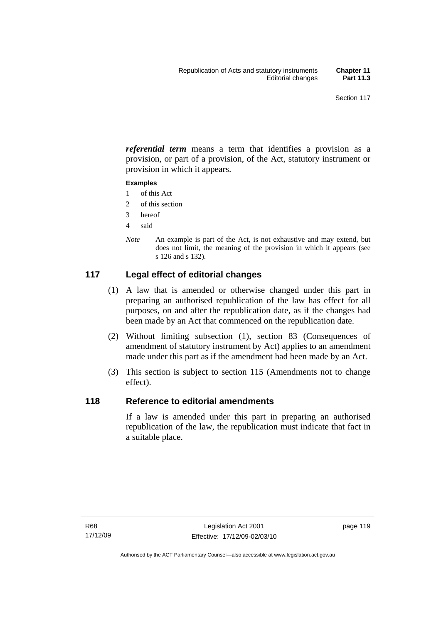*referential term* means a term that identifies a provision as a provision, or part of a provision, of the Act, statutory instrument or provision in which it appears.

#### **Examples**

- 1 of this Act
- 2 of this section
- 3 hereof
- 4 said
- *Note* An example is part of the Act, is not exhaustive and may extend, but does not limit, the meaning of the provision in which it appears (see s 126 and s 132).

## **117 Legal effect of editorial changes**

- (1) A law that is amended or otherwise changed under this part in preparing an authorised republication of the law has effect for all purposes, on and after the republication date, as if the changes had been made by an Act that commenced on the republication date.
- (2) Without limiting subsection (1), section 83 (Consequences of amendment of statutory instrument by Act) applies to an amendment made under this part as if the amendment had been made by an Act.
- (3) This section is subject to section 115 (Amendments not to change effect).

### **118 Reference to editorial amendments**

If a law is amended under this part in preparing an authorised republication of the law, the republication must indicate that fact in a suitable place.

page 119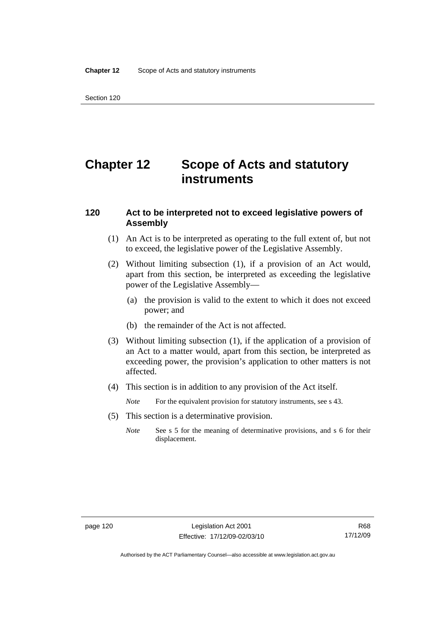# **Chapter 12 Scope of Acts and statutory instruments**

## **120 Act to be interpreted not to exceed legislative powers of Assembly**

- (1) An Act is to be interpreted as operating to the full extent of, but not to exceed, the legislative power of the Legislative Assembly.
- (2) Without limiting subsection (1), if a provision of an Act would, apart from this section, be interpreted as exceeding the legislative power of the Legislative Assembly—
	- (a) the provision is valid to the extent to which it does not exceed power; and
	- (b) the remainder of the Act is not affected.
- (3) Without limiting subsection (1), if the application of a provision of an Act to a matter would, apart from this section, be interpreted as exceeding power, the provision's application to other matters is not affected.
- (4) This section is in addition to any provision of the Act itself.
	- *Note* For the equivalent provision for statutory instruments, see s 43.
- (5) This section is a determinative provision.
	- *Note* See s 5 for the meaning of determinative provisions, and s 6 for their displacement.

Authorised by the ACT Parliamentary Counsel—also accessible at www.legislation.act.gov.au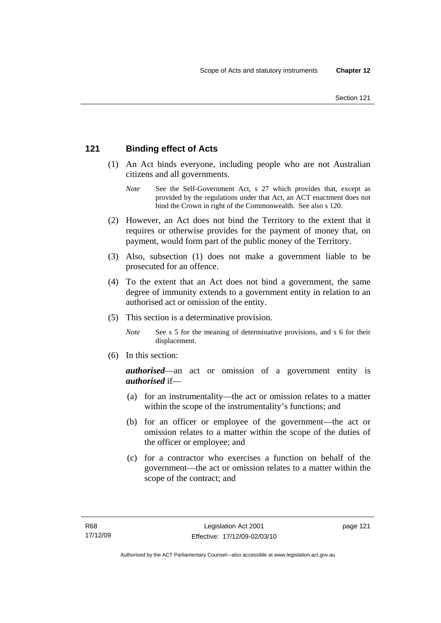## **121 Binding effect of Acts**

- (1) An Act binds everyone, including people who are not Australian citizens and all governments.
	- *Note* See the Self-Government Act, s 27 which provides that, except as provided by the regulations under that Act, an ACT enactment does not bind the Crown in right of the Commonwealth. See also s 120.
- (2) However, an Act does not bind the Territory to the extent that it requires or otherwise provides for the payment of money that, on payment, would form part of the public money of the Territory.
- (3) Also, subsection (1) does not make a government liable to be prosecuted for an offence.
- (4) To the extent that an Act does not bind a government, the same degree of immunity extends to a government entity in relation to an authorised act or omission of the entity.
- (5) This section is a determinative provision.
	- *Note* See s 5 for the meaning of determinative provisions, and s 6 for their displacement.
- (6) In this section:

*authorised*—an act or omission of a government entity is *authorised* if—

- (a) for an instrumentality—the act or omission relates to a matter within the scope of the instrumentality's functions; and
- (b) for an officer or employee of the government—the act or omission relates to a matter within the scope of the duties of the officer or employee; and
- (c) for a contractor who exercises a function on behalf of the government—the act or omission relates to a matter within the scope of the contract; and

page 121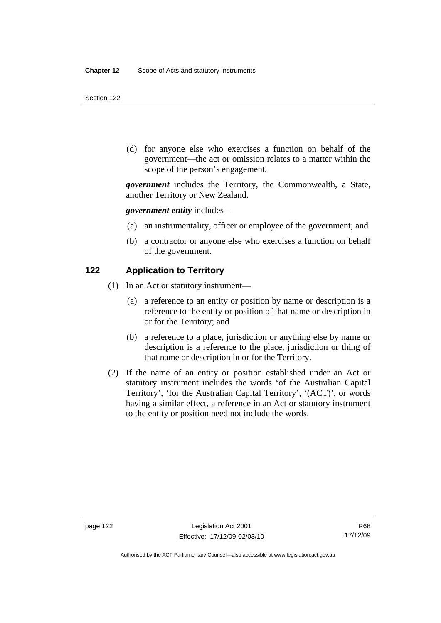(d) for anyone else who exercises a function on behalf of the government—the act or omission relates to a matter within the scope of the person's engagement.

*government* includes the Territory, the Commonwealth, a State, another Territory or New Zealand.

*government entity* includes—

- (a) an instrumentality, officer or employee of the government; and
- (b) a contractor or anyone else who exercises a function on behalf of the government.

#### **122 Application to Territory**

- (1) In an Act or statutory instrument—
	- (a) a reference to an entity or position by name or description is a reference to the entity or position of that name or description in or for the Territory; and
	- (b) a reference to a place, jurisdiction or anything else by name or description is a reference to the place, jurisdiction or thing of that name or description in or for the Territory.
- (2) If the name of an entity or position established under an Act or statutory instrument includes the words 'of the Australian Capital Territory', 'for the Australian Capital Territory', '(ACT)', or words having a similar effect, a reference in an Act or statutory instrument to the entity or position need not include the words.

Authorised by the ACT Parliamentary Counsel—also accessible at www.legislation.act.gov.au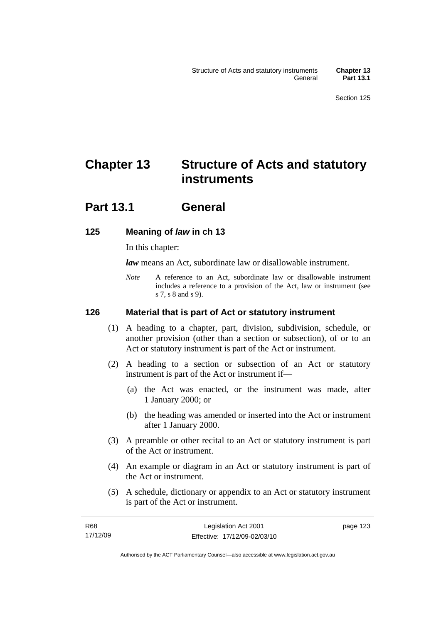# **Chapter 13 Structure of Acts and statutory instruments**

## **Part 13.1 General**

## **125 Meaning of** *law* **in ch 13**

In this chapter:

*law* means an Act, subordinate law or disallowable instrument.

*Note* A reference to an Act, subordinate law or disallowable instrument includes a reference to a provision of the Act, law or instrument (see s 7, s 8 and s 9).

#### **126 Material that is part of Act or statutory instrument**

- (1) A heading to a chapter, part, division, subdivision, schedule, or another provision (other than a section or subsection), of or to an Act or statutory instrument is part of the Act or instrument.
- (2) A heading to a section or subsection of an Act or statutory instrument is part of the Act or instrument if—
	- (a) the Act was enacted, or the instrument was made, after 1 January 2000; or
	- (b) the heading was amended or inserted into the Act or instrument after 1 January 2000.
- (3) A preamble or other recital to an Act or statutory instrument is part of the Act or instrument.
- (4) An example or diagram in an Act or statutory instrument is part of the Act or instrument.
- (5) A schedule, dictionary or appendix to an Act or statutory instrument is part of the Act or instrument.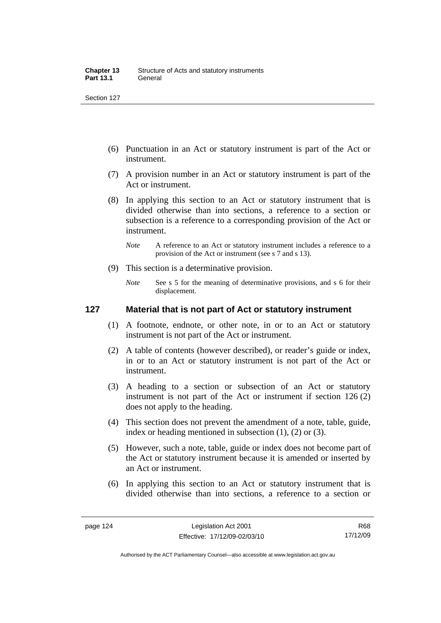- (6) Punctuation in an Act or statutory instrument is part of the Act or instrument.
- (7) A provision number in an Act or statutory instrument is part of the Act or instrument.
- (8) In applying this section to an Act or statutory instrument that is divided otherwise than into sections, a reference to a section or subsection is a reference to a corresponding provision of the Act or instrument.
	- *Note* A reference to an Act or statutory instrument includes a reference to a provision of the Act or instrument (see s 7 and s 13).
- (9) This section is a determinative provision.
	- *Note* See s 5 for the meaning of determinative provisions, and s 6 for their displacement.

### **127 Material that is not part of Act or statutory instrument**

- (1) A footnote, endnote, or other note, in or to an Act or statutory instrument is not part of the Act or instrument.
- (2) A table of contents (however described), or reader's guide or index, in or to an Act or statutory instrument is not part of the Act or instrument.
- (3) A heading to a section or subsection of an Act or statutory instrument is not part of the Act or instrument if section 126 (2) does not apply to the heading.
- (4) This section does not prevent the amendment of a note, table, guide, index or heading mentioned in subsection (1), (2) or (3).
- (5) However, such a note, table, guide or index does not become part of the Act or statutory instrument because it is amended or inserted by an Act or instrument.
- (6) In applying this section to an Act or statutory instrument that is divided otherwise than into sections, a reference to a section or

Authorised by the ACT Parliamentary Counsel—also accessible at www.legislation.act.gov.au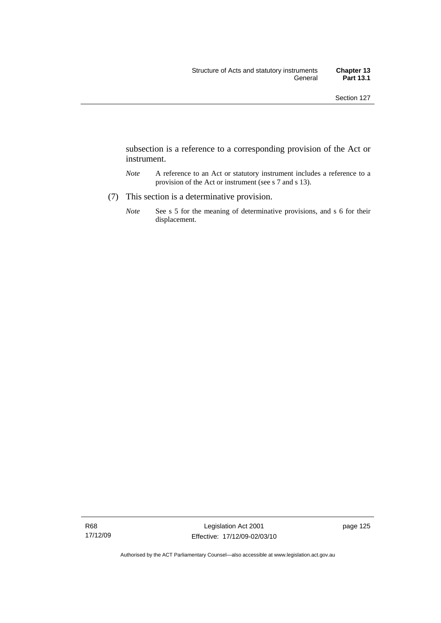subsection is a reference to a corresponding provision of the Act or instrument.

- *Note* A reference to an Act or statutory instrument includes a reference to a provision of the Act or instrument (see s 7 and s 13).
- (7) This section is a determinative provision.
	- *Note* See s 5 for the meaning of determinative provisions, and s 6 for their displacement.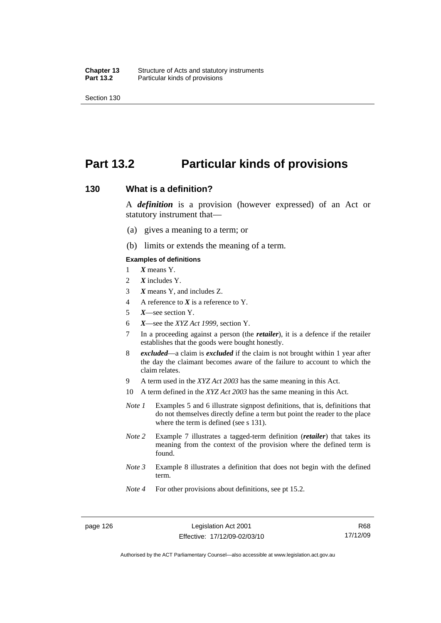## **Part 13.2 Particular kinds of provisions**

#### **130 What is a definition?**

A *definition* is a provision (however expressed) of an Act or statutory instrument that—

- (a) gives a meaning to a term; or
- (b) limits or extends the meaning of a term.

#### **Examples of definitions**

- 1 *X* means Y.
- 2 *X* includes Y.
- 3 *X* means Y, and includes Z.
- 4 A reference to *X* is a reference to Y.
- 5 *X*—see section Y.
- 6 *X*—see the *XYZ Act 1999*, section Y.
- 7 In a proceeding against a person (the *retailer*), it is a defence if the retailer establishes that the goods were bought honestly.
- 8 *excluded*—a claim is *excluded* if the claim is not brought within 1 year after the day the claimant becomes aware of the failure to account to which the claim relates.
- 9 A term used in the *XYZ Act 2003* has the same meaning in this Act.
- 10 A term defined in the *XYZ Act 2003* has the same meaning in this Act.
- *Note 1* Examples 5 and 6 illustrate signpost definitions, that is, definitions that do not themselves directly define a term but point the reader to the place where the term is defined (see s 131).
- *Note 2* Example 7 illustrates a tagged-term definition (*retailer*) that takes its meaning from the context of the provision where the defined term is found.
- *Note 3* Example 8 illustrates a definition that does not begin with the defined term.
- *Note 4* For other provisions about definitions, see pt 15.2.

R68 17/12/09

Authorised by the ACT Parliamentary Counsel—also accessible at www.legislation.act.gov.au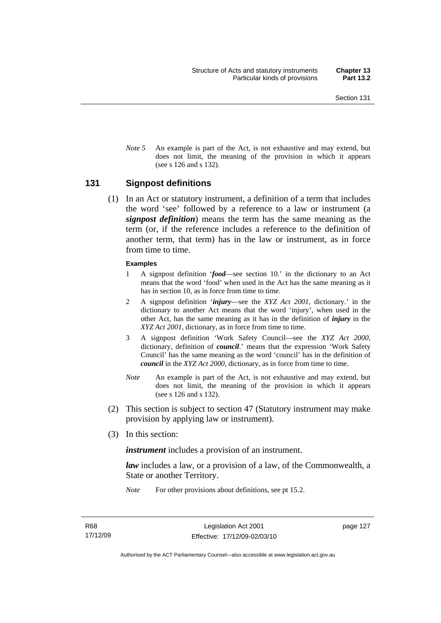*Note* 5 An example is part of the Act, is not exhaustive and may extend, but does not limit, the meaning of the provision in which it appears (see s 126 and s 132).

#### **131 Signpost definitions**

 (1) In an Act or statutory instrument, a definition of a term that includes the word 'see' followed by a reference to a law or instrument (a *signpost definition*) means the term has the same meaning as the term (or, if the reference includes a reference to the definition of another term, that term) has in the law or instrument, as in force from time to time.

#### **Examples**

- 1 A signpost definition '*food*—see section 10.' in the dictionary to an Act means that the word 'food' when used in the Act has the same meaning as it has in section 10, as in force from time to time.
- 2 A signpost definition '*injury*—see the *XYZ Act 2001*, dictionary.' in the dictionary to another Act means that the word 'injury', when used in the other Act, has the same meaning as it has in the definition of *injury* in the *XYZ Act 2001*, dictionary, as in force from time to time.
- 3 A signpost definition 'Work Safety Council—see the *XYZ Act 2000*, dictionary, definition of *council*.' means that the expression 'Work Safety Council' has the same meaning as the word 'council' has in the definition of *council* in the *XYZ Act 2000*, dictionary, as in force from time to time.
- *Note* An example is part of the Act, is not exhaustive and may extend, but does not limit, the meaning of the provision in which it appears (see s 126 and s 132).
- (2) This section is subject to section 47 (Statutory instrument may make provision by applying law or instrument).
- (3) In this section:

*instrument* includes a provision of an instrument.

*law* includes a law, or a provision of a law, of the Commonwealth, a State or another Territory.

*Note* For other provisions about definitions, see pt 15.2.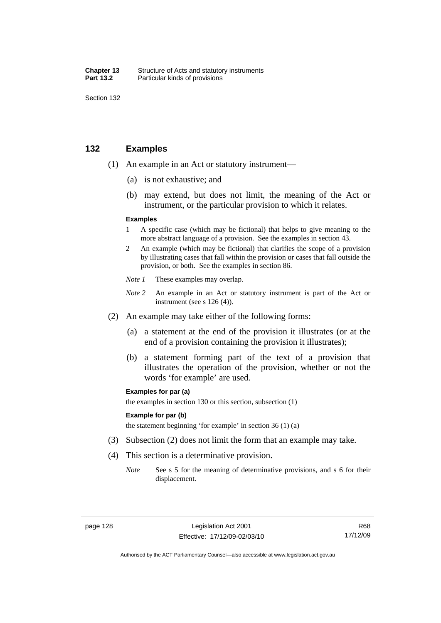| Chapter 13       | Structure of Acts and statutory instruments |
|------------------|---------------------------------------------|
| <b>Part 13.2</b> | Particular kinds of provisions              |

## **132 Examples**

- (1) An example in an Act or statutory instrument—
	- (a) is not exhaustive; and
	- (b) may extend, but does not limit, the meaning of the Act or instrument, or the particular provision to which it relates.

#### **Examples**

- 1 A specific case (which may be fictional) that helps to give meaning to the more abstract language of a provision. See the examples in section 43.
- 2 An example (which may be fictional) that clarifies the scope of a provision by illustrating cases that fall within the provision or cases that fall outside the provision, or both. See the examples in section 86.
- *Note 1* These examples may overlap.
- *Note* 2 An example in an Act or statutory instrument is part of the Act or instrument (see s 126 (4)).
- (2) An example may take either of the following forms:
	- (a) a statement at the end of the provision it illustrates (or at the end of a provision containing the provision it illustrates);
	- (b) a statement forming part of the text of a provision that illustrates the operation of the provision, whether or not the words 'for example' are used.

#### **Examples for par (a)**

the examples in section 130 or this section, subsection (1)

#### **Example for par (b)**

the statement beginning 'for example' in section 36 (1) (a)

- (3) Subsection (2) does not limit the form that an example may take.
- (4) This section is a determinative provision.
	- *Note* See s 5 for the meaning of determinative provisions, and s 6 for their displacement.

Authorised by the ACT Parliamentary Counsel—also accessible at www.legislation.act.gov.au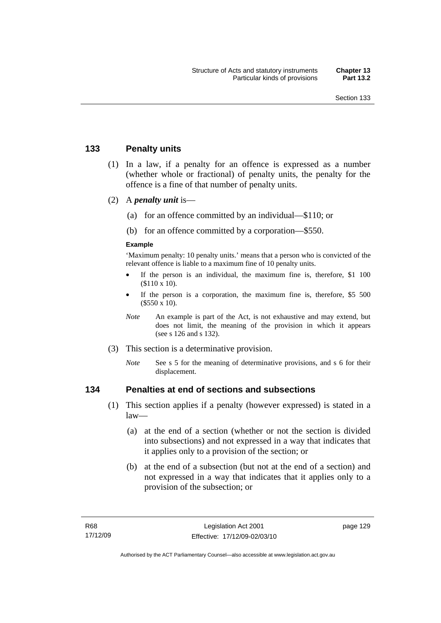## **133 Penalty units**

- (1) In a law, if a penalty for an offence is expressed as a number (whether whole or fractional) of penalty units, the penalty for the offence is a fine of that number of penalty units.
- (2) A *penalty unit* is—
	- (a) for an offence committed by an individual—\$110; or
	- (b) for an offence committed by a corporation—\$550.

#### **Example**

'Maximum penalty: 10 penalty units.' means that a person who is convicted of the relevant offence is liable to a maximum fine of 10 penalty units.

- If the person is an individual, the maximum fine is, therefore, \$1 100 (\$110 x 10).
- If the person is a corporation, the maximum fine is, therefore, \$5 500 (\$550 x 10).
- *Note* An example is part of the Act, is not exhaustive and may extend, but does not limit, the meaning of the provision in which it appears (see s 126 and s 132).
- (3) This section is a determinative provision.
	- *Note* See s 5 for the meaning of determinative provisions, and s 6 for their displacement.

## **134 Penalties at end of sections and subsections**

- (1) This section applies if a penalty (however expressed) is stated in a law—
	- (a) at the end of a section (whether or not the section is divided into subsections) and not expressed in a way that indicates that it applies only to a provision of the section; or
	- (b) at the end of a subsection (but not at the end of a section) and not expressed in a way that indicates that it applies only to a provision of the subsection; or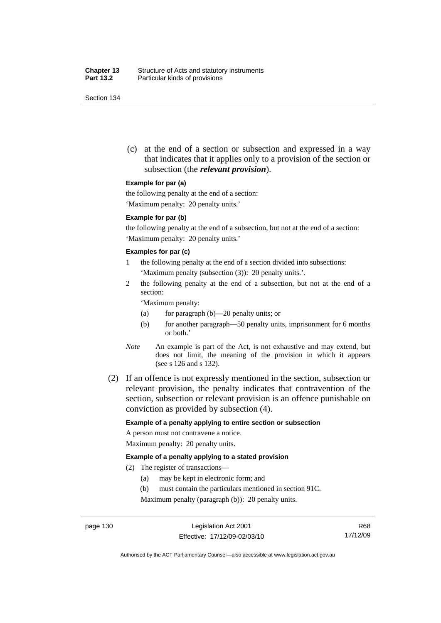(c) at the end of a section or subsection and expressed in a way that indicates that it applies only to a provision of the section or subsection (the *relevant provision*).

#### **Example for par (a)**

the following penalty at the end of a section:

'Maximum penalty: 20 penalty units.'

#### **Example for par (b)**

the following penalty at the end of a subsection, but not at the end of a section: 'Maximum penalty: 20 penalty units.'

#### **Examples for par (c)**

- 1 the following penalty at the end of a section divided into subsections: 'Maximum penalty (subsection (3)): 20 penalty units.'.
- 2 the following penalty at the end of a subsection, but not at the end of a section:

'Maximum penalty:

- (a) for paragraph (b)—20 penalty units; or
- (b) for another paragraph—50 penalty units, imprisonment for 6 months or both.'
- *Note* An example is part of the Act, is not exhaustive and may extend, but does not limit, the meaning of the provision in which it appears (see s 126 and s 132).
- (2) If an offence is not expressly mentioned in the section, subsection or relevant provision, the penalty indicates that contravention of the section, subsection or relevant provision is an offence punishable on conviction as provided by subsection (4).

#### **Example of a penalty applying to entire section or subsection**

A person must not contravene a notice. Maximum penalty: 20 penalty units.

#### **Example of a penalty applying to a stated provision**

- (2) The register of transactions—
	- (a) may be kept in electronic form; and
	- (b) must contain the particulars mentioned in section 91C.

Maximum penalty (paragraph (b)): 20 penalty units.

Authorised by the ACT Parliamentary Counsel—also accessible at www.legislation.act.gov.au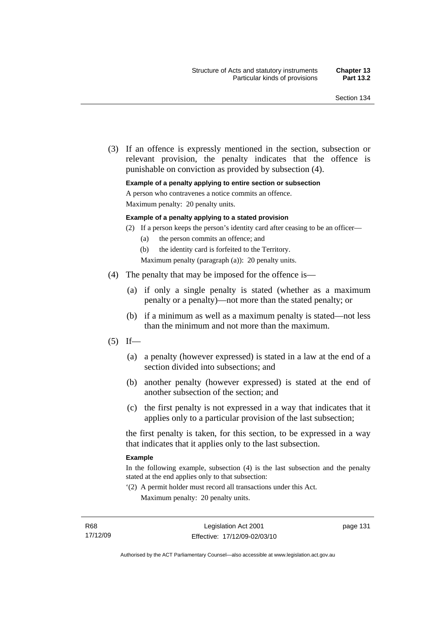(3) If an offence is expressly mentioned in the section, subsection or relevant provision, the penalty indicates that the offence is punishable on conviction as provided by subsection (4).

#### **Example of a penalty applying to entire section or subsection**

A person who contravenes a notice commits an offence.

Maximum penalty: 20 penalty units.

#### **Example of a penalty applying to a stated provision**

- (2) If a person keeps the person's identity card after ceasing to be an officer—
	- (a) the person commits an offence; and
	- (b) the identity card is forfeited to the Territory.

Maximum penalty (paragraph (a)): 20 penalty units.

- (4) The penalty that may be imposed for the offence is—
	- (a) if only a single penalty is stated (whether as a maximum penalty or a penalty)—not more than the stated penalty; or
	- (b) if a minimum as well as a maximum penalty is stated—not less than the minimum and not more than the maximum.
- $(5)$  If—
	- (a) a penalty (however expressed) is stated in a law at the end of a section divided into subsections; and
	- (b) another penalty (however expressed) is stated at the end of another subsection of the section; and
	- (c) the first penalty is not expressed in a way that indicates that it applies only to a particular provision of the last subsection;

the first penalty is taken, for this section, to be expressed in a way that indicates that it applies only to the last subsection.

#### **Example**

In the following example, subsection (4) is the last subsection and the penalty stated at the end applies only to that subsection:

'(2) A permit holder must record all transactions under this Act. Maximum penalty: 20 penalty units.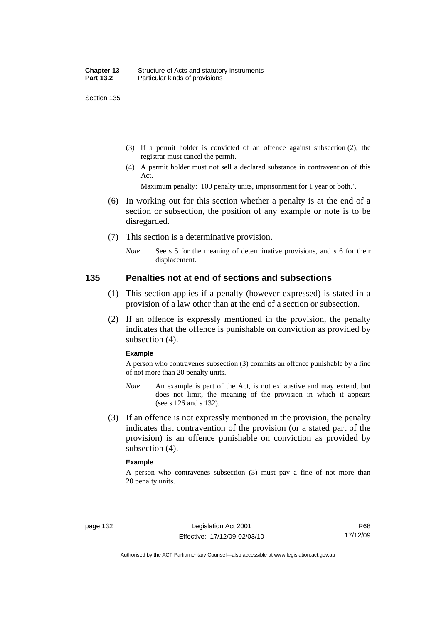- (3) If a permit holder is convicted of an offence against subsection (2), the registrar must cancel the permit.
- (4) A permit holder must not sell a declared substance in contravention of this Act.

Maximum penalty: 100 penalty units, imprisonment for 1 year or both.'.

- (6) In working out for this section whether a penalty is at the end of a section or subsection, the position of any example or note is to be disregarded.
- (7) This section is a determinative provision.
	- *Note* See s 5 for the meaning of determinative provisions, and s 6 for their displacement.

#### **135 Penalties not at end of sections and subsections**

- (1) This section applies if a penalty (however expressed) is stated in a provision of a law other than at the end of a section or subsection.
- (2) If an offence is expressly mentioned in the provision, the penalty indicates that the offence is punishable on conviction as provided by subsection (4).

#### **Example**

A person who contravenes subsection (3) commits an offence punishable by a fine of not more than 20 penalty units.

- *Note* An example is part of the Act, is not exhaustive and may extend, but does not limit, the meaning of the provision in which it appears (see s 126 and s 132).
- (3) If an offence is not expressly mentioned in the provision, the penalty indicates that contravention of the provision (or a stated part of the provision) is an offence punishable on conviction as provided by subsection (4).

#### **Example**

A person who contravenes subsection (3) must pay a fine of not more than 20 penalty units.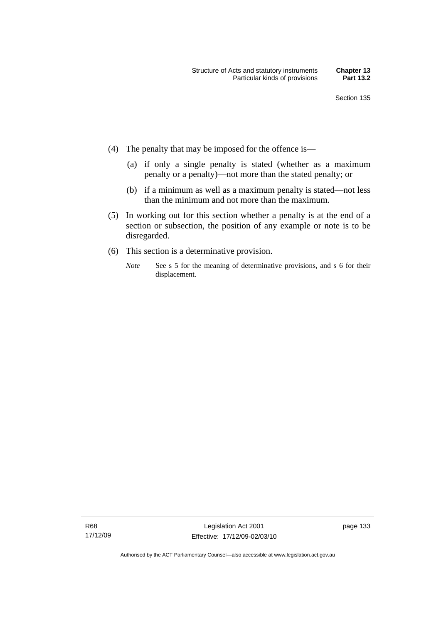- (4) The penalty that may be imposed for the offence is—
	- (a) if only a single penalty is stated (whether as a maximum penalty or a penalty)—not more than the stated penalty; or
	- (b) if a minimum as well as a maximum penalty is stated—not less than the minimum and not more than the maximum.
- (5) In working out for this section whether a penalty is at the end of a section or subsection, the position of any example or note is to be disregarded.
- (6) This section is a determinative provision.
	- *Note* See s 5 for the meaning of determinative provisions, and s 6 for their displacement.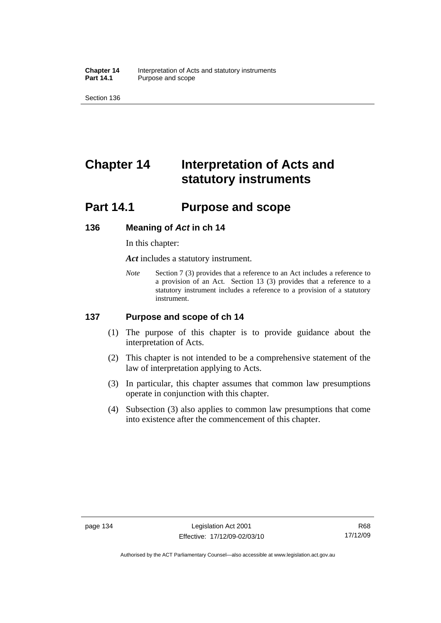**Chapter 14** Interpretation of Acts and statutory instruments<br>**Part 14.1** Purpose and scope Purpose and scope

Section 136

# **Chapter 14 Interpretation of Acts and statutory instruments**

## **Part 14.1 Purpose and scope**

#### **136 Meaning of** *Act* **in ch 14**

In this chapter:

*Act* includes a statutory instrument.

*Note* Section 7 (3) provides that a reference to an Act includes a reference to a provision of an Act. Section 13 (3) provides that a reference to a statutory instrument includes a reference to a provision of a statutory instrument.

## **137 Purpose and scope of ch 14**

- (1) The purpose of this chapter is to provide guidance about the interpretation of Acts.
- (2) This chapter is not intended to be a comprehensive statement of the law of interpretation applying to Acts.
- (3) In particular, this chapter assumes that common law presumptions operate in conjunction with this chapter.
- (4) Subsection (3) also applies to common law presumptions that come into existence after the commencement of this chapter.

Authorised by the ACT Parliamentary Counsel—also accessible at www.legislation.act.gov.au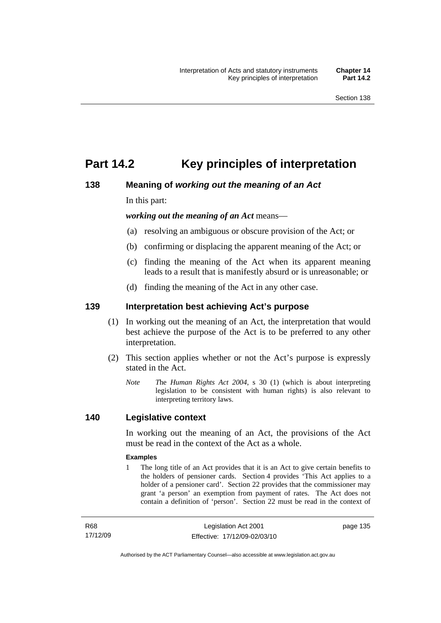## **Part 14.2 Key principles of interpretation**

## **138 Meaning of** *working out the meaning of an Act*

In this part:

*working out the meaning of an Act* means—

- (a) resolving an ambiguous or obscure provision of the Act; or
- (b) confirming or displacing the apparent meaning of the Act; or
- (c) finding the meaning of the Act when its apparent meaning leads to a result that is manifestly absurd or is unreasonable; or
- (d) finding the meaning of the Act in any other case.

## **139 Interpretation best achieving Act's purpose**

- (1) In working out the meaning of an Act, the interpretation that would best achieve the purpose of the Act is to be preferred to any other interpretation.
- (2) This section applies whether or not the Act's purpose is expressly stated in the Act.
	- *Note T*he *Human Rights Act 2004*, s 30 (1) (which is about interpreting legislation to be consistent with human rights) is also relevant to interpreting territory laws.

## **140 Legislative context**

In working out the meaning of an Act, the provisions of the Act must be read in the context of the Act as a whole.

#### **Examples**

1 The long title of an Act provides that it is an Act to give certain benefits to the holders of pensioner cards. Section 4 provides 'This Act applies to a holder of a pensioner card'. Section 22 provides that the commissioner may grant 'a person' an exemption from payment of rates. The Act does not contain a definition of 'person'. Section 22 must be read in the context of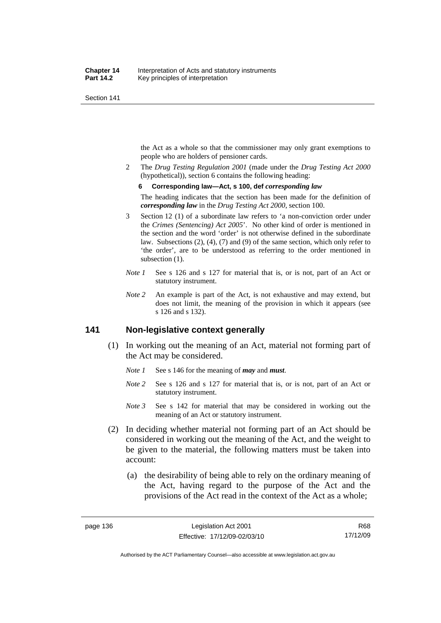the Act as a whole so that the commissioner may only grant exemptions to people who are holders of pensioner cards.

2 The *Drug Testing Regulation 2001* (made under the *Drug Testing Act 2000* (hypothetical)), section 6 contains the following heading:

#### **6 Corresponding law—Act, s 100, def** *corresponding law*

The heading indicates that the section has been made for the definition of *corresponding law* in the *Drug Testing Act 2000*, section 100.

- 3 Section 12 (1) of a subordinate law refers to 'a non-conviction order under the *Crimes (Sentencing) Act 2005*'. No other kind of order is mentioned in the section and the word 'order' is not otherwise defined in the subordinate law. Subsections (2), (4), (7) and (9) of the same section, which only refer to 'the order', are to be understood as referring to the order mentioned in subsection  $(1)$ .
- *Note 1* See s 126 and s 127 for material that is, or is not, part of an Act or statutory instrument.
- *Note 2* An example is part of the Act, is not exhaustive and may extend, but does not limit, the meaning of the provision in which it appears (see s 126 and s 132).

## **141 Non-legislative context generally**

- (1) In working out the meaning of an Act, material not forming part of the Act may be considered.
	- *Note 1* See s 146 for the meaning of *may* and *must*.
	- *Note* 2 See s 126 and s 127 for material that is, or is not, part of an Act or statutory instrument.
	- *Note 3* See s 142 for material that may be considered in working out the meaning of an Act or statutory instrument.
- (2) In deciding whether material not forming part of an Act should be considered in working out the meaning of the Act, and the weight to be given to the material, the following matters must be taken into account:
	- (a) the desirability of being able to rely on the ordinary meaning of the Act, having regard to the purpose of the Act and the provisions of the Act read in the context of the Act as a whole;

R68 17/12/09

Authorised by the ACT Parliamentary Counsel—also accessible at www.legislation.act.gov.au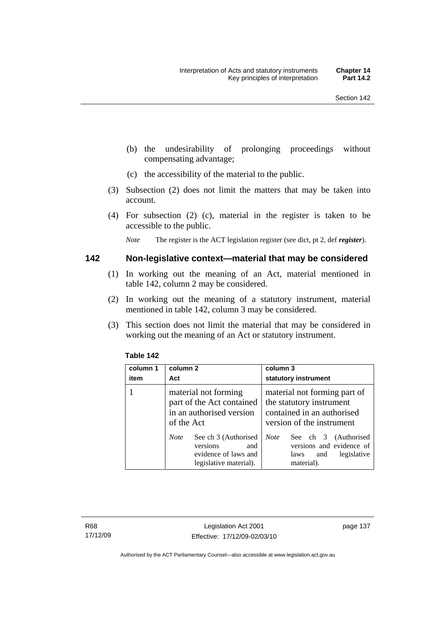- (b) the undesirability of prolonging proceedings without compensating advantage;
- (c) the accessibility of the material to the public.
- (3) Subsection (2) does not limit the matters that may be taken into account.
- (4) For subsection (2) (c), material in the register is taken to be accessible to the public.

*Note* The register is the ACT legislation register (see dict, pt 2, def *register*).

#### **142 Non-legislative context—material that may be considered**

- (1) In working out the meaning of an Act, material mentioned in table 142, column 2 may be considered.
- (2) In working out the meaning of a statutory instrument, material mentioned in table 142, column 3 may be considered.
- (3) This section does not limit the material that may be considered in working out the meaning of an Act or statutory instrument.

| column 1<br>item | column 2<br>Act                                                                                          | column 3<br>statutory instrument                                                                                    |
|------------------|----------------------------------------------------------------------------------------------------------|---------------------------------------------------------------------------------------------------------------------|
|                  | material not forming<br>part of the Act contained<br>in an authorised version<br>of the Act              | material not forming part of<br>the statutory instrument<br>contained in an authorised<br>version of the instrument |
|                  | See ch 3 (Authorised<br><b>Note</b><br>versions<br>and<br>evidence of laws and<br>legislative material). | <b>Note</b><br>See ch 3 (Authorised<br>versions and evidence of<br>legislative<br>laws<br>and<br>material).         |

#### **Table 142**

R68 17/12/09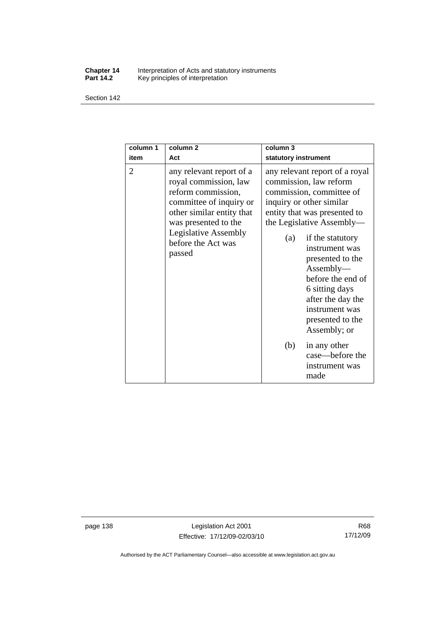#### **Chapter 14** Interpretation of Acts and statutory instruments **Part 14.2** Key principles of interpretation

Section 142

| column 1<br>item | column <sub>2</sub><br>Act                                                                                                                                                                                             | column 3<br>statutory instrument                                                                                                                                                                                                                                                                                                                                              |
|------------------|------------------------------------------------------------------------------------------------------------------------------------------------------------------------------------------------------------------------|-------------------------------------------------------------------------------------------------------------------------------------------------------------------------------------------------------------------------------------------------------------------------------------------------------------------------------------------------------------------------------|
| $\overline{2}$   | any relevant report of a<br>royal commission, law<br>reform commission,<br>committee of inquiry or<br>other similar entity that<br>was presented to the<br><b>Legislative Assembly</b><br>before the Act was<br>passed | any relevant report of a royal<br>commission, law reform<br>commission, committee of<br>inquiry or other similar<br>entity that was presented to<br>the Legislative Assembly—<br>if the statutory<br>(a)<br>instrument was<br>presented to the<br>Assently—<br>before the end of<br>6 sitting days<br>after the day the<br>instrument was<br>presented to the<br>Assembly; or |
|                  |                                                                                                                                                                                                                        | (b)<br>in any other<br>case-before the<br>instrument was<br>made                                                                                                                                                                                                                                                                                                              |

page 138 Legislation Act 2001 Effective: 17/12/09-02/03/10

Authorised by the ACT Parliamentary Counsel—also accessible at www.legislation.act.gov.au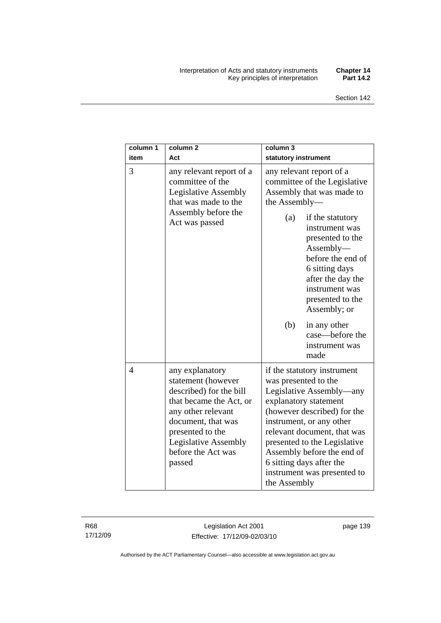#### Interpretation of Acts and statutory instruments **Chapter 14**  Key principles of interpretation **Part 14.2**

| column 1<br>item | column <sub>2</sub><br>Act                                                                                                                                                                                                 | column 3<br>statutory instrument                                                                                                                                                                                                                                                                                                            |
|------------------|----------------------------------------------------------------------------------------------------------------------------------------------------------------------------------------------------------------------------|---------------------------------------------------------------------------------------------------------------------------------------------------------------------------------------------------------------------------------------------------------------------------------------------------------------------------------------------|
| 3                | any relevant report of a<br>committee of the<br><b>Legislative Assembly</b><br>that was made to the<br>Assembly before the<br>Act was passed                                                                               | any relevant report of a<br>committee of the Legislative<br>Assembly that was made to<br>the Assembly-<br>(a)<br>if the statutory<br>instrument was<br>presented to the<br>$\text{Assembly}\text{---}$<br>before the end of<br>6 sitting days<br>after the day the<br>instrument was<br>presented to the<br>Assembly; or                    |
|                  |                                                                                                                                                                                                                            | (b)<br>in any other<br>case—before the<br>instrument was<br>made                                                                                                                                                                                                                                                                            |
| 4                | any explanatory<br>statement (however<br>described) for the bill<br>that became the Act, or<br>any other relevant<br>document, that was<br>presented to the<br><b>Legislative Assembly</b><br>before the Act was<br>passed | if the statutory instrument<br>was presented to the<br>Legislative Assembly—any<br>explanatory statement<br>(however described) for the<br>instrument, or any other<br>relevant document, that was<br>presented to the Legislative<br>Assembly before the end of<br>6 sitting days after the<br>instrument was presented to<br>the Assembly |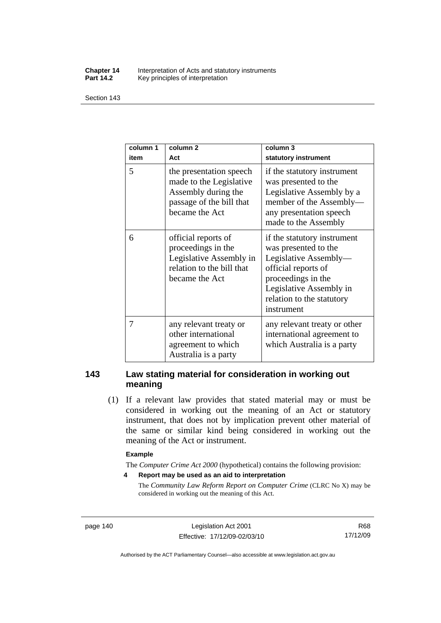#### **Chapter 14** Interpretation of Acts and statutory instruments<br>**Part 14.2** Key principles of interpretation Key principles of interpretation

Section 143

| column 1<br>item | column <sub>2</sub><br>Act                                                                                              | column 3<br>statutory instrument                                                                                                                                                                |
|------------------|-------------------------------------------------------------------------------------------------------------------------|-------------------------------------------------------------------------------------------------------------------------------------------------------------------------------------------------|
| 5                | the presentation speech<br>made to the Legislative<br>Assembly during the<br>passage of the bill that<br>became the Act | if the statutory instrument<br>was presented to the<br>Legislative Assembly by a<br>member of the Assembly-<br>any presentation speech<br>made to the Assembly                                  |
| 6                | official reports of<br>proceedings in the<br>Legislative Assembly in<br>relation to the bill that<br>became the Act     | if the statutory instrument<br>was presented to the<br>Legislative Assembly-<br>official reports of<br>proceedings in the<br>Legislative Assembly in<br>relation to the statutory<br>instrument |
| 7                | any relevant treaty or<br>other international<br>agreement to which<br>Australia is a party                             | any relevant treaty or other<br>international agreement to<br>which Australia is a party                                                                                                        |

## **143 Law stating material for consideration in working out meaning**

 (1) If a relevant law provides that stated material may or must be considered in working out the meaning of an Act or statutory instrument, that does not by implication prevent other material of the same or similar kind being considered in working out the meaning of the Act or instrument.

#### **Example**

The *Computer Crime Act 2000* (hypothetical) contains the following provision:

**4 Report may be used as an aid to interpretation** 

The *Community Law Reform Report on Computer Crime* (CLRC No X) may be considered in working out the meaning of this Act.

page 140 Legislation Act 2001 Effective: 17/12/09-02/03/10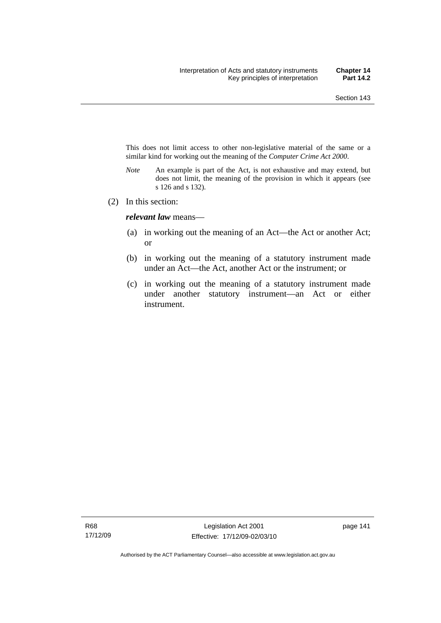This does not limit access to other non-legislative material of the same or a similar kind for working out the meaning of the *Computer Crime Act 2000*.

- *Note* An example is part of the Act, is not exhaustive and may extend, but does not limit, the meaning of the provision in which it appears (see s 126 and s 132).
- (2) In this section:

*relevant law* means—

- (a) in working out the meaning of an Act—the Act or another Act; or
- (b) in working out the meaning of a statutory instrument made under an Act—the Act, another Act or the instrument; or
- (c) in working out the meaning of a statutory instrument made under another statutory instrument—an Act or either instrument.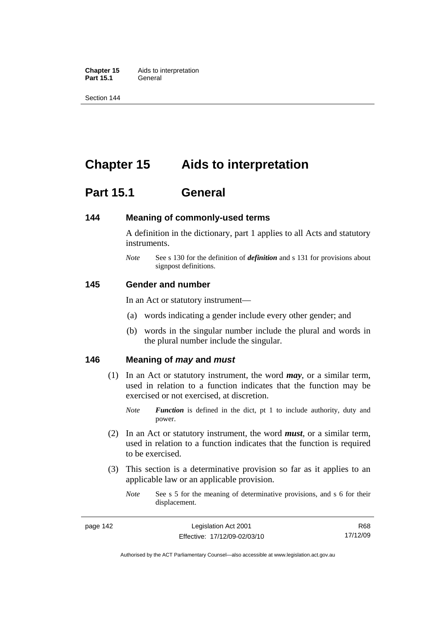**Chapter 15** Aids to interpretation **Part 15.1** General

Section 144

## **Chapter 15 Aids to interpretation**

## **Part 15.1 General**

#### **144 Meaning of commonly-used terms**

A definition in the dictionary, part 1 applies to all Acts and statutory instruments.

*Note* See s 130 for the definition of *definition* and s 131 for provisions about signpost definitions.

#### **145 Gender and number**

In an Act or statutory instrument—

- (a) words indicating a gender include every other gender; and
- (b) words in the singular number include the plural and words in the plural number include the singular.

## **146 Meaning of** *may* **and** *must*

- (1) In an Act or statutory instrument, the word *may*, or a similar term, used in relation to a function indicates that the function may be exercised or not exercised, at discretion.
	- *Note Function* is defined in the dict, pt 1 to include authority, duty and power.
- (2) In an Act or statutory instrument, the word *must*, or a similar term, used in relation to a function indicates that the function is required to be exercised.
- (3) This section is a determinative provision so far as it applies to an applicable law or an applicable provision.
	- *Note* See s 5 for the meaning of determinative provisions, and s 6 for their displacement.

Authorised by the ACT Parliamentary Counsel—also accessible at www.legislation.act.gov.au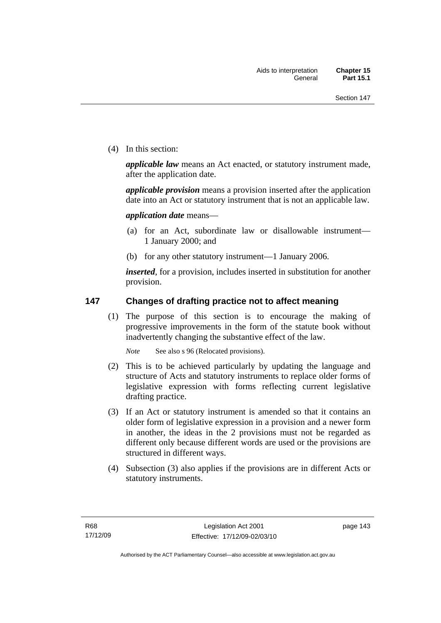(4) In this section:

*applicable law* means an Act enacted, or statutory instrument made, after the application date.

*applicable provision* means a provision inserted after the application date into an Act or statutory instrument that is not an applicable law.

*application date* means—

- (a) for an Act, subordinate law or disallowable instrument— 1 January 2000; and
- (b) for any other statutory instrument—1 January 2006.

*inserted*, for a provision, includes inserted in substitution for another provision.

## **147 Changes of drafting practice not to affect meaning**

 (1) The purpose of this section is to encourage the making of progressive improvements in the form of the statute book without inadvertently changing the substantive effect of the law.

*Note* See also s 96 (Relocated provisions).

- (2) This is to be achieved particularly by updating the language and structure of Acts and statutory instruments to replace older forms of legislative expression with forms reflecting current legislative drafting practice.
- (3) If an Act or statutory instrument is amended so that it contains an older form of legislative expression in a provision and a newer form in another, the ideas in the 2 provisions must not be regarded as different only because different words are used or the provisions are structured in different ways.
- (4) Subsection (3) also applies if the provisions are in different Acts or statutory instruments.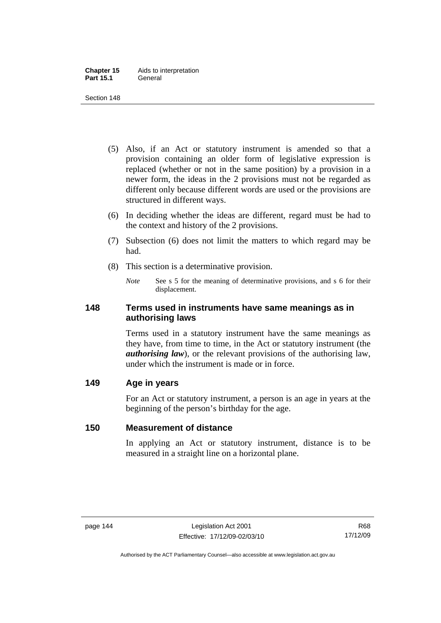- (5) Also, if an Act or statutory instrument is amended so that a provision containing an older form of legislative expression is replaced (whether or not in the same position) by a provision in a newer form, the ideas in the 2 provisions must not be regarded as different only because different words are used or the provisions are structured in different ways.
- (6) In deciding whether the ideas are different, regard must be had to the context and history of the 2 provisions.
- (7) Subsection (6) does not limit the matters to which regard may be had.
- (8) This section is a determinative provision.
	- *Note* See s 5 for the meaning of determinative provisions, and s 6 for their displacement.

## **148 Terms used in instruments have same meanings as in authorising laws**

Terms used in a statutory instrument have the same meanings as they have, from time to time, in the Act or statutory instrument (the *authorising law*), or the relevant provisions of the authorising law, under which the instrument is made or in force.

## **149 Age in years**

For an Act or statutory instrument, a person is an age in years at the beginning of the person's birthday for the age.

## **150 Measurement of distance**

In applying an Act or statutory instrument, distance is to be measured in a straight line on a horizontal plane.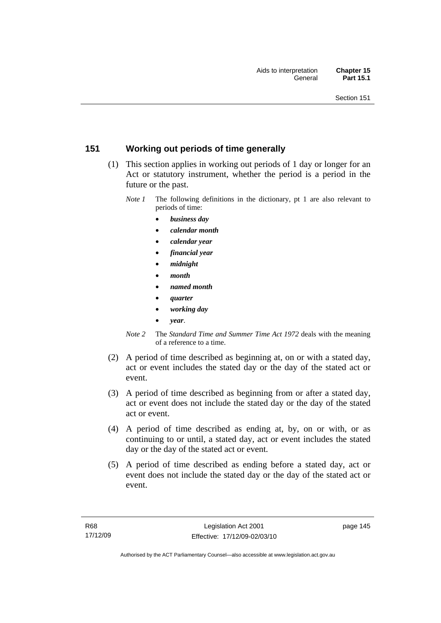## **151 Working out periods of time generally**

- (1) This section applies in working out periods of 1 day or longer for an Act or statutory instrument, whether the period is a period in the future or the past.
	- *Note 1* The following definitions in the dictionary, pt 1 are also relevant to periods of time:
		- *business day*
		- *calendar month*
		- *calendar year*
		- *financial year*
		- *midnight*
		- *month*
		- *named month*
		- *quarter*
		- *working day*
		- *year*.
	- *Note 2* The *Standard Time and Summer Time Act 1972* deals with the meaning of a reference to a time.
- (2) A period of time described as beginning at, on or with a stated day, act or event includes the stated day or the day of the stated act or event.
- (3) A period of time described as beginning from or after a stated day, act or event does not include the stated day or the day of the stated act or event.
- (4) A period of time described as ending at, by, on or with, or as continuing to or until, a stated day, act or event includes the stated day or the day of the stated act or event.
- (5) A period of time described as ending before a stated day, act or event does not include the stated day or the day of the stated act or event.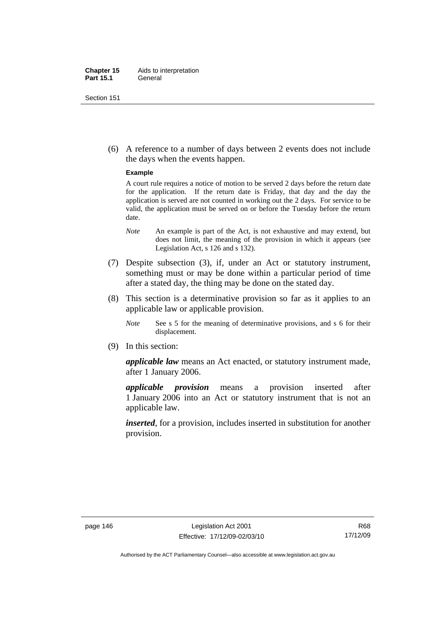#### **Chapter 15** Aids to interpretation **Part 15.1** General

Section 151

 (6) A reference to a number of days between 2 events does not include the days when the events happen.

#### **Example**

A court rule requires a notice of motion to be served 2 days before the return date for the application. If the return date is Friday, that day and the day the application is served are not counted in working out the 2 days. For service to be valid, the application must be served on or before the Tuesday before the return date.

- *Note* An example is part of the Act, is not exhaustive and may extend, but does not limit, the meaning of the provision in which it appears (see Legislation Act, s 126 and s 132).
- (7) Despite subsection (3), if, under an Act or statutory instrument, something must or may be done within a particular period of time after a stated day, the thing may be done on the stated day.
- (8) This section is a determinative provision so far as it applies to an applicable law or applicable provision.
	- *Note* See s 5 for the meaning of determinative provisions, and s 6 for their displacement.
- (9) In this section:

*applicable law* means an Act enacted, or statutory instrument made, after 1 January 2006.

*applicable provision* means a provision inserted after 1 January 2006 into an Act or statutory instrument that is not an applicable law.

*inserted*, for a provision, includes inserted in substitution for another provision.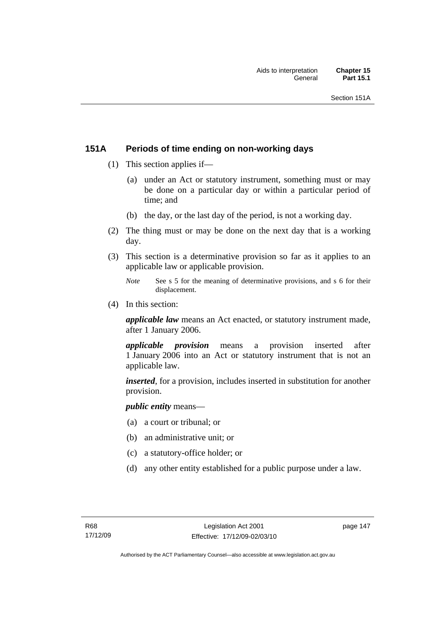## **151A Periods of time ending on non-working days**

- (1) This section applies if—
	- (a) under an Act or statutory instrument, something must or may be done on a particular day or within a particular period of time; and
	- (b) the day, or the last day of the period, is not a working day.
- (2) The thing must or may be done on the next day that is a working day.
- (3) This section is a determinative provision so far as it applies to an applicable law or applicable provision.
	- *Note* See s 5 for the meaning of determinative provisions, and s 6 for their displacement.
- (4) In this section:

*applicable law* means an Act enacted, or statutory instrument made, after 1 January 2006.

*applicable provision* means a provision inserted after 1 January 2006 into an Act or statutory instrument that is not an applicable law.

*inserted*, for a provision, includes inserted in substitution for another provision.

*public entity* means—

- (a) a court or tribunal; or
- (b) an administrative unit; or
- (c) a statutory-office holder; or
- (d) any other entity established for a public purpose under a law.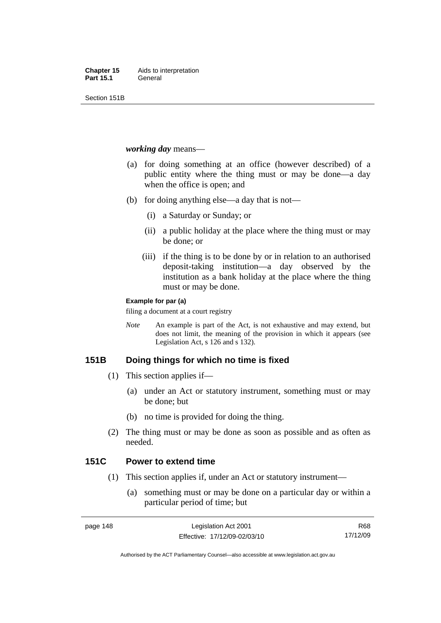Section 151B

#### *working day* means—

- (a) for doing something at an office (however described) of a public entity where the thing must or may be done—a day when the office is open; and
- (b) for doing anything else—a day that is not—
	- (i) a Saturday or Sunday; or
	- (ii) a public holiday at the place where the thing must or may be done; or
	- (iii) if the thing is to be done by or in relation to an authorised deposit-taking institution—a day observed by the institution as a bank holiday at the place where the thing must or may be done.

#### **Example for par (a)**

filing a document at a court registry

*Note* An example is part of the Act, is not exhaustive and may extend, but does not limit, the meaning of the provision in which it appears (see Legislation Act, s 126 and s 132).

## **151B Doing things for which no time is fixed**

- (1) This section applies if—
	- (a) under an Act or statutory instrument, something must or may be done; but
	- (b) no time is provided for doing the thing.
- (2) The thing must or may be done as soon as possible and as often as needed.

## **151C Power to extend time**

- (1) This section applies if, under an Act or statutory instrument—
	- (a) something must or may be done on a particular day or within a particular period of time; but

R68 17/12/09

Authorised by the ACT Parliamentary Counsel—also accessible at www.legislation.act.gov.au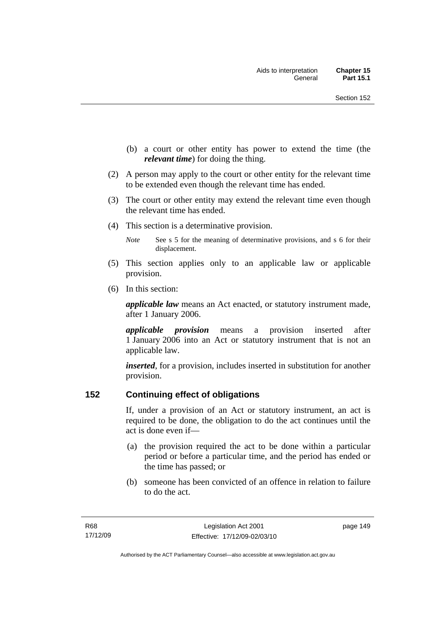- (b) a court or other entity has power to extend the time (the *relevant time*) for doing the thing.
- (2) A person may apply to the court or other entity for the relevant time to be extended even though the relevant time has ended.
- (3) The court or other entity may extend the relevant time even though the relevant time has ended.
- (4) This section is a determinative provision.
	- *Note* See s 5 for the meaning of determinative provisions, and s 6 for their displacement.
- (5) This section applies only to an applicable law or applicable provision.
- (6) In this section:

*applicable law* means an Act enacted, or statutory instrument made, after 1 January 2006.

*applicable provision* means a provision inserted after 1 January 2006 into an Act or statutory instrument that is not an applicable law.

*inserted*, for a provision, includes inserted in substitution for another provision.

## **152 Continuing effect of obligations**

If, under a provision of an Act or statutory instrument, an act is required to be done, the obligation to do the act continues until the act is done even if—

- (a) the provision required the act to be done within a particular period or before a particular time, and the period has ended or the time has passed; or
- (b) someone has been convicted of an offence in relation to failure to do the act.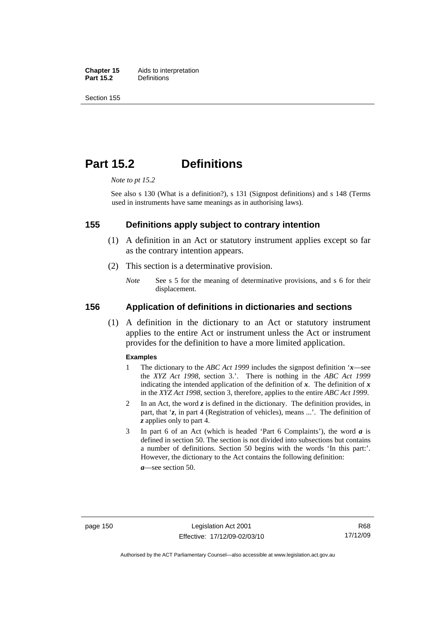**Chapter 15** Aids to interpretation<br>**Part 15.2** Definitions **Definitions** 

Section 155

## **Part 15.2 Definitions**

*Note to pt 15.2* 

See also s 130 (What is a definition?), s 131 (Signpost definitions) and s 148 (Terms used in instruments have same meanings as in authorising laws).

#### **155 Definitions apply subject to contrary intention**

- (1) A definition in an Act or statutory instrument applies except so far as the contrary intention appears.
- (2) This section is a determinative provision.
	- *Note* See s 5 for the meaning of determinative provisions, and s 6 for their displacement.

#### **156 Application of definitions in dictionaries and sections**

 (1) A definition in the dictionary to an Act or statutory instrument applies to the entire Act or instrument unless the Act or instrument provides for the definition to have a more limited application.

#### **Examples**

- 1 The dictionary to the *ABC Act 1999* includes the signpost definition '*x*—see the *XYZ Act 1998*, section 3.'. There is nothing in the *ABC Act 1999* indicating the intended application of the definition of  $x$ . The definition of  $x$ in the *XYZ Act 1998*, section 3, therefore, applies to the entire *ABC Act 1999*.
- 2 In an Act, the word *z* is defined in the dictionary. The definition provides, in part, that '*z*, in part 4 (Registration of vehicles), means ...'. The definition of *z* applies only to part 4.
- 3 In part 6 of an Act (which is headed 'Part 6 Complaints'), the word *a* is defined in section 50. The section is not divided into subsections but contains a number of definitions. Section 50 begins with the words 'In this part:'. However, the dictionary to the Act contains the following definition:

*a*—see section 50.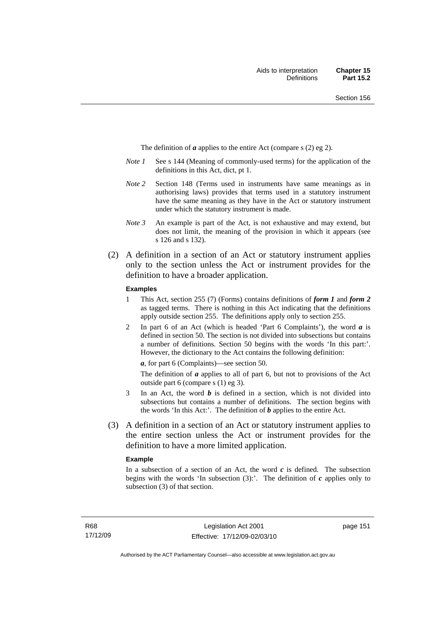The definition of *a* applies to the entire Act (compare s (2) eg 2).

- *Note 1* See s 144 (Meaning of commonly-used terms) for the application of the definitions in this Act, dict, pt 1.
- *Note 2* Section 148 (Terms used in instruments have same meanings as in authorising laws) provides that terms used in a statutory instrument have the same meaning as they have in the Act or statutory instrument under which the statutory instrument is made.
- *Note 3* An example is part of the Act, is not exhaustive and may extend, but does not limit, the meaning of the provision in which it appears (see s 126 and s 132).
- (2) A definition in a section of an Act or statutory instrument applies only to the section unless the Act or instrument provides for the definition to have a broader application.

#### **Examples**

- 1 This Act, section 255 (7) (Forms) contains definitions of *form 1* and *form 2* as tagged terms. There is nothing in this Act indicating that the definitions apply outside section 255. The definitions apply only to section 255.
- 2 In part 6 of an Act (which is headed 'Part 6 Complaints'), the word *a* is defined in section 50. The section is not divided into subsections but contains a number of definitions. Section 50 begins with the words 'In this part:'. However, the dictionary to the Act contains the following definition:

*a*, for part 6 (Complaints)—see section 50.

The definition of *a* applies to all of part 6, but not to provisions of the Act outside part 6 (compare s (1) eg 3).

- 3 In an Act, the word *b* is defined in a section, which is not divided into subsections but contains a number of definitions. The section begins with the words 'In this Act:'. The definition of *b* applies to the entire Act.
- (3) A definition in a section of an Act or statutory instrument applies to the entire section unless the Act or instrument provides for the definition to have a more limited application.

#### **Example**

In a subsection of a section of an Act, the word  $c$  is defined. The subsection begins with the words 'In subsection  $(3)$ :'. The definition of  $c$  applies only to subsection (3) of that section.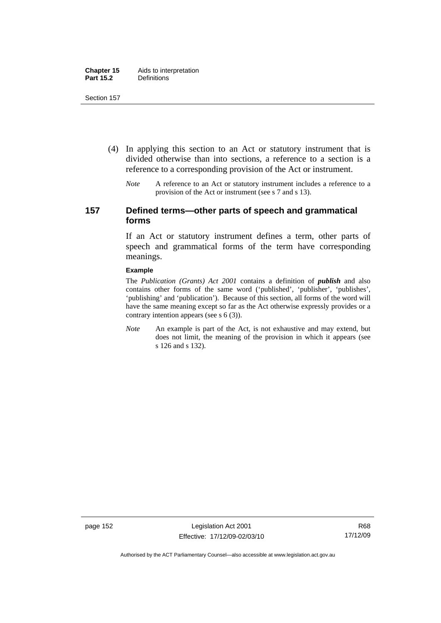- (4) In applying this section to an Act or statutory instrument that is divided otherwise than into sections, a reference to a section is a reference to a corresponding provision of the Act or instrument.
	- *Note* A reference to an Act or statutory instrument includes a reference to a provision of the Act or instrument (see s 7 and s 13).

## **157 Defined terms—other parts of speech and grammatical forms**

If an Act or statutory instrument defines a term, other parts of speech and grammatical forms of the term have corresponding meanings.

#### **Example**

The *Publication (Grants) Act 2001* contains a definition of *publish* and also contains other forms of the same word ('published', 'publisher', 'publishes', 'publishing' and 'publication'). Because of this section, all forms of the word will have the same meaning except so far as the Act otherwise expressly provides or a contrary intention appears (see s 6 (3)).

*Note* An example is part of the Act, is not exhaustive and may extend, but does not limit, the meaning of the provision in which it appears (see s 126 and s 132).

page 152 Legislation Act 2001 Effective: 17/12/09-02/03/10

Authorised by the ACT Parliamentary Counsel—also accessible at www.legislation.act.gov.au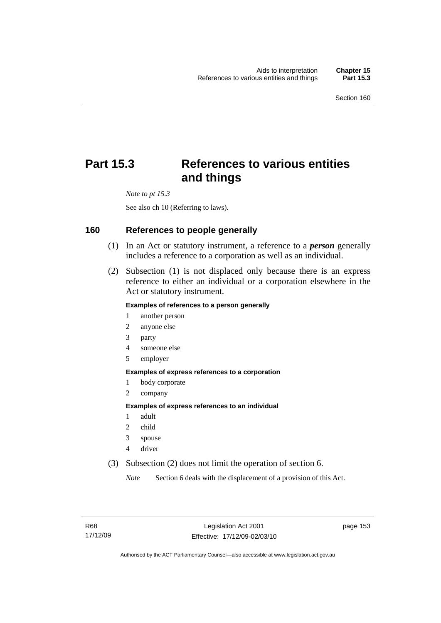# **Part 15.3 References to various entities and things**

*Note to pt 15.3* 

See also ch 10 (Referring to laws).

#### **160 References to people generally**

- (1) In an Act or statutory instrument, a reference to a *person* generally includes a reference to a corporation as well as an individual.
- (2) Subsection (1) is not displaced only because there is an express reference to either an individual or a corporation elsewhere in the Act or statutory instrument.

#### **Examples of references to a person generally**

- 1 another person
- 2 anyone else
- 3 party
- 4 someone else
- 5 employer

#### **Examples of express references to a corporation**

- 1 body corporate
- 2 company

#### **Examples of express references to an individual**

- 1 adult
- 2 child
- 3 spouse
- 4 driver
- (3) Subsection (2) does not limit the operation of section 6.

*Note* Section 6 deals with the displacement of a provision of this Act.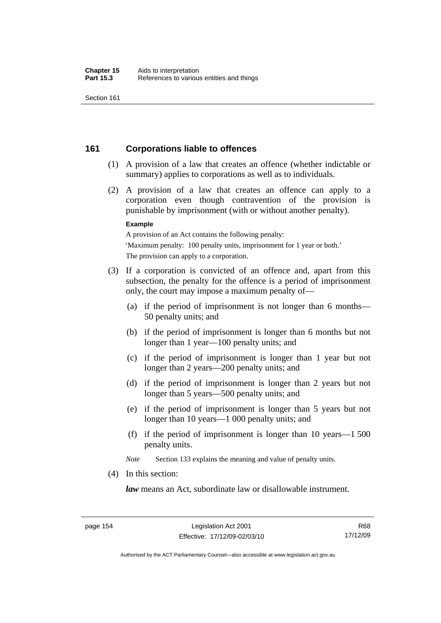## **161 Corporations liable to offences**

- (1) A provision of a law that creates an offence (whether indictable or summary) applies to corporations as well as to individuals.
- (2) A provision of a law that creates an offence can apply to a corporation even though contravention of the provision is punishable by imprisonment (with or without another penalty).

#### **Example**

A provision of an Act contains the following penalty: 'Maximum penalty: 100 penalty units, imprisonment for 1 year or both.' The provision can apply to a corporation.

- (3) If a corporation is convicted of an offence and, apart from this subsection, the penalty for the offence is a period of imprisonment only, the court may impose a maximum penalty of—
	- (a) if the period of imprisonment is not longer than 6 months— 50 penalty units; and
	- (b) if the period of imprisonment is longer than 6 months but not longer than 1 year—100 penalty units; and
	- (c) if the period of imprisonment is longer than 1 year but not longer than 2 years—200 penalty units; and
	- (d) if the period of imprisonment is longer than 2 years but not longer than 5 years—500 penalty units; and
	- (e) if the period of imprisonment is longer than 5 years but not longer than 10 years—1 000 penalty units; and
	- (f) if the period of imprisonment is longer than 10 years—1 500 penalty units.

*Note* Section 133 explains the meaning and value of penalty units.

(4) In this section:

*law* means an Act, subordinate law or disallowable instrument.

Authorised by the ACT Parliamentary Counsel—also accessible at www.legislation.act.gov.au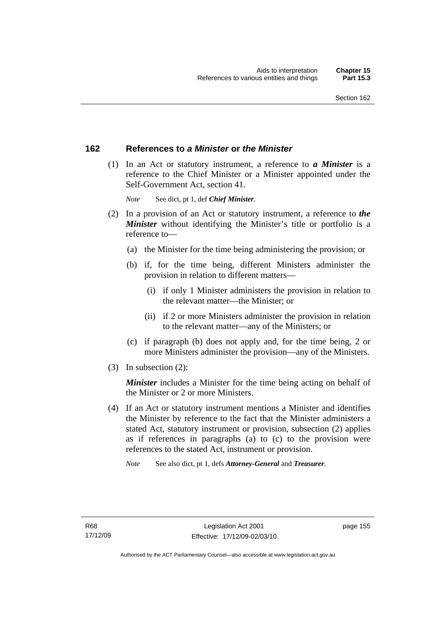## **162 References to** *a Minister* **or** *the Minister*

 (1) In an Act or statutory instrument, a reference to *a Minister* is a reference to the Chief Minister or a Minister appointed under the Self-Government Act, section 41.

*Note* See dict, pt 1, def *Chief Minister*.

- (2) In a provision of an Act or statutory instrument, a reference to *the Minister* without identifying the Minister's title or portfolio is a reference to—
	- (a) the Minister for the time being administering the provision; or
	- (b) if, for the time being, different Ministers administer the provision in relation to different matters—
		- (i) if only 1 Minister administers the provision in relation to the relevant matter—the Minister; or
		- (ii) if 2 or more Ministers administer the provision in relation to the relevant matter—any of the Ministers; or
	- (c) if paragraph (b) does not apply and, for the time being, 2 or more Ministers administer the provision—any of the Ministers.
- (3) In subsection (2):

*Minister* includes a Minister for the time being acting on behalf of the Minister or 2 or more Ministers.

 (4) If an Act or statutory instrument mentions a Minister and identifies the Minister by reference to the fact that the Minister administers a stated Act, statutory instrument or provision, subsection (2) applies as if references in paragraphs (a) to (c) to the provision were references to the stated Act, instrument or provision.

*Note* See also dict, pt 1, defs *Attorney-General* and *Treasurer*.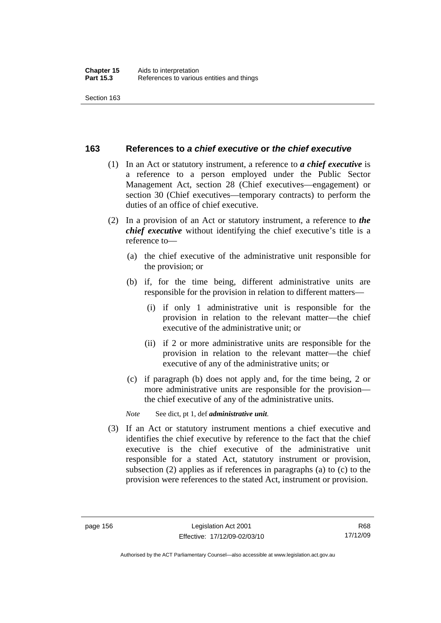#### **163 References to** *a chief executive* **or** *the chief executive*

- (1) In an Act or statutory instrument, a reference to *a chief executive* is a reference to a person employed under the Public Sector Management Act, section 28 (Chief executives—engagement) or section 30 (Chief executives—temporary contracts) to perform the duties of an office of chief executive.
- (2) In a provision of an Act or statutory instrument, a reference to *the chief executive* without identifying the chief executive's title is a reference to—
	- (a) the chief executive of the administrative unit responsible for the provision; or
	- (b) if, for the time being, different administrative units are responsible for the provision in relation to different matters—
		- (i) if only 1 administrative unit is responsible for the provision in relation to the relevant matter—the chief executive of the administrative unit; or
		- (ii) if 2 or more administrative units are responsible for the provision in relation to the relevant matter—the chief executive of any of the administrative units; or
	- (c) if paragraph (b) does not apply and, for the time being, 2 or more administrative units are responsible for the provision the chief executive of any of the administrative units.

*Note* See dict, pt 1, def *administrative unit*.

 (3) If an Act or statutory instrument mentions a chief executive and identifies the chief executive by reference to the fact that the chief executive is the chief executive of the administrative unit responsible for a stated Act, statutory instrument or provision, subsection (2) applies as if references in paragraphs (a) to (c) to the provision were references to the stated Act, instrument or provision.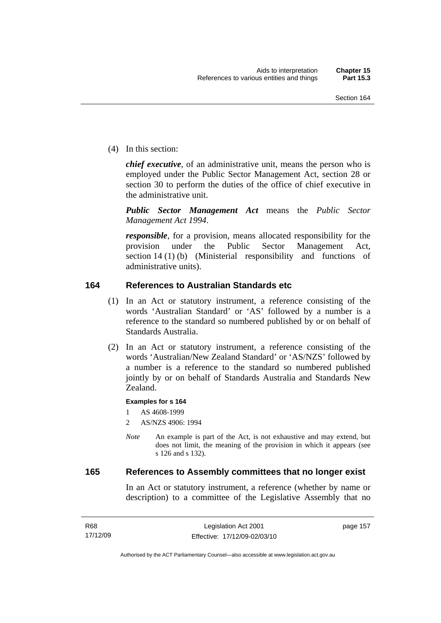(4) In this section:

*chief executive*, of an administrative unit, means the person who is employed under the Public Sector Management Act, section 28 or section 30 to perform the duties of the office of chief executive in the administrative unit.

*Public Sector Management Act* means the *Public Sector Management Act 1994*.

*responsible*, for a provision, means allocated responsibility for the provision under the Public Sector Management Act, section 14 (1) (b) (Ministerial responsibility and functions of administrative units).

## **164 References to Australian Standards etc**

- (1) In an Act or statutory instrument, a reference consisting of the words 'Australian Standard' or 'AS' followed by a number is a reference to the standard so numbered published by or on behalf of Standards Australia.
- (2) In an Act or statutory instrument, a reference consisting of the words 'Australian/New Zealand Standard' or 'AS/NZS' followed by a number is a reference to the standard so numbered published jointly by or on behalf of Standards Australia and Standards New Zealand.

#### **Examples for s 164**

1 AS 4608-1999

- 2 AS/NZS 4906: 1994
- *Note* An example is part of the Act, is not exhaustive and may extend, but does not limit, the meaning of the provision in which it appears (see s 126 and s 132).

#### **165 References to Assembly committees that no longer exist**

In an Act or statutory instrument, a reference (whether by name or description) to a committee of the Legislative Assembly that no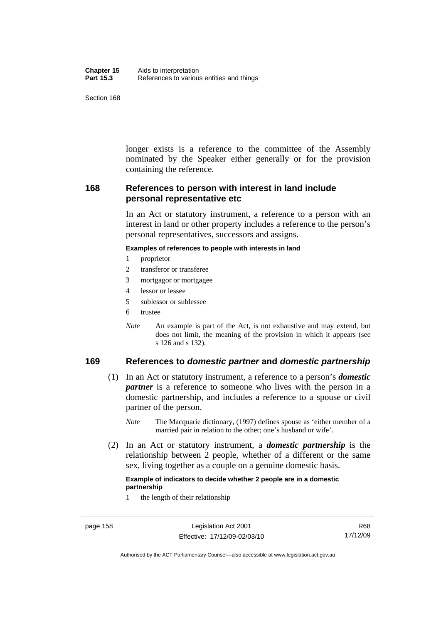| Chapter 15       | Aids to interpretation                    |
|------------------|-------------------------------------------|
| <b>Part 15.3</b> | References to various entities and things |

longer exists is a reference to the committee of the Assembly nominated by the Speaker either generally or for the provision containing the reference.

## **168 References to person with interest in land include personal representative etc**

In an Act or statutory instrument, a reference to a person with an interest in land or other property includes a reference to the person's personal representatives, successors and assigns.

#### **Examples of references to people with interests in land**

- 1 proprietor
- 2 transferor or transferee
- 3 mortgagor or mortgagee
- 4 lessor or lessee
- 5 sublessor or sublessee
- 6 trustee
- *Note* An example is part of the Act, is not exhaustive and may extend, but does not limit, the meaning of the provision in which it appears (see s 126 and s 132).

## **169 References to** *domestic partner* **and** *domestic partnership*

- (1) In an Act or statutory instrument, a reference to a person's *domestic partner* is a reference to someone who lives with the person in a domestic partnership, and includes a reference to a spouse or civil partner of the person.
	- *Note* The Macquarie dictionary, (1997) defines spouse as 'either member of a married pair in relation to the other; one's husband or wife'.
- (2) In an Act or statutory instrument, a *domestic partnership* is the relationship between 2 people, whether of a different or the same sex, living together as a couple on a genuine domestic basis.

#### **Example of indicators to decide whether 2 people are in a domestic partnership**

1 the length of their relationship

Authorised by the ACT Parliamentary Counsel—also accessible at www.legislation.act.gov.au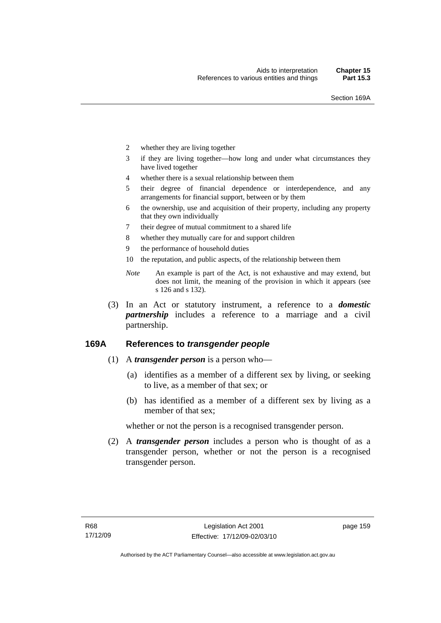- 2 whether they are living together
- 3 if they are living together—how long and under what circumstances they have lived together
- 4 whether there is a sexual relationship between them
- 5 their degree of financial dependence or interdependence, and any arrangements for financial support, between or by them
- 6 the ownership, use and acquisition of their property, including any property that they own individually
- 7 their degree of mutual commitment to a shared life
- 8 whether they mutually care for and support children
- 9 the performance of household duties
- 10 the reputation, and public aspects, of the relationship between them
- *Note* An example is part of the Act, is not exhaustive and may extend, but does not limit, the meaning of the provision in which it appears (see s 126 and s 132).
- (3) In an Act or statutory instrument, a reference to a *domestic partnership* includes a reference to a marriage and a civil partnership.

## **169A References to** *transgender people*

- (1) A *transgender person* is a person who—
	- (a) identifies as a member of a different sex by living, or seeking to live, as a member of that sex; or
	- (b) has identified as a member of a different sex by living as a member of that sex;

whether or not the person is a recognised transgender person.

 (2) A *transgender person* includes a person who is thought of as a transgender person, whether or not the person is a recognised transgender person.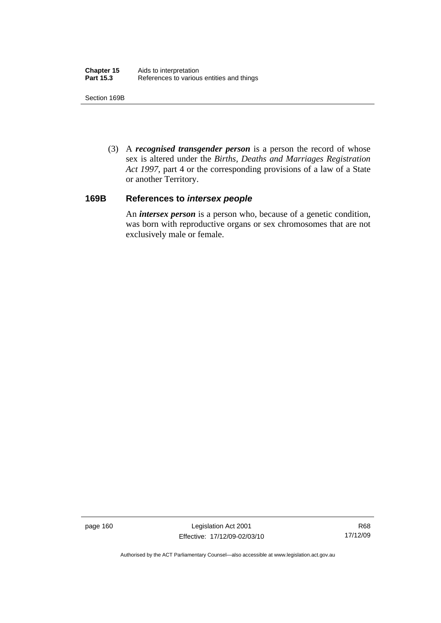Section 169B

 (3) A *recognised transgender person* is a person the record of whose sex is altered under the *Births, Deaths and Marriages Registration Act 1997*, part 4 or the corresponding provisions of a law of a State or another Territory.

#### **169B References to** *intersex people*

An *intersex person* is a person who, because of a genetic condition, was born with reproductive organs or sex chromosomes that are not exclusively male or female.

page 160 Legislation Act 2001 Effective: 17/12/09-02/03/10

Authorised by the ACT Parliamentary Counsel—also accessible at www.legislation.act.gov.au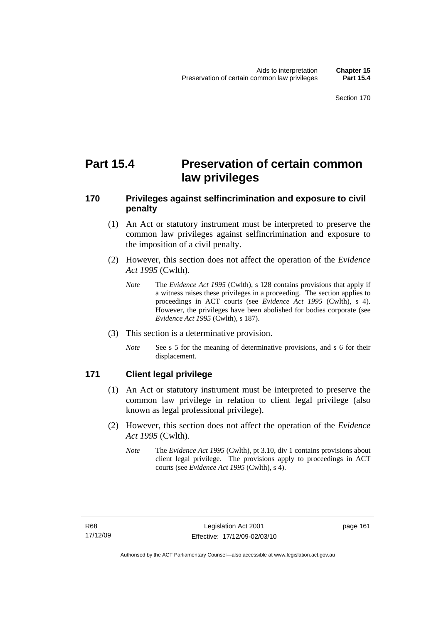# **Part 15.4 Preservation of certain common law privileges**

## **170 Privileges against selfincrimination and exposure to civil penalty**

- (1) An Act or statutory instrument must be interpreted to preserve the common law privileges against selfincrimination and exposure to the imposition of a civil penalty.
- (2) However, this section does not affect the operation of the *Evidence Act 1995* (Cwlth).
	- *Note* The *Evidence Act 1995* (Cwlth), s 128 contains provisions that apply if a witness raises these privileges in a proceeding. The section applies to proceedings in ACT courts (see *Evidence Act 1995* (Cwlth), s 4). However, the privileges have been abolished for bodies corporate (see *Evidence Act 1995* (Cwlth), s 187).
- (3) This section is a determinative provision.
	- *Note* See s 5 for the meaning of determinative provisions, and s 6 for their displacement.

## **171 Client legal privilege**

- (1) An Act or statutory instrument must be interpreted to preserve the common law privilege in relation to client legal privilege (also known as legal professional privilege).
- (2) However, this section does not affect the operation of the *Evidence Act 1995* (Cwlth).
	- *Note* The *Evidence Act 1995* (Cwlth), pt 3.10, div 1 contains provisions about client legal privilege. The provisions apply to proceedings in ACT courts (see *Evidence Act 1995* (Cwlth), s 4).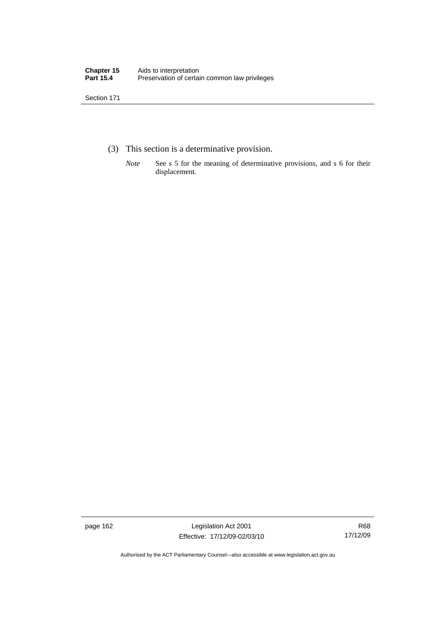- (3) This section is a determinative provision.
	- *Note* See s 5 for the meaning of determinative provisions, and s 6 for their displacement.

page 162 Legislation Act 2001 Effective: 17/12/09-02/03/10

R68 17/12/09

Authorised by the ACT Parliamentary Counsel—also accessible at www.legislation.act.gov.au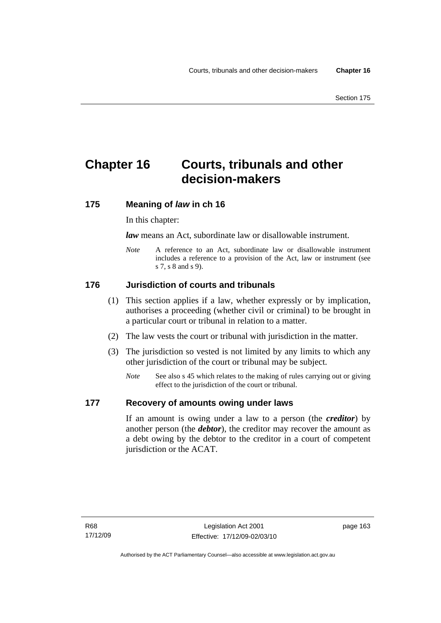# **Chapter 16 Courts, tribunals and other decision-makers**

## **175 Meaning of** *law* **in ch 16**

In this chapter:

*law* means an Act, subordinate law or disallowable instrument.

*Note* A reference to an Act, subordinate law or disallowable instrument includes a reference to a provision of the Act, law or instrument (see s 7, s 8 and s 9).

## **176 Jurisdiction of courts and tribunals**

- (1) This section applies if a law, whether expressly or by implication, authorises a proceeding (whether civil or criminal) to be brought in a particular court or tribunal in relation to a matter.
- (2) The law vests the court or tribunal with jurisdiction in the matter.
- (3) The jurisdiction so vested is not limited by any limits to which any other jurisdiction of the court or tribunal may be subject.
	- *Note* See also s 45 which relates to the making of rules carrying out or giving effect to the jurisdiction of the court or tribunal.

## **177 Recovery of amounts owing under laws**

If an amount is owing under a law to a person (the *creditor*) by another person (the *debtor*), the creditor may recover the amount as a debt owing by the debtor to the creditor in a court of competent jurisdiction or the ACAT.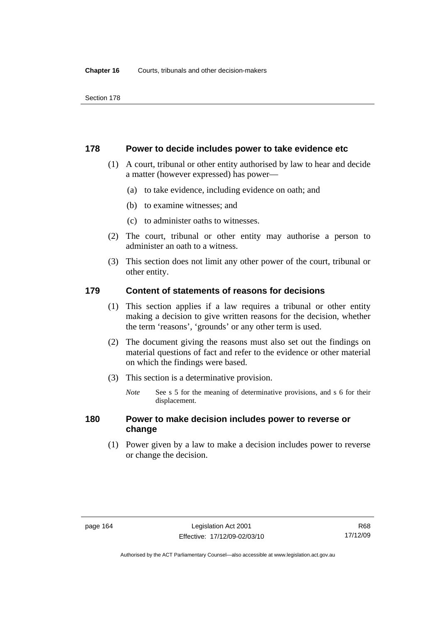#### **178 Power to decide includes power to take evidence etc**

- (1) A court, tribunal or other entity authorised by law to hear and decide a matter (however expressed) has power—
	- (a) to take evidence, including evidence on oath; and
	- (b) to examine witnesses; and
	- (c) to administer oaths to witnesses.
- (2) The court, tribunal or other entity may authorise a person to administer an oath to a witness.
- (3) This section does not limit any other power of the court, tribunal or other entity.

## **179 Content of statements of reasons for decisions**

- (1) This section applies if a law requires a tribunal or other entity making a decision to give written reasons for the decision, whether the term 'reasons', 'grounds' or any other term is used.
- (2) The document giving the reasons must also set out the findings on material questions of fact and refer to the evidence or other material on which the findings were based.
- (3) This section is a determinative provision.
	- *Note* See s 5 for the meaning of determinative provisions, and s 6 for their displacement.

## **180 Power to make decision includes power to reverse or change**

 (1) Power given by a law to make a decision includes power to reverse or change the decision.

Authorised by the ACT Parliamentary Counsel—also accessible at www.legislation.act.gov.au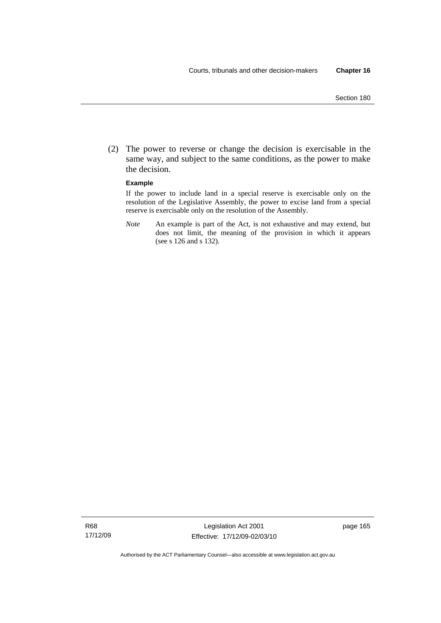(2) The power to reverse or change the decision is exercisable in the same way, and subject to the same conditions, as the power to make the decision.

#### **Example**

If the power to include land in a special reserve is exercisable only on the resolution of the Legislative Assembly, the power to excise land from a special reserve is exercisable only on the resolution of the Assembly.

*Note* An example is part of the Act, is not exhaustive and may extend, but does not limit, the meaning of the provision in which it appears (see s 126 and s 132).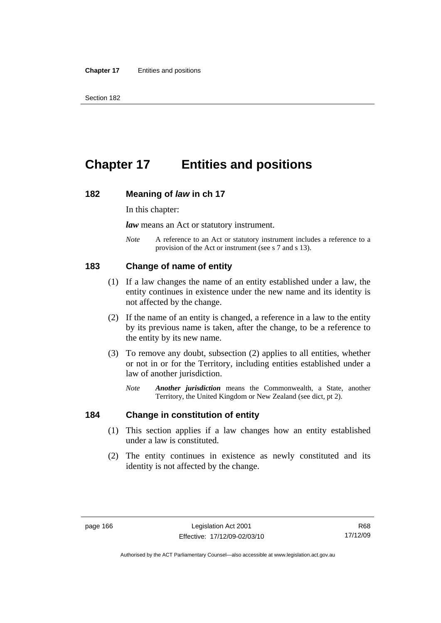# **Chapter 17 Entities and positions**

#### **182 Meaning of** *law* **in ch 17**

In this chapter:

*law* means an Act or statutory instrument.

*Note* A reference to an Act or statutory instrument includes a reference to a provision of the Act or instrument (see s 7 and s 13).

## **183 Change of name of entity**

- (1) If a law changes the name of an entity established under a law, the entity continues in existence under the new name and its identity is not affected by the change.
- (2) If the name of an entity is changed, a reference in a law to the entity by its previous name is taken, after the change, to be a reference to the entity by its new name.
- (3) To remove any doubt, subsection (2) applies to all entities, whether or not in or for the Territory, including entities established under a law of another jurisdiction.
	- *Note Another jurisdiction* means the Commonwealth, a State, another Territory, the United Kingdom or New Zealand (see dict, pt 2).

#### **184 Change in constitution of entity**

- (1) This section applies if a law changes how an entity established under a law is constituted.
- (2) The entity continues in existence as newly constituted and its identity is not affected by the change.

Authorised by the ACT Parliamentary Counsel—also accessible at www.legislation.act.gov.au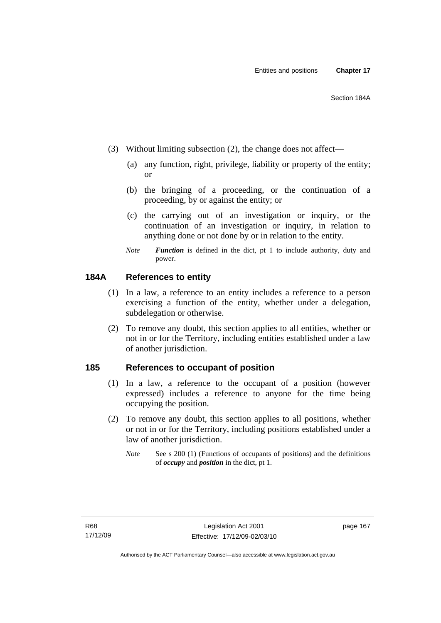- (3) Without limiting subsection (2), the change does not affect—
	- (a) any function, right, privilege, liability or property of the entity; or
	- (b) the bringing of a proceeding, or the continuation of a proceeding, by or against the entity; or
	- (c) the carrying out of an investigation or inquiry, or the continuation of an investigation or inquiry, in relation to anything done or not done by or in relation to the entity.
	- *Note Function* is defined in the dict, pt 1 to include authority, duty and power.

## **184A References to entity**

- (1) In a law, a reference to an entity includes a reference to a person exercising a function of the entity, whether under a delegation, subdelegation or otherwise.
- (2) To remove any doubt, this section applies to all entities, whether or not in or for the Territory, including entities established under a law of another jurisdiction.

## **185 References to occupant of position**

- (1) In a law, a reference to the occupant of a position (however expressed) includes a reference to anyone for the time being occupying the position.
- (2) To remove any doubt, this section applies to all positions, whether or not in or for the Territory, including positions established under a law of another jurisdiction.
	- *Note* See s 200 (1) (Functions of occupants of positions) and the definitions of *occupy* and *position* in the dict, pt 1.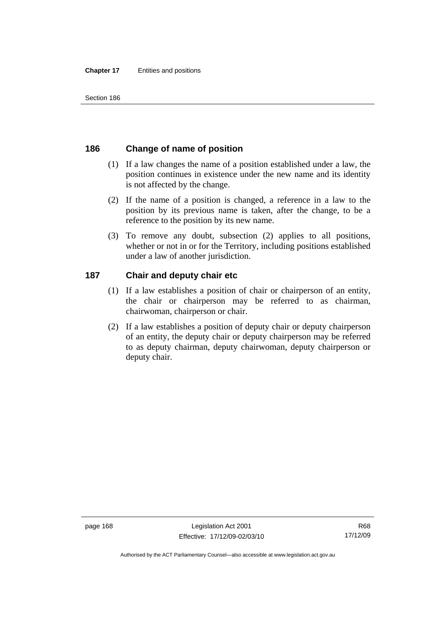# **186 Change of name of position**

- (1) If a law changes the name of a position established under a law, the position continues in existence under the new name and its identity is not affected by the change.
- (2) If the name of a position is changed, a reference in a law to the position by its previous name is taken, after the change, to be a reference to the position by its new name.
- (3) To remove any doubt, subsection (2) applies to all positions, whether or not in or for the Territory, including positions established under a law of another jurisdiction.

# **187 Chair and deputy chair etc**

- (1) If a law establishes a position of chair or chairperson of an entity, the chair or chairperson may be referred to as chairman, chairwoman, chairperson or chair.
- (2) If a law establishes a position of deputy chair or deputy chairperson of an entity, the deputy chair or deputy chairperson may be referred to as deputy chairman, deputy chairwoman, deputy chairperson or deputy chair.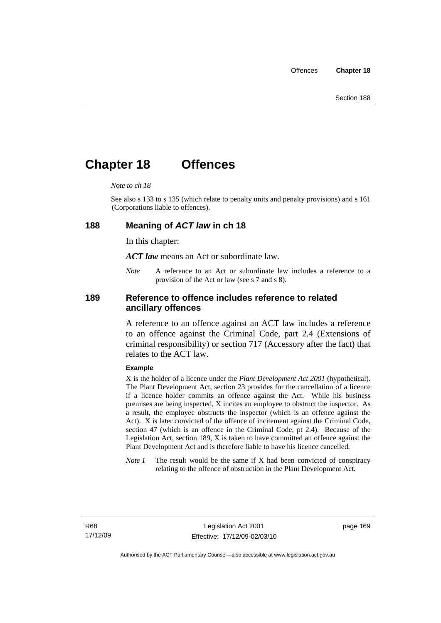# **Chapter 18 Offences**

#### *Note to ch 18*

See also s 133 to s 135 (which relate to penalty units and penalty provisions) and s 161 (Corporations liable to offences).

#### **188 Meaning of** *ACT law* **in ch 18**

In this chapter:

*ACT law* means an Act or subordinate law.

*Note* A reference to an Act or subordinate law includes a reference to a provision of the Act or law (see s 7 and s 8).

## **189 Reference to offence includes reference to related ancillary offences**

A reference to an offence against an ACT law includes a reference to an offence against the Criminal Code, part 2.4 (Extensions of criminal responsibility) or section 717 (Accessory after the fact) that relates to the ACT law.

#### **Example**

X is the holder of a licence under the *Plant Development Act 2001* (hypothetical). The Plant Development Act, section 23 provides for the cancellation of a licence if a licence holder commits an offence against the Act. While his business premises are being inspected, X incites an employee to obstruct the inspector. As a result, the employee obstructs the inspector (which is an offence against the Act). X is later convicted of the offence of incitement against the Criminal Code, section 47 (which is an offence in the Criminal Code, pt 2.4). Because of the Legislation Act, section 189, X is taken to have committed an offence against the Plant Development Act and is therefore liable to have his licence cancelled.

*Note 1* The result would be the same if X had been convicted of conspiracy relating to the offence of obstruction in the Plant Development Act.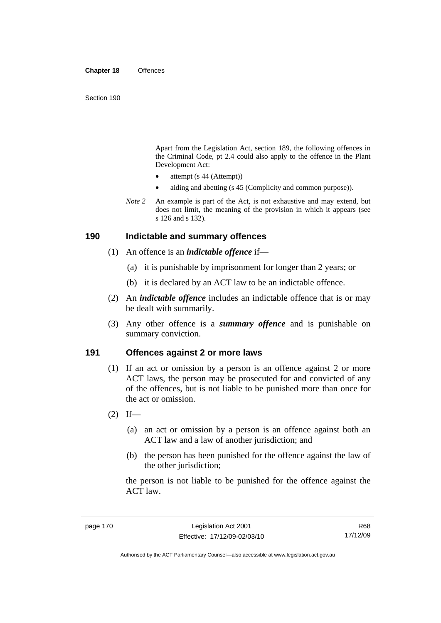Apart from the Legislation Act, section 189, the following offences in the Criminal Code*,* pt 2.4 could also apply to the offence in the Plant Development Act:

- attempt (s 44 (Attempt))
- aiding and abetting (s 45 (Complicity and common purpose)).
- *Note* 2 An example is part of the Act, is not exhaustive and may extend, but does not limit, the meaning of the provision in which it appears (see s 126 and s 132).

#### **190 Indictable and summary offences**

- (1) An offence is an *indictable offence* if—
	- (a) it is punishable by imprisonment for longer than 2 years; or
	- (b) it is declared by an ACT law to be an indictable offence.
- (2) An *indictable offence* includes an indictable offence that is or may be dealt with summarily.
- (3) Any other offence is a *summary offence* and is punishable on summary conviction.

## **191 Offences against 2 or more laws**

- (1) If an act or omission by a person is an offence against 2 or more ACT laws, the person may be prosecuted for and convicted of any of the offences, but is not liable to be punished more than once for the act or omission.
- $(2)$  If—
	- (a) an act or omission by a person is an offence against both an ACT law and a law of another jurisdiction; and
	- (b) the person has been punished for the offence against the law of the other jurisdiction:

the person is not liable to be punished for the offence against the ACT law.

R68 17/12/09

Authorised by the ACT Parliamentary Counsel—also accessible at www.legislation.act.gov.au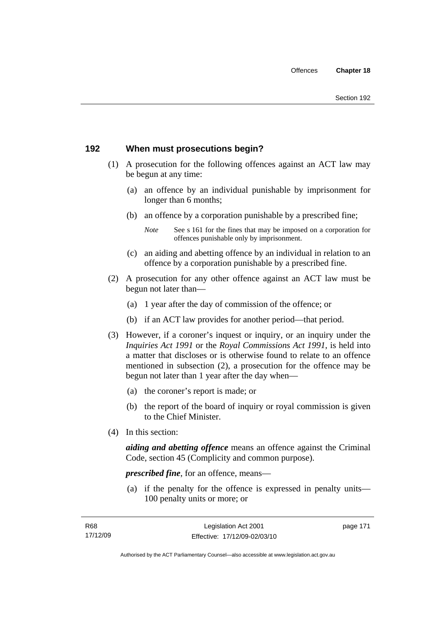# **192 When must prosecutions begin?**

- (1) A prosecution for the following offences against an ACT law may be begun at any time:
	- (a) an offence by an individual punishable by imprisonment for longer than 6 months;
	- (b) an offence by a corporation punishable by a prescribed fine;
		- *Note* See s 161 for the fines that may be imposed on a corporation for offences punishable only by imprisonment.
	- (c) an aiding and abetting offence by an individual in relation to an offence by a corporation punishable by a prescribed fine.
- (2) A prosecution for any other offence against an ACT law must be begun not later than—
	- (a) 1 year after the day of commission of the offence; or
	- (b) if an ACT law provides for another period—that period.
- (3) However, if a coroner's inquest or inquiry, or an inquiry under the *Inquiries Act 1991* or the *Royal Commissions Act 1991*, is held into a matter that discloses or is otherwise found to relate to an offence mentioned in subsection (2), a prosecution for the offence may be begun not later than 1 year after the day when—
	- (a) the coroner's report is made; or
	- (b) the report of the board of inquiry or royal commission is given to the Chief Minister.
- (4) In this section:

*aiding and abetting offence* means an offence against the Criminal Code, section 45 (Complicity and common purpose).

*prescribed fine*, for an offence, means—

 (a) if the penalty for the offence is expressed in penalty units— 100 penalty units or more; or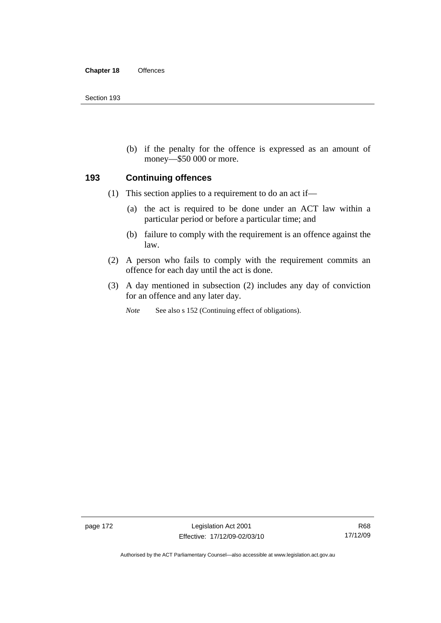(b) if the penalty for the offence is expressed as an amount of money—\$50 000 or more.

## **193 Continuing offences**

- (1) This section applies to a requirement to do an act if—
	- (a) the act is required to be done under an ACT law within a particular period or before a particular time; and
	- (b) failure to comply with the requirement is an offence against the law.
- (2) A person who fails to comply with the requirement commits an offence for each day until the act is done.
- (3) A day mentioned in subsection (2) includes any day of conviction for an offence and any later day.

*Note* See also s 152 (Continuing effect of obligations).

page 172 Legislation Act 2001 Effective: 17/12/09-02/03/10

Authorised by the ACT Parliamentary Counsel—also accessible at www.legislation.act.gov.au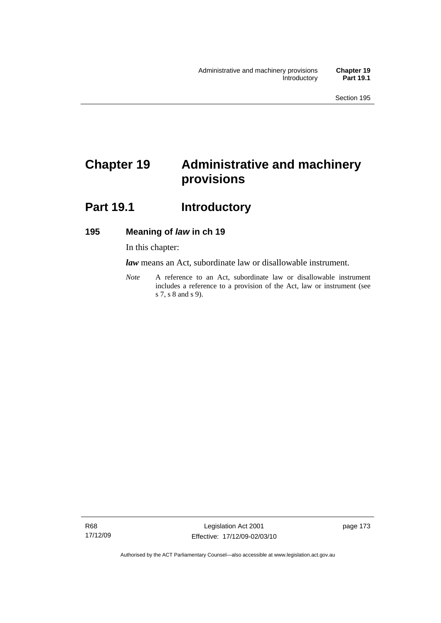# **Chapter 19 Administrative and machinery provisions**

# Part 19.1 **Introductory**

# **195 Meaning of** *law* **in ch 19**

In this chapter:

*law* means an Act, subordinate law or disallowable instrument.

*Note* A reference to an Act, subordinate law or disallowable instrument includes a reference to a provision of the Act, law or instrument (see s 7, s 8 and s 9).

Authorised by the ACT Parliamentary Counsel—also accessible at www.legislation.act.gov.au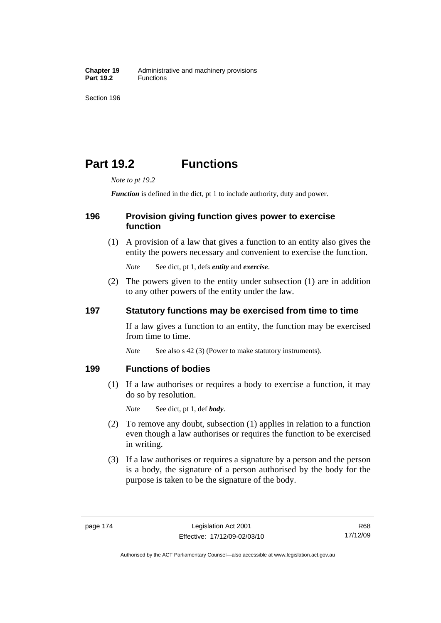# **Part 19.2 Functions**

*Note to pt 19.2* 

*Function* is defined in the dict, pt 1 to include authority, duty and power.

## **196 Provision giving function gives power to exercise function**

 (1) A provision of a law that gives a function to an entity also gives the entity the powers necessary and convenient to exercise the function.

*Note* See dict, pt 1, defs *entity* and *exercise*.

 (2) The powers given to the entity under subsection (1) are in addition to any other powers of the entity under the law.

## **197 Statutory functions may be exercised from time to time**

If a law gives a function to an entity, the function may be exercised from time to time.

*Note* See also s 42 (3) (Power to make statutory instruments).

## **199 Functions of bodies**

 (1) If a law authorises or requires a body to exercise a function, it may do so by resolution.

*Note* See dict, pt 1, def *body*.

- (2) To remove any doubt, subsection (1) applies in relation to a function even though a law authorises or requires the function to be exercised in writing.
- (3) If a law authorises or requires a signature by a person and the person is a body, the signature of a person authorised by the body for the purpose is taken to be the signature of the body.

R68 17/12/09

Authorised by the ACT Parliamentary Counsel—also accessible at www.legislation.act.gov.au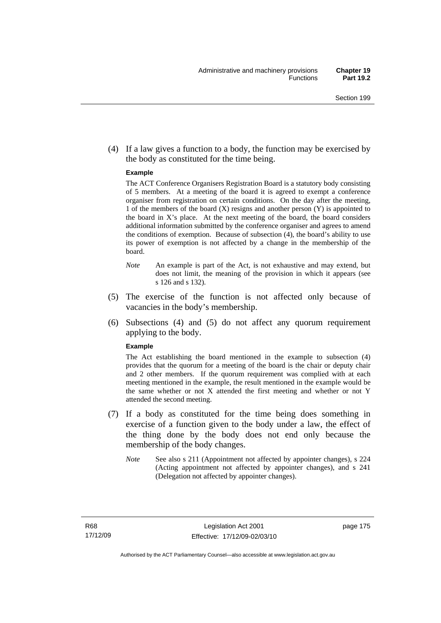(4) If a law gives a function to a body, the function may be exercised by the body as constituted for the time being.

#### **Example**

The ACT Conference Organisers Registration Board is a statutory body consisting of 5 members. At a meeting of the board it is agreed to exempt a conference organiser from registration on certain conditions. On the day after the meeting, 1 of the members of the board (X) resigns and another person (Y) is appointed to the board in  $X$ 's place. At the next meeting of the board, the board considers additional information submitted by the conference organiser and agrees to amend the conditions of exemption. Because of subsection (4), the board's ability to use its power of exemption is not affected by a change in the membership of the board.

- *Note* An example is part of the Act, is not exhaustive and may extend, but does not limit, the meaning of the provision in which it appears (see s 126 and s 132).
- (5) The exercise of the function is not affected only because of vacancies in the body's membership.
- (6) Subsections (4) and (5) do not affect any quorum requirement applying to the body.

#### **Example**

The Act establishing the board mentioned in the example to subsection (4) provides that the quorum for a meeting of the board is the chair or deputy chair and 2 other members. If the quorum requirement was complied with at each meeting mentioned in the example, the result mentioned in the example would be the same whether or not X attended the first meeting and whether or not Y attended the second meeting.

- (7) If a body as constituted for the time being does something in exercise of a function given to the body under a law, the effect of the thing done by the body does not end only because the membership of the body changes.
	- *Note* See also s 211 (Appointment not affected by appointer changes), s 224 (Acting appointment not affected by appointer changes), and s 241 (Delegation not affected by appointer changes).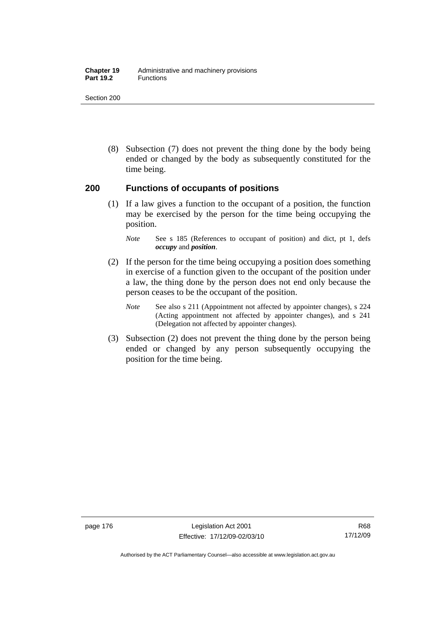#### **Chapter 19** Administrative and machinery provisions Part 19.2 **Functions**

Section 200

 (8) Subsection (7) does not prevent the thing done by the body being ended or changed by the body as subsequently constituted for the time being.

## **200 Functions of occupants of positions**

 (1) If a law gives a function to the occupant of a position, the function may be exercised by the person for the time being occupying the position.

- (2) If the person for the time being occupying a position does something in exercise of a function given to the occupant of the position under a law, the thing done by the person does not end only because the person ceases to be the occupant of the position.
	- *Note* See also s 211 (Appointment not affected by appointer changes), s 224 (Acting appointment not affected by appointer changes), and s 241 (Delegation not affected by appointer changes).
- (3) Subsection (2) does not prevent the thing done by the person being ended or changed by any person subsequently occupying the position for the time being.

*Note* See s 185 (References to occupant of position) and dict, pt 1, defs *occupy* and *position*.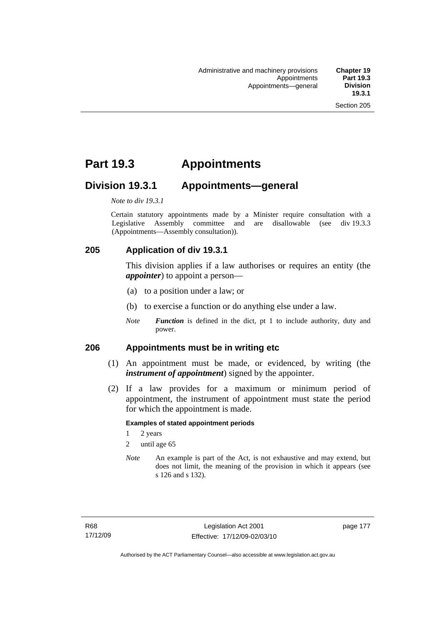# **Part 19.3 Appointments**

# **Division 19.3.1 Appointments—general**

*Note to div 19.3.1* 

Certain statutory appointments made by a Minister require consultation with a Legislative Assembly committee and are disallowable (see div 19.3.3) (Appointments—Assembly consultation)).

# **205 Application of div 19.3.1**

This division applies if a law authorises or requires an entity (the *appointer*) to appoint a person—

- (a) to a position under a law; or
- (b) to exercise a function or do anything else under a law.
- *Note Function* is defined in the dict, pt 1 to include authority, duty and power.

## **206 Appointments must be in writing etc**

- (1) An appointment must be made, or evidenced, by writing (the *instrument of appointment*) signed by the appointer.
- (2) If a law provides for a maximum or minimum period of appointment, the instrument of appointment must state the period for which the appointment is made.

#### **Examples of stated appointment periods**

- 1 2 years
- 2 until age 65
- *Note* An example is part of the Act, is not exhaustive and may extend, but does not limit, the meaning of the provision in which it appears (see s 126 and s 132).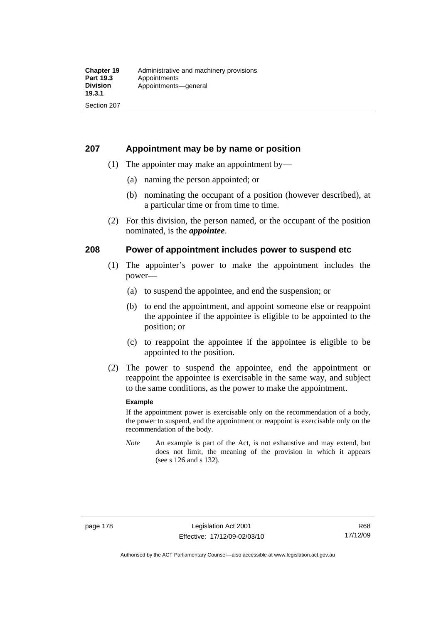## **207 Appointment may be by name or position**

- (1) The appointer may make an appointment by—
	- (a) naming the person appointed; or
	- (b) nominating the occupant of a position (however described), at a particular time or from time to time.
- (2) For this division, the person named, or the occupant of the position nominated, is the *appointee*.

## **208 Power of appointment includes power to suspend etc**

- (1) The appointer's power to make the appointment includes the power—
	- (a) to suspend the appointee, and end the suspension; or
	- (b) to end the appointment, and appoint someone else or reappoint the appointee if the appointee is eligible to be appointed to the position; or
	- (c) to reappoint the appointee if the appointee is eligible to be appointed to the position.
- (2) The power to suspend the appointee, end the appointment or reappoint the appointee is exercisable in the same way, and subject to the same conditions, as the power to make the appointment.

#### **Example**

If the appointment power is exercisable only on the recommendation of a body, the power to suspend, end the appointment or reappoint is exercisable only on the recommendation of the body.

*Note* An example is part of the Act, is not exhaustive and may extend, but does not limit, the meaning of the provision in which it appears (see s 126 and s 132).

Authorised by the ACT Parliamentary Counsel—also accessible at www.legislation.act.gov.au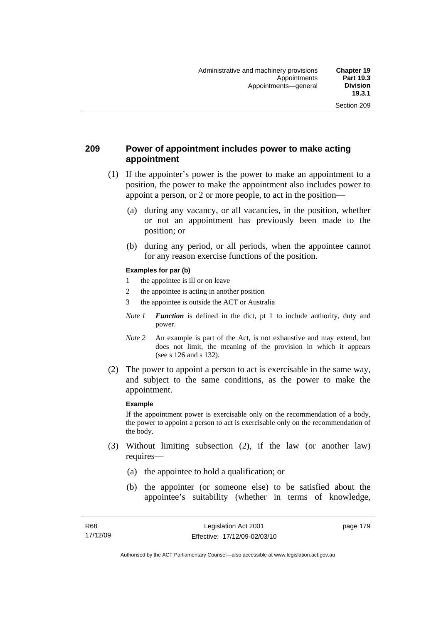## **209 Power of appointment includes power to make acting appointment**

- (1) If the appointer's power is the power to make an appointment to a position, the power to make the appointment also includes power to appoint a person, or 2 or more people, to act in the position—
	- (a) during any vacancy, or all vacancies, in the position, whether or not an appointment has previously been made to the position; or
	- (b) during any period, or all periods, when the appointee cannot for any reason exercise functions of the position.

#### **Examples for par (b)**

- 1 the appointee is ill or on leave
- 2 the appointee is acting in another position
- 3 the appointee is outside the ACT or Australia
- *Note 1 Function* is defined in the dict, pt 1 to include authority, duty and power.
- *Note* 2 An example is part of the Act, is not exhaustive and may extend, but does not limit, the meaning of the provision in which it appears (see s 126 and s 132).
- (2) The power to appoint a person to act is exercisable in the same way, and subject to the same conditions, as the power to make the appointment.

#### **Example**

If the appointment power is exercisable only on the recommendation of a body, the power to appoint a person to act is exercisable only on the recommendation of the body.

- (3) Without limiting subsection (2), if the law (or another law) requires—
	- (a) the appointee to hold a qualification; or
	- (b) the appointer (or someone else) to be satisfied about the appointee's suitability (whether in terms of knowledge,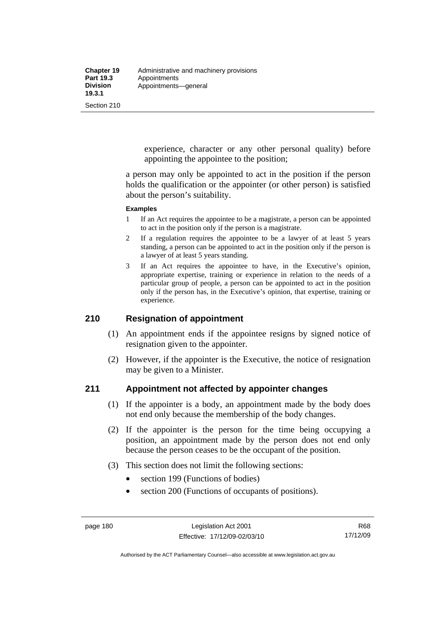experience, character or any other personal quality) before appointing the appointee to the position;

a person may only be appointed to act in the position if the person holds the qualification or the appointer (or other person) is satisfied about the person's suitability.

#### **Examples**

- 1 If an Act requires the appointee to be a magistrate, a person can be appointed to act in the position only if the person is a magistrate.
- 2 If a regulation requires the appointee to be a lawyer of at least 5 years standing, a person can be appointed to act in the position only if the person is a lawyer of at least 5 years standing.
- 3 If an Act requires the appointee to have, in the Executive's opinion, appropriate expertise, training or experience in relation to the needs of a particular group of people, a person can be appointed to act in the position only if the person has, in the Executive's opinion, that expertise, training or experience.

## **210 Resignation of appointment**

- (1) An appointment ends if the appointee resigns by signed notice of resignation given to the appointer.
- (2) However, if the appointer is the Executive, the notice of resignation may be given to a Minister.

## **211 Appointment not affected by appointer changes**

- (1) If the appointer is a body, an appointment made by the body does not end only because the membership of the body changes.
- (2) If the appointer is the person for the time being occupying a position, an appointment made by the person does not end only because the person ceases to be the occupant of the position.
- (3) This section does not limit the following sections:
	- section 199 (Functions of bodies)
	- section 200 (Functions of occupants of positions).

Authorised by the ACT Parliamentary Counsel—also accessible at www.legislation.act.gov.au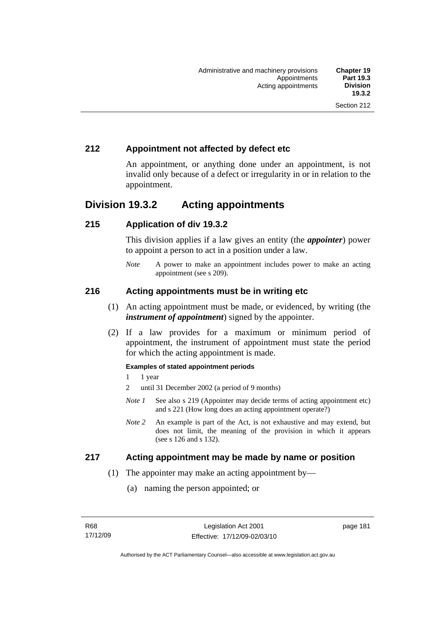# **212 Appointment not affected by defect etc**

An appointment, or anything done under an appointment, is not invalid only because of a defect or irregularity in or in relation to the appointment.

# **Division 19.3.2 Acting appointments**

## **215 Application of div 19.3.2**

This division applies if a law gives an entity (the *appointer*) power to appoint a person to act in a position under a law.

*Note* A power to make an appointment includes power to make an acting appointment (see s 209).

## **216 Acting appointments must be in writing etc**

- (1) An acting appointment must be made, or evidenced, by writing (the *instrument of appointment*) signed by the appointer.
- (2) If a law provides for a maximum or minimum period of appointment, the instrument of appointment must state the period for which the acting appointment is made.

#### **Examples of stated appointment periods**

- 1 1 year
- 2 until 31 December 2002 (a period of 9 months)
- *Note 1* See also s 219 (Appointer may decide terms of acting appointment etc) and s 221 (How long does an acting appointment operate?)
- *Note 2* An example is part of the Act, is not exhaustive and may extend, but does not limit, the meaning of the provision in which it appears (see s 126 and s 132).

## **217 Acting appointment may be made by name or position**

- (1) The appointer may make an acting appointment by—
	- (a) naming the person appointed; or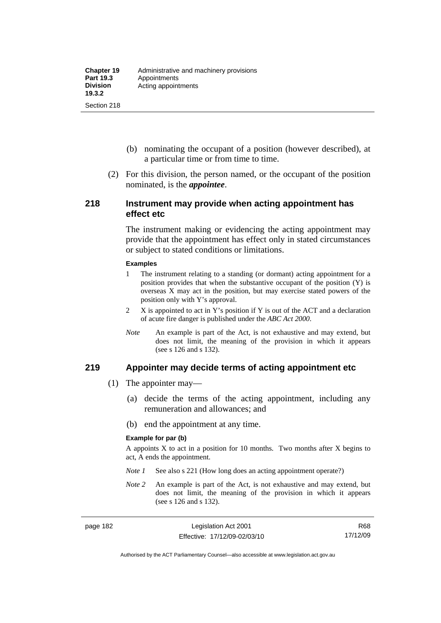- (b) nominating the occupant of a position (however described), at a particular time or from time to time.
- (2) For this division, the person named, or the occupant of the position nominated, is the *appointee*.

#### **218 Instrument may provide when acting appointment has effect etc**

The instrument making or evidencing the acting appointment may provide that the appointment has effect only in stated circumstances or subject to stated conditions or limitations.

#### **Examples**

- 1 The instrument relating to a standing (or dormant) acting appointment for a position provides that when the substantive occupant of the position (Y) is overseas X may act in the position, but may exercise stated powers of the position only with Y's approval.
- 2 X is appointed to act in Y's position if Y is out of the ACT and a declaration of acute fire danger is published under the *ABC Act 2000*.
- *Note* An example is part of the Act, is not exhaustive and may extend, but does not limit, the meaning of the provision in which it appears (see s 126 and s 132).

#### **219 Appointer may decide terms of acting appointment etc**

- (1) The appointer may—
	- (a) decide the terms of the acting appointment, including any remuneration and allowances; and
	- (b) end the appointment at any time.

#### **Example for par (b)**

A appoints  $X$  to act in a position for 10 months. Two months after  $X$  begins to act, A ends the appointment.

- *Note 1* See also s 221 (How long does an acting appointment operate?)
- *Note 2* An example is part of the Act, is not exhaustive and may extend, but does not limit, the meaning of the provision in which it appears (see s 126 and s 132).

R68 17/12/09

Authorised by the ACT Parliamentary Counsel—also accessible at www.legislation.act.gov.au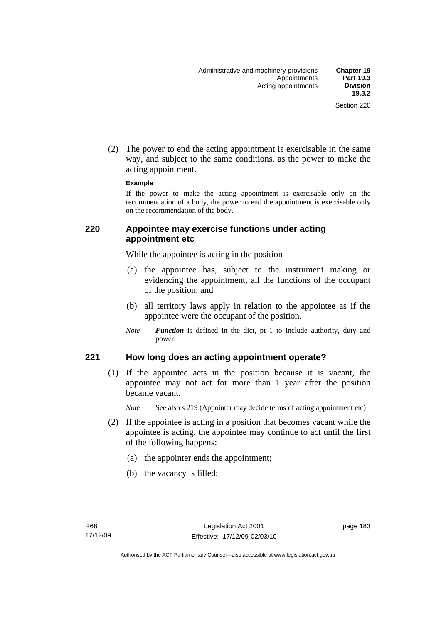(2) The power to end the acting appointment is exercisable in the same way, and subject to the same conditions, as the power to make the acting appointment.

#### **Example**

If the power to make the acting appointment is exercisable only on the recommendation of a body, the power to end the appointment is exercisable only on the recommendation of the body.

#### **220 Appointee may exercise functions under acting appointment etc**

While the appointee is acting in the position—

- (a) the appointee has, subject to the instrument making or evidencing the appointment, all the functions of the occupant of the position; and
- (b) all territory laws apply in relation to the appointee as if the appointee were the occupant of the position.
- *Note Function* is defined in the dict, pt 1 to include authority, duty and power.

#### **221 How long does an acting appointment operate?**

 (1) If the appointee acts in the position because it is vacant, the appointee may not act for more than 1 year after the position became vacant.

*Note* See also s 219 (Appointer may decide terms of acting appointment etc)

- (2) If the appointee is acting in a position that becomes vacant while the appointee is acting, the appointee may continue to act until the first of the following happens:
	- (a) the appointer ends the appointment;
	- (b) the vacancy is filled;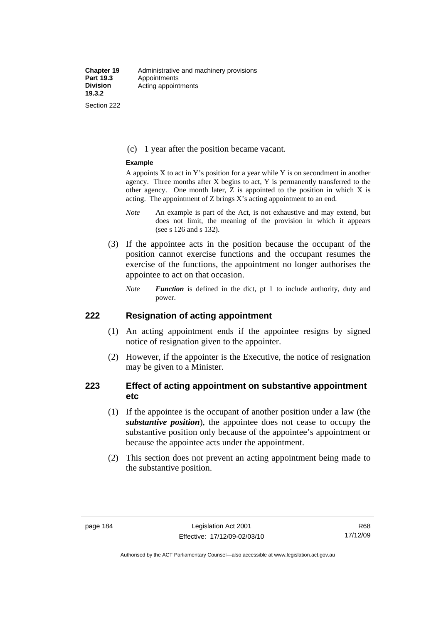#### (c) 1 year after the position became vacant.

#### **Example**

A appoints  $X$  to act in Y's position for a year while Y is on secondment in another agency. Three months after X begins to act, Y is permanently transferred to the other agency. One month later, Z is appointed to the position in which X is acting. The appointment of Z brings X's acting appointment to an end.

- *Note* An example is part of the Act, is not exhaustive and may extend, but does not limit, the meaning of the provision in which it appears (see s 126 and s 132).
- (3) If the appointee acts in the position because the occupant of the position cannot exercise functions and the occupant resumes the exercise of the functions, the appointment no longer authorises the appointee to act on that occasion.
	- *Note Function* is defined in the dict, pt 1 to include authority, duty and power.

#### **222 Resignation of acting appointment**

- (1) An acting appointment ends if the appointee resigns by signed notice of resignation given to the appointer.
- (2) However, if the appointer is the Executive, the notice of resignation may be given to a Minister.

## **223 Effect of acting appointment on substantive appointment etc**

- (1) If the appointee is the occupant of another position under a law (the *substantive position*), the appointee does not cease to occupy the substantive position only because of the appointee's appointment or because the appointee acts under the appointment.
- (2) This section does not prevent an acting appointment being made to the substantive position.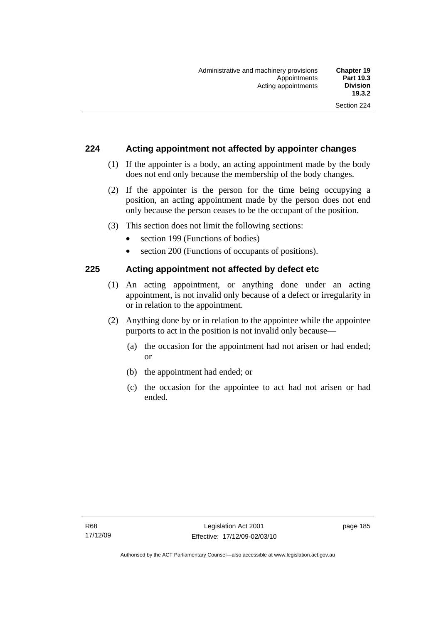## **224 Acting appointment not affected by appointer changes**

- (1) If the appointer is a body, an acting appointment made by the body does not end only because the membership of the body changes.
- (2) If the appointer is the person for the time being occupying a position, an acting appointment made by the person does not end only because the person ceases to be the occupant of the position.
- (3) This section does not limit the following sections:
	- section 199 (Functions of bodies)
	- section 200 (Functions of occupants of positions).

## **225 Acting appointment not affected by defect etc**

- (1) An acting appointment, or anything done under an acting appointment, is not invalid only because of a defect or irregularity in or in relation to the appointment.
- (2) Anything done by or in relation to the appointee while the appointee purports to act in the position is not invalid only because—
	- (a) the occasion for the appointment had not arisen or had ended; or
	- (b) the appointment had ended; or
	- (c) the occasion for the appointee to act had not arisen or had ended.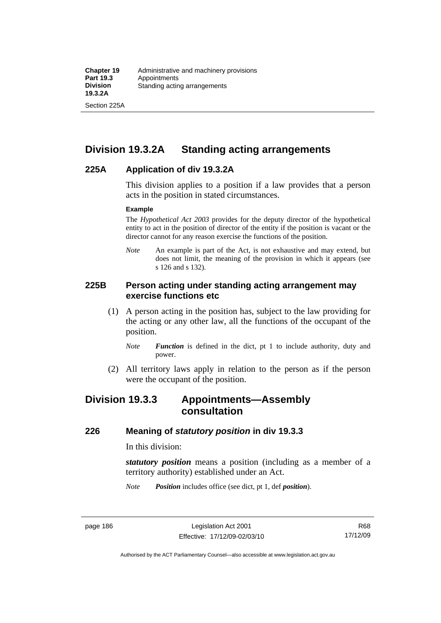Section 225A

# **Division 19.3.2A Standing acting arrangements**

## **225A Application of div 19.3.2A**

This division applies to a position if a law provides that a person acts in the position in stated circumstances.

#### **Example**

The *Hypothetical Act 2003* provides for the deputy director of the hypothetical entity to act in the position of director of the entity if the position is vacant or the director cannot for any reason exercise the functions of the position.

*Note* An example is part of the Act, is not exhaustive and may extend, but does not limit, the meaning of the provision in which it appears (see s 126 and s 132).

## **225B Person acting under standing acting arrangement may exercise functions etc**

- (1) A person acting in the position has, subject to the law providing for the acting or any other law, all the functions of the occupant of the position.
	- *Note Function* is defined in the dict, pt 1 to include authority, duty and power.
- (2) All territory laws apply in relation to the person as if the person were the occupant of the position.

# **Division 19.3.3 Appointments—Assembly consultation**

## **226 Meaning of** *statutory position* **in div 19.3.3**

In this division:

*statutory position* means a position (including as a member of a territory authority) established under an Act.

*Note Position* includes office (see dict, pt 1, def *position*).

Authorised by the ACT Parliamentary Counsel—also accessible at www.legislation.act.gov.au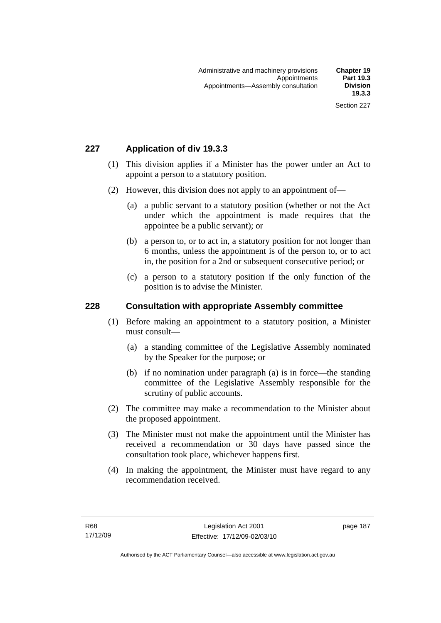# **227 Application of div 19.3.3**

- (1) This division applies if a Minister has the power under an Act to appoint a person to a statutory position.
- (2) However, this division does not apply to an appointment of—
	- (a) a public servant to a statutory position (whether or not the Act under which the appointment is made requires that the appointee be a public servant); or
	- (b) a person to, or to act in, a statutory position for not longer than 6 months, unless the appointment is of the person to, or to act in, the position for a 2nd or subsequent consecutive period; or
	- (c) a person to a statutory position if the only function of the position is to advise the Minister.

## **228 Consultation with appropriate Assembly committee**

- (1) Before making an appointment to a statutory position, a Minister must consult—
	- (a) a standing committee of the Legislative Assembly nominated by the Speaker for the purpose; or
	- (b) if no nomination under paragraph (a) is in force—the standing committee of the Legislative Assembly responsible for the scrutiny of public accounts.
- (2) The committee may make a recommendation to the Minister about the proposed appointment.
- (3) The Minister must not make the appointment until the Minister has received a recommendation or 30 days have passed since the consultation took place, whichever happens first.
- (4) In making the appointment, the Minister must have regard to any recommendation received.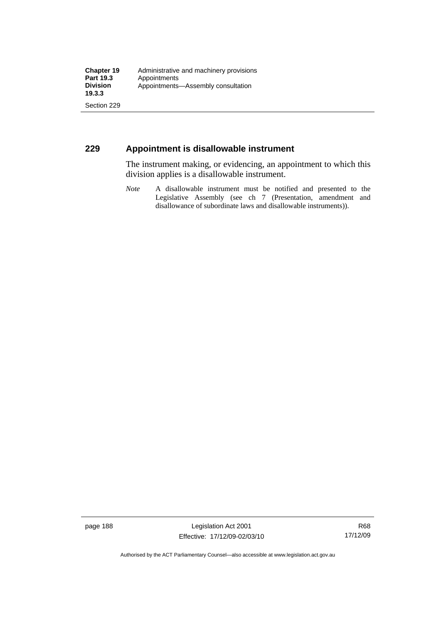## **229 Appointment is disallowable instrument**

The instrument making, or evidencing, an appointment to which this division applies is a disallowable instrument.

*Note* A disallowable instrument must be notified and presented to the Legislative Assembly (see ch 7 (Presentation, amendment and disallowance of subordinate laws and disallowable instruments)).

page 188 Legislation Act 2001 Effective: 17/12/09-02/03/10

R68 17/12/09

Authorised by the ACT Parliamentary Counsel—also accessible at www.legislation.act.gov.au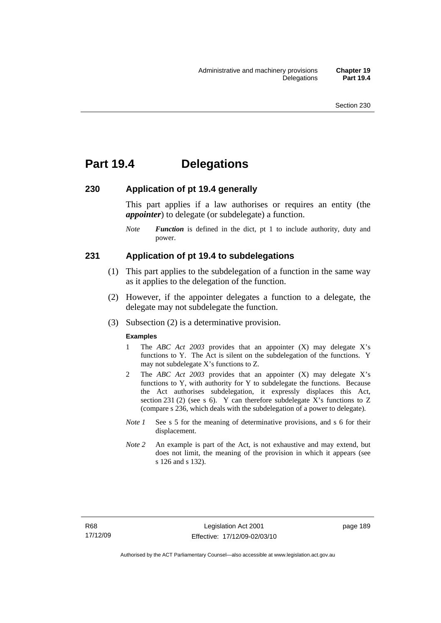# **Part 19.4 Delegations**

#### **230 Application of pt 19.4 generally**

This part applies if a law authorises or requires an entity (the *appointer*) to delegate (or subdelegate) a function.

*Note Function* is defined in the dict, pt 1 to include authority, duty and power.

#### **231 Application of pt 19.4 to subdelegations**

- (1) This part applies to the subdelegation of a function in the same way as it applies to the delegation of the function.
- (2) However, if the appointer delegates a function to a delegate, the delegate may not subdelegate the function.
- (3) Subsection (2) is a determinative provision.

#### **Examples**

- 1 The *ABC Act 2003* provides that an appointer (X) may delegate X's functions to Y. The Act is silent on the subdelegation of the functions. Y may not subdelegate X's functions to Z.
- 2 The *ABC Act 2003* provides that an appointer (X) may delegate X's functions to Y, with authority for Y to subdelegate the functions. Because the Act authorises subdelegation, it expressly displaces this Act, section 231 (2) (see s 6). Y can therefore subdelegate X's functions to  $Z$ (compare s 236, which deals with the subdelegation of a power to delegate)*.*
- *Note 1* See s 5 for the meaning of determinative provisions, and s 6 for their displacement.
- *Note* 2 An example is part of the Act, is not exhaustive and may extend, but does not limit, the meaning of the provision in which it appears (see s 126 and s 132).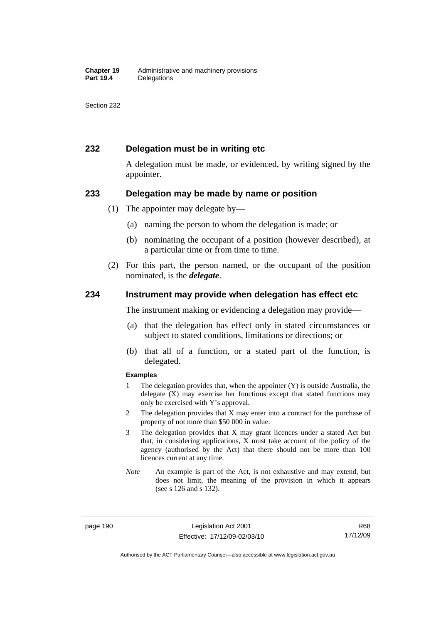## **232 Delegation must be in writing etc**

A delegation must be made, or evidenced, by writing signed by the appointer.

#### **233 Delegation may be made by name or position**

- (1) The appointer may delegate by—
	- (a) naming the person to whom the delegation is made; or
	- (b) nominating the occupant of a position (however described), at a particular time or from time to time.
- (2) For this part, the person named, or the occupant of the position nominated, is the *delegate*.

#### **234 Instrument may provide when delegation has effect etc**

The instrument making or evidencing a delegation may provide—

- (a) that the delegation has effect only in stated circumstances or subject to stated conditions, limitations or directions; or
- (b) that all of a function, or a stated part of the function, is delegated.

#### **Examples**

- 1 The delegation provides that, when the appointer (Y) is outside Australia, the delegate (X) may exercise her functions except that stated functions may only be exercised with Y's approval.
- 2 The delegation provides that X may enter into a contract for the purchase of property of not more than \$50 000 in value.
- 3 The delegation provides that X may grant licences under a stated Act but that, in considering applications, X must take account of the policy of the agency (authorised by the Act) that there should not be more than 100 licences current at any time.
- *Note* An example is part of the Act, is not exhaustive and may extend, but does not limit, the meaning of the provision in which it appears (see s 126 and s 132).

page 190 Legislation Act 2001 Effective: 17/12/09-02/03/10

R68 17/12/09

Authorised by the ACT Parliamentary Counsel—also accessible at www.legislation.act.gov.au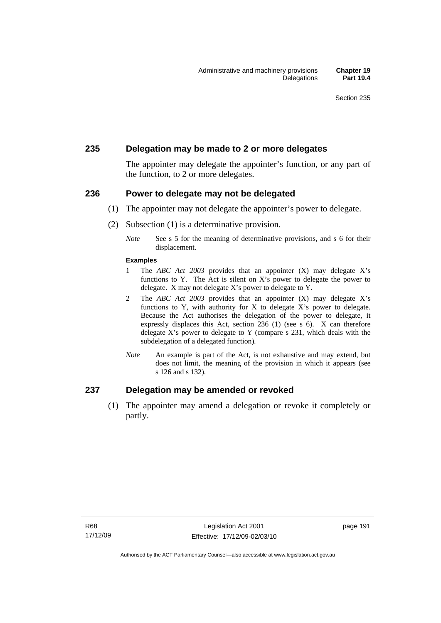## **235 Delegation may be made to 2 or more delegates**

The appointer may delegate the appointer's function, or any part of the function, to 2 or more delegates.

#### **236 Power to delegate may not be delegated**

- (1) The appointer may not delegate the appointer's power to delegate.
- (2) Subsection (1) is a determinative provision.
	- *Note* See s 5 for the meaning of determinative provisions, and s 6 for their displacement.

#### **Examples**

- 1 The *ABC Act 2003* provides that an appointer (X) may delegate X's functions to Y. The Act is silent on X's power to delegate the power to delegate. X may not delegate X's power to delegate to Y.
- 2 The *ABC Act 2003* provides that an appointer (X) may delegate X's functions to Y, with authority for X to delegate  $X$ 's power to delegate. Because the Act authorises the delegation of the power to delegate, it expressly displaces this Act, section 236 (1) (see s 6). X can therefore delegate X's power to delegate to Y (compare s 231, which deals with the subdelegation of a delegated function)*.*
- *Note* An example is part of the Act, is not exhaustive and may extend, but does not limit, the meaning of the provision in which it appears (see s 126 and s 132).

## **237 Delegation may be amended or revoked**

 (1) The appointer may amend a delegation or revoke it completely or partly.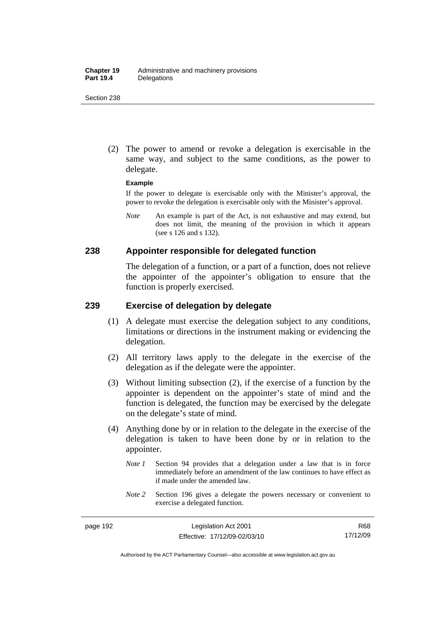(2) The power to amend or revoke a delegation is exercisable in the same way, and subject to the same conditions, as the power to delegate.

#### **Example**

If the power to delegate is exercisable only with the Minister's approval, the power to revoke the delegation is exercisable only with the Minister's approval.

*Note* An example is part of the Act, is not exhaustive and may extend, but does not limit, the meaning of the provision in which it appears (see s 126 and s 132).

#### **238 Appointer responsible for delegated function**

The delegation of a function, or a part of a function, does not relieve the appointer of the appointer's obligation to ensure that the function is properly exercised.

## **239 Exercise of delegation by delegate**

- (1) A delegate must exercise the delegation subject to any conditions, limitations or directions in the instrument making or evidencing the delegation.
- (2) All territory laws apply to the delegate in the exercise of the delegation as if the delegate were the appointer.
- (3) Without limiting subsection (2), if the exercise of a function by the appointer is dependent on the appointer's state of mind and the function is delegated, the function may be exercised by the delegate on the delegate's state of mind.
- (4) Anything done by or in relation to the delegate in the exercise of the delegation is taken to have been done by or in relation to the appointer.
	- *Note 1* Section 94 provides that a delegation under a law that is in force immediately before an amendment of the law continues to have effect as if made under the amended law.
	- *Note* 2 Section 196 gives a delegate the powers necessary or convenient to exercise a delegated function.

Authorised by the ACT Parliamentary Counsel—also accessible at www.legislation.act.gov.au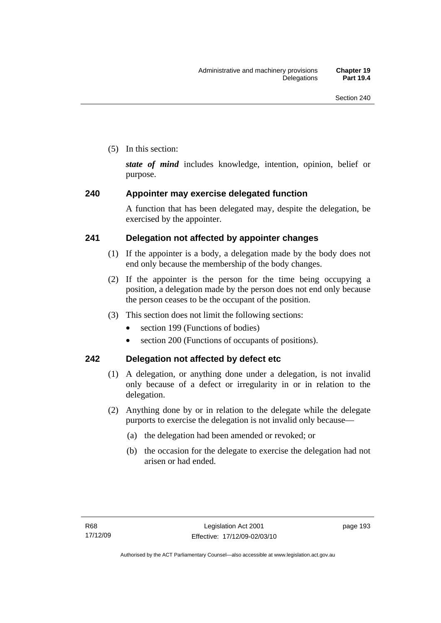(5) In this section:

*state of mind* includes knowledge, intention, opinion, belief or purpose.

# **240 Appointer may exercise delegated function**

A function that has been delegated may, despite the delegation, be exercised by the appointer.

# **241 Delegation not affected by appointer changes**

- (1) If the appointer is a body, a delegation made by the body does not end only because the membership of the body changes.
- (2) If the appointer is the person for the time being occupying a position, a delegation made by the person does not end only because the person ceases to be the occupant of the position.
- (3) This section does not limit the following sections:
	- section 199 (Functions of bodies)
	- section 200 (Functions of occupants of positions).

# **242 Delegation not affected by defect etc**

- (1) A delegation, or anything done under a delegation, is not invalid only because of a defect or irregularity in or in relation to the delegation.
- (2) Anything done by or in relation to the delegate while the delegate purports to exercise the delegation is not invalid only because—
	- (a) the delegation had been amended or revoked; or
	- (b) the occasion for the delegate to exercise the delegation had not arisen or had ended.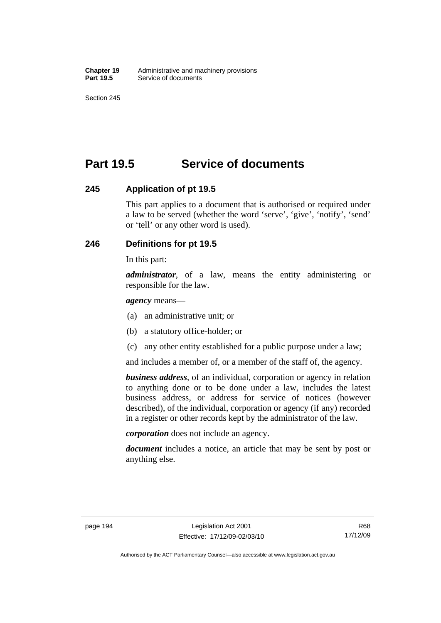# **Part 19.5 Service of documents**

## **245 Application of pt 19.5**

This part applies to a document that is authorised or required under a law to be served (whether the word 'serve', 'give', 'notify', 'send' or 'tell' or any other word is used).

## **246 Definitions for pt 19.5**

In this part:

*administrator*, of a law, means the entity administering or responsible for the law.

*agency* means—

- (a) an administrative unit; or
- (b) a statutory office-holder; or
- (c) any other entity established for a public purpose under a law;

and includes a member of, or a member of the staff of, the agency.

*business address*, of an individual, corporation or agency in relation to anything done or to be done under a law, includes the latest business address, or address for service of notices (however described), of the individual, corporation or agency (if any) recorded in a register or other records kept by the administrator of the law.

*corporation* does not include an agency.

*document* includes a notice, an article that may be sent by post or anything else.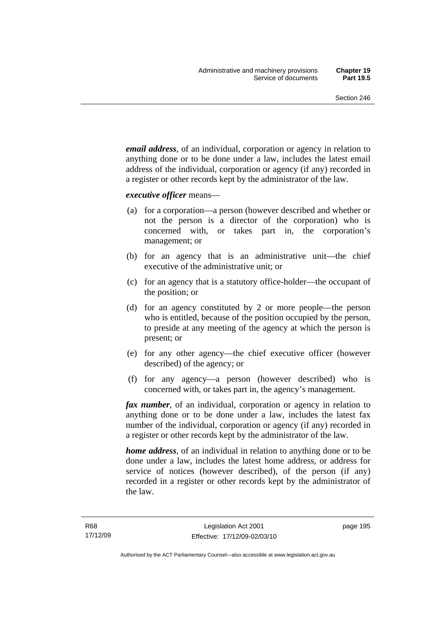*email address*, of an individual, corporation or agency in relation to anything done or to be done under a law, includes the latest email address of the individual, corporation or agency (if any) recorded in a register or other records kept by the administrator of the law.

*executive officer* means—

- (a) for a corporation—a person (however described and whether or not the person is a director of the corporation) who is concerned with, or takes part in, the corporation's management; or
- (b) for an agency that is an administrative unit—the chief executive of the administrative unit; or
- (c) for an agency that is a statutory office-holder—the occupant of the position; or
- (d) for an agency constituted by 2 or more people—the person who is entitled, because of the position occupied by the person, to preside at any meeting of the agency at which the person is present; or
- (e) for any other agency—the chief executive officer (however described) of the agency; or
- (f) for any agency—a person (however described) who is concerned with, or takes part in, the agency's management.

*fax number*, of an individual, corporation or agency in relation to anything done or to be done under a law, includes the latest fax number of the individual, corporation or agency (if any) recorded in a register or other records kept by the administrator of the law.

*home address*, of an individual in relation to anything done or to be done under a law, includes the latest home address, or address for service of notices (however described), of the person (if any) recorded in a register or other records kept by the administrator of the law.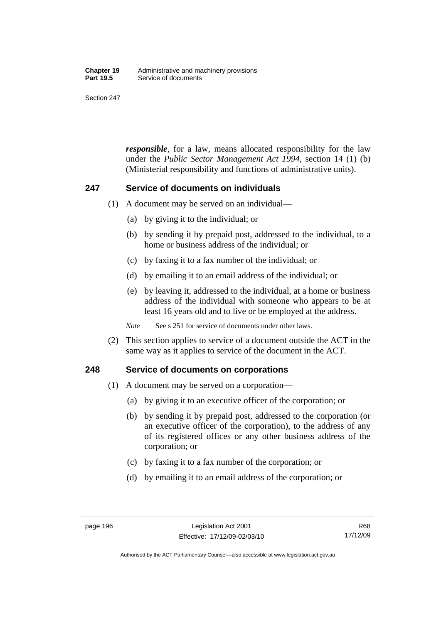#### **Chapter 19** Administrative and machinery provisions<br>**Part 19.5** Service of documents **Service of documents**

Section 247

*responsible*, for a law, means allocated responsibility for the law under the *Public Sector Management Act 1994*, section 14 (1) (b) (Ministerial responsibility and functions of administrative units).

## **247 Service of documents on individuals**

- (1) A document may be served on an individual—
	- (a) by giving it to the individual; or
	- (b) by sending it by prepaid post, addressed to the individual, to a home or business address of the individual; or
	- (c) by faxing it to a fax number of the individual; or
	- (d) by emailing it to an email address of the individual; or
	- (e) by leaving it, addressed to the individual, at a home or business address of the individual with someone who appears to be at least 16 years old and to live or be employed at the address.

*Note* See s 251 for service of documents under other laws.

 (2) This section applies to service of a document outside the ACT in the same way as it applies to service of the document in the ACT.

## **248 Service of documents on corporations**

- (1) A document may be served on a corporation—
	- (a) by giving it to an executive officer of the corporation; or
	- (b) by sending it by prepaid post, addressed to the corporation (or an executive officer of the corporation), to the address of any of its registered offices or any other business address of the corporation; or
	- (c) by faxing it to a fax number of the corporation; or
	- (d) by emailing it to an email address of the corporation; or

R68 17/12/09

Authorised by the ACT Parliamentary Counsel—also accessible at www.legislation.act.gov.au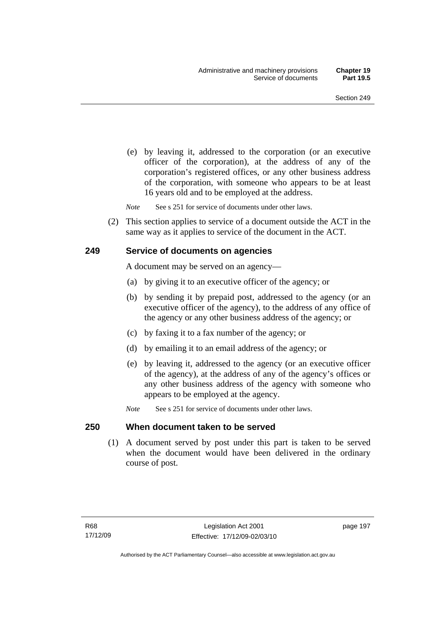(e) by leaving it, addressed to the corporation (or an executive officer of the corporation), at the address of any of the corporation's registered offices, or any other business address of the corporation, with someone who appears to be at least 16 years old and to be employed at the address.

*Note* See s 251 for service of documents under other laws.

 (2) This section applies to service of a document outside the ACT in the same way as it applies to service of the document in the ACT.

#### **249 Service of documents on agencies**

A document may be served on an agency—

- (a) by giving it to an executive officer of the agency; or
- (b) by sending it by prepaid post, addressed to the agency (or an executive officer of the agency), to the address of any office of the agency or any other business address of the agency; or
- (c) by faxing it to a fax number of the agency; or
- (d) by emailing it to an email address of the agency; or
- (e) by leaving it, addressed to the agency (or an executive officer of the agency), at the address of any of the agency's offices or any other business address of the agency with someone who appears to be employed at the agency.
- *Note* See s 251 for service of documents under other laws.

#### **250 When document taken to be served**

 (1) A document served by post under this part is taken to be served when the document would have been delivered in the ordinary course of post.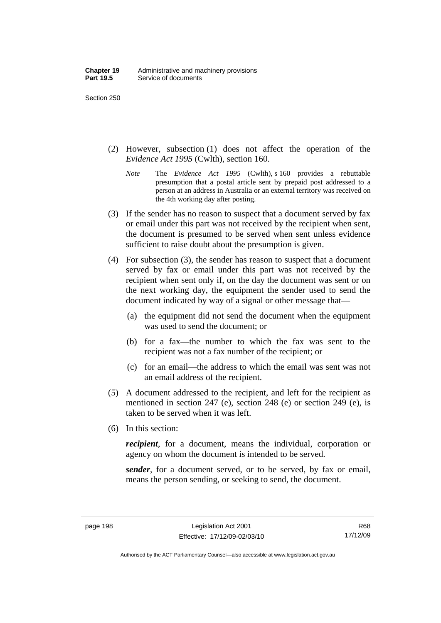- (2) However, subsection (1) does not affect the operation of the *Evidence Act 1995* (Cwlth), section 160.
	- *Note* The *Evidence Act 1995* (Cwlth), s 160 provides a rebuttable presumption that a postal article sent by prepaid post addressed to a person at an address in Australia or an external territory was received on the 4th working day after posting.
- (3) If the sender has no reason to suspect that a document served by fax or email under this part was not received by the recipient when sent, the document is presumed to be served when sent unless evidence sufficient to raise doubt about the presumption is given.
- (4) For subsection (3), the sender has reason to suspect that a document served by fax or email under this part was not received by the recipient when sent only if, on the day the document was sent or on the next working day, the equipment the sender used to send the document indicated by way of a signal or other message that—
	- (a) the equipment did not send the document when the equipment was used to send the document; or
	- (b) for a fax—the number to which the fax was sent to the recipient was not a fax number of the recipient; or
	- (c) for an email—the address to which the email was sent was not an email address of the recipient.
- (5) A document addressed to the recipient, and left for the recipient as mentioned in section 247 (e), section 248 (e) or section 249 (e), is taken to be served when it was left.
- (6) In this section:

*recipient*, for a document, means the individual, corporation or agency on whom the document is intended to be served.

*sender*, for a document served, or to be served, by fax or email, means the person sending, or seeking to send, the document.

R68 17/12/09

Authorised by the ACT Parliamentary Counsel—also accessible at www.legislation.act.gov.au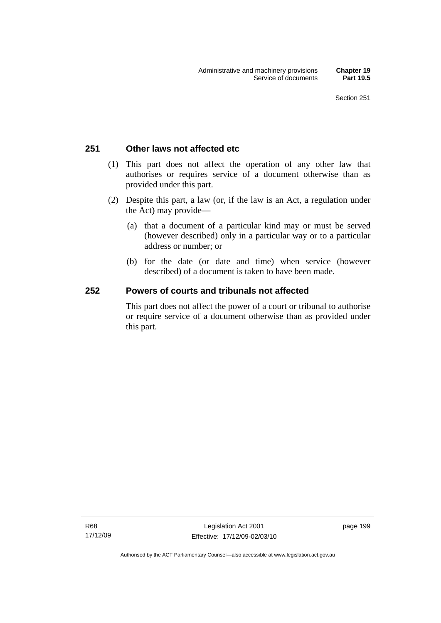## **251 Other laws not affected etc**

- (1) This part does not affect the operation of any other law that authorises or requires service of a document otherwise than as provided under this part.
- (2) Despite this part, a law (or, if the law is an Act, a regulation under the Act) may provide—
	- (a) that a document of a particular kind may or must be served (however described) only in a particular way or to a particular address or number; or
	- (b) for the date (or date and time) when service (however described) of a document is taken to have been made.

## **252 Powers of courts and tribunals not affected**

This part does not affect the power of a court or tribunal to authorise or require service of a document otherwise than as provided under this part.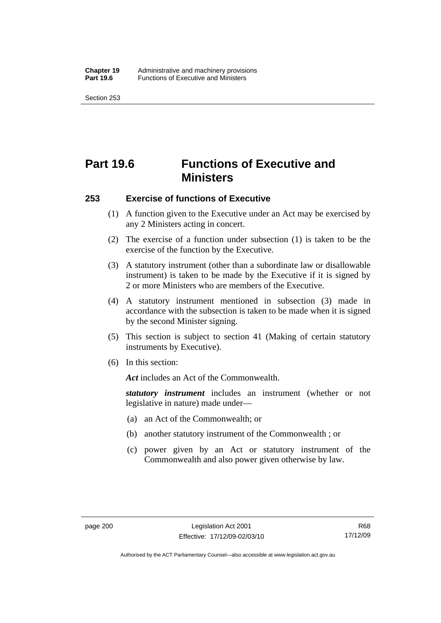# **Part 19.6 Functions of Executive and Ministers**

#### **253 Exercise of functions of Executive**

- (1) A function given to the Executive under an Act may be exercised by any 2 Ministers acting in concert.
- (2) The exercise of a function under subsection (1) is taken to be the exercise of the function by the Executive.
- (3) A statutory instrument (other than a subordinate law or disallowable instrument) is taken to be made by the Executive if it is signed by 2 or more Ministers who are members of the Executive.
- (4) A statutory instrument mentioned in subsection (3) made in accordance with the subsection is taken to be made when it is signed by the second Minister signing.
- (5) This section is subject to section 41 (Making of certain statutory instruments by Executive).
- (6) In this section:

*Act* includes an Act of the Commonwealth.

*statutory instrument* includes an instrument (whether or not legislative in nature) made under—

- (a) an Act of the Commonwealth; or
- (b) another statutory instrument of the Commonwealth ; or
- (c) power given by an Act or statutory instrument of the Commonwealth and also power given otherwise by law.

Authorised by the ACT Parliamentary Counsel—also accessible at www.legislation.act.gov.au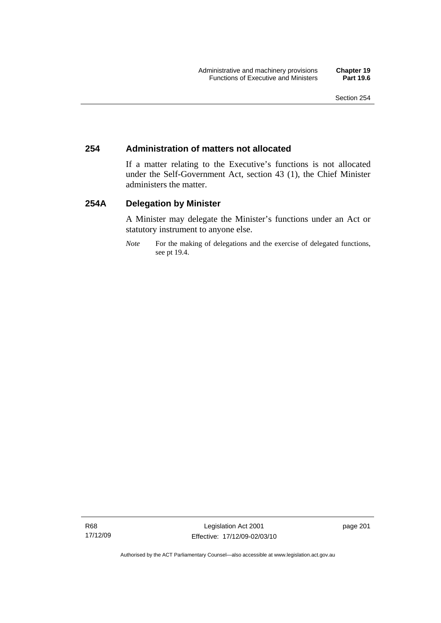## **254 Administration of matters not allocated**

If a matter relating to the Executive's functions is not allocated under the Self-Government Act, section 43 (1), the Chief Minister administers the matter.

## **254A Delegation by Minister**

A Minister may delegate the Minister's functions under an Act or statutory instrument to anyone else.

*Note* For the making of delegations and the exercise of delegated functions, see pt 19.4.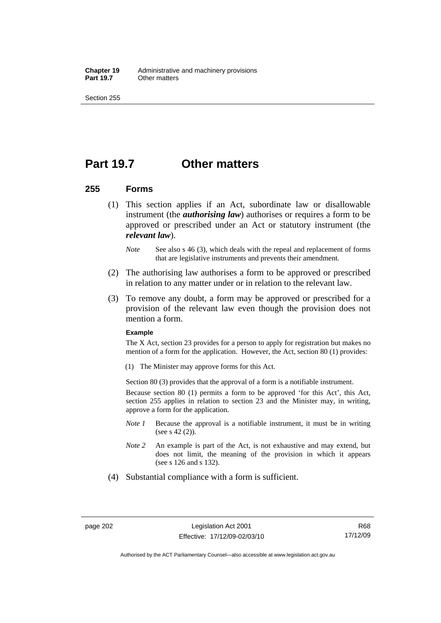**Chapter 19** Administrative and machinery provisions<br>**Part 19.7** Cther matters **Other matters** 

Section 255

## **Part 19.7 Other matters**

## **255 Forms**

- (1) This section applies if an Act, subordinate law or disallowable instrument (the *authorising law*) authorises or requires a form to be approved or prescribed under an Act or statutory instrument (the *relevant law*).
	- *Note* See also s 46 (3), which deals with the repeal and replacement of forms that are legislative instruments and prevents their amendment.
- (2) The authorising law authorises a form to be approved or prescribed in relation to any matter under or in relation to the relevant law.
- (3) To remove any doubt, a form may be approved or prescribed for a provision of the relevant law even though the provision does not mention a form.

#### **Example**

The X Act, section 23 provides for a person to apply for registration but makes no mention of a form for the application. However, the Act, section 80 (1) provides:

(1) The Minister may approve forms for this Act.

Section 80 (3) provides that the approval of a form is a notifiable instrument.

Because section 80 (1) permits a form to be approved 'for this Act', this Act, section 255 applies in relation to section 23 and the Minister may, in writing, approve a form for the application.

- *Note 1* Because the approval is a notifiable instrument, it must be in writing (see s 42 (2)).
- *Note 2* An example is part of the Act, is not exhaustive and may extend, but does not limit, the meaning of the provision in which it appears (see s 126 and s 132).
- (4) Substantial compliance with a form is sufficient.

Authorised by the ACT Parliamentary Counsel—also accessible at www.legislation.act.gov.au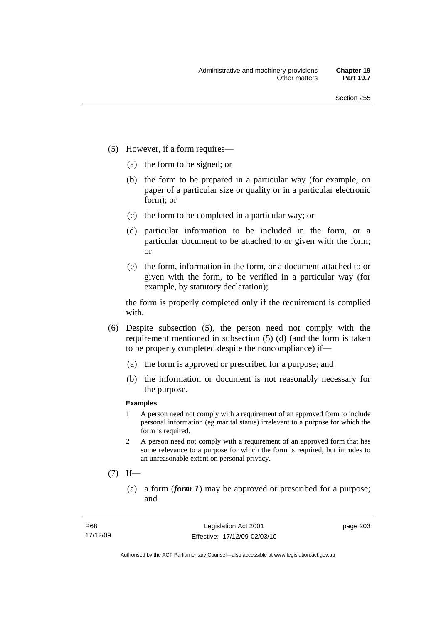- (5) However, if a form requires—
	- (a) the form to be signed; or
	- (b) the form to be prepared in a particular way (for example, on paper of a particular size or quality or in a particular electronic form); or
	- (c) the form to be completed in a particular way; or
	- (d) particular information to be included in the form, or a particular document to be attached to or given with the form; or
	- (e) the form, information in the form, or a document attached to or given with the form, to be verified in a particular way (for example, by statutory declaration);

the form is properly completed only if the requirement is complied with.

- (6) Despite subsection (5), the person need not comply with the requirement mentioned in subsection (5) (d) (and the form is taken to be properly completed despite the noncompliance) if—
	- (a) the form is approved or prescribed for a purpose; and
	- (b) the information or document is not reasonably necessary for the purpose.

### **Examples**

- 1 A person need not comply with a requirement of an approved form to include personal information (eg marital status) irrelevant to a purpose for which the form is required.
- 2 A person need not comply with a requirement of an approved form that has some relevance to a purpose for which the form is required, but intrudes to an unreasonable extent on personal privacy.
- $(7)$  If—
	- (a) a form (*form 1*) may be approved or prescribed for a purpose; and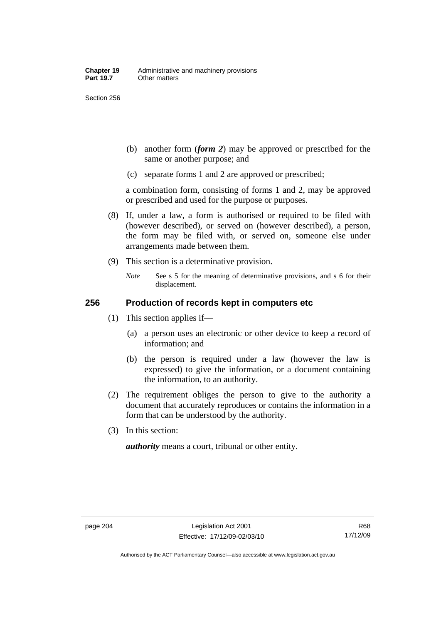Section 256

- (b) another form (*form 2*) may be approved or prescribed for the same or another purpose; and
- (c) separate forms 1 and 2 are approved or prescribed;

a combination form, consisting of forms 1 and 2, may be approved or prescribed and used for the purpose or purposes.

- (8) If, under a law, a form is authorised or required to be filed with (however described), or served on (however described), a person, the form may be filed with, or served on, someone else under arrangements made between them.
- (9) This section is a determinative provision.
	- *Note* See s 5 for the meaning of determinative provisions, and s 6 for their displacement.

## **256 Production of records kept in computers etc**

- (1) This section applies if—
	- (a) a person uses an electronic or other device to keep a record of information; and
	- (b) the person is required under a law (however the law is expressed) to give the information, or a document containing the information, to an authority.
- (2) The requirement obliges the person to give to the authority a document that accurately reproduces or contains the information in a form that can be understood by the authority.
- (3) In this section:

*authority* means a court, tribunal or other entity.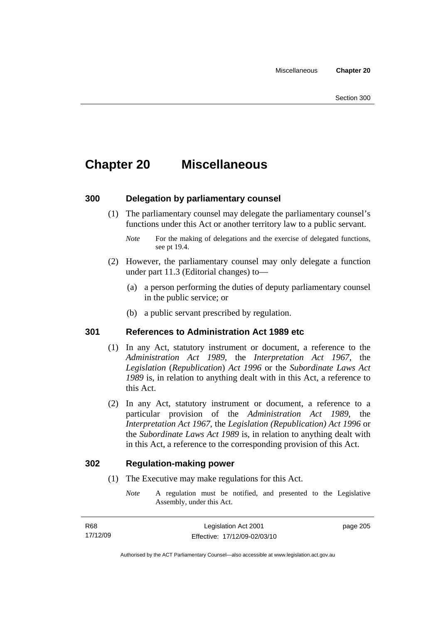# **Chapter 20 Miscellaneous**

## **300 Delegation by parliamentary counsel**

 (1) The parliamentary counsel may delegate the parliamentary counsel's functions under this Act or another territory law to a public servant.

- (2) However, the parliamentary counsel may only delegate a function under part 11.3 (Editorial changes) to—
	- (a) a person performing the duties of deputy parliamentary counsel in the public service; or
	- (b) a public servant prescribed by regulation.

## **301 References to Administration Act 1989 etc**

- (1) In any Act, statutory instrument or document, a reference to the *Administration Act 1989*, the *Interpretation Act 1967*, the *Legislation* (*Republication*) *Act 1996* or the *Subordinate Laws Act 1989* is, in relation to anything dealt with in this Act, a reference to this Act.
- (2) In any Act, statutory instrument or document, a reference to a particular provision of the *Administration Act 1989*, the *Interpretation Act 1967*, the *Legislation (Republication) Act 1996* or the *Subordinate Laws Act 1989* is, in relation to anything dealt with in this Act, a reference to the corresponding provision of this Act.

### **302 Regulation-making power**

- (1) The Executive may make regulations for this Act.
	- *Note* A regulation must be notified, and presented to the Legislative Assembly, under this Act.

*Note* For the making of delegations and the exercise of delegated functions, see pt 19.4.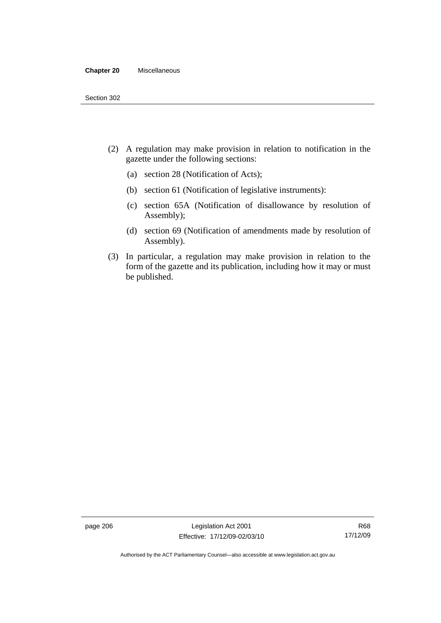#### **Chapter 20** Miscellaneous

- (2) A regulation may make provision in relation to notification in the gazette under the following sections:
	- (a) section 28 (Notification of Acts);
	- (b) section 61 (Notification of legislative instruments):
	- (c) section 65A (Notification of disallowance by resolution of Assembly);
	- (d) section 69 (Notification of amendments made by resolution of Assembly).
- (3) In particular, a regulation may make provision in relation to the form of the gazette and its publication, including how it may or must be published.

page 206 Legislation Act 2001 Effective: 17/12/09-02/03/10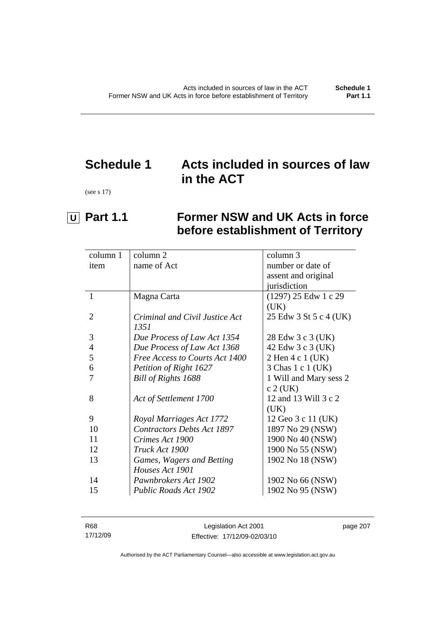# **Schedule 1 Acts included in sources of law in the ACT**

(see s 17)

# **U** Part 1.1 Former NSW and UK Acts in force **before establishment of Territory**

| column 1       | column 2                          | column 3               |
|----------------|-----------------------------------|------------------------|
| item           | name of Act                       | number or date of      |
|                |                                   | assent and original    |
|                |                                   | jurisdiction           |
| $\mathbf{1}$   | Magna Carta                       | (1297) 25 Edw 1 c 29   |
|                |                                   | (UK)                   |
| $\overline{2}$ | Criminal and Civil Justice Act    | 25 Edw 3 St 5 c 4 (UK) |
|                | 1351                              |                        |
| 3              | Due Process of Law Act 1354       | 28 Edw 3 c 3 (UK)      |
| 4              | Due Process of Law Act 1368       | 42 Edw 3 c 3 (UK)      |
| 5              | Free Access to Courts Act 1400    | 2 Hen 4 c 1 (UK)       |
| 6              | Petition of Right 1627            | 3 Chas 1 c 1 (UK)      |
|                | Bill of Rights 1688               | 1 Will and Mary sess 2 |
|                |                                   | $c$ 2 (UK)             |
| 8              | Act of Settlement 1700            | 12 and 13 Will 3 c 2   |
|                |                                   | (UK)                   |
| 9              | Royal Marriages Act 1772          | 12 Geo 3 c 11 (UK)     |
| 10             | <b>Contractors Debts Act 1897</b> | 1897 No 29 (NSW)       |
| 11             | Crimes Act 1900                   | 1900 No 40 (NSW)       |
| 12             | Truck Act 1900                    | 1900 No 55 (NSW)       |
| 13             | Games, Wagers and Betting         | 1902 No 18 (NSW)       |
|                | Houses Act 1901                   |                        |
| 14             | Pawnbrokers Act 1902              | 1902 No 66 (NSW)       |
| 15             | Public Roads Act 1902             | 1902 No 95 (NSW)       |
|                |                                   |                        |

| R68      | Legislation Act 2001         | page 207 |
|----------|------------------------------|----------|
| 17/12/09 | Effective: 17/12/09-02/03/10 |          |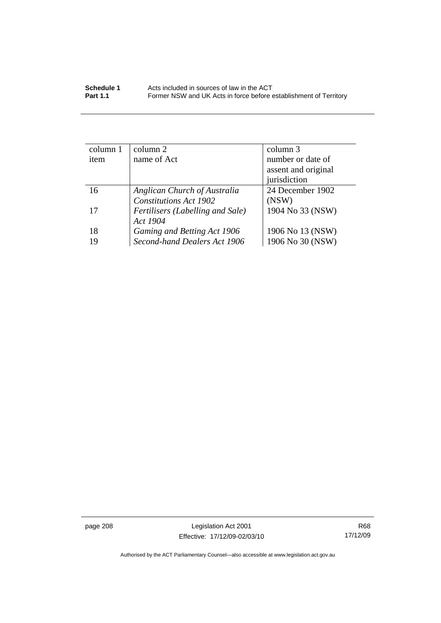| column 1 | column 2                         | column 3            |
|----------|----------------------------------|---------------------|
| item     | name of Act                      | number or date of   |
|          |                                  | assent and original |
|          |                                  | jurisdiction        |
| 16       | Anglican Church of Australia     | 24 December 1902    |
|          | <b>Constitutions Act 1902</b>    | (NSW)               |
| 17       | Fertilisers (Labelling and Sale) | 1904 No 33 (NSW)    |
|          | Act 1904                         |                     |
| 18       | Gaming and Betting Act 1906      | 1906 No 13 (NSW)    |
| 19       | Second-hand Dealers Act 1906     | 1906 No 30 (NSW)    |

page 208 Legislation Act 2001 Effective: 17/12/09-02/03/10

R68 17/12/09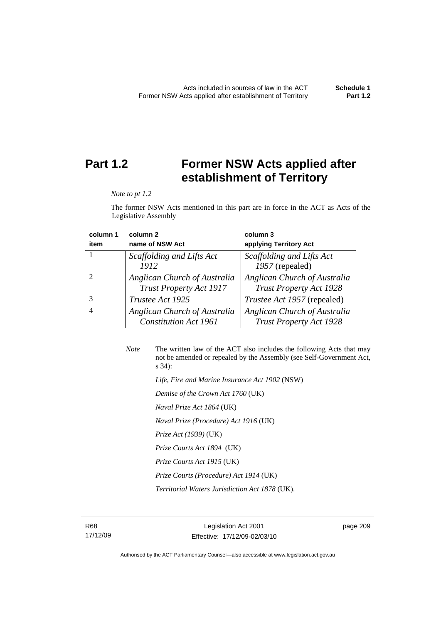# **Part 1.2 Former NSW Acts applied after establishment of Territory**

*Note to pt 1.2* 

The former NSW Acts mentioned in this part are in force in the ACT as Acts of the Legislative Assembly

| column 1 | column <sub>2</sub>                                            | column 3                                                       |
|----------|----------------------------------------------------------------|----------------------------------------------------------------|
| item     | name of NSW Act                                                | applying Territory Act                                         |
|          | Scaffolding and Lifts Act                                      | Scaffolding and Lifts Act                                      |
|          | 1912                                                           | 1957 (repealed)                                                |
|          | Anglican Church of Australia<br><b>Trust Property Act 1917</b> | Anglican Church of Australia<br><b>Trust Property Act 1928</b> |
|          | Trustee Act 1925                                               | <i>Trustee Act 1957</i> (repealed)                             |
| 4        | Anglican Church of Australia<br><b>Constitution Act 1961</b>   | Anglican Church of Australia<br><b>Trust Property Act 1928</b> |

| <b>Note</b> | The written law of the ACT also includes the following Acts that may<br>not be amended or repealed by the Assembly (see Self-Government Act,<br>$s\,34$ : |
|-------------|-----------------------------------------------------------------------------------------------------------------------------------------------------------|
|             | Life, Fire and Marine Insurance Act 1902 (NSW)                                                                                                            |
|             | Demise of the Crown Act 1760 (UK)                                                                                                                         |
|             | Naval Prize Act 1864 (UK)                                                                                                                                 |
|             | Naval Prize (Procedure) Act 1916 (UK)                                                                                                                     |
|             | <i>Prize Act (1939)</i> (UK)                                                                                                                              |
|             |                                                                                                                                                           |

 *Prize Courts Act 1894* (UK)

 *Prize Courts Act 1915* (UK)

 *Prize Courts (Procedure) Act 1914* (UK)

 *Territorial Waters Jurisdiction Act 1878* (UK).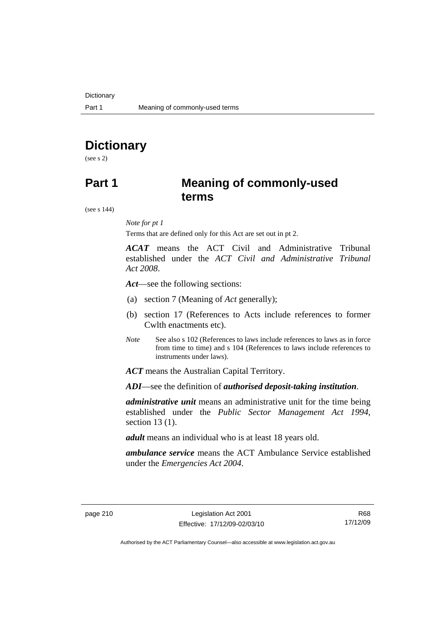# **Dictionary**

(see s 2)

# **Part 1 Meaning of commonly-used terms**

(see s 144)

### *Note for pt 1*

Terms that are defined only for this Act are set out in pt 2.

*ACAT* means the ACT Civil and Administrative Tribunal established under the *ACT Civil and Administrative Tribunal Act 2008*.

*Act*—see the following sections:

- (a) section 7 (Meaning of *Act* generally);
- (b) section 17 (References to Acts include references to former Cwlth enactments etc).
- *Note* See also s 102 (References to laws include references to laws as in force from time to time) and s 104 (References to laws include references to instruments under laws).

*ACT* means the Australian Capital Territory.

*ADI*—see the definition of *authorised deposit-taking institution*.

*administrative unit* means an administrative unit for the time being established under the *Public Sector Management Act 1994*, section 13 (1).

*adult* means an individual who is at least 18 years old.

*ambulance service* means the ACT Ambulance Service established under the *Emergencies Act 2004*.

R68 17/12/09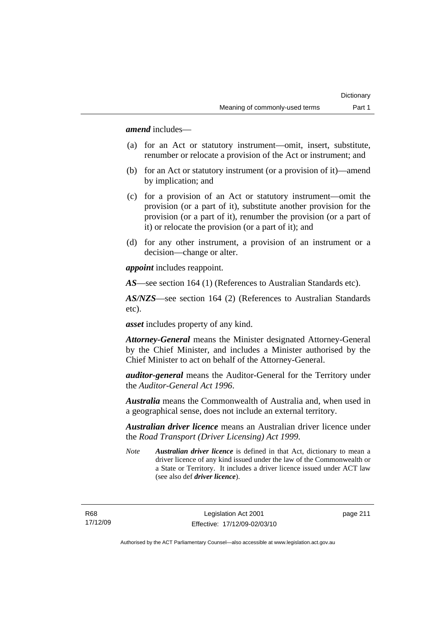*amend* includes—

- (a) for an Act or statutory instrument—omit, insert, substitute, renumber or relocate a provision of the Act or instrument; and
- (b) for an Act or statutory instrument (or a provision of it)—amend by implication; and
- (c) for a provision of an Act or statutory instrument—omit the provision (or a part of it), substitute another provision for the provision (or a part of it), renumber the provision (or a part of it) or relocate the provision (or a part of it); and
- (d) for any other instrument, a provision of an instrument or a decision—change or alter.

*appoint* includes reappoint.

*AS*—see section 164 (1) (References to Australian Standards etc).

*AS/NZS*—see section 164 (2) (References to Australian Standards etc).

*asset* includes property of any kind.

*Attorney-General* means the Minister designated Attorney-General by the Chief Minister, and includes a Minister authorised by the Chief Minister to act on behalf of the Attorney-General.

*auditor-general* means the Auditor-General for the Territory under the *Auditor-General Act 1996*.

*Australia* means the Commonwealth of Australia and, when used in a geographical sense, does not include an external territory.

*Australian driver licence* means an Australian driver licence under the *Road Transport (Driver Licensing) Act 1999*.

*Note Australian driver licence* is defined in that Act, dictionary to mean a driver licence of any kind issued under the law of the Commonwealth or a State or Territory. It includes a driver licence issued under ACT law (see also def *driver licence*).

R68 17/12/09 page 211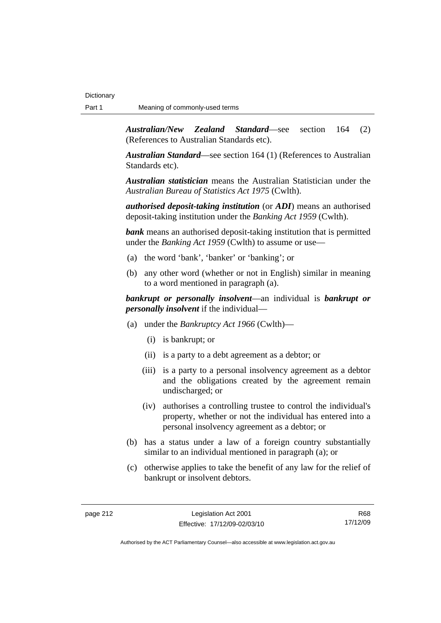*Australian/New Zealand Standard*—see section 164 (2) (References to Australian Standards etc).

*Australian Standard*—see section 164 (1) (References to Australian Standards etc).

*Australian statistician* means the Australian Statistician under the *Australian Bureau of Statistics Act 1975* (Cwlth).

*authorised deposit-taking institution* (or *ADI*) means an authorised deposit-taking institution under the *Banking Act 1959* (Cwlth).

*bank* means an authorised deposit-taking institution that is permitted under the *Banking Act 1959* (Cwlth) to assume or use—

- (a) the word 'bank', 'banker' or 'banking'; or
- (b) any other word (whether or not in English) similar in meaning to a word mentioned in paragraph (a).

*bankrupt or personally insolvent*—an individual is *bankrupt or personally insolvent* if the individual—

- (a) under the *Bankruptcy Act 1966* (Cwlth)—
	- (i) is bankrupt; or
	- (ii) is a party to a debt agreement as a debtor; or
	- (iii) is a party to a personal insolvency agreement as a debtor and the obligations created by the agreement remain undischarged; or
	- (iv) authorises a controlling trustee to control the individual's property, whether or not the individual has entered into a personal insolvency agreement as a debtor; or
- (b) has a status under a law of a foreign country substantially similar to an individual mentioned in paragraph (a); or
- (c) otherwise applies to take the benefit of any law for the relief of bankrupt or insolvent debtors.

R68 17/12/09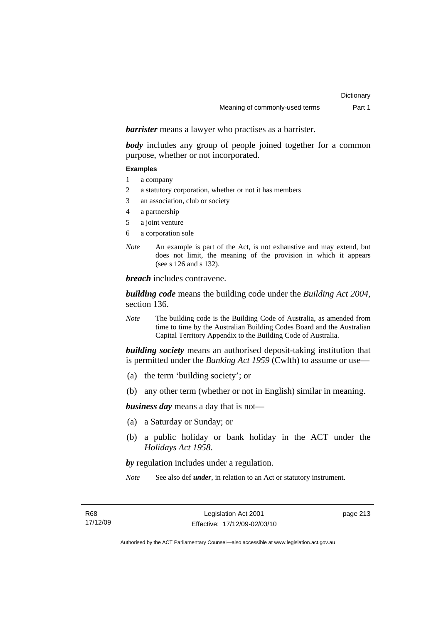*barrister* means a lawyer who practises as a barrister.

*body* includes any group of people joined together for a common purpose, whether or not incorporated.

#### **Examples**

- 1 a company
- 2 a statutory corporation, whether or not it has members
- 3 an association, club or society
- 4 a partnership
- 5 a joint venture
- 6 a corporation sole
- *Note* An example is part of the Act, is not exhaustive and may extend, but does not limit, the meaning of the provision in which it appears (see s 126 and s 132).

*breach* includes contravene.

*building code* means the building code under the *Building Act 2004*, section 136.

*Note* The building code is the Building Code of Australia, as amended from time to time by the Australian Building Codes Board and the Australian Capital Territory Appendix to the Building Code of Australia.

*building society* means an authorised deposit-taking institution that is permitted under the *Banking Act 1959* (Cwlth) to assume or use—

- (a) the term 'building society'; or
- (b) any other term (whether or not in English) similar in meaning.

*business day* means a day that is not—

- (a) a Saturday or Sunday; or
- (b) a public holiday or bank holiday in the ACT under the *Holidays Act 1958*.

*by* regulation includes under a regulation.

*Note* See also def *under*, in relation to an Act or statutory instrument.

page 213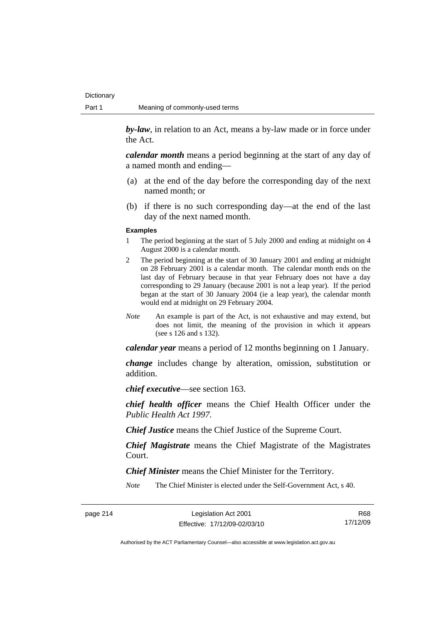*by-law*, in relation to an Act, means a by-law made or in force under the Act.

*calendar month* means a period beginning at the start of any day of a named month and ending—

- (a) at the end of the day before the corresponding day of the next named month; or
- (b) if there is no such corresponding day—at the end of the last day of the next named month.

#### **Examples**

- 1 The period beginning at the start of 5 July 2000 and ending at midnight on 4 August 2000 is a calendar month.
- 2 The period beginning at the start of 30 January 2001 and ending at midnight on 28 February 2001 is a calendar month. The calendar month ends on the last day of February because in that year February does not have a day corresponding to 29 January (because 2001 is not a leap year). If the period began at the start of 30 January 2004 (ie a leap year), the calendar month would end at midnight on 29 February 2004.
- *Note* An example is part of the Act, is not exhaustive and may extend, but does not limit, the meaning of the provision in which it appears (see s 126 and s 132).

*calendar year* means a period of 12 months beginning on 1 January.

*change* includes change by alteration, omission, substitution or addition.

*chief executive*—see section 163.

*chief health officer* means the Chief Health Officer under the *Public Health Act 1997*.

*Chief Justice* means the Chief Justice of the Supreme Court.

*Chief Magistrate* means the Chief Magistrate of the Magistrates Court.

*Chief Minister* means the Chief Minister for the Territory.

*Note* The Chief Minister is elected under the Self-Government Act, s 40.

R68 17/12/09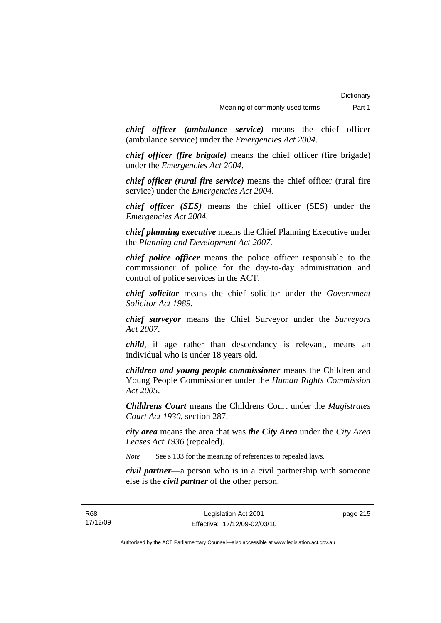*chief officer (ambulance service)* means the chief officer (ambulance service) under the *Emergencies Act 2004*.

*chief officer (fire brigade)* means the chief officer (fire brigade) under the *Emergencies Act 2004*.

*chief officer (rural fire service)* means the chief officer (rural fire service) under the *Emergencies Act 2004*.

*chief officer (SES)* means the chief officer (SES) under the *Emergencies Act 2004*.

*chief planning executive* means the Chief Planning Executive under the *Planning and Development Act 2007*.

*chief police officer* means the police officer responsible to the commissioner of police for the day-to-day administration and control of police services in the ACT.

*chief solicitor* means the chief solicitor under the *Government Solicitor Act 1989*.

*chief surveyor* means the Chief Surveyor under the *Surveyors Act 2007*.

*child*, if age rather than descendancy is relevant, means an individual who is under 18 years old.

*children and young people commissioner* means the Children and Young People Commissioner under the *Human Rights Commission Act 2005*.

*Childrens Court* means the Childrens Court under the *Magistrates Court Act 1930*, section 287.

*city area* means the area that was *the City Area* under the *City Area Leases Act 1936* (repealed).

*Note* See s 103 for the meaning of references to repealed laws.

*civil partner*—a person who is in a civil partnership with someone else is the *civil partner* of the other person.

page 215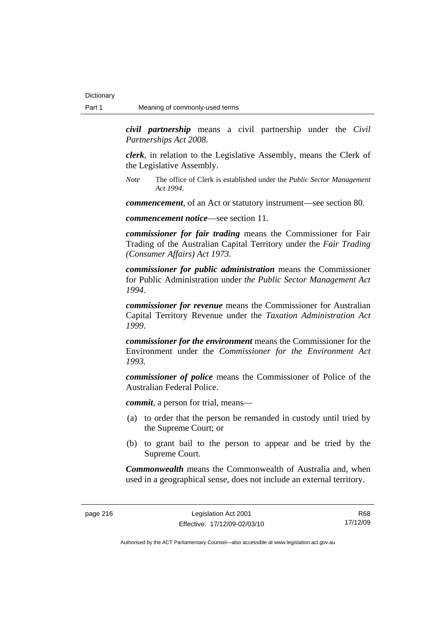*civil partnership* means a civil partnership under the *Civil Partnerships Act 2008*.

*clerk*, in relation to the Legislative Assembly, means the Clerk of the Legislative Assembly.

*Note* The office of Clerk is established under the *Public Sector Management Act 1994*.

*commencement*, of an Act or statutory instrument—see section 80.

*commencement notice*—see section 11.

*commissioner for fair trading* means the Commissioner for Fair Trading of the Australian Capital Territory under the *Fair Trading (Consumer Affairs) Act 1973*.

*commissioner for public administration* means the Commissioner for Public Administration under *the Public Sector Management Act 1994*.

*commissioner for revenue* means the Commissioner for Australian Capital Territory Revenue under the *Taxation Administration Act 1999*.

*commissioner for the environment* means the Commissioner for the Environment under the *Commissioner for the Environment Act 1993.* 

*commissioner of police* means the Commissioner of Police of the Australian Federal Police.

*commit*, a person for trial, means—

- (a) to order that the person be remanded in custody until tried by the Supreme Court; or
- (b) to grant bail to the person to appear and be tried by the Supreme Court.

*Commonwealth* means the Commonwealth of Australia and, when used in a geographical sense, does not include an external territory.

R68 17/12/09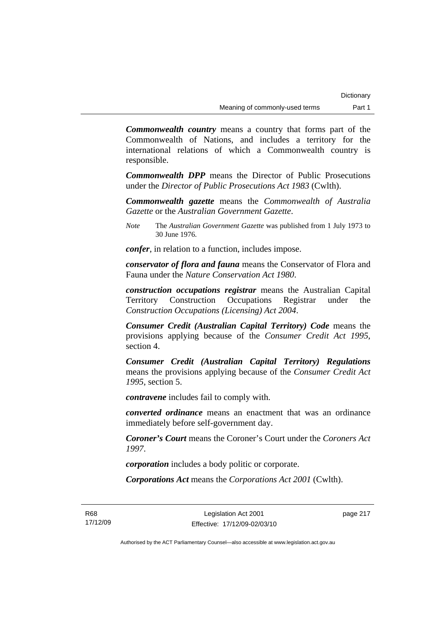*Commonwealth country* means a country that forms part of the Commonwealth of Nations, and includes a territory for the international relations of which a Commonwealth country is responsible.

*Commonwealth DPP* means the Director of Public Prosecutions under the *Director of Public Prosecutions Act 1983* (Cwlth).

*Commonwealth gazette* means the *Commonwealth of Australia Gazette* or the *Australian Government Gazette*.

*Note* The *Australian Government Gazette* was published from 1 July 1973 to 30 June 1976.

*confer*, in relation to a function, includes impose.

*conservator of flora and fauna* means the Conservator of Flora and Fauna under the *Nature Conservation Act 1980*.

*construction occupations registrar* means the Australian Capital Territory Construction Occupations Registrar under the *Construction Occupations (Licensing) Act 2004*.

*Consumer Credit (Australian Capital Territory) Code* means the provisions applying because of the *Consumer Credit Act 1995*, section 4.

*Consumer Credit (Australian Capital Territory) Regulations* means the provisions applying because of the *Consumer Credit Act 1995*, section 5.

*contravene* includes fail to comply with.

*converted ordinance* means an enactment that was an ordinance immediately before self-government day.

*Coroner's Court* means the Coroner's Court under the *Coroners Act 1997*.

*corporation* includes a body politic or corporate.

*Corporations Act* means the *Corporations Act 2001* (Cwlth).

R68 17/12/09

Legislation Act 2001 Effective: 17/12/09-02/03/10 page 217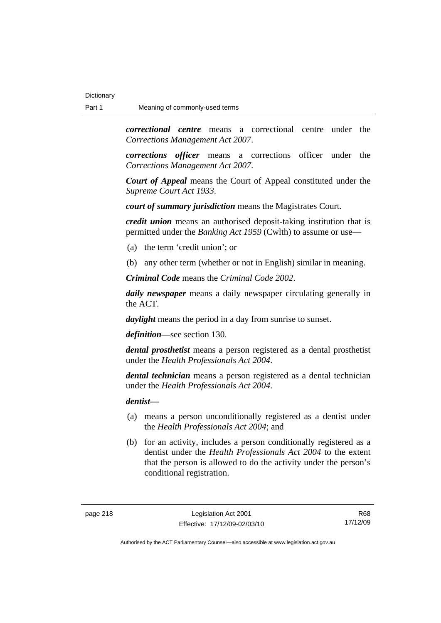*correctional centre* means a correctional centre under the *Corrections Management Act 2007*.

*corrections officer* means a corrections officer under the *Corrections Management Act 2007*.

*Court of Appeal* means the Court of Appeal constituted under the *Supreme Court Act 1933*.

*court of summary jurisdiction* means the Magistrates Court.

*credit union* means an authorised deposit-taking institution that is permitted under the *Banking Act 1959* (Cwlth) to assume or use—

- (a) the term 'credit union'; or
- (b) any other term (whether or not in English) similar in meaning.

*Criminal Code* means the *Criminal Code 2002*.

*daily newspaper* means a daily newspaper circulating generally in the ACT.

*daylight* means the period in a day from sunrise to sunset.

*definition*—see section 130.

*dental prosthetist* means a person registered as a dental prosthetist under the *Health Professionals Act 2004*.

*dental technician* means a person registered as a dental technician under the *Health Professionals Act 2004*.

*dentist***—**

- (a) means a person unconditionally registered as a dentist under the *Health Professionals Act 2004*; and
- (b) for an activity, includes a person conditionally registered as a dentist under the *Health Professionals Act 2004* to the extent that the person is allowed to do the activity under the person's conditional registration.

R68 17/12/09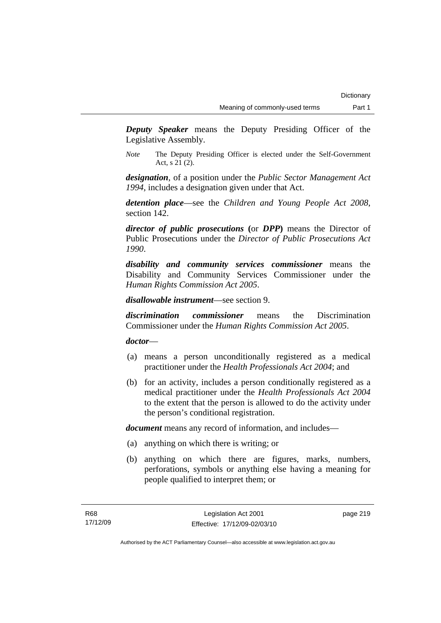*Deputy Speaker* means the Deputy Presiding Officer of the Legislative Assembly.

*Note* The Deputy Presiding Officer is elected under the Self-Government Act, s 21 (2).

*designation*, of a position under the *Public Sector Management Act 1994*, includes a designation given under that Act.

*detention place*—see the *Children and Young People Act 2008*, section 142.

*director of public prosecutions* **(**or *DPP***)** means the Director of Public Prosecutions under the *Director of Public Prosecutions Act 1990*.

*disability and community services commissioner* means the Disability and Community Services Commissioner under the *Human Rights Commission Act 2005*.

*disallowable instrument*—see section 9.

*discrimination commissioner* means the Discrimination Commissioner under the *Human Rights Commission Act 2005*.

*doctor*—

- (a) means a person unconditionally registered as a medical practitioner under the *Health Professionals Act 2004*; and
- (b) for an activity, includes a person conditionally registered as a medical practitioner under the *Health Professionals Act 2004*  to the extent that the person is allowed to do the activity under the person's conditional registration.

*document* means any record of information, and includes—

- (a) anything on which there is writing; or
- (b) anything on which there are figures, marks, numbers, perforations, symbols or anything else having a meaning for people qualified to interpret them; or

page 219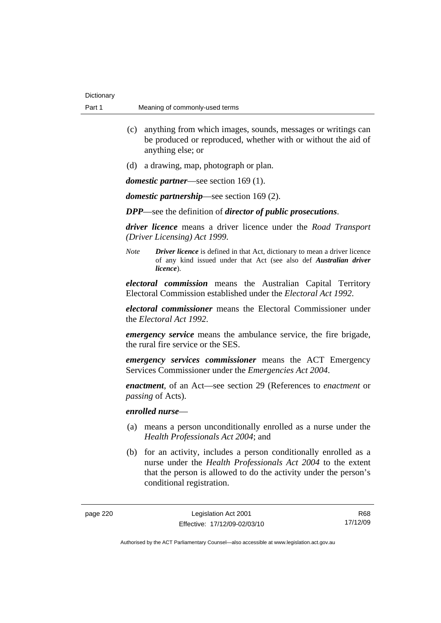- (c) anything from which images, sounds, messages or writings can be produced or reproduced, whether with or without the aid of anything else; or
- (d) a drawing, map, photograph or plan.

*domestic partner*—see section 169 (1).

*domestic partnership*—see section 169 (2).

*DPP*—see the definition of *director of public prosecutions*.

*driver licence* means a driver licence under the *Road Transport (Driver Licensing) Act 1999*.

*Note Driver licence* is defined in that Act, dictionary to mean a driver licence of any kind issued under that Act (see also def *Australian driver licence*).

*electoral commission* means the Australian Capital Territory Electoral Commission established under the *Electoral Act 1992*.

*electoral commissioner* means the Electoral Commissioner under the *Electoral Act 1992*.

*emergency service* means the ambulance service, the fire brigade, the rural fire service or the SES.

*emergency services commissioner* means the ACT Emergency Services Commissioner under the *Emergencies Act 2004*.

*enactment*, of an Act—see section 29 (References to *enactment* or *passing* of Acts).

## *enrolled nurse*—

- (a) means a person unconditionally enrolled as a nurse under the *Health Professionals Act 2004*; and
- (b) for an activity, includes a person conditionally enrolled as a nurse under the *Health Professionals Act 2004* to the extent that the person is allowed to do the activity under the person's conditional registration.

R68 17/12/09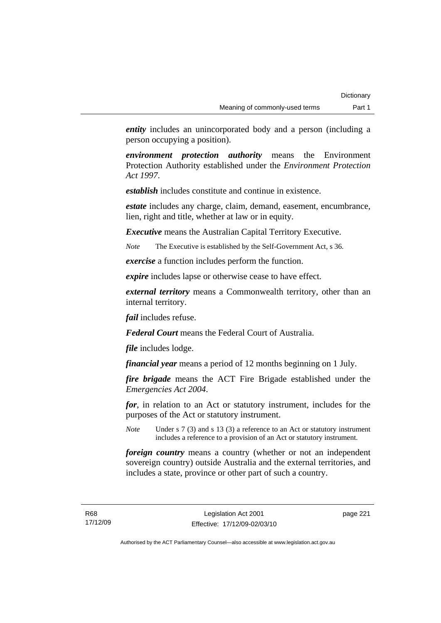*entity* includes an unincorporated body and a person (including a person occupying a position).

*environment protection authority* means the Environment Protection Authority established under the *Environment Protection Act 1997*.

*establish* includes constitute and continue in existence.

*estate* includes any charge, claim, demand, easement, encumbrance, lien, right and title, whether at law or in equity.

*Executive* means the Australian Capital Territory Executive.

*Note* The Executive is established by the Self-Government Act, s 36.

*exercise* a function includes perform the function.

*expire* includes lapse or otherwise cease to have effect.

*external territory* means a Commonwealth territory, other than an internal territory.

*fail* includes refuse.

*Federal Court* means the Federal Court of Australia.

*file* includes lodge.

*financial year* means a period of 12 months beginning on 1 July.

*fire brigade* means the ACT Fire Brigade established under the *Emergencies Act 2004*.

*for*, in relation to an Act or statutory instrument, includes for the purposes of the Act or statutory instrument.

*Note* Under s 7 (3) and s 13 (3) a reference to an Act or statutory instrument includes a reference to a provision of an Act or statutory instrument.

*foreign country* means a country (whether or not an independent sovereign country) outside Australia and the external territories, and includes a state, province or other part of such a country.

R68 17/12/09 page 221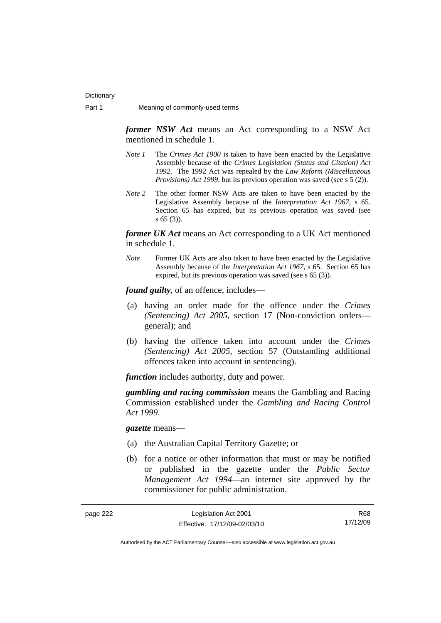*former NSW Act* means an Act corresponding to a NSW Act mentioned in schedule 1.

- *Note 1* The *Crimes Act 1900* is taken to have been enacted by the Legislative Assembly because of the *Crimes Legislation (Status and Citation) Act 1992*. The 1992 Act was repealed by the *Law Reform (Miscellaneous Provisions) Act 1999*, but its previous operation was saved (see s 5 (2)).
- *Note 2* The other former NSW Acts are taken to have been enacted by the Legislative Assembly because of the *Interpretation Act 1967*, s 65. Section 65 has expired, but its previous operation was saved (see s 65 (3)).

*former UK Act* means an Act corresponding to a UK Act mentioned in schedule 1.

*Note* Former UK Acts are also taken to have been enacted by the Legislative Assembly because of the *Interpretation Act 1967*, s 65. Section 65 has expired, but its previous operation was saved (see s 65 (3)).

*found guilty*, of an offence, includes—

- (a) having an order made for the offence under the *Crimes (Sentencing) Act 2005*, section 17 (Non-conviction orders general); and
- (b) having the offence taken into account under the *Crimes (Sentencing) Act 2005*, section 57 (Outstanding additional offences taken into account in sentencing).

*function* includes authority, duty and power.

*gambling and racing commission* means the Gambling and Racing Commission established under the *Gambling and Racing Control Act 1999*.

*gazette* means—

- (a) the Australian Capital Territory Gazette; or
- (b) for a notice or other information that must or may be notified or published in the gazette under the *Public Sector Management Act 1994*—an internet site approved by the commissioner for public administration.

| page 222 | Legislation Act 2001         | R68      |
|----------|------------------------------|----------|
|          | Effective: 17/12/09-02/03/10 | 17/12/09 |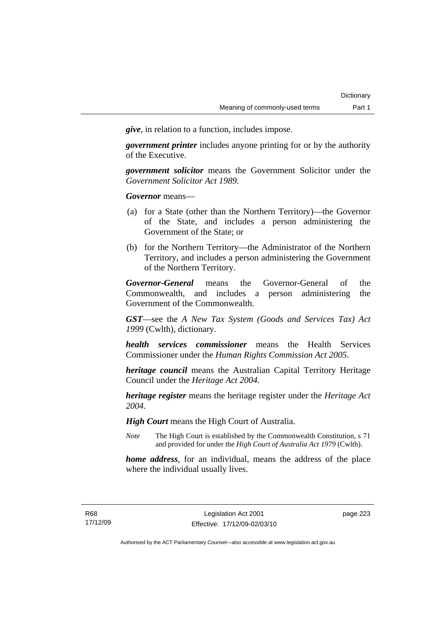*give*, in relation to a function, includes impose.

*government printer* includes anyone printing for or by the authority of the Executive.

*government solicitor* means the Government Solicitor under the *Government Solicitor Act 1989*.

*Governor* means—

- (a) for a State (other than the Northern Territory)—the Governor of the State, and includes a person administering the Government of the State; or
- (b) for the Northern Territory—the Administrator of the Northern Territory, and includes a person administering the Government of the Northern Territory.

*Governor-General* means the Governor-General of the Commonwealth, and includes a person administering the Government of the Commonwealth.

*GST*—see the *A New Tax System (Goods and Services Tax) Act 1999* (Cwlth), dictionary.

*health services commissioner* means the Health Services Commissioner under the *Human Rights Commission Act 2005*.

*heritage council* means the Australian Capital Territory Heritage Council under the *Heritage Act 2004*.

*heritage register* means the heritage register under the *Heritage Act 2004*.

*High Court* means the High Court of Australia.

*Note* The High Court is established by the Commonwealth Constitution, s 71 and provided for under the *High Court of Australia Act 1979* (Cwlth).

*home address*, for an individual, means the address of the place where the individual usually lives.

page 223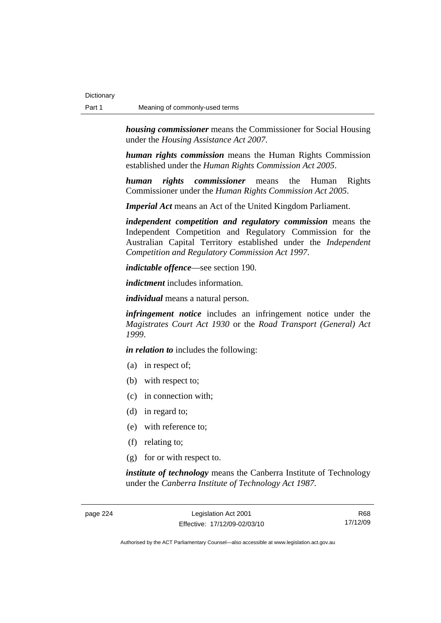*housing commissioner* means the Commissioner for Social Housing under the *Housing Assistance Act 2007*.

*human rights commission* means the Human Rights Commission established under the *Human Rights Commission Act 2005*.

*human rights commissioner* means the Human Rights Commissioner under the *Human Rights Commission Act 2005*.

*Imperial Act* means an Act of the United Kingdom Parliament.

*independent competition and regulatory commission* means the Independent Competition and Regulatory Commission for the Australian Capital Territory established under the *Independent Competition and Regulatory Commission Act 1997*.

*indictable offence*—see section 190.

*indictment* includes information.

*individual* means a natural person.

*infringement notice* includes an infringement notice under the *Magistrates Court Act 1930* or the *Road Transport (General) Act 1999*.

*in relation to* includes the following:

- (a) in respect of;
- (b) with respect to;
- (c) in connection with;
- (d) in regard to;
- (e) with reference to;
- (f) relating to;
- (g) for or with respect to.

*institute of technology* means the Canberra Institute of Technology under the *Canberra Institute of Technology Act 1987*.

page 224 Legislation Act 2001 Effective: 17/12/09-02/03/10

R68 17/12/09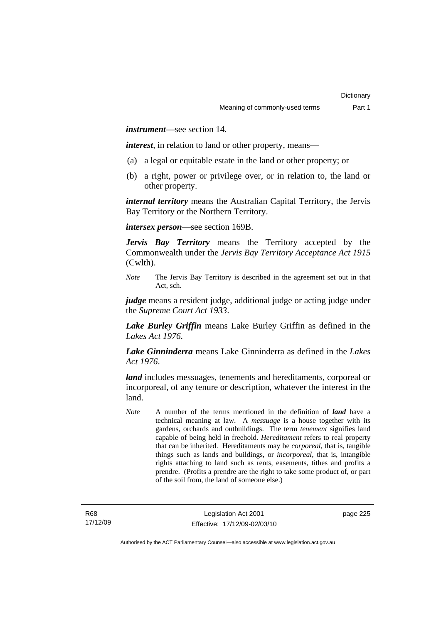*instrument*—see section 14.

*interest*, in relation to land or other property, means—

- (a) a legal or equitable estate in the land or other property; or
- (b) a right, power or privilege over, or in relation to, the land or other property.

*internal territory* means the Australian Capital Territory, the Jervis Bay Territory or the Northern Territory.

*intersex person*—see section 169B.

*Jervis Bay Territory* means the Territory accepted by the Commonwealth under the *Jervis Bay Territory Acceptance Act 1915* (Cwlth).

*Note* The Jervis Bay Territory is described in the agreement set out in that Act, sch.

*judge* means a resident judge, additional judge or acting judge under the *Supreme Court Act 1933*.

*Lake Burley Griffin* means Lake Burley Griffin as defined in the *Lakes Act 1976*.

*Lake Ginninderra* means Lake Ginninderra as defined in the *Lakes Act 1976*.

*land* includes messuages, tenements and hereditaments, corporeal or incorporeal, of any tenure or description, whatever the interest in the land.

*Note* A number of the terms mentioned in the definition of *land* have a technical meaning at law. A *messuage* is a house together with its gardens, orchards and outbuildings. The term *tenement* signifies land capable of being held in freehold. *Hereditament* refers to real property that can be inherited. Hereditaments may be *corporeal*, that is, tangible things such as lands and buildings, or *incorporeal*, that is, intangible rights attaching to land such as rents, easements, tithes and profits a prendre. (Profits a prendre are the right to take some product of, or part of the soil from, the land of someone else.)

page 225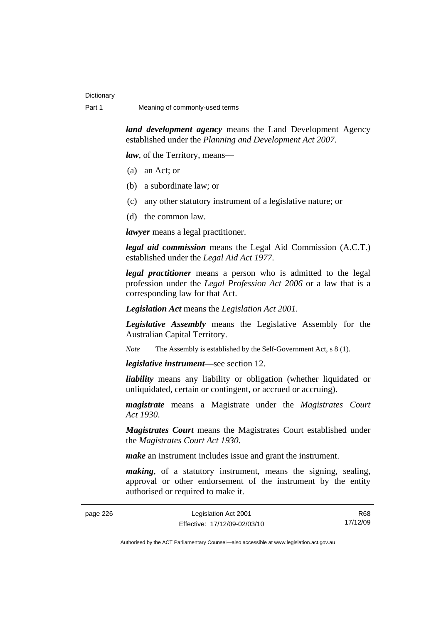*land development agency* means the Land Development Agency established under the *Planning and Development Act 2007*.

*law*, of the Territory, means—

- (a) an Act; or
- (b) a subordinate law; or
- (c) any other statutory instrument of a legislative nature; or
- (d) the common law.

*lawyer* means a legal practitioner.

*legal aid commission* means the Legal Aid Commission (A.C.T.) established under the *Legal Aid Act 1977*.

*legal practitioner* means a person who is admitted to the legal profession under the *Legal Profession Act 2006* or a law that is a corresponding law for that Act.

*Legislation Act* means the *Legislation Act 2001*.

*Legislative Assembly* means the Legislative Assembly for the Australian Capital Territory.

*Note* The Assembly is established by the Self-Government Act, s 8 (1).

*legislative instrument*—see section 12.

*liability* means any liability or obligation (whether liquidated or unliquidated, certain or contingent, or accrued or accruing).

*magistrate* means a Magistrate under the *Magistrates Court Act 1930*.

*Magistrates Court* means the Magistrates Court established under the *Magistrates Court Act 1930*.

*make* an instrument includes issue and grant the instrument.

*making*, of a statutory instrument, means the signing, sealing, approval or other endorsement of the instrument by the entity authorised or required to make it.

| page 226 | Legislation Act 2001         | R68      |
|----------|------------------------------|----------|
|          | Effective: 17/12/09-02/03/10 | 17/12/09 |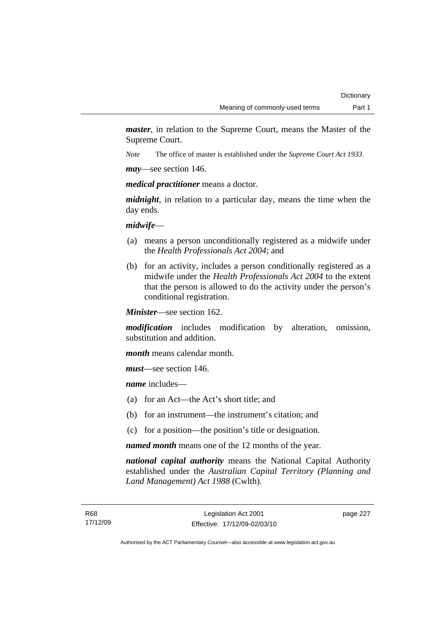*master*, in relation to the Supreme Court, means the Master of the Supreme Court.

*Note* The office of master is established under the *Supreme Court Act 1933*.

*may*—see section 146.

*medical practitioner* means a doctor.

*midnight*, in relation to a particular day, means the time when the day ends.

### *midwife*—

- (a) means a person unconditionally registered as a midwife under the *Health Professionals Act 2004*; and
- (b) for an activity, includes a person conditionally registered as a midwife under the *Health Professionals Act 2004* to the extent that the person is allowed to do the activity under the person's conditional registration.

*Minister*—see section 162.

*modification* includes modification by alteration, omission, substitution and addition.

*month* means calendar month.

*must*—see section 146.

*name* includes—

- (a) for an Act—the Act's short title; and
- (b) for an instrument—the instrument's citation; and
- (c) for a position—the position's title or designation.

*named month* means one of the 12 months of the year.

*national capital authority* means the National Capital Authority established under the *Australian Capital Territory (Planning and Land Management) Act 1988* (Cwlth).

page 227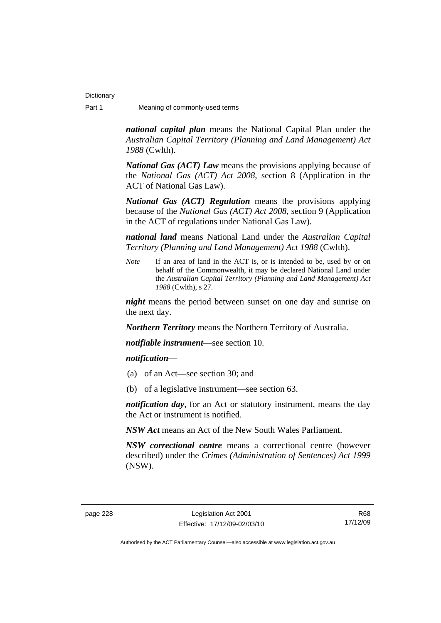*national capital plan* means the National Capital Plan under the *Australian Capital Territory (Planning and Land Management) Act 1988* (Cwlth).

*National Gas (ACT) Law* means the provisions applying because of the *National Gas (ACT) Act 2008*, section 8 (Application in the ACT of National Gas Law).

*National Gas (ACT) Regulation* means the provisions applying because of the *National Gas (ACT) Act 2008*, section 9 (Application in the ACT of regulations under National Gas Law).

*national land* means National Land under the *Australian Capital Territory (Planning and Land Management) Act 1988* (Cwlth).

*Note* If an area of land in the ACT is, or is intended to be, used by or on behalf of the Commonwealth, it may be declared National Land under the *Australian Capital Territory (Planning and Land Management) Act 1988* (Cwlth), s 27.

*night* means the period between sunset on one day and sunrise on the next day.

*Northern Territory* means the Northern Territory of Australia.

*notifiable instrument*—see section 10.

### *notification*—

- (a) of an Act—see section 30; and
- (b) of a legislative instrument—see section 63.

*notification day*, for an Act or statutory instrument, means the day the Act or instrument is notified.

*NSW Act* means an Act of the New South Wales Parliament.

*NSW correctional centre* means a correctional centre (however described) under the *Crimes (Administration of Sentences) Act 1999* (NSW).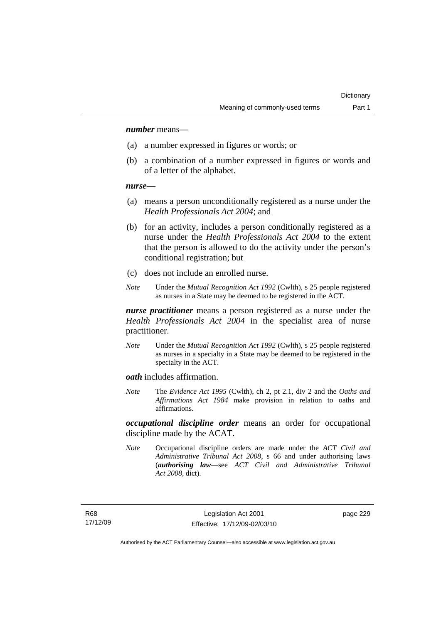### *number* means—

- (a) a number expressed in figures or words; or
- (b) a combination of a number expressed in figures or words and of a letter of the alphabet.

#### *nurse***—**

- (a) means a person unconditionally registered as a nurse under the *Health Professionals Act 2004*; and
- (b) for an activity, includes a person conditionally registered as a nurse under the *Health Professionals Act 2004* to the extent that the person is allowed to do the activity under the person's conditional registration; but
- (c) does not include an enrolled nurse.
- *Note* Under the *Mutual Recognition Act 1992* (Cwlth), s 25 people registered as nurses in a State may be deemed to be registered in the ACT.

*nurse practitioner* means a person registered as a nurse under the *Health Professionals Act 2004* in the specialist area of nurse practitioner.

*Note* Under the *Mutual Recognition Act 1992* (Cwlth), s 25 people registered as nurses in a specialty in a State may be deemed to be registered in the specialty in the ACT.

*oath* includes affirmation.

*Note* The *Evidence Act 1995* (Cwlth), ch 2, pt 2.1, div 2 and the *Oaths and Affirmations Act 1984* make provision in relation to oaths and affirmations.

*occupational discipline order* means an order for occupational discipline made by the ACAT.

*Note* Occupational discipline orders are made under the *ACT Civil and Administrative Tribunal Act 2008*, s 66 and under authorising laws (*authorising law*—see *ACT Civil and Administrative Tribunal Act 2008*, dict).

page 229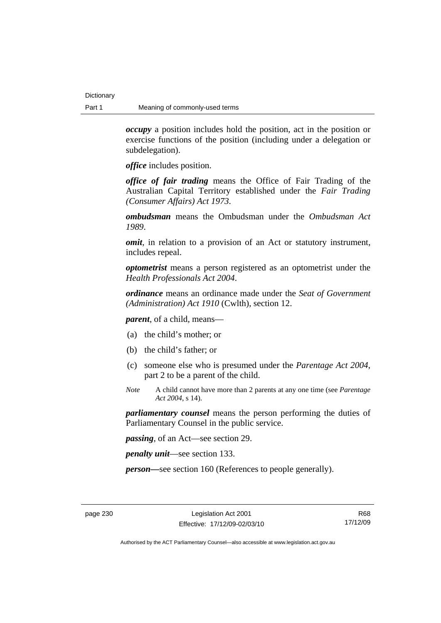*occupy* a position includes hold the position, act in the position or exercise functions of the position (including under a delegation or subdelegation).

*office* includes position.

*office of fair trading* means the Office of Fair Trading of the Australian Capital Territory established under the *Fair Trading (Consumer Affairs) Act 1973*.

*ombudsman* means the Ombudsman under the *Ombudsman Act 1989*.

*omit*, in relation to a provision of an Act or statutory instrument, includes repeal.

*optometrist* means a person registered as an optometrist under the *Health Professionals Act 2004*.

*ordinance* means an ordinance made under the *Seat of Government (Administration) Act 1910* (Cwlth), section 12.

*parent*, of a child, means—

- (a) the child's mother; or
- (b) the child's father; or
- (c) someone else who is presumed under the *Parentage Act 2004*, part 2 to be a parent of the child.
- *Note* A child cannot have more than 2 parents at any one time (see *Parentage Act 2004*, s 14).

*parliamentary counsel* means the person performing the duties of Parliamentary Counsel in the public service.

*passing*, of an Act—see section 29.

*penalty unit*—see section 133.

*person—*see section 160 (References to people generally).

R68 17/12/09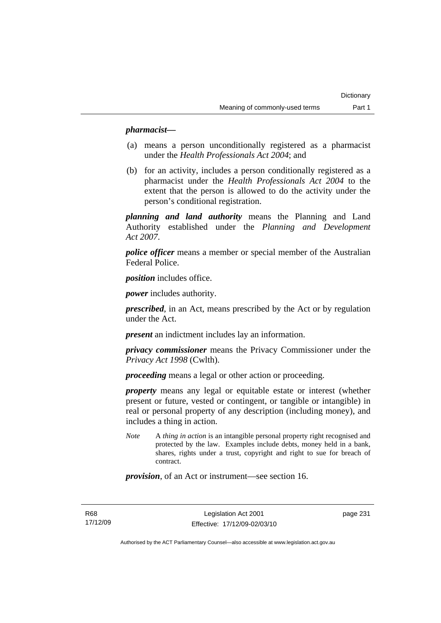## *pharmacist***—**

- (a) means a person unconditionally registered as a pharmacist under the *Health Professionals Act 2004*; and
- (b) for an activity, includes a person conditionally registered as a pharmacist under the *Health Professionals Act 2004* to the extent that the person is allowed to do the activity under the person's conditional registration.

*planning and land authority* means the Planning and Land Authority established under the *Planning and Development Act 2007*.

*police officer* means a member or special member of the Australian Federal Police.

*position* includes office.

*power* includes authority.

*prescribed*, in an Act, means prescribed by the Act or by regulation under the Act.

*present* an indictment includes lay an information.

*privacy commissioner* means the Privacy Commissioner under the *Privacy Act 1998* (Cwlth).

*proceeding* means a legal or other action or proceeding.

*property* means any legal or equitable estate or interest (whether present or future, vested or contingent, or tangible or intangible) in real or personal property of any description (including money), and includes a thing in action.

*Note* A *thing in action* is an intangible personal property right recognised and protected by the law. Examples include debts, money held in a bank, shares, rights under a trust, copyright and right to sue for breach of contract.

*provision*, of an Act or instrument—see section 16.

R68 17/12/09 page 231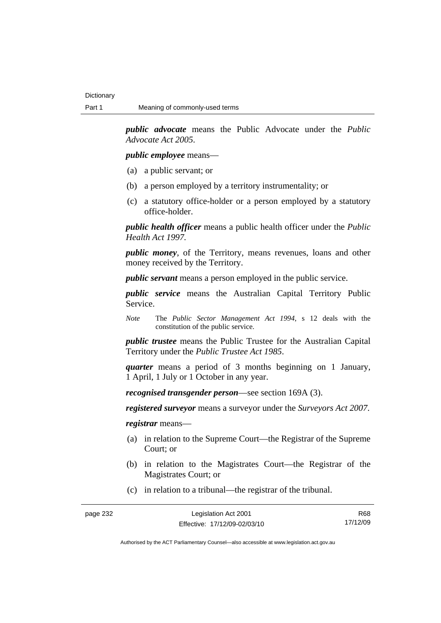*public advocate* means the Public Advocate under the *Public Advocate Act 2005*.

*public employee* means—

- (a) a public servant; or
- (b) a person employed by a territory instrumentality; or
- (c) a statutory office-holder or a person employed by a statutory office-holder.

*public health officer* means a public health officer under the *Public Health Act 1997.*

*public money*, of the Territory, means revenues, loans and other money received by the Territory.

*public servant* means a person employed in the public service.

*public service* means the Australian Capital Territory Public Service.

*Note* The *Public Sector Management Act 1994*, s 12 deals with the constitution of the public service.

*public trustee* means the Public Trustee for the Australian Capital Territory under the *Public Trustee Act 1985*.

*quarter* means a period of 3 months beginning on 1 January, 1 April, 1 July or 1 October in any year.

*recognised transgender person*—see section 169A (3).

*registered surveyor* means a surveyor under the *Surveyors Act 2007*.

*registrar* means—

- (a) in relation to the Supreme Court—the Registrar of the Supreme Court; or
- (b) in relation to the Magistrates Court—the Registrar of the Magistrates Court; or
- (c) in relation to a tribunal—the registrar of the tribunal.

page 232 Legislation Act 2001 Effective: 17/12/09-02/03/10

R68 17/12/09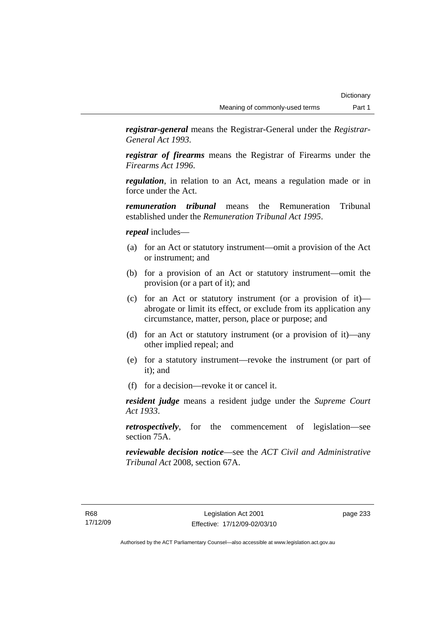*registrar-general* means the Registrar-General under the *Registrar-General Act 1993*.

*registrar of firearms* means the Registrar of Firearms under the *Firearms Act 1996*.

*regulation*, in relation to an Act, means a regulation made or in force under the Act.

*remuneration tribunal* means the Remuneration Tribunal established under the *Remuneration Tribunal Act 1995*.

#### *repeal* includes—

- (a) for an Act or statutory instrument—omit a provision of the Act or instrument; and
- (b) for a provision of an Act or statutory instrument—omit the provision (or a part of it); and
- (c) for an Act or statutory instrument (or a provision of it) abrogate or limit its effect, or exclude from its application any circumstance, matter, person, place or purpose; and
- (d) for an Act or statutory instrument (or a provision of it)—any other implied repeal; and
- (e) for a statutory instrument—revoke the instrument (or part of it); and
- (f) for a decision—revoke it or cancel it.

*resident judge* means a resident judge under the *Supreme Court Act 1933*.

*retrospectively*, for the commencement of legislation—see section 75A.

*reviewable decision notice*—see the *ACT Civil and Administrative Tribunal Act* 2008, section 67A.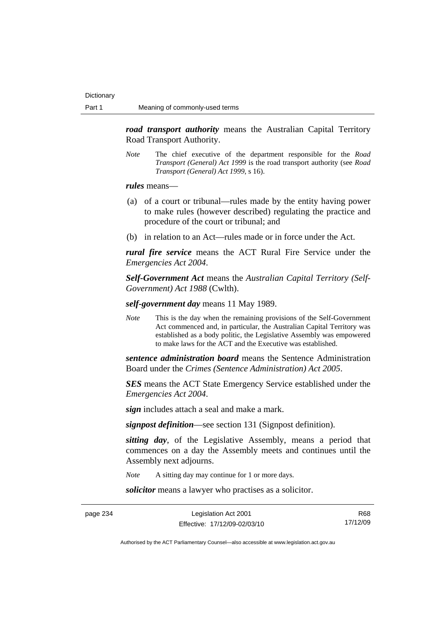*road transport authority* means the Australian Capital Territory Road Transport Authority.

*Note* The chief executive of the department responsible for the *Road Transport (General) Act 1999* is the road transport authority (see *Road Transport (General) Act 1999*, s 16).

*rules* means—

- (a) of a court or tribunal—rules made by the entity having power to make rules (however described) regulating the practice and procedure of the court or tribunal; and
- (b) in relation to an Act—rules made or in force under the Act.

*rural fire service* means the ACT Rural Fire Service under the *Emergencies Act 2004*.

*Self-Government Act* means the *Australian Capital Territory (Self-Government) Act 1988* (Cwlth).

*self-government day* means 11 May 1989.

*Note* This is the day when the remaining provisions of the Self-Government Act commenced and, in particular, the Australian Capital Territory was established as a body politic, the Legislative Assembly was empowered to make laws for the ACT and the Executive was established.

*sentence administration board* means the Sentence Administration Board under the *Crimes (Sentence Administration) Act 2005*.

*SES* means the ACT State Emergency Service established under the *Emergencies Act 2004*.

*sign* includes attach a seal and make a mark.

*signpost definition*—see section 131 (Signpost definition).

*sitting day*, of the Legislative Assembly, means a period that commences on a day the Assembly meets and continues until the Assembly next adjourns.

*Note* A sitting day may continue for 1 or more days.

*solicitor* means a lawyer who practises as a solicitor.

page 234 Legislation Act 2001 Effective: 17/12/09-02/03/10

R68 17/12/09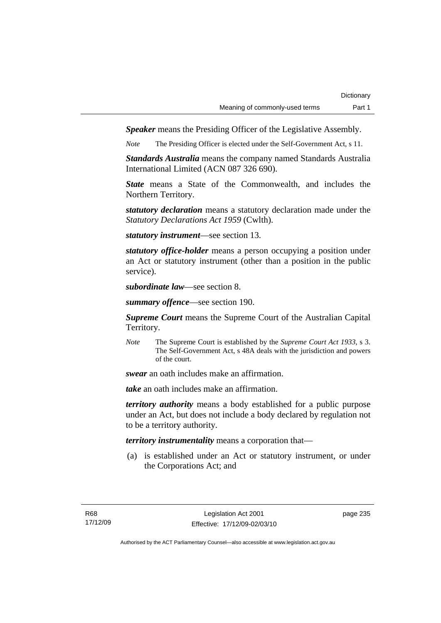*Speaker* means the Presiding Officer of the Legislative Assembly.

*Note* The Presiding Officer is elected under the Self-Government Act, s 11.

*Standards Australia* means the company named Standards Australia International Limited (ACN 087 326 690).

*State* means a State of the Commonwealth, and includes the Northern Territory.

*statutory declaration* means a statutory declaration made under the *Statutory Declarations Act 1959* (Cwlth).

*statutory instrument*—see section 13.

*statutory office-holder* means a person occupying a position under an Act or statutory instrument (other than a position in the public service).

*subordinate law*—see section 8.

*summary offence*—see section 190.

*Supreme Court* means the Supreme Court of the Australian Capital Territory.

*Note* The Supreme Court is established by the *Supreme Court Act 1933*, s 3. The Self-Government Act, s 48A deals with the jurisdiction and powers of the court.

*swear* an oath includes make an affirmation.

*take* an oath includes make an affirmation.

*territory authority* means a body established for a public purpose under an Act, but does not include a body declared by regulation not to be a territory authority.

*territory instrumentality* means a corporation that—

 (a) is established under an Act or statutory instrument, or under the Corporations Act; and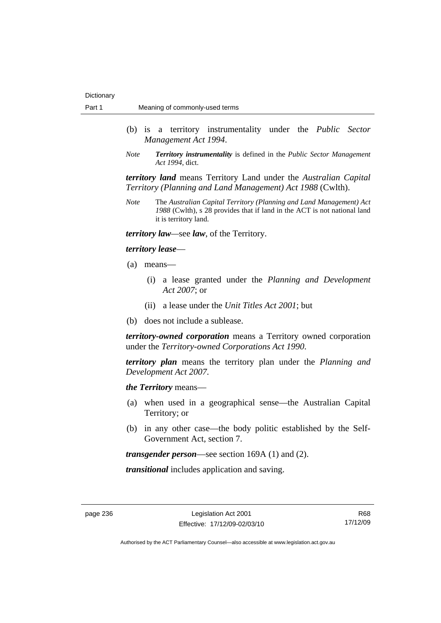- (b) is a territory instrumentality under the *Public Sector Management Act 1994*.
- *Note Territory instrumentality* is defined in the *Public Sector Management Act 1994*, dict.

*territory land* means Territory Land under the *Australian Capital Territory (Planning and Land Management) Act 1988* (Cwlth).

*Note* The *Australian Capital Territory (Planning and Land Management) Act 1988* (Cwlth), s 28 provides that if land in the ACT is not national land it is territory land.

*territory law—*see *law*, of the Territory.

#### *territory lease*—

- (a) means—
	- (i) a lease granted under the *Planning and Development Act 2007*; or
	- (ii) a lease under the *Unit Titles Act 2001*; but
- (b) does not include a sublease.

*territory-owned corporation* means a Territory owned corporation under the *Territory-owned Corporations Act 1990*.

*territory plan* means the territory plan under the *Planning and Development Act 2007*.

*the Territory* means—

- (a) when used in a geographical sense—the Australian Capital Territory; or
- (b) in any other case—the body politic established by the Self-Government Act, section 7.

*transgender person*—see section 169A (1) and (2).

*transitional* includes application and saving.

R68 17/12/09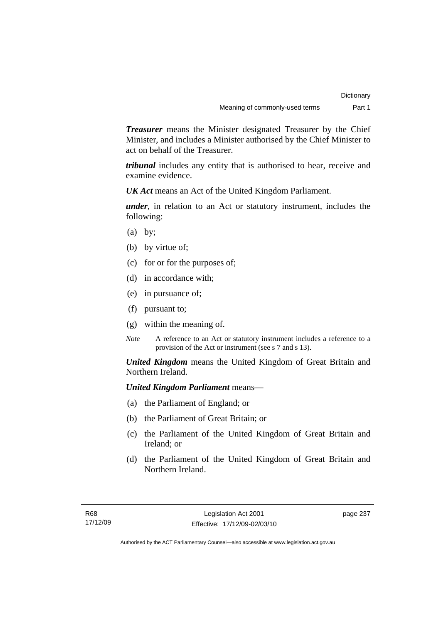*Treasurer* means the Minister designated Treasurer by the Chief Minister, and includes a Minister authorised by the Chief Minister to act on behalf of the Treasurer.

*tribunal* includes any entity that is authorised to hear, receive and examine evidence.

*UK Act* means an Act of the United Kingdom Parliament.

*under*, in relation to an Act or statutory instrument, includes the following:

- $(a)$  by;
- (b) by virtue of;
- (c) for or for the purposes of;
- (d) in accordance with;
- (e) in pursuance of;
- (f) pursuant to;
- (g) within the meaning of.
- *Note* A reference to an Act or statutory instrument includes a reference to a provision of the Act or instrument (see s 7 and s 13).

*United Kingdom* means the United Kingdom of Great Britain and Northern Ireland.

# *United Kingdom Parliament* means—

- (a) the Parliament of England; or
- (b) the Parliament of Great Britain; or
- (c) the Parliament of the United Kingdom of Great Britain and Ireland; or
- (d) the Parliament of the United Kingdom of Great Britain and Northern Ireland.

page 237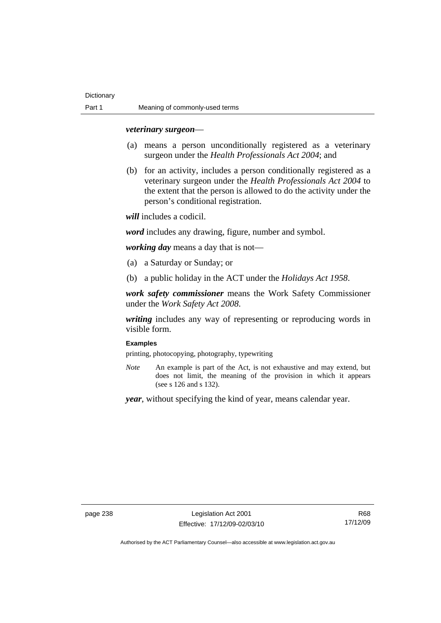#### *veterinary surgeon*—

- (a) means a person unconditionally registered as a veterinary surgeon under the *Health Professionals Act 2004*; and
- (b) for an activity, includes a person conditionally registered as a veterinary surgeon under the *Health Professionals Act 2004* to the extent that the person is allowed to do the activity under the person's conditional registration.

*will* includes a codicil.

*word* includes any drawing, figure, number and symbol.

*working day* means a day that is not—

- (a) a Saturday or Sunday; or
- (b) a public holiday in the ACT under the *Holidays Act 1958*.

*work safety commissioner* means the Work Safety Commissioner under the *Work Safety Act 2008*.

*writing* includes any way of representing or reproducing words in visible form.

#### **Examples**

printing, photocopying, photography, typewriting

*Note* An example is part of the Act, is not exhaustive and may extend, but does not limit, the meaning of the provision in which it appears (see s 126 and s 132).

*year*, without specifying the kind of year, means calendar year.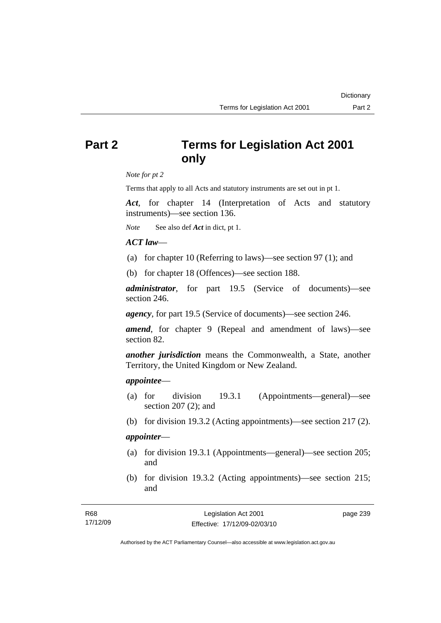# **Part 2 Terms for Legislation Act 2001 only**

*Note for pt 2* 

Terms that apply to all Acts and statutory instruments are set out in pt 1.

*Act*, for chapter 14 (Interpretation of Acts and statutory instruments)—see section 136.

*Note* See also def *Act* in dict, pt 1.

# *ACT law*—

- (a) for chapter 10 (Referring to laws)—see section 97 (1); and
- (b) for chapter 18 (Offences)—see section 188.

*administrator*, for part 19.5 (Service of documents)—see section 246.

*agency*, for part 19.5 (Service of documents)—see section 246.

*amend*, for chapter 9 (Repeal and amendment of laws)—see section 82.

*another jurisdiction* means the Commonwealth, a State, another Territory, the United Kingdom or New Zealand.

### *appointee*—

- (a) for division 19.3.1 (Appointments—general)—see section 207 (2); and
- (b) for division 19.3.2 (Acting appointments)—see section 217 (2).

# *appointer*—

- (a) for division 19.3.1 (Appointments—general)—see section 205; and
- (b) for division 19.3.2 (Acting appointments)—see section 215; and

| R68      | Legislation Act 2001         | page 239 |
|----------|------------------------------|----------|
| 17/12/09 | Effective: 17/12/09-02/03/10 |          |

Authorised by the ACT Parliamentary Counsel—also accessible at www.legislation.act.gov.au

**Dictionary**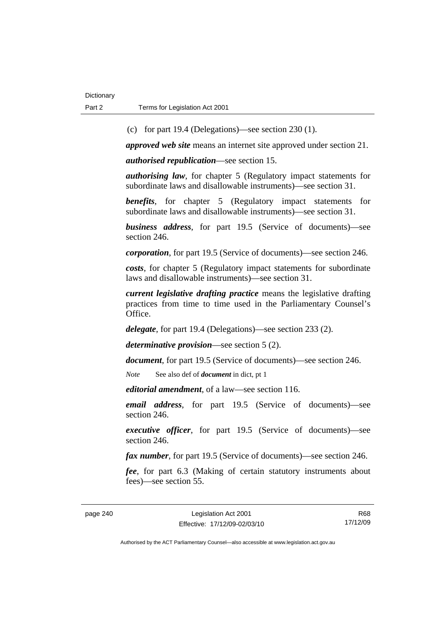(c) for part 19.4 (Delegations)—see section 230 (1).

*approved web site* means an internet site approved under section 21.

*authorised republication*—see section 15.

*authorising law*, for chapter 5 (Regulatory impact statements for subordinate laws and disallowable instruments)—see section 31.

*benefits*, for chapter 5 (Regulatory impact statements for subordinate laws and disallowable instruments)—see section 31.

*business address*, for part 19.5 (Service of documents)—see section 246.

*corporation*, for part 19.5 (Service of documents)—see section 246.

*costs*, for chapter 5 (Regulatory impact statements for subordinate laws and disallowable instruments)—see section 31.

*current legislative drafting practice* means the legislative drafting practices from time to time used in the Parliamentary Counsel's Office.

*delegate*, for part 19.4 (Delegations)—see section 233 (2).

*determinative provision*—see section 5 (2).

*document*, for part 19.5 (Service of documents)—see section 246.

*Note* See also def of *document* in dict, pt 1

*editorial amendment*, of a law—see section 116.

*email address*, for part 19.5 (Service of documents)—see section 246.

*executive officer*, for part 19.5 (Service of documents)—see section 246.

*fax number*, for part 19.5 (Service of documents)—see section 246.

*fee*, for part 6.3 (Making of certain statutory instruments about fees)—see section 55.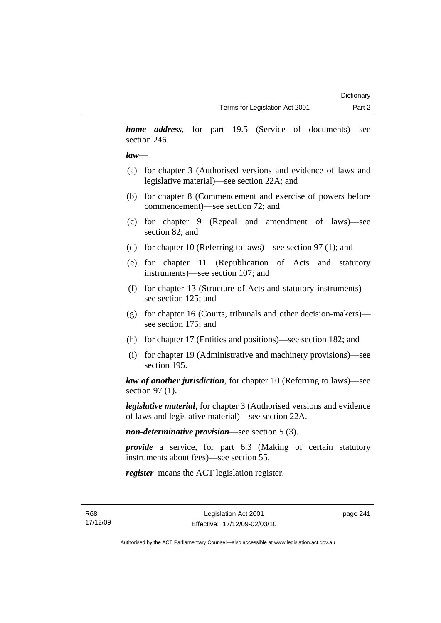*home address*, for part 19.5 (Service of documents)—see section 246.

# *law*—

- (a) for chapter 3 (Authorised versions and evidence of laws and legislative material)—see section 22A; and
- (b) for chapter 8 (Commencement and exercise of powers before commencement)—see section 72; and
- (c) for chapter 9 (Repeal and amendment of laws)—see section 82; and
- (d) for chapter 10 (Referring to laws)—see section 97 (1); and
- (e) for chapter 11 (Republication of Acts and statutory instruments)—see section 107; and
- (f) for chapter 13 (Structure of Acts and statutory instruments) see section 125; and
- (g) for chapter 16 (Courts, tribunals and other decision-makers) see section 175; and
- (h) for chapter 17 (Entities and positions)—see section 182; and
- (i) for chapter 19 (Administrative and machinery provisions)—see section 195.

*law of another jurisdiction*, for chapter 10 (Referring to laws)—see section 97 (1).

*legislative material*, for chapter 3 (Authorised versions and evidence of laws and legislative material)—see section 22A.

*non-determinative provision*—see section 5 (3).

*provide* a service, for part 6.3 (Making of certain statutory instruments about fees)—see section 55.

*register* means the ACT legislation register.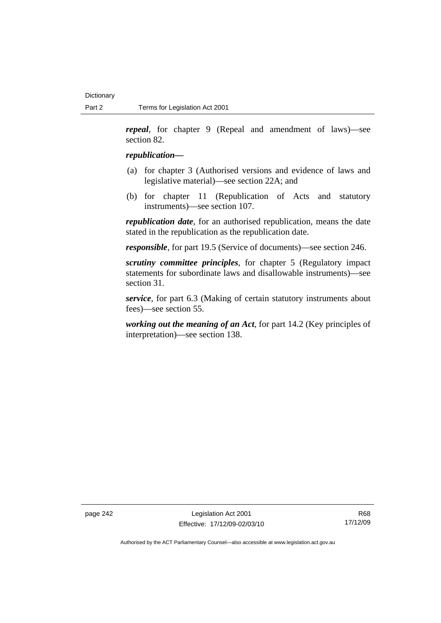*repeal*, for chapter 9 (Repeal and amendment of laws)—see section 82.

#### *republication—*

- (a) for chapter 3 (Authorised versions and evidence of laws and legislative material)—see section 22A; and
- (b) for chapter 11 (Republication of Acts and statutory instruments)—see section 107.

*republication date*, for an authorised republication, means the date stated in the republication as the republication date.

*responsible*, for part 19.5 (Service of documents)—see section 246.

*scrutiny committee principles*, for chapter 5 (Regulatory impact statements for subordinate laws and disallowable instruments)—see section 31.

*service*, for part 6.3 (Making of certain statutory instruments about fees)—see section 55.

*working out the meaning of an Act*, for part 14.2 (Key principles of interpretation)—see section 138.

page 242 Legislation Act 2001 Effective: 17/12/09-02/03/10

R68 17/12/09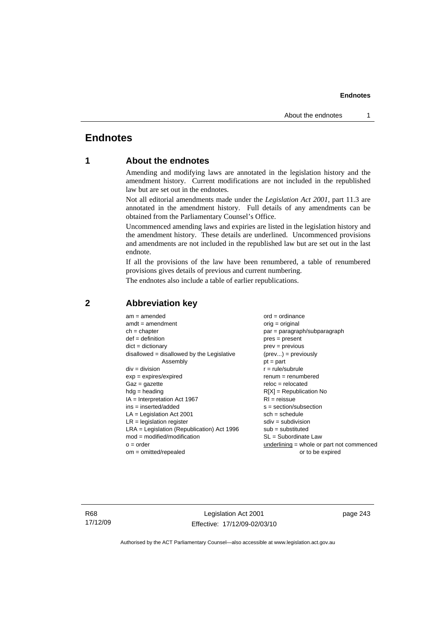# **Endnotes**

# **1 About the endnotes**

Amending and modifying laws are annotated in the legislation history and the amendment history. Current modifications are not included in the republished law but are set out in the endnotes.

Not all editorial amendments made under the *Legislation Act 2001*, part 11.3 are annotated in the amendment history. Full details of any amendments can be obtained from the Parliamentary Counsel's Office.

Uncommenced amending laws and expiries are listed in the legislation history and the amendment history. These details are underlined. Uncommenced provisions and amendments are not included in the republished law but are set out in the last endnote.

If all the provisions of the law have been renumbered, a table of renumbered provisions gives details of previous and current numbering.

The endnotes also include a table of earlier republications.

| $am = amended$                               | $ord = ordinance$                         |
|----------------------------------------------|-------------------------------------------|
| $amdt = amendment$                           | $orig = original$                         |
| $ch = chapter$                               | $par = paragraph/subparagraph$            |
| $def = definition$                           | $pres = present$                          |
| $dict = dictionary$                          | $prev = previous$                         |
| $disallowed = disallowed by the Legislative$ | $(\text{prev}) = \text{previously}$       |
| Assembly                                     | $pt = part$                               |
| $div = division$                             | $r = rule/subrule$                        |
| $exp = expires/expired$                      | $renum = renumbered$                      |
| $Gaz = gazette$                              | $reloc = relocated$                       |
| $hdg =$ heading                              | $R[X]$ = Republication No                 |
| $IA = Interpretation Act 1967$               | $RI = reissue$                            |
| $ins = inserted/added$                       | $s = section/subsection$                  |
| $LA =$ Legislation Act 2001                  | $sch = schedule$                          |
| $LR =$ legislation register                  | $sdiv = subdivision$                      |
| $LRA =$ Legislation (Republication) Act 1996 | $sub = substituted$                       |
| $mod = modified/modification$                | $SL = Subordinate$ Law                    |
| $o = order$                                  | underlining = whole or part not commenced |
| $om = omitted/repealed$                      | or to be expired                          |
|                                              |                                           |

# **2 Abbreviation key**

R68 17/12/09

Legislation Act 2001 Effective: 17/12/09-02/03/10 page 243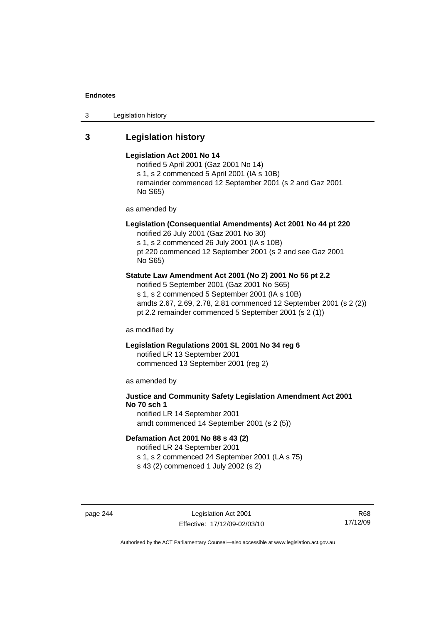3 Legislation history

# **3 Legislation history**

#### **Legislation Act 2001 No 14**

notified 5 April 2001 (Gaz 2001 No 14) s 1, s 2 commenced 5 April 2001 (IA s 10B) remainder commenced 12 September 2001 (s 2 and Gaz 2001 No S65)

as amended by

# **Legislation (Consequential Amendments) Act 2001 No 44 pt 220**

notified 26 July 2001 (Gaz 2001 No 30) s 1, s 2 commenced 26 July 2001 (IA s 10B) pt 220 commenced 12 September 2001 (s 2 and see Gaz 2001 No S65)

#### **Statute Law Amendment Act 2001 (No 2) 2001 No 56 pt 2.2**

notified 5 September 2001 (Gaz 2001 No S65) s 1, s 2 commenced 5 September 2001 (IA s 10B) amdts 2.67, 2.69, 2.78, 2.81 commenced 12 September 2001 (s 2 (2)) pt 2.2 remainder commenced 5 September 2001 (s 2 (1))

as modified by

# **Legislation Regulations 2001 SL 2001 No 34 reg 6**

notified LR 13 September 2001 commenced 13 September 2001 (reg 2)

as amended by

# **Justice and Community Safety Legislation Amendment Act 2001 No 70 sch 1**

notified LR 14 September 2001 amdt commenced 14 September 2001 (s 2 (5))

# **Defamation Act 2001 No 88 s 43 (2)**

notified LR 24 September 2001 s 1, s 2 commenced 24 September 2001 (LA s 75)

s 43 (2) commenced 1 July 2002 (s 2)

page 244 Legislation Act 2001 Effective: 17/12/09-02/03/10

R68 17/12/09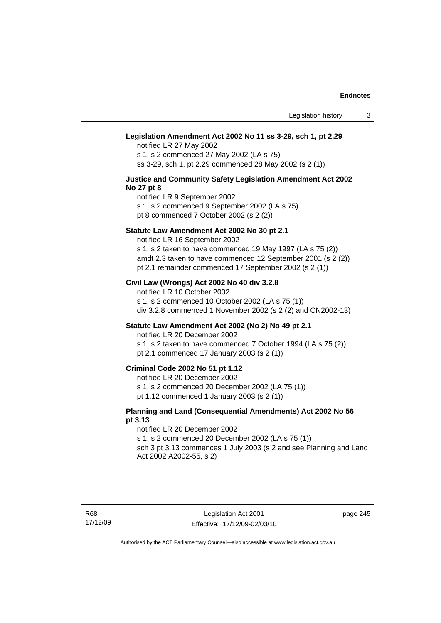#### **Legislation Amendment Act 2002 No 11 ss 3-29, sch 1, pt 2.29**

notified LR 27 May 2002 s 1, s 2 commenced 27 May 2002 (LA s 75) ss 3-29, sch 1, pt 2.29 commenced 28 May 2002 (s 2 (1))

#### **Justice and Community Safety Legislation Amendment Act 2002 No 27 pt 8**

notified LR 9 September 2002 s 1, s 2 commenced 9 September 2002 (LA s 75)

pt 8 commenced 7 October 2002 (s 2 (2))

#### **Statute Law Amendment Act 2002 No 30 pt 2.1**

notified LR 16 September 2002 s 1, s 2 taken to have commenced 19 May 1997 (LA s 75 (2)) amdt 2.3 taken to have commenced 12 September 2001 (s 2 (2))

pt 2.1 remainder commenced 17 September 2002 (s 2 (1))

### **Civil Law (Wrongs) Act 2002 No 40 div 3.2.8**

notified LR 10 October 2002 s 1, s 2 commenced 10 October 2002 (LA s 75 (1)) div 3.2.8 commenced 1 November 2002 (s 2 (2) and CN2002-13)

#### **Statute Law Amendment Act 2002 (No 2) No 49 pt 2.1**

notified LR 20 December 2002

s 1, s 2 taken to have commenced 7 October 1994 (LA s 75 (2)) pt 2.1 commenced 17 January 2003 (s 2 (1))

# **Criminal Code 2002 No 51 pt 1.12**

notified LR 20 December 2002

s 1, s 2 commenced 20 December 2002 (LA 75 (1))

pt 1.12 commenced 1 January 2003 (s 2 (1))

#### **Planning and Land (Consequential Amendments) Act 2002 No 56 pt 3.13**

#### notified LR 20 December 2002

s 1, s 2 commenced 20 December 2002 (LA s 75 (1)) sch 3 pt 3.13 commences 1 July 2003 (s 2 and see Planning and Land

Act 2002 A2002-55, s 2)

page 245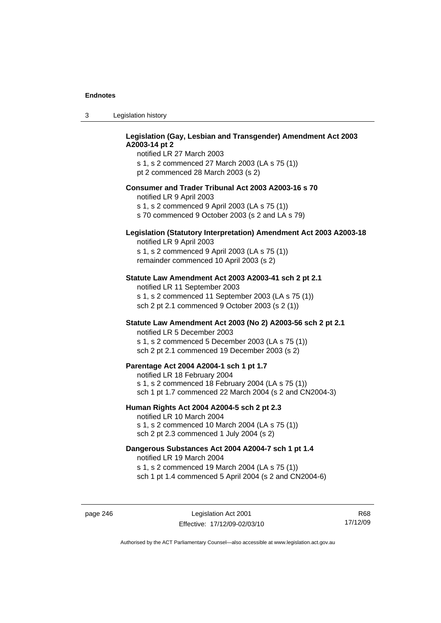| -3 | Legislation history |
|----|---------------------|
|----|---------------------|

# **Legislation (Gay, Lesbian and Transgender) Amendment Act 2003 A2003-14 pt 2**

notified LR 27 March 2003 s 1, s 2 commenced 27 March 2003 (LA s 75 (1)) pt 2 commenced 28 March 2003 (s 2)

#### **Consumer and Trader Tribunal Act 2003 A2003-16 s 70**

notified LR 9 April 2003

s 1, s 2 commenced 9 April 2003 (LA s 75 (1))

s 70 commenced 9 October 2003 (s 2 and LA s 79)

# **Legislation (Statutory Interpretation) Amendment Act 2003 A2003-18**

notified LR 9 April 2003 s 1, s 2 commenced 9 April 2003 (LA s 75 (1)) remainder commenced 10 April 2003 (s 2)

#### **Statute Law Amendment Act 2003 A2003-41 sch 2 pt 2.1**

notified LR 11 September 2003 s 1, s 2 commenced 11 September 2003 (LA s 75 (1)) sch 2 pt 2.1 commenced 9 October 2003 (s 2 (1))

# **Statute Law Amendment Act 2003 (No 2) A2003-56 sch 2 pt 2.1**

notified LR 5 December 2003 s 1, s 2 commenced 5 December 2003 (LA s 75 (1)) sch 2 pt 2.1 commenced 19 December 2003 (s 2)

#### **Parentage Act 2004 A2004-1 sch 1 pt 1.7**

notified LR 18 February 2004 s 1, s 2 commenced 18 February 2004 (LA s 75 (1)) sch 1 pt 1.7 commenced 22 March 2004 (s 2 and CN2004-3)

#### **Human Rights Act 2004 A2004-5 sch 2 pt 2.3**

notified LR 10 March 2004 s 1, s 2 commenced 10 March 2004 (LA s 75 (1)) sch 2 pt 2.3 commenced 1 July 2004 (s 2)

# **Dangerous Substances Act 2004 A2004-7 sch 1 pt 1.4**

notified LR 19 March 2004 s 1, s 2 commenced 19 March 2004 (LA s 75 (1)) sch 1 pt 1.4 commenced 5 April 2004 (s 2 and CN2004-6)

page 246 Legislation Act 2001 Effective: 17/12/09-02/03/10

R68 17/12/09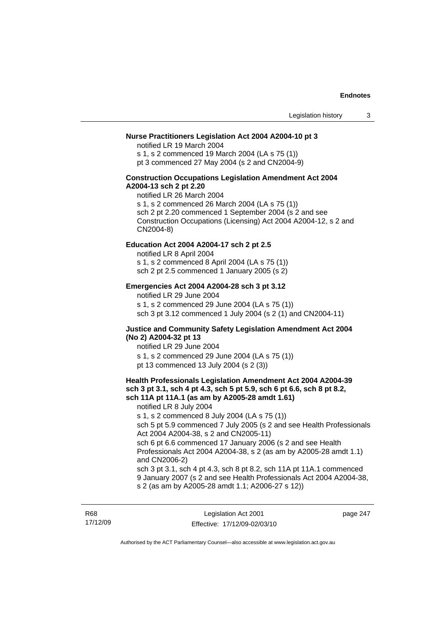# **Nurse Practitioners Legislation Act 2004 A2004-10 pt 3**

notified LR 19 March 2004 s 1, s 2 commenced 19 March 2004 (LA s 75 (1)) pt 3 commenced 27 May 2004 (s 2 and CN2004-9)

#### **Construction Occupations Legislation Amendment Act 2004 A2004-13 sch 2 pt 2.20**

notified LR 26 March 2004 s 1, s 2 commenced 26 March 2004 (LA s 75 (1)) sch 2 pt 2.20 commenced 1 September 2004 (s 2 and see Construction Occupations (Licensing) Act 2004 A2004-12, s 2 and CN2004-8)

#### **Education Act 2004 A2004-17 sch 2 pt 2.5**

notified LR 8 April 2004 s 1, s 2 commenced 8 April 2004 (LA s 75 (1)) sch 2 pt 2.5 commenced 1 January 2005 (s 2)

#### **Emergencies Act 2004 A2004-28 sch 3 pt 3.12**

notified LR 29 June 2004

s 1, s 2 commenced 29 June 2004 (LA s 75 (1)) sch 3 pt 3.12 commenced 1 July 2004 (s 2 (1) and CN2004-11)

#### **Justice and Community Safety Legislation Amendment Act 2004 (No 2) A2004-32 pt 13**

notified LR 29 June 2004 s 1, s 2 commenced 29 June 2004 (LA s 75 (1)) pt 13 commenced 13 July 2004 (s 2 (3))

#### **Health Professionals Legislation Amendment Act 2004 A2004-39 sch 3 pt 3.1, sch 4 pt 4.3, sch 5 pt 5.9, sch 6 pt 6.6, sch 8 pt 8.2, sch 11A pt 11A.1 (as am by A2005-28 amdt 1.61)**

notified LR 8 July 2004 s 1, s 2 commenced 8 July 2004 (LA s 75 (1)) sch 5 pt 5.9 commenced 7 July 2005 (s 2 and see Health Professionals Act 2004 A2004-38, s 2 and CN2005-11) sch 6 pt 6.6 commenced 17 January 2006 (s 2 and see Health Professionals Act 2004 A2004-38, s 2 (as am by A2005-28 amdt 1.1) and CN2006-2) sch 3 pt 3.1, sch 4 pt 4.3, sch 8 pt 8.2, sch 11A pt 11A.1 commenced 9 January 2007 (s 2 and see Health Professionals Act 2004 A2004-38,

s 2 (as am by A2005-28 amdt 1.1; A2006-27 s 12))

R68 17/12/09

Legislation Act 2001 Effective: 17/12/09-02/03/10 page 247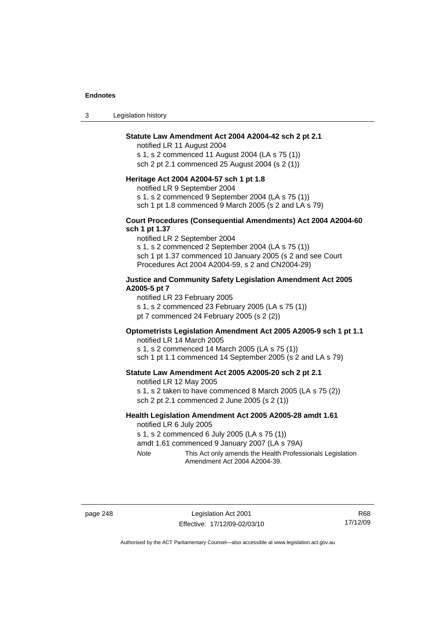3 Legislation history

#### **Statute Law Amendment Act 2004 A2004-42 sch 2 pt 2.1**

notified LR 11 August 2004 s 1, s 2 commenced 11 August 2004 (LA s 75 (1)) sch 2 pt 2.1 commenced 25 August 2004 (s 2 (1))

#### **Heritage Act 2004 A2004-57 sch 1 pt 1.8**

notified LR 9 September 2004

s 1, s 2 commenced 9 September 2004 (LA s 75 (1))

sch 1 pt 1.8 commenced 9 March 2005 (s 2 and LA s 79)

### **Court Procedures (Consequential Amendments) Act 2004 A2004-60 sch 1 pt 1.37**

notified LR 2 September 2004 s 1, s 2 commenced 2 September 2004 (LA s 75 (1)) sch 1 pt 1.37 commenced 10 January 2005 (s 2 and see Court Procedures Act 2004 A2004-59, s 2 and CN2004-29)

#### **Justice and Community Safety Legislation Amendment Act 2005 A2005-5 pt 7**

notified LR 23 February 2005

s 1, s 2 commenced 23 February 2005 (LA s 75 (1))

pt 7 commenced 24 February 2005 (s 2 (2))

# **Optometrists Legislation Amendment Act 2005 A2005-9 sch 1 pt 1.1**

notified LR 14 March 2005 s 1, s 2 commenced 14 March 2005 (LA s 75 (1)) sch 1 pt 1.1 commenced 14 September 2005 (s 2 and LA s 79)

#### **Statute Law Amendment Act 2005 A2005-20 sch 2 pt 2.1**

notified LR 12 May 2005 s 1, s 2 taken to have commenced 8 March 2005 (LA s 75 (2)) sch 2 pt 2.1 commenced 2 June 2005 (s 2 (1))

#### **Health Legislation Amendment Act 2005 A2005-28 amdt 1.61**  notified LR 6 July 2005

s 1, s 2 commenced 6 July 2005 (LA s 75 (1))

amdt 1.61 commenced 9 January 2007 (LA s 79A)

*Note* This Act only amends the Health Professionals Legislation Amendment Act 2004 A2004-39.

page 248 Legislation Act 2001 Effective: 17/12/09-02/03/10

R68 17/12/09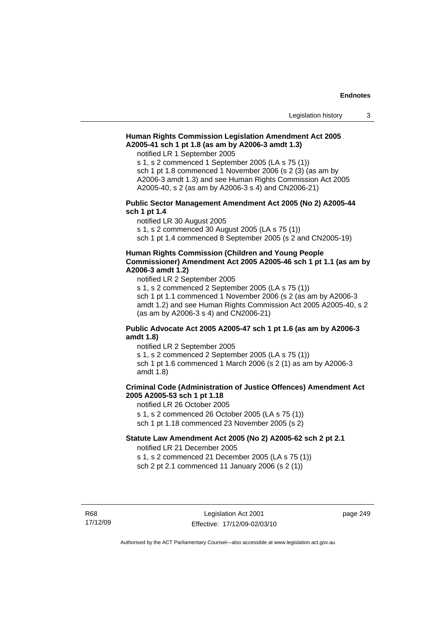# **Human Rights Commission Legislation Amendment Act 2005 A2005-41 sch 1 pt 1.8 (as am by A2006-3 amdt 1.3)**

notified LR 1 September 2005

s 1, s 2 commenced 1 September 2005 (LA s 75 (1)) sch 1 pt 1.8 commenced 1 November 2006 (s 2 (3) (as am by A2006-3 amdt 1.3) and see Human Rights Commission Act 2005 A2005-40, s 2 (as am by A2006-3 s 4) and CN2006-21)

#### **Public Sector Management Amendment Act 2005 (No 2) A2005-44 sch 1 pt 1.4**

notified LR 30 August 2005

s 1, s 2 commenced 30 August 2005 (LA s 75 (1))

sch 1 pt 1.4 commenced 8 September 2005 (s 2 and CN2005-19)

# **Human Rights Commission (Children and Young People Commissioner) Amendment Act 2005 A2005-46 sch 1 pt 1.1 (as am by A2006-3 amdt 1.2)**

notified LR 2 September 2005

s 1, s 2 commenced 2 September 2005 (LA s 75 (1)) sch 1 pt 1.1 commenced 1 November 2006 (s 2 (as am by A2006-3 amdt 1.2) and see Human Rights Commission Act 2005 A2005-40, s 2 (as am by A2006-3 s 4) and CN2006-21)

# **Public Advocate Act 2005 A2005-47 sch 1 pt 1.6 (as am by A2006-3 amdt 1.8)**

notified LR 2 September 2005 s 1, s 2 commenced 2 September 2005 (LA s 75 (1)) sch 1 pt 1.6 commenced 1 March 2006 (s 2 (1) as am by A2006-3 amdt 1.8)

# **Criminal Code (Administration of Justice Offences) Amendment Act 2005 A2005-53 sch 1 pt 1.18**

notified LR 26 October 2005 s 1, s 2 commenced 26 October 2005 (LA s 75 (1)) sch 1 pt 1.18 commenced 23 November 2005 (s 2)

### **Statute Law Amendment Act 2005 (No 2) A2005-62 sch 2 pt 2.1**

notified LR 21 December 2005 s 1, s 2 commenced 21 December 2005 (LA s 75 (1))

sch 2 pt 2.1 commenced 11 January 2006 (s 2 (1))

R68 17/12/09 page 249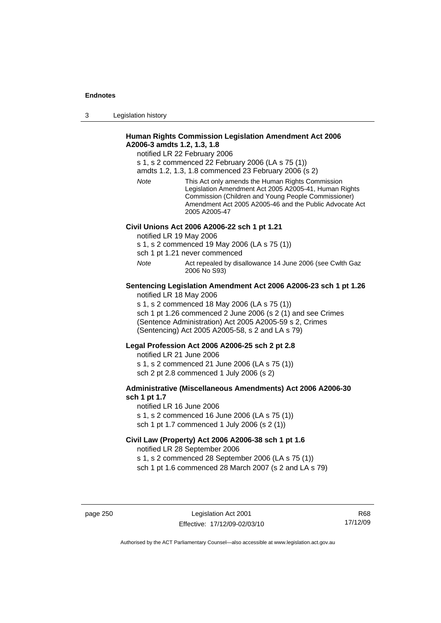3 Legislation history

# **Human Rights Commission Legislation Amendment Act 2006 A2006-3 amdts 1.2, 1.3, 1.8**

notified LR 22 February 2006

s 1, s 2 commenced 22 February 2006 (LA s 75 (1))

amdts 1.2, 1.3, 1.8 commenced 23 February 2006 (s 2)

*Note* This Act only amends the Human Rights Commission Legislation Amendment Act 2005 A2005-41, Human Rights Commission (Children and Young People Commissioner) Amendment Act 2005 A2005-46 and the Public Advocate Act 2005 A2005-47

# **Civil Unions Act 2006 A2006-22 sch 1 pt 1.21**

notified LR 19 May 2006

s 1, s 2 commenced 19 May 2006 (LA s 75 (1))

sch 1 pt 1.21 never commenced

*Note* Act repealed by disallowance 14 June 2006 (see Cwlth Gaz 2006 No S93)

#### **Sentencing Legislation Amendment Act 2006 A2006-23 sch 1 pt 1.26**  notified LR 18 May 2006

s 1, s 2 commenced 18 May 2006 (LA s 75 (1))

sch 1 pt 1.26 commenced 2 June 2006 (s 2 (1) and see Crimes (Sentence Administration) Act 2005 A2005-59 s 2, Crimes (Sentencing) Act 2005 A2005-58, s 2 and LA s 79)

#### **Legal Profession Act 2006 A2006-25 sch 2 pt 2.8**

notified LR 21 June 2006 s 1, s 2 commenced 21 June 2006 (LA s 75 (1)) sch 2 pt 2.8 commenced 1 July 2006 (s 2)

# **Administrative (Miscellaneous Amendments) Act 2006 A2006-30 sch 1 pt 1.7**

notified LR 16 June 2006 s 1, s 2 commenced 16 June 2006 (LA s 75 (1)) sch 1 pt 1.7 commenced 1 July 2006 (s 2 (1))

# **Civil Law (Property) Act 2006 A2006-38 sch 1 pt 1.6**  notified LR 28 September 2006

s 1, s 2 commenced 28 September 2006 (LA s 75 (1)) sch 1 pt 1.6 commenced 28 March 2007 (s 2 and LA s 79)

page 250 Legislation Act 2001 Effective: 17/12/09-02/03/10

R68 17/12/09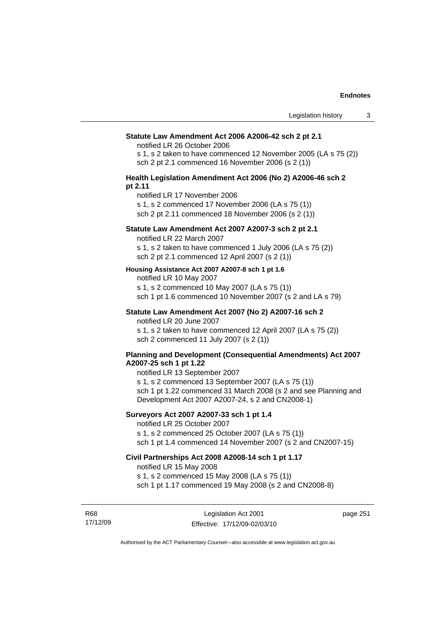#### **Statute Law Amendment Act 2006 A2006-42 sch 2 pt 2.1**

notified LR 26 October 2006

s 1, s 2 taken to have commenced 12 November 2005 (LA s 75 (2)) sch 2 pt 2.1 commenced 16 November 2006 (s 2 (1))

#### **Health Legislation Amendment Act 2006 (No 2) A2006-46 sch 2 pt 2.11**

notified LR 17 November 2006

s 1, s 2 commenced 17 November 2006 (LA s 75 (1))

sch 2 pt 2.11 commenced 18 November 2006 (s 2 (1))

# **Statute Law Amendment Act 2007 A2007-3 sch 2 pt 2.1**

notified LR 22 March 2007

s 1, s 2 taken to have commenced 1 July 2006 (LA s 75 (2)) sch 2 pt 2.1 commenced 12 April 2007 (s 2 (1))

#### **Housing Assistance Act 2007 A2007-8 sch 1 pt 1.6**

notified LR 10 May 2007

s 1, s 2 commenced 10 May 2007 (LA s 75 (1)) sch 1 pt 1.6 commenced 10 November 2007 (s 2 and LA s 79)

# **Statute Law Amendment Act 2007 (No 2) A2007-16 sch 2**

notified LR 20 June 2007

s 1, s 2 taken to have commenced 12 April 2007 (LA s 75 (2)) sch 2 commenced 11 July 2007 (s 2 (1))

#### **Planning and Development (Consequential Amendments) Act 2007 A2007-25 sch 1 pt 1.22**

notified LR 13 September 2007

s 1, s 2 commenced 13 September 2007 (LA s 75 (1)) sch 1 pt 1.22 commenced 31 March 2008 (s 2 and see Planning and Development Act 2007 A2007-24, s 2 and CN2008-1)

# **Surveyors Act 2007 A2007-33 sch 1 pt 1.4**

notified LR 25 October 2007

s 1, s 2 commenced 25 October 2007 (LA s 75 (1))

sch 1 pt 1.4 commenced 14 November 2007 (s 2 and CN2007-15)

# **Civil Partnerships Act 2008 A2008-14 sch 1 pt 1.17**

notified LR 15 May 2008

s 1, s 2 commenced 15 May 2008 (LA s 75 (1))

R68 17/12/09

Legislation Act 2001 Effective: 17/12/09-02/03/10 page 251

sch 1 pt 1.17 commenced 19 May 2008 (s 2 and CN2008-8)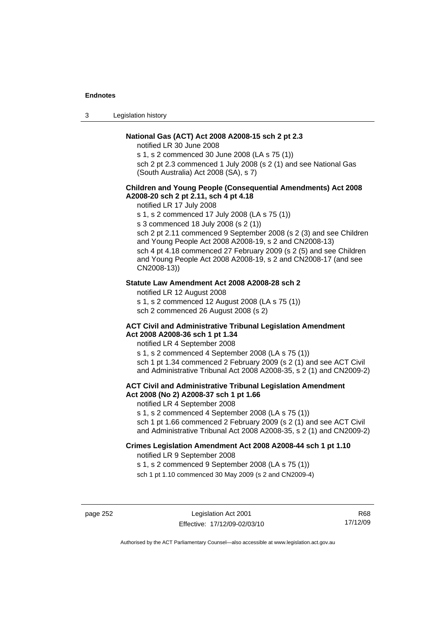3 Legislation history

# **National Gas (ACT) Act 2008 A2008-15 sch 2 pt 2.3**

notified LR 30 June 2008

s 1, s 2 commenced 30 June 2008 (LA s 75 (1))

sch 2 pt 2.3 commenced 1 July 2008 (s 2 (1) and see National Gas (South Australia) Act 2008 (SA), s 7)

# **Children and Young People (Consequential Amendments) Act 2008 A2008-20 sch 2 pt 2.11, sch 4 pt 4.18**

notified LR 17 July 2008

s 1, s 2 commenced 17 July 2008 (LA s 75 (1))

s 3 commenced 18 July 2008 (s 2 (1))

sch 2 pt 2.11 commenced 9 September 2008 (s 2 (3) and see Children and Young People Act 2008 A2008-19, s 2 and CN2008-13) sch 4 pt 4.18 commenced 27 February 2009 (s 2 (5) and see Children and Young People Act 2008 A2008-19, s 2 and CN2008-17 (and see CN2008-13))

#### **Statute Law Amendment Act 2008 A2008-28 sch 2**

notified LR 12 August 2008 s 1, s 2 commenced 12 August 2008 (LA s 75 (1)) sch 2 commenced 26 August 2008 (s 2)

#### **ACT Civil and Administrative Tribunal Legislation Amendment Act 2008 A2008-36 sch 1 pt 1.34**

notified LR 4 September 2008

s 1, s 2 commenced 4 September 2008 (LA s 75 (1)) sch 1 pt 1.34 commenced 2 February 2009 (s 2 (1) and see ACT Civil and Administrative Tribunal Act 2008 A2008-35, s 2 (1) and CN2009-2)

# **ACT Civil and Administrative Tribunal Legislation Amendment Act 2008 (No 2) A2008-37 sch 1 pt 1.66**

notified LR 4 September 2008

s 1, s 2 commenced 4 September 2008 (LA s 75 (1))

sch 1 pt 1.66 commenced 2 February 2009 (s 2 (1) and see ACT Civil and Administrative Tribunal Act 2008 A2008-35, s 2 (1) and CN2009-2)

# **Crimes Legislation Amendment Act 2008 A2008-44 sch 1 pt 1.10**

notified LR 9 September 2008

s 1, s 2 commenced 9 September 2008 (LA s 75 (1))

sch 1 pt 1.10 commenced 30 May 2009 (s 2 and CN2009-4)

page 252 Legislation Act 2001 Effective: 17/12/09-02/03/10

R68 17/12/09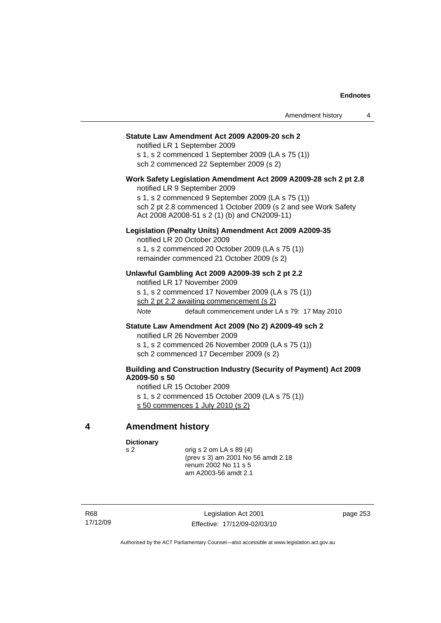#### **Statute Law Amendment Act 2009 A2009-20 sch 2**

notified LR 1 September 2009 s 1, s 2 commenced 1 September 2009 (LA s 75 (1)) sch 2 commenced 22 September 2009 (s 2)

# **Work Safety Legislation Amendment Act 2009 A2009-28 sch 2 pt 2.8**

notified LR 9 September 2009

s 1, s 2 commenced 9 September 2009 (LA s 75 (1)) sch 2 pt 2.8 commenced 1 October 2009 (s 2 and see Work Safety Act 2008 A2008-51 s 2 (1) (b) and CN2009-11)

### **Legislation (Penalty Units) Amendment Act 2009 A2009-35**

notified LR 20 October 2009 s 1, s 2 commenced 20 October 2009 (LA s 75 (1)) remainder commenced 21 October 2009 (s 2)

### **Unlawful Gambling Act 2009 A2009-39 sch 2 pt 2.2**

notified LR 17 November 2009 s 1, s 2 commenced 17 November 2009 (LA s 75 (1)) sch 2 pt 2.2 awaiting commencement (s 2) *Note* default commencement under LA s 79: 17 May 2010

#### **Statute Law Amendment Act 2009 (No 2) A2009-49 sch 2**

notified LR 26 November 2009

s 1, s 2 commenced 26 November 2009 (LA s 75 (1))

sch 2 commenced 17 December 2009 (s 2)

# **Building and Construction Industry (Security of Payment) Act 2009 A2009-50 s 50**

notified LR 15 October 2009

s 1, s 2 commenced 15 October 2009 (LA s 75 (1))

s 50 commences 1 July 2010 (s 2)

# **4 Amendment history**

**Dictionary** 

s 2 orig s 2 om LA s 89 (4) (prev s 3) am 2001 No 56 amdt 2.18 renum 2002 No 11 s 5 am A2003-56 amdt 2.1

R68 17/12/09

Legislation Act 2001 Effective: 17/12/09-02/03/10 page 253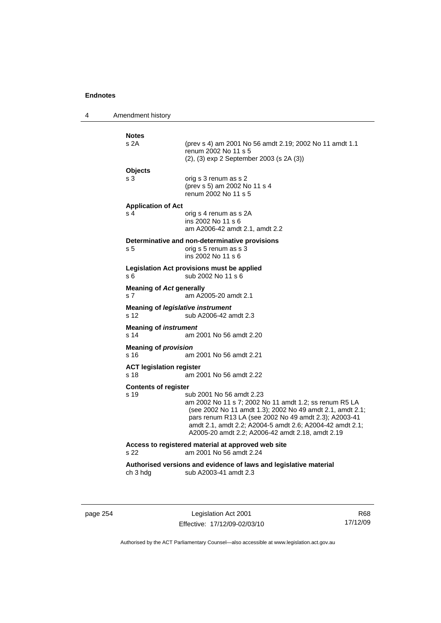4 Amendment history **Notes**  (prev s 4) am 2001 No 56 amdt 2.19; 2002 No 11 amdt 1.1 renum 2002 No 11 s 5 (2), (3) exp 2 September 2003 (s 2A (3)) **Objects**  s 3 orig s 3 renum as s 2 (prev s 5) am 2002 No 11 s 4 renum 2002 No 11 s 5 **Application of Act**  s 4 orig s 4 renum as s 2A ins 2002 No 11 s 6 am A2006-42 amdt 2.1, amdt 2.2 **Determinative and non-determinative provisions**  s 5 **b** orig s 5 renum as s 3 ins 2002 No 11 s 6 **Legislation Act provisions must be applied**  s 6 sub 2002 No 11 s 6 **Meaning of** *Act* **generally**  s 7 am A2005-20 amdt 2.1 **Meaning of** *legislative instrument* s 12 sub A2006-42 amdt 2.3 **Meaning of** *instrument*  s 14 am 2001 No 56 amdt 2.20 **Meaning of** *provision*  s 16 am 2001 No 56 amdt 2.21 **ACT legislation register**  s 18 am 2001 No 56 amdt 2.22 **Contents of register**  s 19 sub 2001 No 56 amdt 2.23 am 2002 No 11 s 7; 2002 No 11 amdt 1.2; ss renum R5 LA (see 2002 No 11 amdt 1.3); 2002 No 49 amdt 2.1, amdt 2.1; pars renum R13 LA (see 2002 No 49 amdt 2.3); A2003-41 amdt 2.1, amdt 2.2; A2004-5 amdt 2.6; A2004-42 amdt 2.1; A2005-20 amdt 2.2; A2006-42 amdt 2.18, amdt 2.19 **Access to registered material at approved web site**  s 22 am 2001 No 56 amdt 2.24 **Authorised versions and evidence of laws and legislative material**  ch 3 hdg sub A2003-41 amdt 2.3

page 254 Legislation Act 2001 Effective: 17/12/09-02/03/10

R68 17/12/09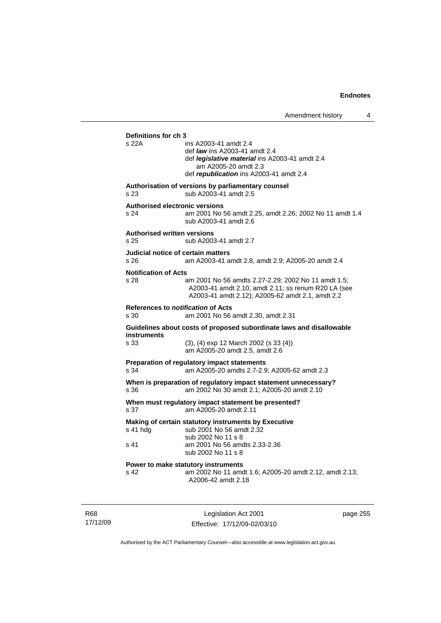| Definitions for ch 3<br>s 22A                         | ins A2003-41 amdt 2.4                                                                                                                                          |
|-------------------------------------------------------|----------------------------------------------------------------------------------------------------------------------------------------------------------------|
|                                                       | def <i>law</i> ins A2003-41 amdt 2.4                                                                                                                           |
|                                                       | def <i>legislative material</i> ins A2003-41 amdt 2.4                                                                                                          |
|                                                       | am A2005-20 amdt 2.3<br>def republication ins A2003-41 amdt 2.4                                                                                                |
| s 23                                                  | Authorisation of versions by parliamentary counsel<br>sub A2003-41 amdt 2.5                                                                                    |
|                                                       | <b>Authorised electronic versions</b>                                                                                                                          |
| s 24                                                  | am 2001 No 56 amdt 2.25, amdt 2.26; 2002 No 11 amdt 1.4<br>sub A2003-41 amdt 2.6                                                                               |
| <b>Authorised written versions</b><br>s <sub>25</sub> | sub A2003-41 amdt 2.7                                                                                                                                          |
|                                                       | Judicial notice of certain matters                                                                                                                             |
| s 26                                                  | am A2003-41 amdt 2.8, amdt 2.9; A2005-20 amdt 2.4                                                                                                              |
| <b>Notification of Acts</b>                           |                                                                                                                                                                |
| s 28                                                  | am 2001 No 56 amdts 2.27-2.29; 2002 No 11 amdt 1.5;<br>A2003-41 amdt 2.10, amdt 2.11; ss renum R20 LA (see<br>A2003-41 amdt 2.12); A2005-62 amdt 2.1, amdt 2.2 |
|                                                       | References to <i>notification</i> of Acts                                                                                                                      |
| s 30                                                  | am 2001 No 56 amdt 2.30, amdt 2.31                                                                                                                             |
| <b>instruments</b>                                    | Guidelines about costs of proposed subordinate laws and disallowable                                                                                           |
| s 33                                                  | (3), (4) exp 12 March 2002 (s 33 (4))<br>am A2005-20 amdt 2.5, amdt 2.6                                                                                        |
|                                                       | Preparation of regulatory impact statements                                                                                                                    |
| s 34                                                  | am A2005-20 amdts 2.7-2.9; A2005-62 amdt 2.3                                                                                                                   |
| s.36                                                  | When is preparation of regulatory impact statement unnecessary?<br>am 2002 No 30 amdt 2.1; A2005-20 amdt 2.10                                                  |
| s 37                                                  | When must regulatory impact statement be presented?<br>am A2005-20 amdt 2.11                                                                                   |
|                                                       | Making of certain statutory instruments by Executive                                                                                                           |
| s 41 hda                                              | sub 2001 No 56 amdt 2.32<br>sub 2002 No 11 s 8                                                                                                                 |
| s 41                                                  | am 2001 No 56 amdts 2.33-2.36<br>sub 2002 No 11 s 8                                                                                                            |
|                                                       | Power to make statutory instruments                                                                                                                            |
| s 42                                                  | am 2002 No 11 amdt 1.6; A2005-20 amdt 2.12, amdt 2.13;<br>A2006-42 amdt 2.18                                                                                   |

R68 17/12/09

Legislation Act 2001 Effective: 17/12/09-02/03/10 page 255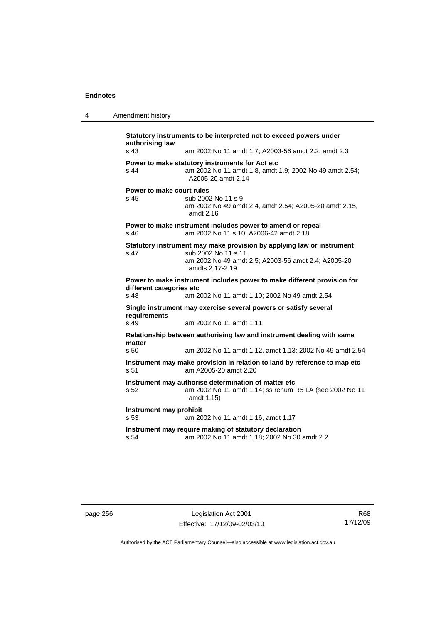| -4 | Amendment history |
|----|-------------------|
|    |                   |

**Statutory instruments to be interpreted not to exceed powers under authorising law**  s 43 am 2002 No 11 amdt 1.7; A2003-56 amdt 2.2, amdt 2.3 **Power to make statutory instruments for Act etc**  s 44 am 2002 No 11 amdt 1.8, amdt 1.9; 2002 No 49 amdt 2.54; A2005-20 amdt 2.14 **Power to make court rules**  s 45 sub 2002 No 11 s 9 am 2002 No 49 amdt 2.4, amdt 2.54; A2005-20 amdt 2.15, amdt 2.16 **Power to make instrument includes power to amend or repeal**  s 46 am 2002 No 11 s 10; A2006-42 amdt 2.18 **Statutory instrument may make provision by applying law or instrument**  s 47 sub 2002 No 11 s 11 am 2002 No 49 amdt 2.5; A2003-56 amdt 2.4; A2005-20 amdts 2.17-2.19 **Power to make instrument includes power to make different provision for different categories etc**  s 48 am 2002 No 11 amdt 1.10; 2002 No 49 amdt 2.54 **Single instrument may exercise several powers or satisfy several requirements**  s 49 am 2002 No 11 amdt 1.11 **Relationship between authorising law and instrument dealing with same matter**  s 50 am 2002 No 11 amdt 1.12, amdt 1.13; 2002 No 49 amdt 2.54 **Instrument may make provision in relation to land by reference to map etc**  s 51 am A2005-20 amdt 2.20 **Instrument may authorise determination of matter etc**  s 52 am 2002 No 11 amdt 1.14; ss renum R5 LA (see 2002 No 11 amdt 1.15) **Instrument may prohibit**  s 53 am 2002 No 11 amdt 1.16, amdt 1.17 **Instrument may require making of statutory declaration**  s 54 am 2002 No 11 amdt 1.18; 2002 No 30 amdt 2.2

page 256 Legislation Act 2001 Effective: 17/12/09-02/03/10

R68 17/12/09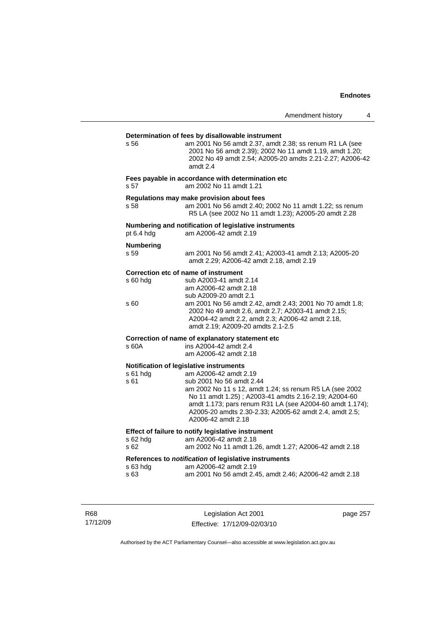# **Determination of fees by disallowable instrument**  s 56 am 2001 No 56 amdt 2.37, amdt 2.38; ss renum R1 LA (see 2001 No 56 amdt 2.39); 2002 No 11 amdt 1.19, amdt 1.20; 2002 No 49 amdt 2.54; A2005-20 amdts 2.21-2.27; A2006-42 amdt 2.4 **Fees payable in accordance with determination etc**  s 57 am 2002 No 11 amdt 1.21 **Regulations may make provision about fees**  s 58 am 2001 No 56 amdt 2.40; 2002 No 11 amdt 1.22; ss renum R5 LA (see 2002 No 11 amdt 1.23); A2005-20 amdt 2.28 **Numbering and notification of legislative instruments**  am A2006-42 amdt 2.19 **Numbering**  s 59 am 2001 No 56 amdt 2.41; A2003-41 amdt 2.13; A2005-20 amdt 2.29; A2006-42 amdt 2.18, amdt 2.19 **Correction etc of name of instrument**  s 60 hdg sub A2003-41 amdt 2.14 am A2006-42 amdt 2.18 sub A2009-20 amdt 2.1<br>S 60 am 2001 No 56 amdt 2. am 2001 No 56 amdt 2.42, amdt 2.43; 2001 No 70 amdt 1.8; 2002 No 49 amdt 2.6, amdt 2.7; A2003-41 amdt 2.15; A2004-42 amdt 2.2, amdt 2.3; A2006-42 amdt 2.18, amdt 2.19; A2009-20 amdts 2.1-2.5 **Correction of name of explanatory statement etc**  s 60A ins A2004-42 amdt 2.4 am A2006-42 amdt 2.18 **Notification of legislative instruments**  s 61 hdg am A2006-42 amdt 2.19 s 61 sub 2001 No 56 amdt 2.44 am 2002 No 11 s 12, amdt 1.24; ss renum R5 LA (see 2002 No 11 amdt 1.25) ; A2003-41 amdts 2.16-2.19; A2004-60 amdt 1.173; pars renum R31 LA (see A2004-60 amdt 1.174); A2005-20 amdts 2.30-2.33; A2005-62 amdt 2.4, amdt 2.5; A2006-42 amdt 2.18 **Effect of failure to notify legislative instrument**  s 62 hdg am A2006-42 amdt 2.18 s 62 am 2002 No 11 amdt 1.26, amdt 1.27; A2006-42 amdt 2.18 **References to** *notification* **of legislative instruments**  s 63 hdg am A2006-42 amdt 2.19 s 63 am 2001 No 56 amdt 2.45, amdt 2.46; A2006-42 amdt 2.18

R68 17/12/09

Legislation Act 2001 Effective: 17/12/09-02/03/10 page 257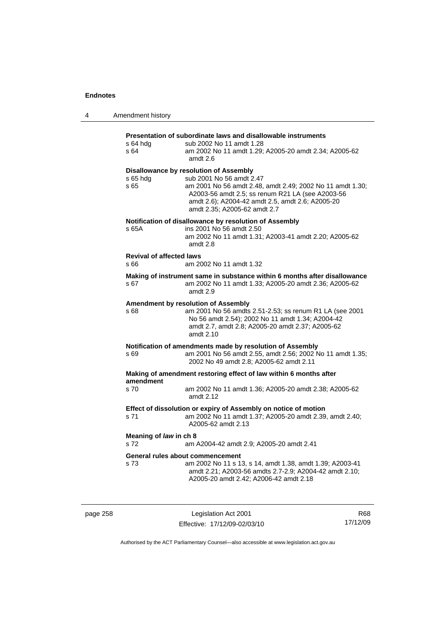| 4         | Amendment history                       |                                                                                                                                                                                                                                                                                |
|-----------|-----------------------------------------|--------------------------------------------------------------------------------------------------------------------------------------------------------------------------------------------------------------------------------------------------------------------------------|
|           | s 64 hdg<br>s 64                        | Presentation of subordinate laws and disallowable instruments<br>sub 2002 No 11 amdt 1.28<br>am 2002 No 11 amdt 1.29; A2005-20 amdt 2.34; A2005-62<br>amdt 2.6                                                                                                                 |
|           | s 65 hdg<br>s 65                        | <b>Disallowance by resolution of Assembly</b><br>sub 2001 No 56 amdt 2.47<br>am 2001 No 56 amdt 2.48, amdt 2.49; 2002 No 11 amdt 1.30;<br>A2003-56 amdt 2.5; ss renum R21 LA (see A2003-56<br>amdt 2.6); A2004-42 amdt 2.5, amdt 2.6; A2005-20<br>amdt 2.35; A2005-62 amdt 2.7 |
|           | s 65A                                   | Notification of disallowance by resolution of Assembly<br>ins 2001 No 56 amdt 2.50<br>am 2002 No 11 amdt 1.31; A2003-41 amdt 2.20; A2005-62<br>amdt 2.8                                                                                                                        |
|           | <b>Revival of affected laws</b><br>s 66 | am 2002 No 11 amdt 1.32                                                                                                                                                                                                                                                        |
|           | s 67                                    | Making of instrument same in substance within 6 months after disallowance<br>am 2002 No 11 amdt 1.33; A2005-20 amdt 2.36; A2005-62<br>amdt $2.9$                                                                                                                               |
|           | s 68                                    | Amendment by resolution of Assembly<br>am 2001 No 56 amdts 2.51-2.53; ss renum R1 LA (see 2001<br>No 56 amdt 2.54); 2002 No 11 amdt 1.34; A2004-42<br>amdt 2.7, amdt 2.8; A2005-20 amdt 2.37; A2005-62<br>amdt $2.10$                                                          |
|           | s 69                                    | Notification of amendments made by resolution of Assembly<br>am 2001 No 56 amdt 2.55, amdt 2.56; 2002 No 11 amdt 1.35;<br>2002 No 49 amdt 2.8; A2005-62 amdt 2.11                                                                                                              |
| amendment |                                         | Making of amendment restoring effect of law within 6 months after                                                                                                                                                                                                              |
|           | s 70                                    | am 2002 No 11 amdt 1.36; A2005-20 amdt 2.38; A2005-62<br>amdt 2.12                                                                                                                                                                                                             |
|           | s 71                                    | Effect of dissolution or expiry of Assembly on notice of motion<br>am 2002 No 11 amdt 1.37; A2005-20 amdt 2.39, amdt 2.40;<br>A2005-62 amdt 2.13                                                                                                                               |
|           | Meaning of law in ch 8<br>s 72          | am A2004-42 amdt 2.9; A2005-20 amdt 2.41                                                                                                                                                                                                                                       |
|           | s 73                                    | General rules about commencement<br>am 2002 No 11 s 13, s 14, amdt 1.38, amdt 1.39; A2003-41<br>amdt 2.21; A2003-56 amdts 2.7-2.9; A2004-42 amdt 2.10;<br>A2005-20 amdt 2.42; A2006-42 amdt 2.18                                                                               |

| page | $\overline{E}$ |
|------|----------------|
|      |                |

Legislation Act 2001 Effective: 17/12/09-02/03/10

R68 17/12/09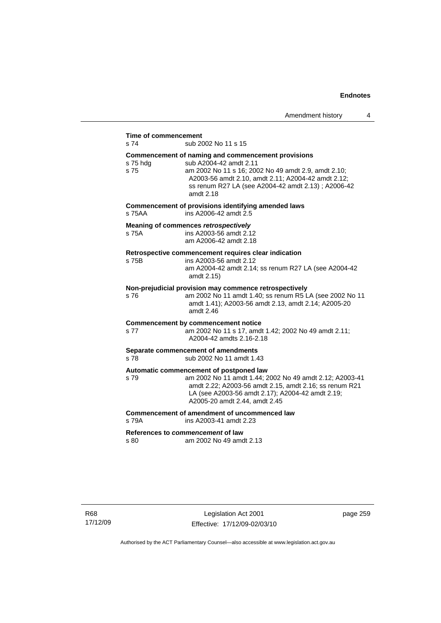# **Time of commencement**

s 74 sub 2002 No 11 s 15

#### **Commencement of naming and commencement provisions**

s 75 hdg sub A2004-42 amdt 2.11 s 75 am 2002 No 11 s 16; 2002 No 49 amdt 2.9, amdt 2.10; A2003-56 amdt 2.10, amdt 2.11; A2004-42 amdt 2.12; ss renum R27 LA (see A2004-42 amdt 2.13) ; A2006-42 amdt 2.18 **Commencement of provisions identifying amended laws**  s 75AA ins A2006-42 amdt 2.5 **Meaning of commences** *retrospectively*  s 75A ins A2003-56 amdt 2.12 am A2006-42 amdt 2.18 **Retrospective commencement requires clear indication**  s 75B ins A2003-56 amdt 2.12 am A2004-42 amdt 2.14; ss renum R27 LA (see A2004-42 amdt 2.15) **Non-prejudicial provision may commence retrospectively** 

# s 76 am 2002 No 11 amdt 1.40; ss renum R5 LA (see 2002 No 11

amdt 1.41); A2003-56 amdt 2.13, amdt 2.14; A2005-20 amdt 2.46

#### **Commencement by commencement notice**

s 77 am 2002 No 11 s 17, amdt 1.42; 2002 No 49 amdt 2.11; A2004-42 amdts 2.16-2.18

#### **Separate commencement of amendments**

s 78 sub 2002 No 11 amdt 1.43

#### **Automatic commencement of postponed law**

s 79 am 2002 No 11 amdt 1.44; 2002 No 49 amdt 2.12; A2003-41 amdt 2.22; A2003-56 amdt 2.15, amdt 2.16; ss renum R21 LA (see A2003-56 amdt 2.17); A2004-42 amdt 2.19; A2005-20 amdt 2.44, amdt 2.45

### **Commencement of amendment of uncommenced law**

s 79A ins A2003-41 amdt 2.23 **References to** *commencement* **of law** 

s 80 am 2002 No 49 amdt 2.13

page 259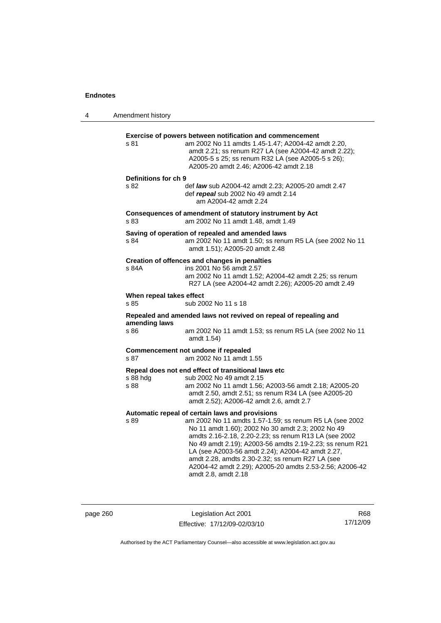4 Amendment history **Exercise of powers between notification and commencement**  s 81 am 2002 No 11 amdts 1.45-1.47; A2004-42 amdt 2.20, amdt 2.21; ss renum R27 LA (see A2004-42 amdt 2.22); A2005-5 s 25; ss renum R32 LA (see A2005-5 s 26); A2005-20 amdt 2.46; A2006-42 amdt 2.18 **Definitions for ch 9**  s 82 def *law* sub A2004-42 amdt 2.23; A2005-20 amdt 2.47 def *repeal* sub 2002 No 49 amdt 2.14 am A2004-42 amdt 2.24 **Consequences of amendment of statutory instrument by Act**  s 83 am 2002 No 11 amdt 1.48, amdt 1.49 **Saving of operation of repealed and amended laws**  s 84 am 2002 No 11 amdt 1.50; ss renum R5 LA (see 2002 No 11 amdt 1.51); A2005-20 amdt 2.48 **Creation of offences and changes in penalties**  s 84A ins 2001 No 56 amdt 2.57 am 2002 No 11 amdt 1.52; A2004-42 amdt 2.25; ss renum R27 LA (see A2004-42 amdt 2.26); A2005-20 amdt 2.49 **When repeal takes effect**  s 85 sub 2002 No 11 s 18 **Repealed and amended laws not revived on repeal of repealing and amending laws**  s 86 am 2002 No 11 amdt 1.53; ss renum R5 LA (see 2002 No 11 amdt 1.54) **Commencement not undone if repealed**  s 87 am 2002 No 11 amdt 1.55 **Repeal does not end effect of transitional laws etc**  s 88 hdg sub 2002 No 49 amdt 2.15 s 88 am 2002 No 11 amdt 1.56; A2003-56 amdt 2.18; A2005-20 amdt 2.50, amdt 2.51; ss renum R34 LA (see A2005-20 amdt 2.52); A2006-42 amdt 2.6, amdt 2.7 **Automatic repeal of certain laws and provisions**  s 89 am 2002 No 11 amdts 1.57-1.59; ss renum R5 LA (see 2002 No 11 amdt 1.60); 2002 No 30 amdt 2.3; 2002 No 49 amdts 2.16-2.18, 2.20-2.23; ss renum R13 LA (see 2002 No 49 amdt 2.19); A2003-56 amdts 2.19-2.23; ss renum R21 LA (see A2003-56 amdt 2.24); A2004-42 amdt 2.27, amdt 2.28, amdts 2.30-2.32; ss renum R27 LA (see A2004-42 amdt 2.29); A2005-20 amdts 2.53-2.56; A2006-42 amdt 2.8, amdt 2.18

page 260 Legislation Act 2001 Effective: 17/12/09-02/03/10

R68 17/12/09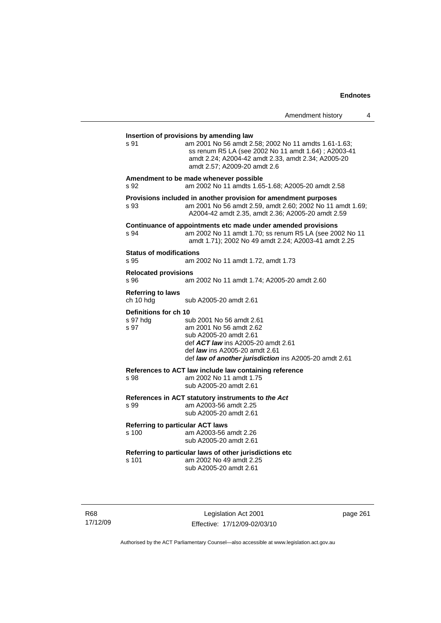| Amendment history |  |  |
|-------------------|--|--|
|-------------------|--|--|

| s 91                                      | am 2001 No 56 amdt 2.58; 2002 No 11 amdts 1.61-1.63;<br>ss renum R5 LA (see 2002 No 11 amdt 1.64); A2003-41<br>amdt 2.24; A2004-42 amdt 2.33, amdt 2.34; A2005-20<br>amdt 2.57; A2009-20 amdt 2.6               |
|-------------------------------------------|-----------------------------------------------------------------------------------------------------------------------------------------------------------------------------------------------------------------|
| s 92                                      | Amendment to be made whenever possible<br>am 2002 No 11 amdts 1.65-1.68; A2005-20 amdt 2.58                                                                                                                     |
| s 93                                      | Provisions included in another provision for amendment purposes<br>am 2001 No 56 amdt 2.59, amdt 2.60; 2002 No 11 amdt 1.69;<br>A2004-42 amdt 2.35, amdt 2.36; A2005-20 amdt 2.59                               |
| s 94                                      | Continuance of appointments etc made under amended provisions<br>am 2002 No 11 amdt 1.70; ss renum R5 LA (see 2002 No 11<br>amdt 1.71); 2002 No 49 amdt 2.24; A2003-41 amdt 2.25                                |
| <b>Status of modifications</b><br>s 95    | am 2002 No 11 amdt 1.72, amdt 1.73                                                                                                                                                                              |
| <b>Relocated provisions</b><br>S.96       | am 2002 No 11 amdt 1.74; A2005-20 amdt 2.60                                                                                                                                                                     |
| <b>Referring to laws</b><br>ch 10 hdg     | sub A2005-20 amdt 2.61                                                                                                                                                                                          |
| Definitions for ch 10<br>s 97 hdg<br>s 97 | sub 2001 No 56 amdt 2.61<br>am 2001 No 56 amdt 2.62<br>sub A2005-20 amdt 2.61<br>def ACT law ins A2005-20 amdt 2.61<br>def law ins A2005-20 amdt 2.61<br>def law of another jurisdiction ins A2005-20 amdt 2.61 |
| s 98                                      | References to ACT law include law containing reference<br>am 2002 No 11 amdt 1.75<br>sub A2005-20 amdt 2.61                                                                                                     |
| s 99                                      | References in ACT statutory instruments to the Act<br>am A2003-56 amdt 2.25<br>sub A2005-20 amdt 2.61                                                                                                           |
| s 100                                     | <b>Referring to particular ACT laws</b><br>am A2003-56 amdt 2.26<br>sub A2005-20 amdt 2.61                                                                                                                      |
| s 101                                     | Referring to particular laws of other jurisdictions etc<br>am 2002 No 49 amdt 2.25<br>sub A2005-20 amdt 2.61                                                                                                    |

R68 17/12/09

Legislation Act 2001 Effective: 17/12/09-02/03/10 page 261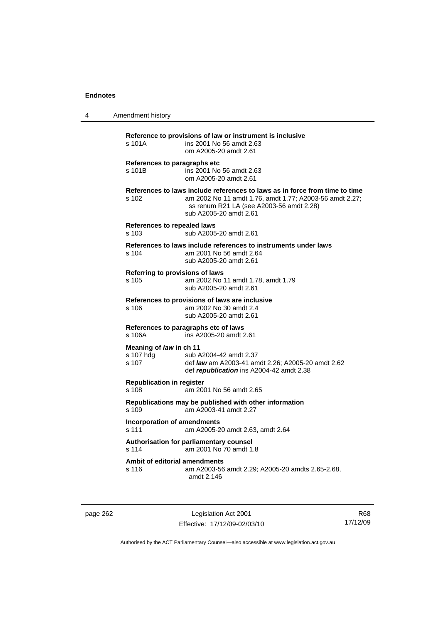| 4 | Amendment history                             |                                                                                                                                                                                                              |
|---|-----------------------------------------------|--------------------------------------------------------------------------------------------------------------------------------------------------------------------------------------------------------------|
|   | s 101A                                        | Reference to provisions of law or instrument is inclusive<br>ins 2001 No 56 amdt 2.63<br>om A2005-20 amdt 2.61                                                                                               |
|   | References to paragraphs etc<br>s 101B        | ins 2001 No 56 amdt 2.63<br>om A2005-20 amdt 2.61                                                                                                                                                            |
|   | s 102                                         | References to laws include references to laws as in force from time to time<br>am 2002 No 11 amdt 1.76, amdt 1.77; A2003-56 amdt 2.27;<br>ss renum R21 LA (see A2003-56 amdt 2.28)<br>sub A2005-20 amdt 2.61 |
|   | References to repealed laws<br>s 103          | sub A2005-20 amdt 2.61                                                                                                                                                                                       |
|   | $s$ 104                                       | References to laws include references to instruments under laws<br>am 2001 No 56 amdt 2.64<br>sub A2005-20 amdt 2.61                                                                                         |
|   | Referring to provisions of laws<br>s 105      | am 2002 No 11 amdt 1.78, amdt 1.79<br>sub A2005-20 amdt 2.61                                                                                                                                                 |
|   | s 106                                         | References to provisions of laws are inclusive<br>am 2002 No 30 amdt 2.4<br>sub A2005-20 amdt 2.61                                                                                                           |
|   | s 106A                                        | References to paragraphs etc of laws<br>ins A2005-20 amdt 2.61                                                                                                                                               |
|   | Meaning of law in ch 11<br>s 107 hdg<br>s 107 | sub A2004-42 amdt 2.37<br>def law am A2003-41 amdt 2.26; A2005-20 amdt 2.62<br>def republication ins A2004-42 amdt 2.38                                                                                      |
|   | <b>Republication in register</b><br>s 108     | am 2001 No 56 amdt 2.65                                                                                                                                                                                      |
|   | s 109                                         | Republications may be published with other information<br>am A2003-41 amdt 2.27                                                                                                                              |
|   | <b>Incorporation of amendments</b><br>s 111   | am A2005-20 amdt 2.63, amdt 2.64                                                                                                                                                                             |
|   | $s$ 114                                       | Authorisation for parliamentary counsel<br>am 2001 No 70 amdt 1.8                                                                                                                                            |
|   | Ambit of editorial amendments<br>s 116        | am A2003-56 amdt 2.29; A2005-20 amdts 2.65-2.68,<br>amdt 2.146                                                                                                                                               |

page 262 Legislation Act 2001 Effective: 17/12/09-02/03/10

R68 17/12/09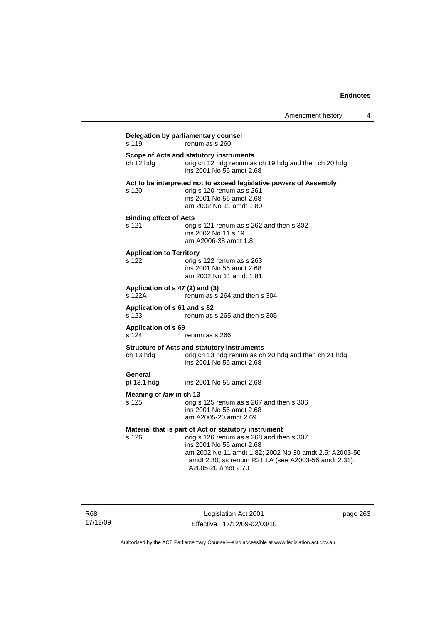| s 119                                     | renum as s 260                                                                                                                                                                                                                                                       |
|-------------------------------------------|----------------------------------------------------------------------------------------------------------------------------------------------------------------------------------------------------------------------------------------------------------------------|
| ch 12 hdg                                 | Scope of Acts and statutory instruments<br>orig ch 12 hdg renum as ch 19 hdg and then ch 20 hdg<br>ins 2001 No 56 amdt 2.68                                                                                                                                          |
| s 120                                     | Act to be interpreted not to exceed legislative powers of Assembly<br>orig s 120 renum as s 261<br>ins 2001 No 56 amdt 2.68<br>am 2002 No 11 amdt 1.80                                                                                                               |
| <b>Binding effect of Acts</b><br>s 121    | orig s 121 renum as s 262 and then s 302<br>ins 2002 No 11 s 19<br>am A2006-38 amdt 1.8                                                                                                                                                                              |
| <b>Application to Territory</b><br>s 122  | orig s 122 renum as s 263<br>ins 2001 No 56 amdt 2.68<br>am 2002 No 11 amdt 1.81                                                                                                                                                                                     |
| Application of s 47 (2) and (3)<br>s 122A | renum as s 264 and then s 304                                                                                                                                                                                                                                        |
| Application of s 61 and s 62<br>s 123     | renum as s 265 and then s 305                                                                                                                                                                                                                                        |
| <b>Application of s 69</b><br>s 124       | renum as s 266                                                                                                                                                                                                                                                       |
| ch 13 hdg                                 | <b>Structure of Acts and statutory instruments</b><br>orig ch 13 hdg renum as ch 20 hdg and then ch 21 hdg<br>ins 2001 No 56 amdt 2.68                                                                                                                               |
| General<br>pt 13.1 hdg                    | ins 2001 No 56 amdt 2.68                                                                                                                                                                                                                                             |
| Meaning of law in ch 13<br>s 125          | orig s 125 renum as s 267 and then s 306<br>ins 2001 No 56 amdt 2.68<br>am A2005-20 amdt 2.69                                                                                                                                                                        |
| s 126                                     | Material that is part of Act or statutory instrument<br>orig s 126 renum as s 268 and then s 307<br>ins 2001 No 56 amdt 2.68<br>am 2002 No 11 amdt 1.82; 2002 No 30 amdt 2.5; A2003-56<br>amdt 2.30; ss renum R21 LA (see A2003-56 amdt 2.31);<br>A2005-20 amdt 2.70 |

R68 17/12/09

Legislation Act 2001 Effective: 17/12/09-02/03/10 page 263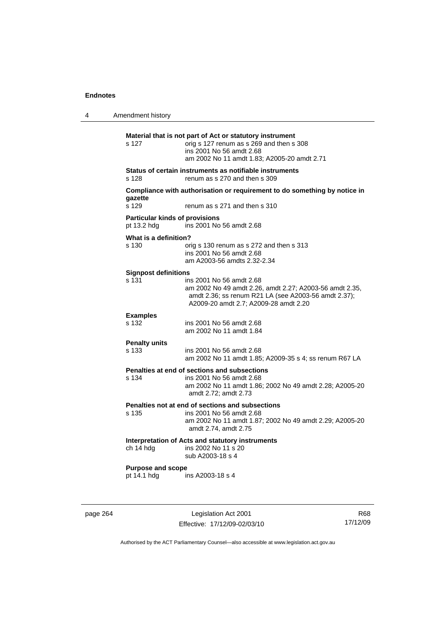| 4 | Amendment history                                    |                                                                                                                                                                                      |
|---|------------------------------------------------------|--------------------------------------------------------------------------------------------------------------------------------------------------------------------------------------|
|   | s 127                                                | Material that is not part of Act or statutory instrument<br>orig s 127 renum as s 269 and then s 308<br>ins 2001 No 56 amdt 2.68<br>am 2002 No 11 amdt 1.83; A2005-20 amdt 2.71      |
|   | s 128                                                | Status of certain instruments as notifiable instruments<br>renum as s 270 and then s 309                                                                                             |
|   | gazette<br>s 129                                     | Compliance with authorisation or requirement to do something by notice in<br>renum as s 271 and then s 310                                                                           |
|   | <b>Particular kinds of provisions</b><br>pt 13.2 hdg | ins 2001 No 56 amdt 2.68                                                                                                                                                             |
|   | What is a definition?<br>s 130                       | orig s 130 renum as s 272 and then s 313<br>ins 2001 No 56 amdt 2.68<br>am A2003-56 amdts 2.32-2.34                                                                                  |
|   | <b>Signpost definitions</b><br>s 131                 | ins 2001 No 56 amdt 2.68<br>am 2002 No 49 amdt 2.26, amdt 2.27; A2003-56 amdt 2.35,<br>amdt 2.36; ss renum R21 LA (see A2003-56 amdt 2.37);<br>A2009-20 amdt 2.7; A2009-28 amdt 2.20 |
|   | <b>Examples</b><br>s 132                             | ins 2001 No 56 amdt 2.68<br>am 2002 No 11 amdt 1.84                                                                                                                                  |
|   | <b>Penalty units</b><br>s 133                        | ins 2001 No 56 amdt 2.68<br>am 2002 No 11 amdt 1.85; A2009-35 s 4; ss renum R67 LA                                                                                                   |
|   | s 134                                                | Penalties at end of sections and subsections<br>ins 2001 No 56 amdt 2.68<br>am 2002 No 11 amdt 1.86; 2002 No 49 amdt 2.28; A2005-20<br>amdt 2.72; amdt 2.73                          |
|   | s 135                                                | Penalties not at end of sections and subsections<br>ins 2001 No 56 amdt 2.68<br>am 2002 No 11 amdt 1.87; 2002 No 49 amdt 2.29; A2005-20<br>amdt 2.74, amdt 2.75                      |
|   | ch 14 hdg                                            | Interpretation of Acts and statutory instruments<br>ins 2002 No 11 s 20<br>sub A2003-18 s 4                                                                                          |
|   | <b>Purpose and scope</b><br>pt 14.1 hdg              | ins A2003-18 s 4                                                                                                                                                                     |
|   |                                                      |                                                                                                                                                                                      |

page 264 Legislation Act 2001 Effective: 17/12/09-02/03/10

R68 17/12/09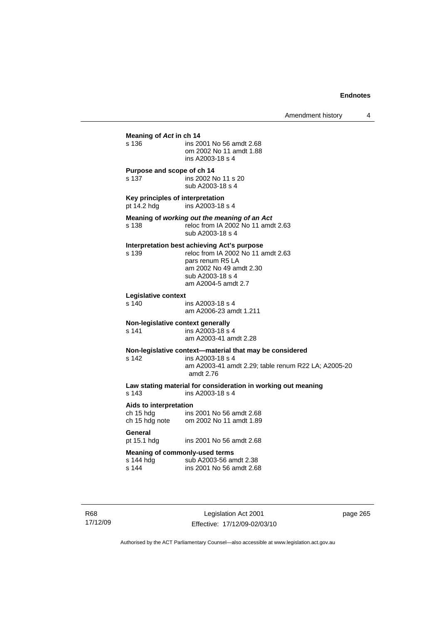| Meaning of Act in ch 14                                     |                                                                                                                                                                             |  |
|-------------------------------------------------------------|-----------------------------------------------------------------------------------------------------------------------------------------------------------------------------|--|
| s 136                                                       | ins 2001 No 56 amdt 2.68<br>om 2002 No 11 amdt 1.88<br>ins A2003-18 s 4                                                                                                     |  |
| Purpose and scope of ch 14<br>s 137                         | ins 2002 No 11 s 20<br>sub A2003-18 s 4                                                                                                                                     |  |
| Key principles of interpretation<br>pt 14.2 hdg             | ins A2003-18 s 4                                                                                                                                                            |  |
| s <sub>138</sub>                                            | Meaning of working out the meaning of an Act<br>reloc from IA 2002 No 11 amdt 2.63<br>sub A2003-18 s 4                                                                      |  |
| s 139                                                       | Interpretation best achieving Act's purpose<br>reloc from IA 2002 No 11 amdt 2.63<br>pars renum R5 LA<br>am 2002 No 49 amdt 2.30<br>sub A2003-18 s 4<br>am A2004-5 amdt 2.7 |  |
| Legislative context<br>s 140                                | ins A2003-18 s 4<br>am A2006-23 amdt 1.211                                                                                                                                  |  |
| Non-legislative context generally<br>s 141                  | ins A2003-18 s 4<br>am A2003-41 amdt 2.28                                                                                                                                   |  |
| s 142                                                       | Non-legislative context-material that may be considered<br>ins A2003-18 s 4<br>am A2003-41 amdt 2.29; table renum R22 LA; A2005-20<br>amdt 2.76                             |  |
| s 143                                                       | Law stating material for consideration in working out meaning<br>ins A2003-18 s 4                                                                                           |  |
| Aids to interpretation<br>cn 15 hdg<br>ch 15 hdg note       | ins 2001 No 56 amdt 2.68<br>om 2002 No 11 amdt 1.89                                                                                                                         |  |
| General<br>pt 15.1 hdg                                      | ins 2001 No 56 amdt 2.68                                                                                                                                                    |  |
| <b>Meaning of commonly-used terms</b><br>s 144 hdg<br>s 144 | sub A2003-56 amdt 2.38<br>ins 2001 No 56 amdt 2.68                                                                                                                          |  |
|                                                             |                                                                                                                                                                             |  |

R68 17/12/09

Legislation Act 2001 Effective: 17/12/09-02/03/10 page 265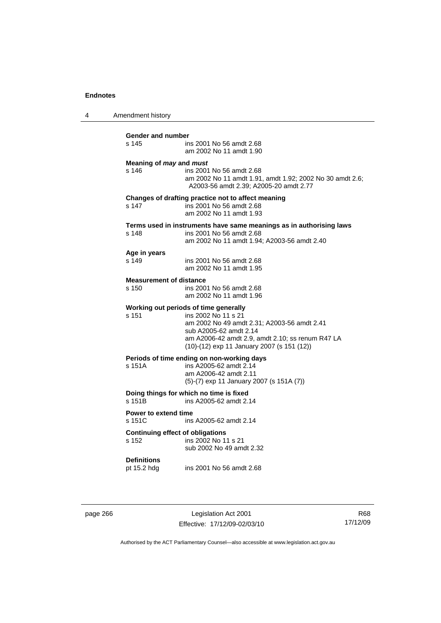4 Amendment history

| <b>Gender and number</b><br>s 145                | ins 2001 No 56 amdt 2.68<br>am 2002 No 11 amdt 1.90                                                                                                                                                                                     |
|--------------------------------------------------|-----------------------------------------------------------------------------------------------------------------------------------------------------------------------------------------------------------------------------------------|
| Meaning of may and must<br>s 146                 | ins 2001 No 56 amdt 2.68<br>am 2002 No 11 amdt 1.91, amdt 1.92; 2002 No 30 amdt 2.6;<br>A2003-56 amdt 2.39; A2005-20 amdt 2.77                                                                                                          |
| s 147                                            | Changes of drafting practice not to affect meaning<br>ins 2001 No 56 amdt 2.68<br>am 2002 No 11 amdt 1.93                                                                                                                               |
| s 148                                            | Terms used in instruments have same meanings as in authorising laws<br>ins 2001 No 56 amdt 2.68<br>am 2002 No 11 amdt 1.94; A2003-56 amdt 2.40                                                                                          |
| Age in years<br>s 149                            | ins 2001 No 56 amdt 2.68<br>am 2002 No 11 amdt 1.95                                                                                                                                                                                     |
| <b>Measurement of distance</b><br>s 150          | ins 2001 No 56 amdt 2.68<br>am 2002 No 11 amdt 1.96                                                                                                                                                                                     |
| $s$ 151                                          | Working out periods of time generally<br>ins 2002 No 11 s 21<br>am 2002 No 49 amdt 2.31; A2003-56 amdt 2.41<br>sub A2005-62 amdt 2.14<br>am A2006-42 amdt 2.9, amdt 2.10; ss renum R47 LA<br>(10)-(12) exp 11 January 2007 (s 151 (12)) |
| s 151A                                           | Periods of time ending on non-working days<br>ins A2005-62 amdt 2.14<br>am A2006-42 amdt 2.11<br>(5)-(7) exp 11 January 2007 (s 151A (7))                                                                                               |
| s 151B                                           | Doing things for which no time is fixed<br>ins A2005-62 amdt 2.14                                                                                                                                                                       |
| Power to extend time<br>s 151C                   | ins A2005-62 amdt 2.14                                                                                                                                                                                                                  |
| <b>Continuing effect of obligations</b><br>s 152 | ins 2002 No 11 s 21<br>sub 2002 No 49 amdt 2.32                                                                                                                                                                                         |
| <b>Definitions</b><br>pt 15.2 hdg                | ins 2001 No 56 amdt 2.68                                                                                                                                                                                                                |

page 266 Legislation Act 2001 Effective: 17/12/09-02/03/10

R68 17/12/09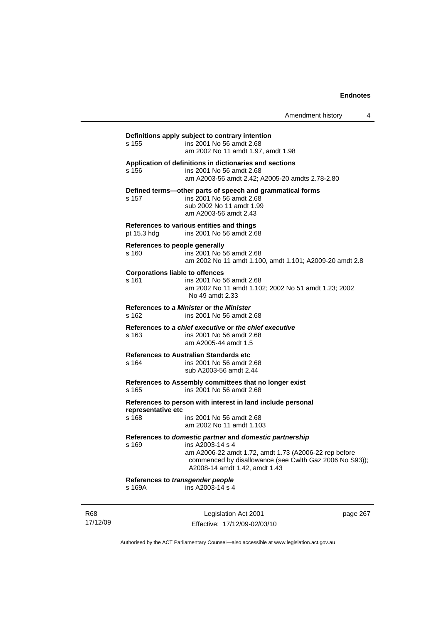Amendment history 4

# **Definitions apply subject to contrary intention**  s 155 ins 2001 No 56 amdt 2.68 am 2002 No 11 amdt 1.97, amdt 1.98 **Application of definitions in dictionaries and sections**  s 156 ins 2001 No 56 amdt 2.68 am A2003-56 amdt 2.42; A2005-20 amdts 2.78-2.80 **Defined terms—other parts of speech and grammatical forms**  s 157 ins 2001 No 56 amdt 2.68 sub 2002 No 11 amdt 1.99 am A2003-56 amdt 2.43 **References to various entities and things**  pt 15.3 hdg ins 2001 No 56 amdt 2.68 **References to people generally**  s 160 ins 2001 No 56 amdt 2.68 am 2002 No 11 amdt 1.100, amdt 1.101; A2009-20 amdt 2.8 **Corporations liable to offences**  s 161 ins 2001 No 56 amdt 2.68 am 2002 No 11 amdt 1.102; 2002 No 51 amdt 1.23; 2002 No 49 amdt 2.33 **References to** *a Minister* **or** *the Minister* s 162 ins 2001 No 56 amdt 2.68 **References to** *a chief executive* **or** *the chief executive* s 163 ins 2001 No 56 amdt 2.68 am A2005-44 amdt 1.5 **References to Australian Standards etc**  s 164 ins 2001 No 56 amdt 2.68 sub A2003-56 amdt 2.44 **References to Assembly committees that no longer exist**  s 165 ins 2001 No 56 amdt 2.68 **References to person with interest in land include personal representative etc**  ins 2001 No 56 amdt 2.68 am 2002 No 11 amdt 1.103 **References to** *domestic partner* **and** *domestic partnership*  s 169 ins A2003-14 s 4 am A2006-22 amdt 1.72, amdt 1.73 (A2006-22 rep before commenced by disallowance (see Cwlth Gaz 2006 No S93)); A2008-14 amdt 1.42, amdt 1.43 **References to** *transgender people*  s 169A ins A2003-14 s 4

R68 17/12/09

Legislation Act 2001 Effective: 17/12/09-02/03/10 page 267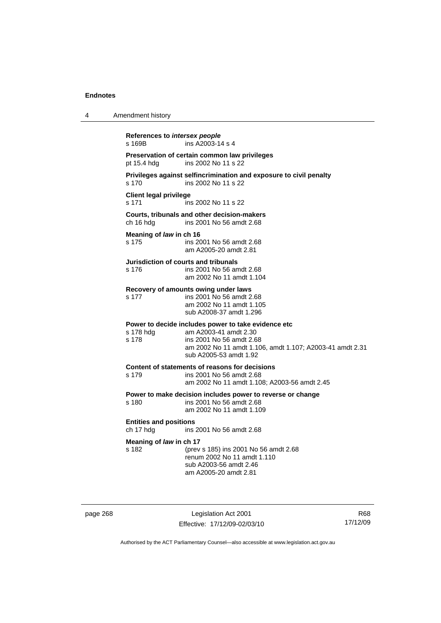| 4 | Amendment history                                                                                                                                                                                                    |
|---|----------------------------------------------------------------------------------------------------------------------------------------------------------------------------------------------------------------------|
|   | References to intersex people<br>ins A2003-14 s 4<br>s 169B                                                                                                                                                          |
|   | Preservation of certain common law privileges<br>ins 2002 No 11 s 22<br>pt 15.4 hdg                                                                                                                                  |
|   | Privileges against selfincrimination and exposure to civil penalty<br>s 170<br>ins 2002 No 11 s 22                                                                                                                   |
|   | <b>Client legal privilege</b><br>s 171<br>ins 2002 No 11 s 22                                                                                                                                                        |
|   | Courts, tribunals and other decision-makers<br>ch 16 hdg<br>ins 2001 No 56 amdt 2.68                                                                                                                                 |
|   | Meaning of law in ch 16<br>s 175<br>ins 2001 No 56 amdt 2.68<br>am A2005-20 amdt 2.81                                                                                                                                |
|   | Jurisdiction of courts and tribunals<br>s 176<br>ins 2001 No 56 amdt 2.68<br>am 2002 No 11 amdt 1.104                                                                                                                |
|   | Recovery of amounts owing under laws<br>s 177<br>ins 2001 No 56 amdt 2.68<br>am 2002 No 11 amdt 1.105<br>sub A2008-37 amdt 1.296                                                                                     |
|   | Power to decide includes power to take evidence etc<br>am A2003-41 amdt 2.30<br>s 178 hdg<br>s 178<br>ins 2001 No 56 amdt 2.68<br>am 2002 No 11 amdt 1.106, amdt 1.107; A2003-41 amdt 2.31<br>sub A2005-53 amdt 1.92 |
|   | Content of statements of reasons for decisions<br>s 179<br>ins 2001 No 56 amdt 2.68<br>am 2002 No 11 amdt 1.108; A2003-56 amdt 2.45                                                                                  |
|   | Power to make decision includes power to reverse or change<br>ins 2001 No 56 amdt 2.68<br>s 180<br>am 2002 No 11 amdt 1.109                                                                                          |
|   | <b>Entities and positions</b><br>ch 17 hdg<br>ins 2001 No 56 amdt 2.68                                                                                                                                               |
|   | Meaning of law in ch 17<br>s 182<br>(prev s 185) ins 2001 No 56 amdt 2.68<br>renum 2002 No 11 amdt 1.110<br>sub A2003-56 amdt 2.46<br>am A2005-20 amdt 2.81                                                          |

page 268 Legislation Act 2001 Effective: 17/12/09-02/03/10

R68 17/12/09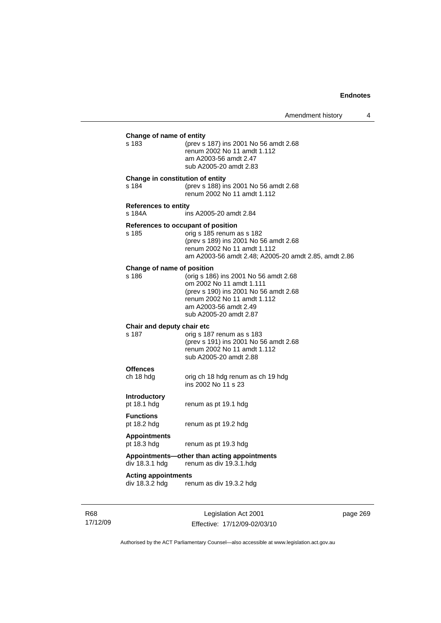| Change of name of entity<br>s 183            | (prev s 187) ins 2001 No 56 amdt 2.68<br>renum 2002 No 11 amdt 1.112<br>am A2003-56 amdt 2.47                                                                                                |
|----------------------------------------------|----------------------------------------------------------------------------------------------------------------------------------------------------------------------------------------------|
|                                              | sub A2005-20 amdt 2.83                                                                                                                                                                       |
| Change in constitution of entity<br>s 184    | (prev s 188) ins 2001 No 56 amdt 2.68<br>renum 2002 No 11 amdt 1.112                                                                                                                         |
| <b>References to entity</b><br>s 184A        | ins A2005-20 amdt 2.84                                                                                                                                                                       |
| References to occupant of position<br>s 185  | orig s 185 renum as s 182<br>(prev s 189) ins 2001 No 56 amdt 2.68<br>renum 2002 No 11 amdt 1.112<br>am A2003-56 amdt 2.48; A2005-20 amdt 2.85, amdt 2.86                                    |
| Change of name of position<br>s 186          | (orig s 186) ins 2001 No 56 amdt 2.68<br>om 2002 No 11 amdt 1.111<br>(prev s 190) ins 2001 No 56 amdt 2.68<br>renum 2002 No 11 amdt 1.112<br>am A2003-56 amdt 2.49<br>sub A2005-20 amdt 2.87 |
| Chair and deputy chair etc<br>s 187          | orig s 187 renum as s 183<br>(prev s 191) ins 2001 No 56 amdt 2.68<br>renum 2002 No 11 amdt 1.112<br>sub A2005-20 amdt 2.88                                                                  |
| <b>Offences</b><br>ch 18 hdg                 | orig ch 18 hdg renum as ch 19 hdg<br>ins 2002 No 11 s 23                                                                                                                                     |
| <b>Introductory</b><br>pt 18.1 hdg           | renum as pt 19.1 hdg                                                                                                                                                                         |
| <b>Functions</b><br>pt 18.2 hdg              | renum as pt 19.2 hdg                                                                                                                                                                         |
| <b>Appointments</b><br>pt 18.3 hdg           | renum as pt 19.3 hdg                                                                                                                                                                         |
| div 18.3.1 hdg                               | Appointments-other than acting appointments<br>renum as div 19.3.1.hdg                                                                                                                       |
| <b>Acting appointments</b><br>div 18.3.2 hdg | renum as div 19.3.2 hdg                                                                                                                                                                      |
|                                              |                                                                                                                                                                                              |

R68 17/12/09

Legislation Act 2001 Effective: 17/12/09-02/03/10 page 269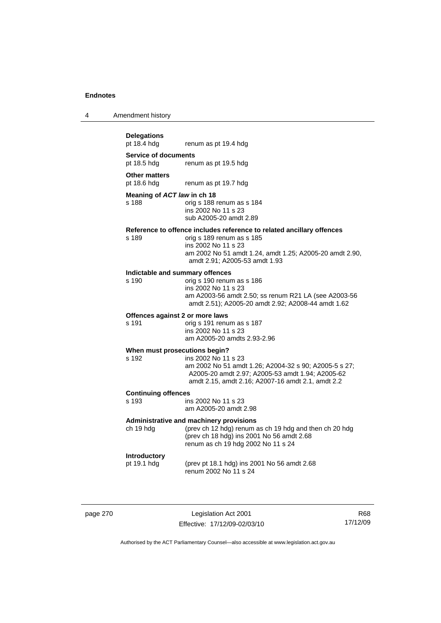| 4 | Amendment history |
|---|-------------------|
|---|-------------------|

# **Delegations**

renum as pt 19.4 hdg

**Service of documents**  pt 18.5 hdg renum as pt 19.5 hdg

**Other matters** 

pt 18.6 hdg renum as pt 19.7 hdg

#### **Meaning of** *ACT law* **in ch 18**

s 188 orig s 188 renum as s 184 ins 2002 No 11 s 23 sub A2005-20 amdt 2.89

#### **Reference to offence includes reference to related ancillary offences**

s 189 orig s 189 renum as s 185 ins 2002 No 11 s 23 am 2002 No 51 amdt 1.24, amdt 1.25; A2005-20 amdt 2.90, amdt 2.91; A2005-53 amdt 1.93

# **Indictable and summary offences**

orig s 190 renum as s 186 ins 2002 No 11 s 23 am A2003-56 amdt 2.50; ss renum R21 LA (see A2003-56 amdt 2.51); A2005-20 amdt 2.92; A2008-44 amdt 1.62

#### **Offences against 2 or more laws**

s 191 orig s 191 renum as s 187 ins 2002 No 11 s 23 am A2005-20 amdts 2.93-2.96

#### **When must prosecutions begin?**

s 192 ins 2002 No 11 s 23 am 2002 No 51 amdt 1.26; A2004-32 s 90; A2005-5 s 27; A2005-20 amdt 2.97; A2005-53 amdt 1.94; A2005-62 amdt 2.15, amdt 2.16; A2007-16 amdt 2.1, amdt 2.2

# **Continuing offences**

ins 2002 No 11 s 23 am A2005-20 amdt 2.98

#### **Administrative and machinery provisions**

ch 19 hdg (prev ch 12 hdg) renum as ch 19 hdg and then ch 20 hdg (prev ch 18 hdg) ins 2001 No 56 amdt 2.68 renum as ch 19 hdg 2002 No 11 s 24

#### **Introductory**

pt 19.1 hdg (prev pt 18.1 hdg) ins 2001 No 56 amdt 2.68 renum 2002 No 11 s 24

page 270 Legislation Act 2001 Effective: 17/12/09-02/03/10

R68 17/12/09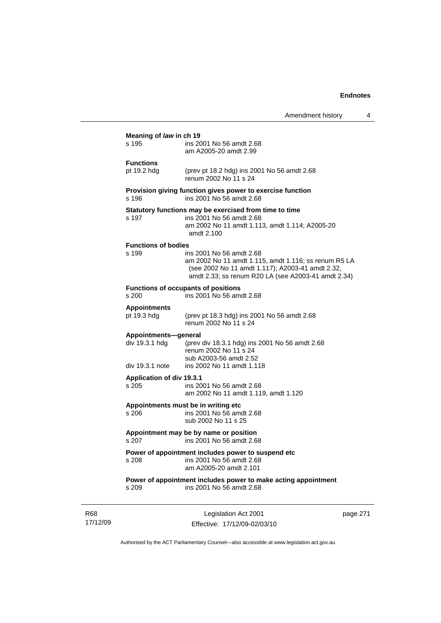|                                                                                       | Amendment history                                                                                                                                                                           | 4 |  |  |
|---------------------------------------------------------------------------------------|---------------------------------------------------------------------------------------------------------------------------------------------------------------------------------------------|---|--|--|
| Meaning of law in ch 19<br>s 195<br>ins 2001 No 56 amdt 2.68<br>am A2005-20 amdt 2.99 |                                                                                                                                                                                             |   |  |  |
| <b>Functions</b><br>pt 19.2 hdg                                                       | (prev pt 18.2 hdg) ins 2001 No 56 amdt 2.68<br>renum 2002 No 11 s 24                                                                                                                        |   |  |  |
| s 196                                                                                 | Provision giving function gives power to exercise function<br>ins 2001 No 56 amdt 2.68                                                                                                      |   |  |  |
| s 197                                                                                 | Statutory functions may be exercised from time to time<br>ins 2001 No 56 amdt 2.68<br>am 2002 No 11 amdt 1.113, amdt 1.114; A2005-20<br>amdt 2.100                                          |   |  |  |
| <b>Functions of bodies</b><br>s 199                                                   | ins 2001 No 56 amdt 2.68<br>am 2002 No 11 amdt 1.115, amdt 1.116; ss renum R5 LA<br>(see 2002 No 11 amdt 1.117); A2003-41 amdt 2.32,<br>amdt 2.33; ss renum R20 LA (see A2003-41 amdt 2.34) |   |  |  |
| s 200                                                                                 | <b>Functions of occupants of positions</b><br>ins 2001 No 56 amdt 2.68                                                                                                                      |   |  |  |
| <b>Appointments</b><br>pt 19.3 hdg                                                    | (prev pt 18.3 hdg) ins 2001 No 56 amdt 2.68<br>renum 2002 No 11 s 24                                                                                                                        |   |  |  |
| Appointments-general<br>div 19.3.1 hdg<br>div 19.3.1 note                             | (prev div 18.3.1 hdg) ins 2001 No 56 amdt 2.68<br>renum 2002 No 11 s 24<br>sub A2003-56 amdt 2.52<br>ins 2002 No 11 amdt 1.118                                                              |   |  |  |
| Application of div 19.3.1<br>s 205                                                    | ins 2001 No 56 amdt 2.68<br>am 2002 No 11 amdt 1.119, amdt 1.120                                                                                                                            |   |  |  |
| s 206                                                                                 | Appointments must be in writing etc<br>ins 2001 No 56 amdt 2.68<br>sub 2002 No 11 s 25                                                                                                      |   |  |  |
| Appointment may be by name or position<br>s 207 ins 2001 No 56 amdt 2.68              |                                                                                                                                                                                             |   |  |  |
| s 208                                                                                 | Power of appointment includes power to suspend etc<br>ins 2001 No 56 amdt 2.68<br>am A2005-20 amdt 2.101                                                                                    |   |  |  |
| s 209                                                                                 | Power of appointment includes power to make acting appointment<br>ins 2001 No 56 amdt 2.68                                                                                                  |   |  |  |
|                                                                                       | $\mathbf{L}$                                                                                                                                                                                |   |  |  |

R68 17/12/09

Legislation Act 2001 Effective: 17/12/09-02/03/10 page 271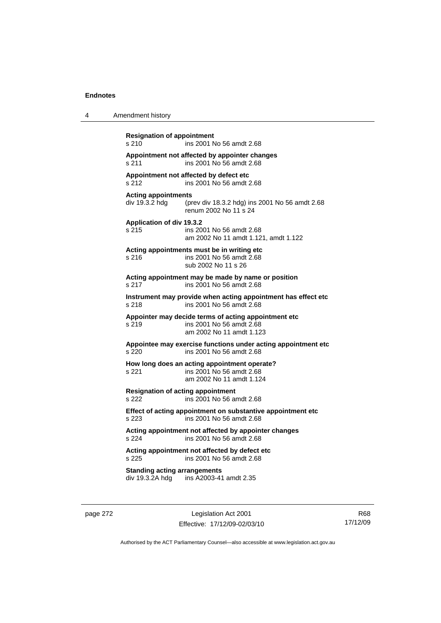| 4 | Amendment history                                                                                                       |
|---|-------------------------------------------------------------------------------------------------------------------------|
|   | <b>Resignation of appointment</b><br>s 210<br>ins 2001 No 56 amdt 2.68                                                  |
|   | Appointment not affected by appointer changes<br>ins 2001 No 56 amdt 2.68<br>s 211                                      |
|   | Appointment not affected by defect etc<br>ins 2001 No 56 amdt 2.68<br>s 212                                             |
|   | <b>Acting appointments</b><br>div 19.3.2 hdg<br>(prev div 18.3.2 hdg) ins 2001 No 56 amdt 2.68<br>renum 2002 No 11 s 24 |
|   | Application of div 19.3.2<br>s 215<br>ins 2001 No 56 amdt 2.68<br>am 2002 No 11 amdt 1.121, amdt 1.122                  |
|   | Acting appointments must be in writing etc<br>ins 2001 No 56 amdt 2.68<br>s 216<br>sub 2002 No 11 s 26                  |
|   | Acting appointment may be made by name or position<br>s 217<br>ins 2001 No 56 amdt 2.68                                 |
|   | Instrument may provide when acting appointment has effect etc<br>ins 2001 No 56 amdt 2.68<br>s 218                      |
|   | Appointer may decide terms of acting appointment etc.<br>ins 2001 No 56 amdt 2.68<br>s 219<br>am 2002 No 11 amdt 1.123  |
|   | Appointee may exercise functions under acting appointment etc<br>ins 2001 No 56 amdt 2.68<br>s 220                      |
|   | How long does an acting appointment operate?<br>ins 2001 No 56 amdt 2.68<br>s 221<br>am 2002 No 11 amdt 1.124           |
|   | <b>Resignation of acting appointment</b><br>ins 2001 No 56 amdt 2.68<br>s 222                                           |
|   | Effect of acting appointment on substantive appointment etc<br>s 223<br>ins 2001 No 56 amdt 2.68                        |
|   | Acting appointment not affected by appointer changes<br>ins 2001 No 56 amdt 2.68<br>s 224                               |
|   | Acting appointment not affected by defect etc<br>s 225<br>ins 2001 No 56 amdt 2.68                                      |
|   | <b>Standing acting arrangements</b><br>div 19.3.2A hdg<br>ins A2003-41 amdt 2.35                                        |

page 272 Legislation Act 2001 Effective: 17/12/09-02/03/10

R68 17/12/09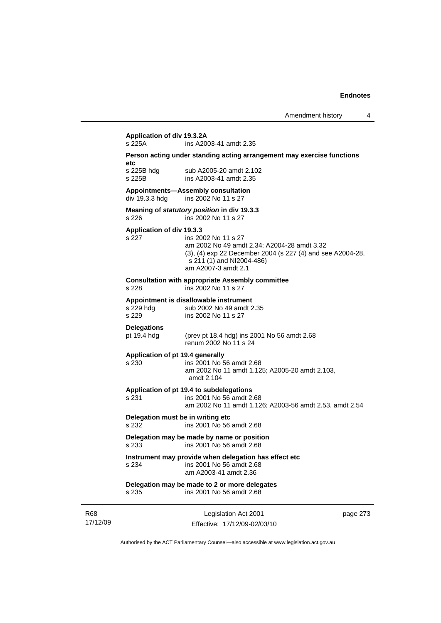# **Application of div 19.3.2A**

ins A2003-41 amdt 2.35

#### **Person acting under standing acting arrangement may exercise functions etc**

s 225B hdg sub A2005-20 amdt 2.102 s 225B ins A2003-41 amdt 2.35

#### **Appointments—Assembly consultation**

div 19.3.3 hdg ins 2002 No 11 s 27

#### **Meaning of** *statutory position* **in div 19.3.3**  s 226 ins 2002 No 11 s 27

#### **Application of div 19.3.3**

#### s 227 ins 2002 No 11 s 27 am 2002 No 49 amdt 2.34; A2004-28 amdt 3.32 (3), (4) exp 22 December 2004 (s 227 (4) and see A2004-28, s 211 (1) and NI2004-486) am A2007-3 amdt 2.1

#### **Consultation with appropriate Assembly committee**

s 228 ins 2002 No 11 s 27

#### **Appointment is disallowable instrument**

s 229 hdg sub 2002 No 49 amdt 2.35 s 229 ins 2002 No 11 s 27

# **Delegations**

pt 19.4 hdg (prev pt 18.4 hdg) ins 2001 No 56 amdt 2.68 renum 2002 No 11 s 24

#### **Application of pt 19.4 generally**

### s 230 ins 2001 No 56 amdt 2.68

 am 2002 No 11 amdt 1.125; A2005-20 amdt 2.103, amdt 2.104

#### **Application of pt 19.4 to subdelegations**

s 231 ins 2001 No 56 amdt 2.68 am 2002 No 11 amdt 1.126; A2003-56 amdt 2.53, amdt 2.54

### **Delegation must be in writing etc**

s 232 ins 2001 No 56 amdt 2.68

#### **Delegation may be made by name or position**  s 233 ins 2001 No 56 amdt 2.68

#### **Instrument may provide when delegation has effect etc**  s 234 ins 2001 No 56 amdt 2.68

am A2003-41 amdt 2.36

#### **Delegation may be made to 2 or more delegates**  s 235 ins 2001 No 56 amdt 2.68

R68 17/12/09

Legislation Act 2001 Effective: 17/12/09-02/03/10 page 273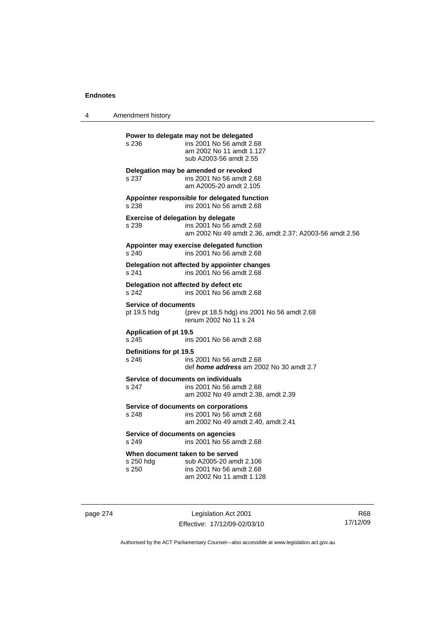4 Amendment history

**Power to delegate may not be delegated**  s 236 ins 2001 No 56 amdt 2.68 am 2002 No 11 amdt 1.127 sub A2003-56 amdt 2.55 **Delegation may be amended or revoked**  s 237 ins 2001 No 56 amdt 2.68 am A2005-20 amdt 2.105 **Appointer responsible for delegated function**  s 238 ins 2001 No 56 amdt 2.68 **Exercise of delegation by delegate**  s 239 ins 2001 No 56 amdt 2.68 am 2002 No 49 amdt 2.36, amdt 2.37; A2003-56 amdt 2.56 **Appointer may exercise delegated function**  s 240 ins 2001 No 56 amdt 2.68 **Delegation not affected by appointer changes**  s 241 ins 2001 No 56 amdt 2.68 **Delegation not affected by defect etc**  s 242 ins 2001 No 56 amdt 2.68 **Service of documents**<br>pt 19.5 hdg (pre (prev pt 18.5 hdg) ins 2001 No 56 amdt  $2.68$ renum 2002 No 11 s 24 **Application of pt 19.5**  s 245 ins 2001 No 56 amdt 2.68 **Definitions for pt 19.5**  ins 2001 No 56 amdt 2.68 def *home address* am 2002 No 30 amdt 2.7 **Service of documents on individuals**<br>s 247 **ins 2001** No 56 among ins 2001 No 56 amdt 2.68 am 2002 No 49 amdt 2.38, amdt 2.39 **Service of documents on corporations**  s 248 ins 2001 No 56 amdt 2.68 am 2002 No 49 amdt 2.40, amdt 2.41 **Service of documents on agencies**  s 249 ins 2001 No 56 amdt 2.68 **When document taken to be served**  s 250 hdg sub A2005-20 amdt 2.106 s 250 ins 2001 No 56 amdt 2.68 am 2002 No 11 amdt 1.128

page 274 Legislation Act 2001 Effective: 17/12/09-02/03/10

R68 17/12/09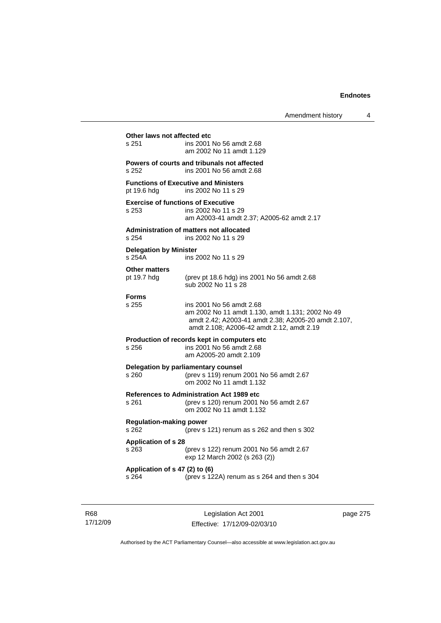## **Other laws not affected etc**<br>s 251 ins 2001 ins 2001 No 56 amdt 2.68 am 2002 No 11 amdt 1.129 **Powers of courts and tribunals not affected**  s 252 ins 2001 No 56 amdt 2.68 **Functions of Executive and Ministers**  pt 19.6 hdg ins 2002 No 11 s 29 **Exercise of functions of Executive**  s 253 ins 2002 No 11 s 29 am A2003-41 amdt 2.37; A2005-62 amdt 2.17 **Administration of matters not allocated**  s 254 ins 2002 No 11 s 29 **Delegation by Minister**  s 254A ins 2002 No 11 s 29 **Other matters**  pt 19.7 hdg (prev pt 18.6 hdg) ins 2001 No 56 amdt 2.68 sub 2002 No 11 s 28 **Forms**  s 255 ins 2001 No 56 amdt 2.68 am 2002 No 11 amdt 1.130, amdt 1.131; 2002 No 49 amdt 2.42; A2003-41 amdt 2.38; A2005-20 amdt 2.107, amdt 2.108; A2006-42 amdt 2.12, amdt 2.19 **Production of records kept in computers etc**  s 256 ins 2001 No 56 amdt 2.68 am A2005-20 amdt 2.109 **Delegation by parliamentary counsel**  s 260 (prev s 119) renum 2001 No 56 amdt 2.67 om 2002 No 11 amdt 1.132 **References to Administration Act 1989 etc**  s 261 (prev s 120) renum 2001 No 56 amdt 2.67 om 2002 No 11 amdt 1.132 **Regulation-making power**  s 262 (prev s 121) renum as s 262 and then s 302 **Application of s 28**  s 263 (prev s 122) renum 2001 No 56 amdt 2.67 exp 12 March 2002 (s 263 (2)) **Application of s 47 (2) to (6)**  s 264 (prev s 122A) renum as s 264 and then s 304

R68 17/12/09

Legislation Act 2001 Effective: 17/12/09-02/03/10 page 275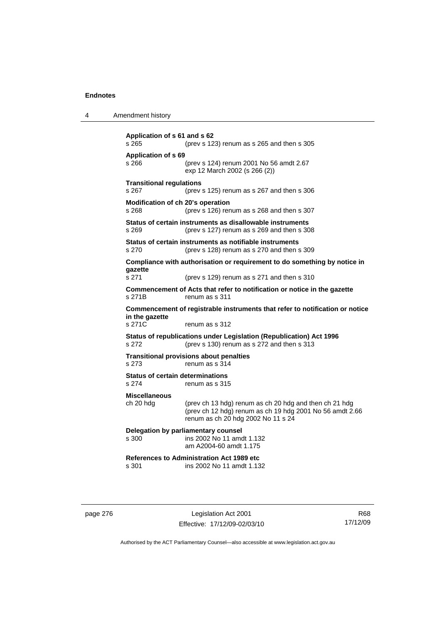| Amendment history<br>4 |  |
|------------------------|--|
|------------------------|--|

```
Application of s 61 and s 62 
s 265 (prev s 123) renum as s 265 and then s 305 
Application of s 69 
s 266 (prev s 124) renum 2001 No 56 amdt 2.67 
                  exp 12 March 2002 (s 266 (2)) 
Transitional regulations 
s 267 (prev s 125) renum as s 267 and then s 306 
Modification of ch 20's operation 
s 268 (prev s 126) renum as s 268 and then s 307 
Status of certain instruments as disallowable instruments 
s 269 (prev s 127) renum as s 269 and then s 308 
Status of certain instruments as notifiable instruments 
s 270 (prev s 128) renum as s 270 and then s 309 
Compliance with authorisation or requirement to do something by notice in 
gazette 
s 271 (prev s 129) renum as s 271 and then s 310 
Commencement of Acts that refer to notification or notice in the gazette 
s 271B renum as s 311
Commencement of registrable instruments that refer to notification or notice 
in the gazette 
s 271C renum as s 312
Status of republications under Legislation (Republication) Act 1996 
s 272 (prev s 130) renum as s 272 and then s 313 
Transitional provisions about penalties
s 273 renum as s 314 
Status of certain determinations 
s 274 renum as s 315
Miscellaneous 
ch 20 hdg (prev ch 13 hdg) renum as ch 20 hdg and then ch 21 hdg 
                  (prev ch 12 hdg) renum as ch 19 hdg 2001 No 56 amdt 2.66 
                  renum as ch 20 hdg 2002 No 11 s 24 
Delegation by parliamentary counsel 
s 300 ins 2002 No 11 amdt 1.132 
                  am A2004-60 amdt 1.175 
References to Administration Act 1989 etc 
                 ins 2002 No 11 amdt 1.132
```
page 276 Legislation Act 2001 Effective: 17/12/09-02/03/10

R68 17/12/09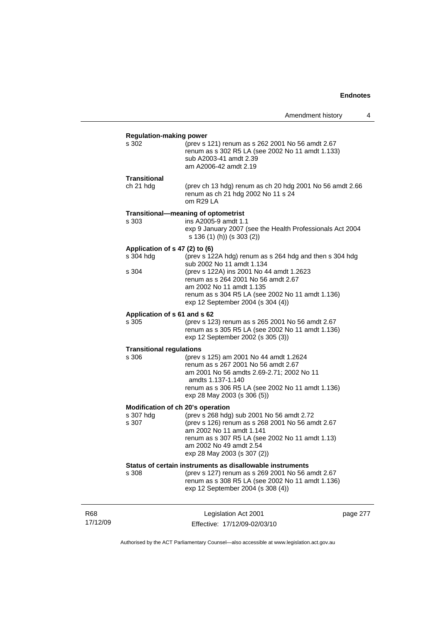|                                                         |                                                                                                                                                                                                                                                                                              | Amendment history | 4 |
|---------------------------------------------------------|----------------------------------------------------------------------------------------------------------------------------------------------------------------------------------------------------------------------------------------------------------------------------------------------|-------------------|---|
| <b>Regulation-making power</b><br>s 302                 | (prev s 121) renum as s 262 2001 No 56 amdt 2.67<br>renum as s 302 R5 LA (see 2002 No 11 amdt 1.133)<br>sub A2003-41 amdt 2.39<br>am A2006-42 amdt 2.19                                                                                                                                      |                   |   |
| Transitional<br>ch 21 hdg                               | (prev ch 13 hdg) renum as ch 20 hdg 2001 No 56 amdt 2.66<br>renum as ch 21 hdg 2002 No 11 s 24<br>om R29 LA                                                                                                                                                                                  |                   |   |
| s 303                                                   | Transitional-meaning of optometrist<br>ins A2005-9 amdt 1.1<br>exp 9 January 2007 (see the Health Professionals Act 2004<br>s 136 (1) (h)) (s 303 (2))                                                                                                                                       |                   |   |
| Application of s 47 (2) to (6)<br>s 304 hdg<br>s 304    | (prev s 122A hdg) renum as s 264 hdg and then s 304 hdg<br>sub 2002 No 11 amdt 1.134<br>(prev s 122A) ins 2001 No 44 amdt 1.2623<br>renum as s 264 2001 No 56 amdt 2.67<br>am 2002 No 11 amdt 1.135<br>renum as s 304 R5 LA (see 2002 No 11 amdt 1.136)<br>exp 12 September 2004 (s 304 (4)) |                   |   |
| Application of s 61 and s 62<br>s 305                   | (prev s 123) renum as s 265 2001 No 56 amdt 2.67<br>renum as s 305 R5 LA (see 2002 No 11 amdt 1.136)<br>exp 12 September 2002 (s 305 (3))                                                                                                                                                    |                   |   |
| <b>Transitional regulations</b><br>s 306                | (prev s 125) am 2001 No 44 amdt 1.2624<br>renum as s 267 2001 No 56 amdt 2.67<br>am 2001 No 56 amdts 2.69-2.71; 2002 No 11<br>amdts 1.137-1.140<br>renum as s 306 R5 LA (see 2002 No 11 amdt 1.136)<br>exp 28 May 2003 (s 306 (5))                                                           |                   |   |
| Modification of ch 20's operation<br>s 307 hdg<br>s 307 | (prev s 268 hdg) sub 2001 No 56 amdt 2.72<br>(prev s 126) renum as s 268 2001 No 56 amdt 2.67<br>am 2002 No 11 amdt 1.141<br>renum as s 307 R5 LA (see 2002 No 11 amdt 1.13)<br>am 2002 No 49 amdt 2.54<br>exp 28 May 2003 (s 307 (2))                                                       |                   |   |
| s 308                                                   | Status of certain instruments as disallowable instruments<br>(prev s 127) renum as s 269 2001 No 56 amdt 2.67<br>renum as s 308 R5 LA (see 2002 No 11 amdt 1.136)<br>exp 12 September 2004 (s 308 (4))                                                                                       |                   |   |

R68 17/12/09

Legislation Act 2001 Effective: 17/12/09-02/03/10 page 277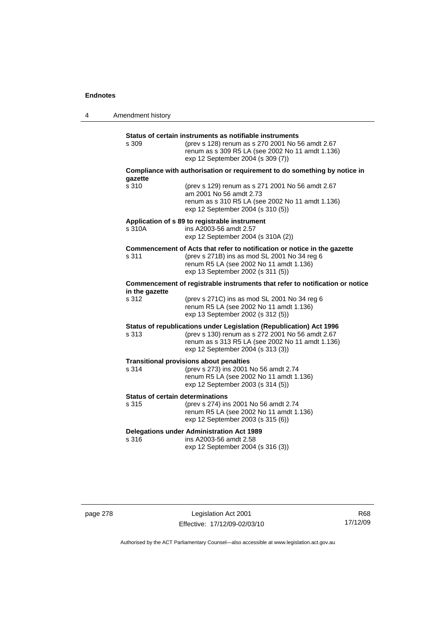| 4 | Amendment history |                                                                                                                                                                                                                  |
|---|-------------------|------------------------------------------------------------------------------------------------------------------------------------------------------------------------------------------------------------------|
|   | s 309             | Status of certain instruments as notifiable instruments<br>(prev s 128) renum as s 270 2001 No 56 amdt 2.67<br>renum as s 309 R5 LA (see 2002 No 11 amdt 1.136)<br>exp 12 September 2004 (s 309 (7))             |
|   |                   | Compliance with authorisation or requirement to do something by notice in                                                                                                                                        |
|   | qazette<br>s 310  | (prev s 129) renum as s 271 2001 No 56 amdt 2.67<br>am 2001 No 56 amdt 2.73<br>renum as s 310 R5 LA (see 2002 No 11 amdt 1.136)<br>exp 12 September 2004 (s 310 (5))                                             |
|   | s 310A            | Application of s 89 to registrable instrument<br>ins A2003-56 amdt 2.57<br>exp 12 September 2004 (s 310A (2))                                                                                                    |
|   | s 311             | Commencement of Acts that refer to notification or notice in the gazette<br>(prev s 271B) ins as mod SL 2001 No 34 reg 6<br>renum R5 LA (see 2002 No 11 amdt 1.136)<br>exp 13 September 2002 (s 311 (5))         |
|   | in the gazette    | Commencement of registrable instruments that refer to notification or notice                                                                                                                                     |
|   | s 312             | (prev s 271C) ins as mod SL 2001 No 34 reg 6<br>renum R5 LA (see 2002 No 11 amdt 1.136)<br>exp 13 September 2002 (s 312 (5))                                                                                     |
|   | s 313             | Status of republications under Legislation (Republication) Act 1996<br>(prev s 130) renum as s 272 2001 No 56 amdt 2.67<br>renum as s 313 R5 LA (see 2002 No 11 amdt 1.136)<br>exp 12 September 2004 (s 313 (3)) |
|   | s 314             | <b>Transitional provisions about penalties</b><br>(prev s 273) ins 2001 No 56 amdt 2.74<br>renum R5 LA (see 2002 No 11 amdt 1.136)<br>exp 12 September 2003 (s 314 (5))                                          |
|   | s 315             | <b>Status of certain determinations</b><br>(prev s 274) ins 2001 No 56 amdt 2.74<br>renum R5 LA (see 2002 No 11 amdt 1.136)<br>exp 12 September 2003 (s 315 (6))                                                 |
|   | s 316             | <b>Delegations under Administration Act 1989</b><br>ins A2003-56 amdt 2.58<br>exp 12 September 2004 (s 316 (3))                                                                                                  |

page 278 Legislation Act 2001 Effective: 17/12/09-02/03/10

R68 17/12/09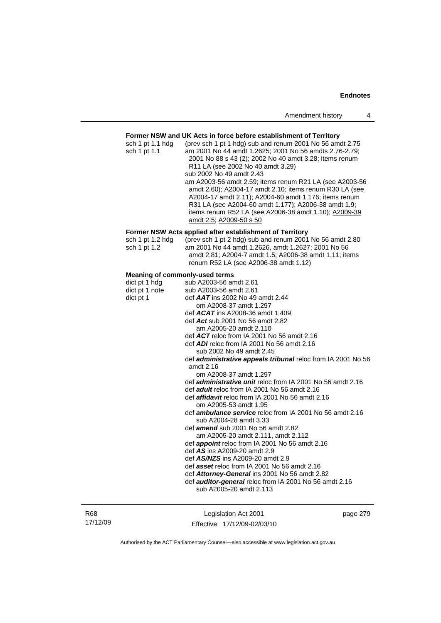#### **Former NSW and UK Acts in force before establishment of Territory**

| sch 1 pt 1.1 hdg<br>sch 1 pt 1.1 | (prev sch 1 pt 1 hdg) sub and renum 2001 No 56 amdt 2.75<br>am 2001 No 44 amdt 1.2625; 2001 No 56 amdts 2.76-2.79;<br>2001 No 88 s 43 (2); 2002 No 40 amdt 3.28; items renum<br>R11 LA (see 2002 No 40 amdt 3.29)<br>sub 2002 No 49 amdt 2.43<br>am A2003-56 amdt 2.59; items renum R21 LA (see A2003-56<br>amdt 2.60); A2004-17 amdt 2.10; items renum R30 LA (see<br>A2004-17 amdt 2.11); A2004-60 amdt 1.176; items renum<br>R31 LA (see A2004-60 amdt 1.177); A2006-38 amdt 1.9;<br>items renum R52 LA (see A2006-38 amdt 1.10); A2009-39<br>amdt 2.5; A2009-50 s 50 |
|----------------------------------|--------------------------------------------------------------------------------------------------------------------------------------------------------------------------------------------------------------------------------------------------------------------------------------------------------------------------------------------------------------------------------------------------------------------------------------------------------------------------------------------------------------------------------------------------------------------------|
|                                  | Former NSW Acts applied after establishment of Territory                                                                                                                                                                                                                                                                                                                                                                                                                                                                                                                 |
| sch 1 pt 1.2 hdg<br>sch 1 pt 1.2 | (prev sch 1 pt 2 hdg) sub and renum 2001 No 56 amdt 2.80<br>am 2001 No 44 amdt 1.2626, amdt 1.2627; 2001 No 56<br>amdt 2.81; A2004-7 amdt 1.5; A2006-38 amdt 1.11; items<br>renum R52 LA (see A2006-38 amdt 1.12)                                                                                                                                                                                                                                                                                                                                                        |
|                                  | <b>Meaning of commonly-used terms</b>                                                                                                                                                                                                                                                                                                                                                                                                                                                                                                                                    |
| dict pt 1 hdg                    | sub A2003-56 amdt 2.61                                                                                                                                                                                                                                                                                                                                                                                                                                                                                                                                                   |
| dict pt 1 note                   | sub A2003-56 amdt 2.61                                                                                                                                                                                                                                                                                                                                                                                                                                                                                                                                                   |
| dict pt 1                        | def $AAT$ ins 2002 No 49 amdt 2.44                                                                                                                                                                                                                                                                                                                                                                                                                                                                                                                                       |
|                                  | om A2008-37 amdt 1.297                                                                                                                                                                                                                                                                                                                                                                                                                                                                                                                                                   |
|                                  | def $ACAT$ ins A2008-36 amdt 1.409                                                                                                                                                                                                                                                                                                                                                                                                                                                                                                                                       |

- 
- def *Act* sub 2001 No 56 amdt 2.82
- am A2005-20 amdt 2.110
- def *ACT* reloc from IA 2001 No 56 amdt 2.16
- def *ADI* reloc from IA 2001 No 56 amdt 2.16 sub 2002 No 49 amdt 2.45
- def *administrative appeals tribunal* reloc from IA 2001 No 56 amdt 2.16
	- om A2008-37 amdt 1.297
- def *administrative unit* reloc from IA 2001 No 56 amdt 2.16
- def *adult* reloc from IA 2001 No 56 amdt 2.16
- def *affidavit* reloc from IA 2001 No 56 amdt 2.16 om A2005-53 amdt 1.95
- def *ambulance service* reloc from IA 2001 No 56 amdt 2.16 sub A2004-28 amdt 3.33
- def *amend* sub 2001 No 56 amdt 2.82
- am A2005-20 amdt 2.111, amdt 2.112
- def *appoint* reloc from IA 2001 No 56 amdt 2.16
- def *AS* ins A2009-20 amdt 2.9
- def *AS/NZS* ins A2009-20 amdt 2.9
- def *asset* reloc from IA 2001 No 56 amdt 2.16
- def *Attorney-General* ins 2001 No 56 amdt 2.82
- def *auditor-general* reloc from IA 2001 No 56 amdt 2.16 sub A2005-20 amdt 2.113

R68 17/12/09

Legislation Act 2001 Effective: 17/12/09-02/03/10 page 279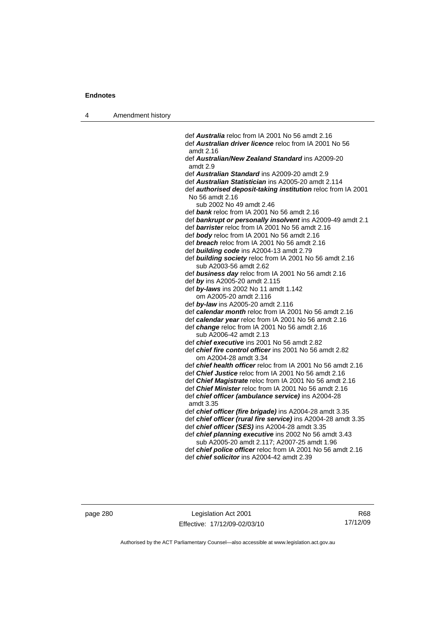4 Amendment history

 def *Australia* reloc from IA 2001 No 56 amdt 2.16 def *Australian driver licence* reloc from IA 2001 No 56 amdt 2.16 def *Australian/New Zealand Standard* ins A2009-20 amdt 2.9 def *Australian Standard* ins A2009-20 amdt 2.9 def *Australian Statistician* ins A2005-20 amdt 2.114 def *authorised deposit-taking institution* reloc from IA 2001 No 56 amdt 2.16 sub 2002 No 49 amdt 2.46 def *bank* reloc from IA 2001 No 56 amdt 2.16 def *bankrupt or personally insolvent* ins A2009-49 amdt 2.1 def *barrister* reloc from IA 2001 No 56 amdt 2.16 def *body* reloc from IA 2001 No 56 amdt 2.16 def *breach* reloc from IA 2001 No 56 amdt 2.16 def *building code* ins A2004-13 amdt 2.79 def *building society* reloc from IA 2001 No 56 amdt 2.16 sub A2003-56 amdt 2.62 def *business day* reloc from IA 2001 No 56 amdt 2.16 def *by* ins A2005-20 amdt 2.115 def *by-laws* ins 2002 No 11 amdt 1.142 om A2005-20 amdt 2.116 def *by-law* ins A2005-20 amdt 2.116 def *calendar month* reloc from IA 2001 No 56 amdt 2.16 def *calendar year* reloc from IA 2001 No 56 amdt 2.16 def *change* reloc from IA 2001 No 56 amdt 2.16 sub A2006-42 amdt 2.13 def *chief executive* ins 2001 No 56 amdt 2.82 def *chief fire control officer* ins 2001 No 56 amdt 2.82 om A2004-28 amdt 3.34 def *chief health officer* reloc from IA 2001 No 56 amdt 2.16 def *Chief Justice* reloc from IA 2001 No 56 amdt 2.16 def *Chief Magistrate* reloc from IA 2001 No 56 amdt 2.16 def *Chief Minister* reloc from IA 2001 No 56 amdt 2.16 def *chief officer (ambulance service)* ins A2004-28 amdt 3.35 def *chief officer (fire brigade)* ins A2004-28 amdt 3.35 def *chief officer (rural fire service)* ins A2004-28 amdt 3.35 def *chief officer (SES)* ins A2004-28 amdt 3.35 def *chief planning executive* ins 2002 No 56 amdt 3.43 sub A2005-20 amdt 2.117; A2007-25 amdt 1.96 def *chief police officer* reloc from IA 2001 No 56 amdt 2.16 def *chief solicitor* ins A2004-42 amdt 2.39

page 280 Legislation Act 2001 Effective: 17/12/09-02/03/10

R68 17/12/09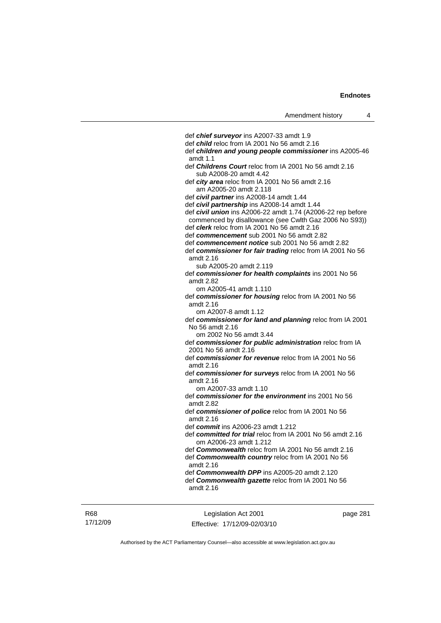def *chief surveyor* ins A2007-33 amdt 1.9 def *child* reloc from IA 2001 No 56 amdt 2.16 def *children and young people commissioner* ins A2005-46 amdt 1.1 def *Childrens Court* reloc from IA 2001 No 56 amdt 2.16 sub A2008-20 amdt 4.42 def *city area* reloc from IA 2001 No 56 amdt 2.16 am A2005-20 amdt 2.118 def *civil partner* ins A2008-14 amdt 1.44 def *civil partnership* ins A2008-14 amdt 1.44 def *civil union* ins A2006-22 amdt 1.74 (A2006-22 rep before commenced by disallowance (see Cwlth Gaz 2006 No S93)) def *clerk* reloc from IA 2001 No 56 amdt 2.16 def *commencement* sub 2001 No 56 amdt 2.82 def *commencement notice* sub 2001 No 56 amdt 2.82 def *commissioner for fair trading* reloc from IA 2001 No 56 amdt 2.16 sub A2005-20 amdt 2.119 def *commissioner for health complaints* ins 2001 No 56 amdt 2.82 om A2005-41 amdt 1.110 def *commissioner for housing* reloc from IA 2001 No 56 amdt 2.16 om A2007-8 amdt 1.12 def *commissioner for land and planning* reloc from IA 2001 No 56 amdt 2.16 om 2002 No 56 amdt 3.44 def *commissioner for public administration* reloc from IA 2001 No 56 amdt 2.16 def *commissioner for revenue* reloc from IA 2001 No 56 amdt 2.16 def *commissioner for surveys* reloc from IA 2001 No 56 amdt 2.16 om A2007-33 amdt 1.10 def *commissioner for the environment* ins 2001 No 56 amdt 2.82 def *commissioner of police* reloc from IA 2001 No 56 amdt 2.16 def *commit* ins A2006-23 amdt 1.212 def *committed for trial* reloc from IA 2001 No 56 amdt 2.16 om A2006-23 amdt 1.212 def *Commonwealth* reloc from IA 2001 No 56 amdt 2.16 def *Commonwealth country* reloc from IA 2001 No 56 amdt 2.16 def *Commonwealth DPP* ins A2005-20 amdt 2.120 def *Commonwealth gazette* reloc from IA 2001 No 56 amdt 2.16

Legislation Act 2001 Effective: 17/12/09-02/03/10 page 281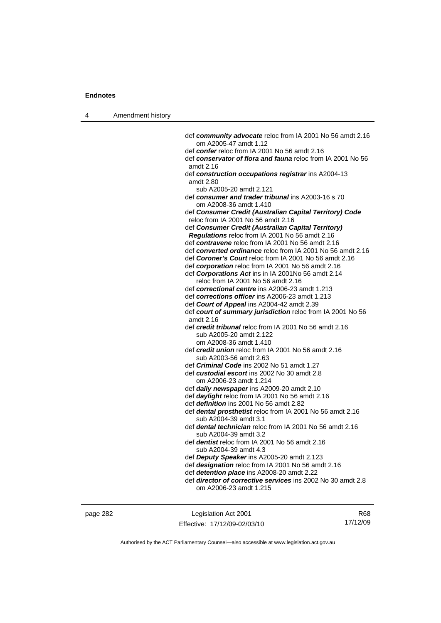| 4 | Amendment history |                                                                                                      |
|---|-------------------|------------------------------------------------------------------------------------------------------|
|   |                   |                                                                                                      |
|   |                   | def community advocate reloc from IA 2001 No 56 amdt 2.16                                            |
|   |                   | om A2005-47 amdt 1.12                                                                                |
|   |                   | def confer reloc from IA 2001 No 56 amdt 2.16                                                        |
|   |                   | def <b>conservator of flora and fauna</b> reloc from IA 2001 No 56                                   |
|   |                   | amdt 2.16                                                                                            |
|   |                   | def construction occupations registrar ins A2004-13                                                  |
|   |                   | amdt 2.80                                                                                            |
|   |                   | sub A2005-20 amdt 2.121<br>def consumer and trader tribunal ins A2003-16 s 70                        |
|   |                   | om A2008-36 amdt 1.410                                                                               |
|   |                   | def Consumer Credit (Australian Capital Territory) Code                                              |
|   |                   | reloc from IA 2001 No 56 amdt 2.16                                                                   |
|   |                   | def Consumer Credit (Australian Capital Territory)<br>Regulations reloc from IA 2001 No 56 amdt 2.16 |
|   |                   | def contravene reloc from IA 2001 No 56 amdt 2.16                                                    |
|   |                   | def converted ordinance reloc from IA 2001 No 56 amdt 2.16                                           |
|   |                   | def Coroner's Court reloc from IA 2001 No 56 amdt 2.16                                               |
|   |                   | def corporation reloc from IA 2001 No 56 amdt 2.16                                                   |
|   |                   | def Corporations Act ins in IA 2001No 56 amdt 2.14                                                   |
|   |                   | reloc from IA 2001 No 56 amdt 2.16                                                                   |
|   |                   | def correctional centre ins A2006-23 amdt 1.213                                                      |
|   |                   | def corrections officer ins A2006-23 amdt 1.213                                                      |
|   |                   | def Court of Appeal ins A2004-42 amdt 2.39                                                           |
|   |                   | def court of summary jurisdiction reloc from IA 2001 No 56                                           |
|   |                   | amdt 2.16                                                                                            |
|   |                   | def credit tribunal reloc from IA 2001 No 56 amdt 2.16                                               |
|   |                   | sub A2005-20 amdt 2.122<br>om A2008-36 amdt 1.410                                                    |
|   |                   | def credit union reloc from IA 2001 No 56 amdt 2.16                                                  |
|   |                   | sub A2003-56 amdt 2.63                                                                               |
|   |                   | def <i>Criminal Code</i> ins 2002 No 51 amdt 1.27                                                    |
|   |                   | def custodial escort ins 2002 No 30 amdt 2.8                                                         |
|   |                   | om A2006-23 amdt 1.214                                                                               |
|   |                   | def daily newspaper ins A2009-20 amdt 2.10                                                           |
|   |                   | def <i>daylight</i> reloc from IA 2001 No 56 amdt 2.16                                               |
|   |                   | def definition ins 2001 No 56 amdt 2.82                                                              |
|   |                   | def dental prosthetist reloc from IA 2001 No 56 amdt 2.16<br>sub A2004-39 amdt 3.1                   |
|   |                   | def <b>dental technician</b> reloc from IA 2001 No 56 amdt 2.16                                      |
|   |                   | sub A2004-39 amdt 3.2                                                                                |
|   |                   | def dentist reloc from IA 2001 No 56 amdt 2.16                                                       |
|   |                   | sub A2004-39 amdt 4.3                                                                                |
|   |                   | def Deputy Speaker ins A2005-20 amdt 2.123                                                           |
|   |                   | def designation reloc from IA 2001 No 56 amdt 2.16                                                   |
|   |                   | def detention place ins A2008-20 amdt 2.22                                                           |
|   |                   | def <i>director of corrective services</i> ins 2002 No 30 amdt 2.8                                   |
|   |                   | om A2006-23 amdt 1.215                                                                               |
|   |                   |                                                                                                      |
|   |                   |                                                                                                      |

page 282 Legislation Act 2001 Effective: 17/12/09-02/03/10

R68 17/12/09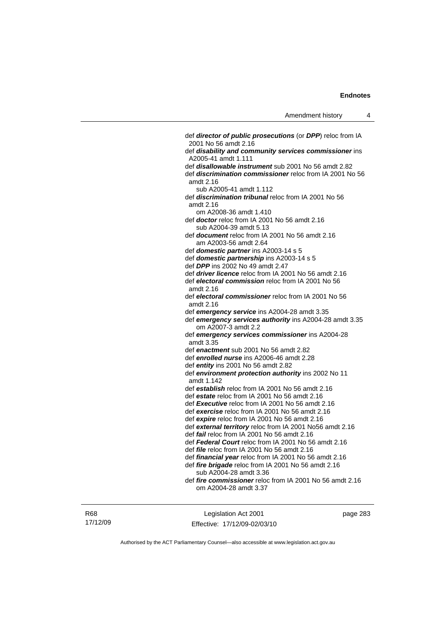def *director of public prosecutions* (or *DPP*) reloc from IA 2001 No 56 amdt 2.16 def *disability and community services commissioner* ins A2005-41 amdt 1.111 def *disallowable instrument* sub 2001 No 56 amdt 2.82 def *discrimination commissioner* reloc from IA 2001 No 56 amdt 2.16 sub A2005-41 amdt 1.112 def *discrimination tribunal* reloc from IA 2001 No 56 amdt 2.16 om A2008-36 amdt 1.410 def *doctor* reloc from IA 2001 No 56 amdt 2.16 sub A2004-39 amdt 5.13 def *document* reloc from IA 2001 No 56 amdt 2.16 am A2003-56 amdt 2.64 def *domestic partner* ins A2003-14 s 5 def *domestic partnership* ins A2003-14 s 5 def *DPP* ins 2002 No 49 amdt 2.47 def *driver licence* reloc from IA 2001 No 56 amdt 2.16 def *electoral commission* reloc from IA 2001 No 56 amdt 2.16 def *electoral commissioner* reloc from IA 2001 No 56 amdt 2.16 def *emergency service* ins A2004-28 amdt 3.35 def *emergency services authority* ins A2004-28 amdt 3.35 om A2007-3 amdt 2.2 def *emergency services commissioner* ins A2004-28 amdt 3.35 def *enactment* sub 2001 No 56 amdt 2.82 def *enrolled nurse* ins A2006-46 amdt 2.28 def *entity* ins 2001 No 56 amdt 2.82 def *environment protection authority* ins 2002 No 11 amdt 1.142 def *establish* reloc from IA 2001 No 56 amdt 2.16 def *estate* reloc from IA 2001 No 56 amdt 2.16 def *Executive* reloc from IA 2001 No 56 amdt 2.16 def *exercise* reloc from IA 2001 No 56 amdt 2.16 def *expire* reloc from IA 2001 No 56 amdt 2.16 def *external territory* reloc from IA 2001 No56 amdt 2.16 def *fail* reloc from IA 2001 No 56 amdt 2.16 def *Federal Court* reloc from IA 2001 No 56 amdt 2.16 def *file* reloc from IA 2001 No 56 amdt 2.16 def *financial year* reloc from IA 2001 No 56 amdt 2.16 def *fire brigade* reloc from IA 2001 No 56 amdt 2.16 sub A2004-28 amdt 3.36 def *fire commissioner* reloc from IA 2001 No 56 amdt 2.16 om A2004-28 amdt 3.37

R68 17/12/09

Legislation Act 2001 Effective: 17/12/09-02/03/10 page 283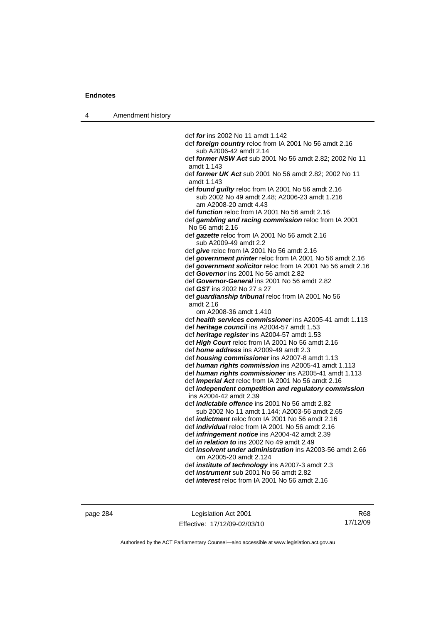4 Amendment history

 def *for* ins 2002 No 11 amdt 1.142 def *foreign country* reloc from IA 2001 No 56 amdt 2.16 sub A2006-42 amdt 2.14 def *former NSW Act* sub 2001 No 56 amdt 2.82; 2002 No 11 amdt 1.143 def *former UK Act* sub 2001 No 56 amdt 2.82; 2002 No 11 amdt 1.143 def *found guilty* reloc from IA 2001 No 56 amdt 2.16 sub 2002 No 49 amdt 2.48; A2006-23 amdt 1.216 am A2008-20 amdt 4.43 def *function* reloc from IA 2001 No 56 amdt 2.16 def *gambling and racing commission* reloc from IA 2001 No 56 amdt 2.16 def *gazette* reloc from IA 2001 No 56 amdt 2.16 sub A2009-49 amdt 2.2 def *give* reloc from IA 2001 No 56 amdt 2.16 def *government printer* reloc from IA 2001 No 56 amdt 2.16 def *government solicitor* reloc from IA 2001 No 56 amdt 2.16 def *Governor* ins 2001 No 56 amdt 2.82 def *Governor-General* ins 2001 No 56 amdt 2.82 def *GST* ins 2002 No 27 s 27 def *guardianship tribunal* reloc from IA 2001 No 56 amdt 2.16 om A2008-36 amdt 1.410 def *health services commissioner* ins A2005-41 amdt 1.113 def *heritage council* ins A2004-57 amdt 1.53 def *heritage register* ins A2004-57 amdt 1.53 def *High Court* reloc from IA 2001 No 56 amdt 2.16 def *home address* ins A2009-49 amdt 2.3 def *housing commissioner* ins A2007-8 amdt 1.13 def *human rights commission* ins A2005-41 amdt 1.113 def *human rights commissioner* ins A2005-41 amdt 1.113 def *Imperial Act* reloc from IA 2001 No 56 amdt 2.16 def *independent competition and regulatory commission*  ins A2004-42 amdt 2.39 def *indictable offence* ins 2001 No 56 amdt 2.82 sub 2002 No 11 amdt 1.144; A2003-56 amdt 2.65 def *indictment* reloc from IA 2001 No 56 amdt 2.16 def *individual* reloc from IA 2001 No 56 amdt 2.16 def *infringement notice* ins A2004-42 amdt 2.39 def *in relation to* ins 2002 No 49 amdt 2.49 def *insolvent under administration* ins A2003-56 amdt 2.66 om A2005-20 amdt 2.124 def *institute of technology* ins A2007-3 amdt 2.3 def *instrument* sub 2001 No 56 amdt 2.82 def *interest* reloc from IA 2001 No 56 amdt 2.16

page 284 Legislation Act 2001 Effective: 17/12/09-02/03/10

R68 17/12/09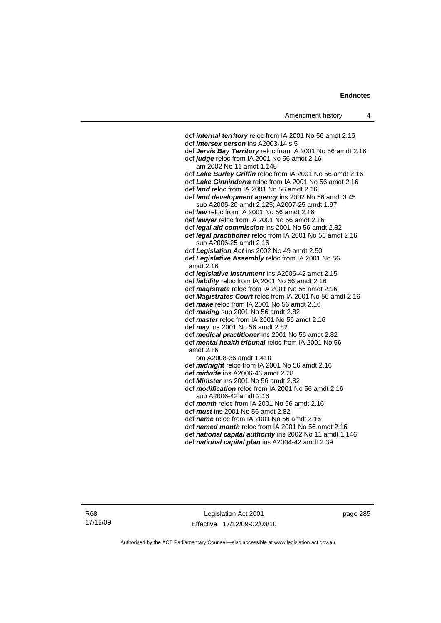def *internal territory* reloc from IA 2001 No 56 amdt 2.16 def *intersex person* ins A2003-14 s 5 def *Jervis Bay Territory* reloc from IA 2001 No 56 amdt 2.16 def *judge* reloc from IA 2001 No 56 amdt 2.16 am 2002 No 11 amdt 1.145 def *Lake Burley Griffin* reloc from IA 2001 No 56 amdt 2.16 def *Lake Ginninderra* reloc from IA 2001 No 56 amdt 2.16 def *land* reloc from IA 2001 No 56 amdt 2.16 def *land development agency* ins 2002 No 56 amdt 3.45 sub A2005-20 amdt 2.125; A2007-25 amdt 1.97 def *law* reloc from IA 2001 No 56 amdt 2.16 def *lawyer* reloc from IA 2001 No 56 amdt 2.16 def *legal aid commission* ins 2001 No 56 amdt 2.82 def *legal practitioner* reloc from IA 2001 No 56 amdt 2.16 sub A2006-25 amdt 2.16 def *Legislation Act* ins 2002 No 49 amdt 2.50 def *Legislative Assembly* reloc from IA 2001 No 56 amdt 2.16 def *legislative instrument* ins A2006-42 amdt 2.15 def *liability* reloc from IA 2001 No 56 amdt 2.16 def *magistrate* reloc from IA 2001 No 56 amdt 2.16 def *Magistrates Court* reloc from IA 2001 No 56 amdt 2.16 def *make* reloc from IA 2001 No 56 amdt 2.16 def *making* sub 2001 No 56 amdt 2.82 def *master* reloc from IA 2001 No 56 amdt 2.16 def *may* ins 2001 No 56 amdt 2.82 def *medical practitioner* ins 2001 No 56 amdt 2.82 def *mental health tribunal* reloc from IA 2001 No 56 amdt 2.16 om A2008-36 amdt 1.410 def *midnight* reloc from IA 2001 No 56 amdt 2.16 def *midwife* ins A2006-46 amdt 2.28 def *Minister* ins 2001 No 56 amdt 2.82 def *modification* reloc from IA 2001 No 56 amdt 2.16 sub A2006-42 amdt 2.16 def *month* reloc from IA 2001 No 56 amdt 2.16 def *must* ins 2001 No 56 amdt 2.82 def *name* reloc from IA 2001 No 56 amdt 2.16 def *named month* reloc from IA 2001 No 56 amdt 2.16 def *national capital authority* ins 2002 No 11 amdt 1.146

def *national capital plan* ins A2004-42 amdt 2.39

R68 17/12/09

Legislation Act 2001 Effective: 17/12/09-02/03/10 page 285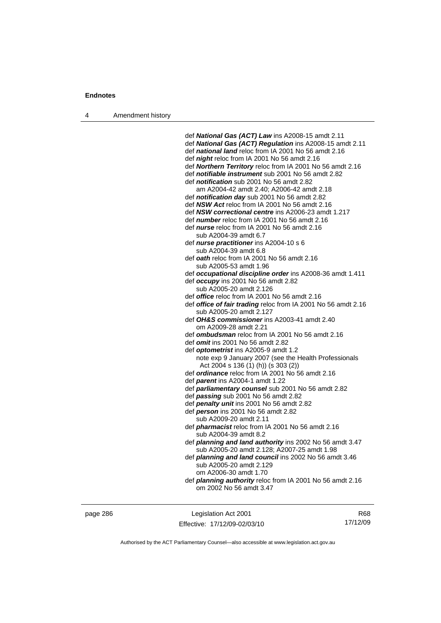4 Amendment history

 def *National Gas (ACT) Law* ins A2008-15 amdt 2.11 def *National Gas (ACT) Regulation* ins A2008-15 amdt 2.11 def *national land* reloc from IA 2001 No 56 amdt 2.16 def *night* reloc from IA 2001 No 56 amdt 2.16 def *Northern Territory* reloc from IA 2001 No 56 amdt 2.16 def *notifiable instrument* sub 2001 No 56 amdt 2.82 def *notification* sub 2001 No 56 amdt 2.82 am A2004-42 amdt 2.40; A2006-42 amdt 2.18 def *notification day* sub 2001 No 56 amdt 2.82 def *NSW Act* reloc from IA 2001 No 56 amdt 2.16 def *NSW correctional centre* ins A2006-23 amdt 1.217 def *number* reloc from IA 2001 No 56 amdt 2.16 def *nurse* reloc from IA 2001 No 56 amdt 2.16 sub A2004-39 amdt 6.7 def *nurse practitioner* ins A2004-10 s 6 sub A2004-39 amdt 6.8 def *oath* reloc from IA 2001 No 56 amdt 2.16 sub A2005-53 amdt 1.96 def *occupational discipline order* ins A2008-36 amdt 1.411 def *occupy* ins 2001 No 56 amdt 2.82 sub A2005-20 amdt 2.126 def *office* reloc from IA 2001 No 56 amdt 2.16 def *office of fair trading* reloc from IA 2001 No 56 amdt 2.16 sub A2005-20 amdt 2.127 def *OH&S commissioner* ins A2003-41 amdt 2.40 om A2009-28 amdt 2.21 def *ombudsman* reloc from IA 2001 No 56 amdt 2.16 def *omit* ins 2001 No 56 amdt 2.82 def *optometrist* ins A2005-9 amdt 1.2 note exp 9 January 2007 (see the Health Professionals Act 2004 s 136 (1) (h)) (s 303 (2)) def *ordinance* reloc from IA 2001 No 56 amdt 2.16 def *parent* ins A2004-1 amdt 1.22 def *parliamentary counsel* sub 2001 No 56 amdt 2.82 def *passing* sub 2001 No 56 amdt 2.82 def *penalty unit* ins 2001 No 56 amdt 2.82 def *person* ins 2001 No 56 amdt 2.82 sub A2009-20 amdt 2.11 def *pharmacist* reloc from IA 2001 No 56 amdt 2.16 sub A2004-39 amdt 8.2 def *planning and land authority* ins 2002 No 56 amdt 3.47 sub A2005-20 amdt 2.128; A2007-25 amdt 1.98 def *planning and land council* ins 2002 No 56 amdt 3.46 sub A2005-20 amdt 2.129 om A2006-30 amdt 1.70 def *planning authority* reloc from IA 2001 No 56 amdt 2.16 om 2002 No 56 amdt 3.47

page 286 Legislation Act 2001 Effective: 17/12/09-02/03/10

R68 17/12/09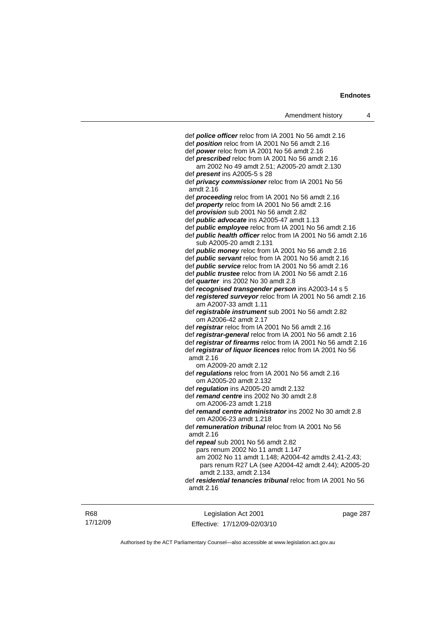| Amendment history                                                                                      | 4 |
|--------------------------------------------------------------------------------------------------------|---|
|                                                                                                        |   |
| def <b>police officer</b> reloc from IA 2001 No 56 amdt 2.16                                           |   |
| def <b>position</b> reloc from IA 2001 No 56 amdt 2.16<br>def power reloc from IA 2001 No 56 amdt 2.16 |   |
| def <i>prescribed</i> reloc from IA 2001 No 56 amdt 2.16                                               |   |
| am 2002 No 49 amdt 2.51; A2005-20 amdt 2.130                                                           |   |
| def <i>present</i> ins A2005-5 s 28                                                                    |   |
| def <i>privacy commissioner</i> reloc from IA 2001 No 56                                               |   |
| amdt 2.16                                                                                              |   |
| def proceeding reloc from IA 2001 No 56 amdt 2.16                                                      |   |
| def property reloc from IA 2001 No 56 amdt 2.16                                                        |   |
| def <i>provision</i> sub 2001 No 56 amdt 2.82                                                          |   |
| def <i>public advocate</i> ins A2005-47 amdt 1.13                                                      |   |
| def public employee reloc from IA 2001 No 56 amdt 2.16                                                 |   |
| def public health officer reloc from IA 2001 No 56 amdt 2.16                                           |   |
| sub A2005-20 amdt 2.131                                                                                |   |
| def <i>public money</i> reloc from IA 2001 No 56 amdt 2.16                                             |   |
| def public servant reloc from IA 2001 No 56 amdt 2.16                                                  |   |
| def <i>public</i> service reloc from IA 2001 No 56 amdt 2.16                                           |   |
| def <i>public trustee</i> reloc from IA 2001 No 56 amdt 2.16                                           |   |
| def <i>quarter</i> ins 2002 No 30 amdt 2.8                                                             |   |
| def recognised transgender person ins A2003-14 s 5                                                     |   |
| def registered surveyor reloc from IA 2001 No 56 amdt 2.16<br>am A2007-33 amdt 1.11                    |   |
| def registrable instrument sub 2001 No 56 amdt 2.82                                                    |   |
| om A2006-42 amdt 2.17                                                                                  |   |
| def registrar reloc from IA 2001 No 56 amdt 2.16                                                       |   |
| def registrar-general reloc from IA 2001 No 56 amdt 2.16                                               |   |
| def registrar of firearms reloc from IA 2001 No 56 amdt 2.16                                           |   |
| def registrar of liquor licences reloc from IA 2001 No 56                                              |   |
| amdt 2.16                                                                                              |   |
| om A2009-20 amdt 2.12                                                                                  |   |
| def <i>regulations</i> reloc from IA 2001 No 56 amdt 2.16                                              |   |
| om A2005-20 amdt 2.132                                                                                 |   |
| def regulation ins A2005-20 amdt 2.132<br>def remand centre ins 2002 No 30 amdt 2.8                    |   |
| om A2006-23 amdt 1.218                                                                                 |   |
| def remand centre administrator ins 2002 No 30 amdt 2.8                                                |   |
| om A2006-23 amdt 1.218                                                                                 |   |
| def remuneration tribunal reloc from IA 2001 No 56<br>amdt 2.16                                        |   |
| def repeal sub 2001 No 56 amdt 2.82                                                                    |   |
| pars renum 2002 No 11 amdt 1.147                                                                       |   |
| am 2002 No 11 amdt 1.148; A2004-42 amdts 2.41-2.43;                                                    |   |
| pars renum R27 LA (see A2004-42 amdt 2.44); A2005-20                                                   |   |
| amdt 2.133, amdt 2.134                                                                                 |   |
| def residential tenancies tribunal reloc from IA 2001 No 56                                            |   |
| amdt 2.16                                                                                              |   |
|                                                                                                        |   |

R68 17/12/09

Legislation Act 2001 Effective: 17/12/09-02/03/10 page 287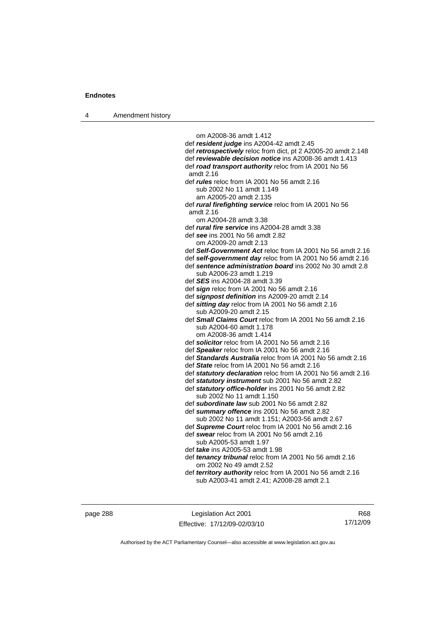4 Amendment history

 om A2008-36 amdt 1.412 def *resident judge* ins A2004-42 amdt 2.45 def *retrospectively* reloc from dict, pt 2 A2005-20 amdt 2.148 def *reviewable decision notice* ins A2008-36 amdt 1.413 def *road transport authority* reloc from IA 2001 No 56 amdt 2.16 def *rules* reloc from IA 2001 No 56 amdt 2.16 sub 2002 No 11 amdt 1.149 am A2005-20 amdt 2.135 def *rural firefighting service* reloc from IA 2001 No 56 amdt 2.16 om A2004-28 amdt 3.38 def *rural fire service* ins A2004-28 amdt 3.38 def *see* ins 2001 No 56 amdt 2.82 om A2009-20 amdt 2.13 def *Self-Government Act* reloc from IA 2001 No 56 amdt 2.16 def *self-government day* reloc from IA 2001 No 56 amdt 2.16 def *sentence administration board* ins 2002 No 30 amdt 2.8 sub A2006-23 amdt 1.219 def *SES* ins A2004-28 amdt 3.39 def *sign* reloc from IA 2001 No 56 amdt 2.16 def *signpost definition* ins A2009-20 amdt 2.14 def *sitting day* reloc from IA 2001 No 56 amdt 2.16 sub A2009-20 amdt 2.15 def *Small Claims Court* reloc from IA 2001 No 56 amdt 2.16 sub A2004-60 amdt 1.178 om A2008-36 amdt 1.414 def *solicitor* reloc from IA 2001 No 56 amdt 2.16 def *Speaker* reloc from IA 2001 No 56 amdt 2.16 def *Standards Australia* reloc from IA 2001 No 56 amdt 2.16 def *State* reloc from IA 2001 No 56 amdt 2.16 def *statutory declaration* reloc from IA 2001 No 56 amdt 2.16 def *statutory instrument* sub 2001 No 56 amdt 2.82 def *statutory office-holder* ins 2001 No 56 amdt 2.82 sub 2002 No 11 amdt 1.150 def *subordinate law* sub 2001 No 56 amdt 2.82 def *summary offence* ins 2001 No 56 amdt 2.82 sub 2002 No 11 amdt 1.151; A2003-56 amdt 2.67 def *Supreme Court* reloc from IA 2001 No 56 amdt 2.16 def *swear* reloc from IA 2001 No 56 amdt 2.16 sub A2005-53 amdt 1.97 def *take* ins A2005-53 amdt 1.98 def *tenancy tribunal* reloc from IA 2001 No 56 amdt 2.16 om 2002 No 49 amdt 2.52 def *territory authority* reloc from IA 2001 No 56 amdt 2.16 sub A2003-41 amdt 2.41; A2008-28 amdt 2.1

page 288 Legislation Act 2001 Effective: 17/12/09-02/03/10

R68 17/12/09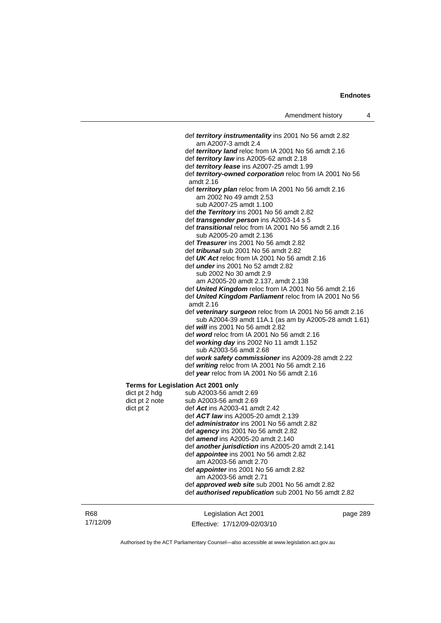|                                     | def territory instrumentality ins 2001 No 56 amdt 2.82                |
|-------------------------------------|-----------------------------------------------------------------------|
|                                     | am A2007-3 amdt 2.4                                                   |
|                                     | def territory land reloc from IA 2001 No 56 amdt 2.16                 |
|                                     | def territory law ins A2005-62 amdt 2.18                              |
|                                     | def territory lease ins A2007-25 amdt 1.99                            |
|                                     | def territory-owned corporation reloc from IA 2001 No 56<br>amdt 2.16 |
|                                     | def territory plan reloc from IA 2001 No 56 amdt 2.16                 |
|                                     | am 2002 No 49 amdt 2.53                                               |
|                                     | sub A2007-25 amdt 1.100                                               |
|                                     | def the Territory ins 2001 No 56 amdt 2.82                            |
|                                     | def <i>transgender person</i> ins A2003-14 s 5                        |
|                                     | def <i>transitional</i> reloc from IA 2001 No 56 amdt 2.16            |
|                                     | sub A2005-20 amdt 2.136<br>def Treasurer ins 2001 No 56 amdt 2.82     |
|                                     | def <i>tribunal</i> sub 2001 No 56 amdt 2.82                          |
|                                     | def $UK$ Act reloc from IA 2001 No 56 amdt 2.16                       |
|                                     | def <i>under</i> ins 2001 No 52 amdt 2.82                             |
|                                     | sub 2002 No 30 amdt 2.9                                               |
|                                     | am A2005-20 amdt 2.137, amdt 2.138                                    |
|                                     | def United Kingdom reloc from IA 2001 No 56 amdt 2.16                 |
|                                     | def United Kingdom Parliament reloc from IA 2001 No 56                |
|                                     | amdt 2.16                                                             |
|                                     | def veterinary surgeon reloc from IA 2001 No 56 amdt 2.16             |
|                                     | sub A2004-39 amdt 11A.1 (as am by A2005-28 amdt 1.61)                 |
|                                     | def <i>will</i> ins 2001 No 56 amdt 2.82                              |
|                                     | def word reloc from IA 2001 No 56 amdt 2.16                           |
|                                     | def working day ins 2002 No 11 amdt 1.152                             |
|                                     | sub A2003-56 amdt 2.68                                                |
|                                     | def work safety commissioner ins A2009-28 amdt 2.22                   |
|                                     | def writing reloc from IA 2001 No 56 amdt 2.16                        |
|                                     | def year reloc from IA 2001 No 56 amdt 2.16                           |
| Terms for Legislation Act 2001 only |                                                                       |
| dict pt 2 hdg                       | sub A2003-56 amdt 2.69                                                |
| dict pt 2 note                      | sub A2003-56 amdt 2.69                                                |
| dict pt 2                           | def Act ins A2003-41 amdt 2.42                                        |
|                                     | def ACT law ins A2005-20 amdt 2.139                                   |
|                                     | def administrator ins 2001 No 56 amdt 2.82                            |
|                                     | def <i>agency</i> ins 2001 No 56 amdt 2.82                            |
|                                     | def <i>amend</i> ins A2005-20 amdt 2.140                              |
|                                     | def <b>another jurisdiction</b> ins A2005-20 amdt 2.141               |
|                                     | def <i>appointee</i> ins 2001 No 56 amdt 2.82                         |
|                                     | am A2003-56 amdt 2.70                                                 |
|                                     | def appointer ins 2001 No 56 amdt 2.82                                |
|                                     | am A2003-56 amdt 2.71                                                 |
|                                     | def <b>approved web site</b> sub 2001 No 56 amdt 2.82                 |
|                                     | def authorised republication sub 2001 No 56 amdt 2.82                 |

| R68      | Legislation Act 2001         | page 289 |
|----------|------------------------------|----------|
| 17/12/09 | Effective: 17/12/09-02/03/10 |          |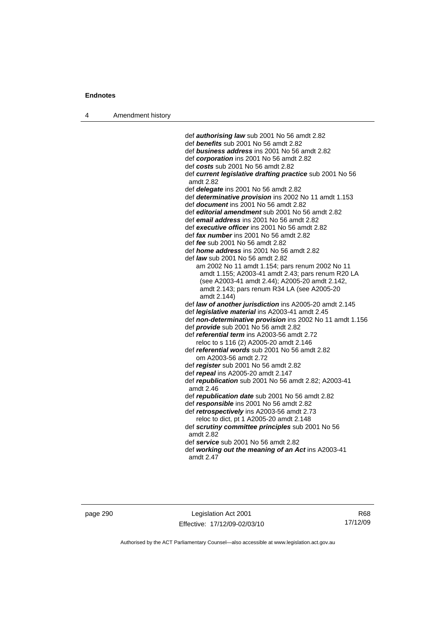| Amendment history<br>4 |  |
|------------------------|--|
|------------------------|--|

 def *authorising law* sub 2001 No 56 amdt 2.82 def *benefits* sub 2001 No 56 amdt 2.82 def *business address* ins 2001 No 56 amdt 2.82 def *corporation* ins 2001 No 56 amdt 2.82 def *costs* sub 2001 No 56 amdt 2.82 def *current legislative drafting practice* sub 2001 No 56 amdt 2.82 def *delegate* ins 2001 No 56 amdt 2.82 def *determinative provision* ins 2002 No 11 amdt 1.153 def *document* ins 2001 No 56 amdt 2.82 def *editorial amendment* sub 2001 No 56 amdt 2.82 def *email address* ins 2001 No 56 amdt 2.82 def *executive officer* ins 2001 No 56 amdt 2.82 def *fax number* ins 2001 No 56 amdt 2.82 def *fee* sub 2001 No 56 amdt 2.82 def *home address* ins 2001 No 56 amdt 2.82 def *law* sub 2001 No 56 amdt 2.82 am 2002 No 11 amdt 1.154; pars renum 2002 No 11 amdt 1.155; A2003-41 amdt 2.43; pars renum R20 LA (see A2003-41 amdt 2.44); A2005-20 amdt 2.142, amdt 2.143; pars renum R34 LA (see A2005-20 amdt 2.144) def *law of another jurisdiction* ins A2005-20 amdt 2.145 def *legislative material* ins A2003-41 amdt 2.45 def *non-determinative provision* ins 2002 No 11 amdt 1.156 def *provide* sub 2001 No 56 amdt 2.82 def *referential term* ins A2003-56 amdt 2.72 reloc to s 116 (2) A2005-20 amdt 2.146 def *referential words* sub 2001 No 56 amdt 2.82 om A2003-56 amdt 2.72 def *register* sub 2001 No 56 amdt 2.82 def *repeal* ins A2005-20 amdt 2.147 def *republication* sub 2001 No 56 amdt 2.82; A2003-41 amdt 2.46 def *republication date* sub 2001 No 56 amdt 2.82 def *responsible* ins 2001 No 56 amdt 2.82 def *retrospectively* ins A2003-56 amdt 2.73 reloc to dict, pt 1 A2005-20 amdt 2.148 def *scrutiny committee principles* sub 2001 No 56 amdt 2.82 def *service* sub 2001 No 56 amdt 2.82 def *working out the meaning of an Act* ins A2003-41 amdt 2.47

page 290 Legislation Act 2001 Effective: 17/12/09-02/03/10

R68 17/12/09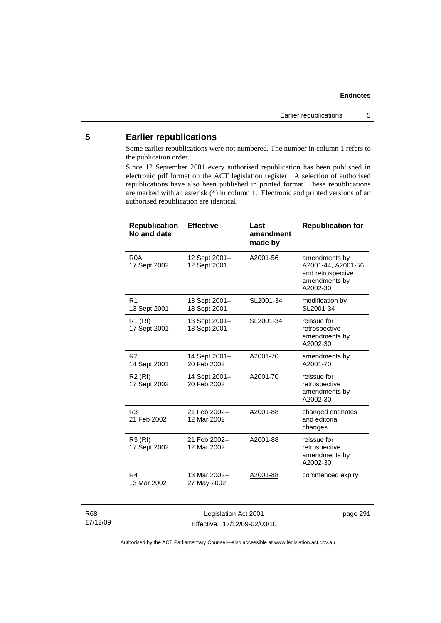## **5 Earlier republications**

Some earlier republications were not numbered. The number in column 1 refers to the publication order.

Since 12 September 2001 every authorised republication has been published in electronic pdf format on the ACT legislation register. A selection of authorised republications have also been published in printed format. These republications are marked with an asterisk (\*) in column 1. Electronic and printed versions of an authorised republication are identical.

| <b>Republication</b><br>No and date | <b>Effective</b>              | Last<br>amendment<br>made by | <b>Republication for</b>                                                              |
|-------------------------------------|-------------------------------|------------------------------|---------------------------------------------------------------------------------------|
| R <sub>0</sub> A<br>17 Sept 2002    | 12 Sept 2001-<br>12 Sept 2001 | A2001-56                     | amendments by<br>A2001-44, A2001-56<br>and retrospective<br>amendments by<br>A2002-30 |
| R <sub>1</sub><br>13 Sept 2001      | 13 Sept 2001-<br>13 Sept 2001 | SL2001-34                    | modification by<br>SL2001-34                                                          |
| R1 (RI)<br>17 Sept 2001             | 13 Sept 2001-<br>13 Sept 2001 | SL2001-34                    | reissue for<br>retrospective<br>amendments by<br>A2002-30                             |
| R <sub>2</sub><br>14 Sept 2001      | 14 Sept 2001-<br>20 Feb 2002  | A2001-70                     | amendments by<br>A2001-70                                                             |
| <b>R2 (RI)</b><br>17 Sept 2002      | 14 Sept 2001-<br>20 Feb 2002  | A2001-70                     | reissue for<br>retrospective<br>amendments by<br>A2002-30                             |
| R <sub>3</sub><br>21 Feb 2002       | 21 Feb 2002-<br>12 Mar 2002   | A2001-88                     | changed endnotes<br>and editorial<br>changes                                          |
| <b>R3 (RI)</b><br>17 Sept 2002      | 21 Feb 2002-<br>12 Mar 2002   | A2001-88                     | reissue for<br>retrospective<br>amendments by<br>A2002-30                             |
| R4<br>13 Mar 2002                   | 13 Mar 2002-<br>27 May 2002   | A2001-88                     | commenced expiry                                                                      |

### R68 17/12/09

Legislation Act 2001 Effective: 17/12/09-02/03/10 page 291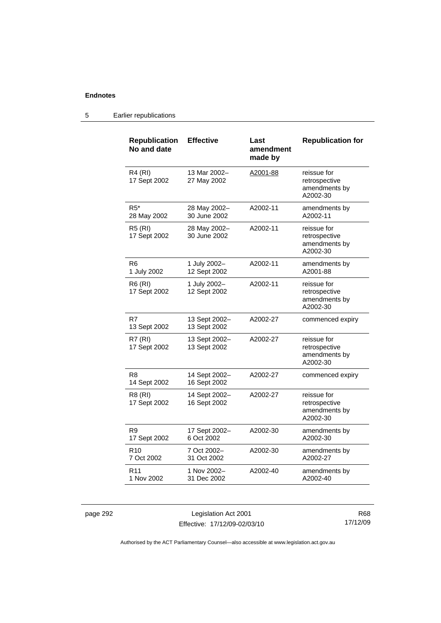### 5 Earlier republications

| <b>Republication</b><br>No and date | <b>Effective</b>              | Last<br>amendment<br>made by | <b>Republication for</b>                                  |
|-------------------------------------|-------------------------------|------------------------------|-----------------------------------------------------------|
| <b>R4 (RI)</b><br>17 Sept 2002      | 13 Mar 2002-<br>27 May 2002   | A2001-88                     | reissue for<br>retrospective<br>amendments by<br>A2002-30 |
| $R5^*$<br>28 May 2002               | 28 May 2002-<br>30 June 2002  | A2002-11                     | amendments by<br>A2002-11                                 |
| <b>R5 (RI)</b><br>17 Sept 2002      | 28 May 2002-<br>30 June 2002  | A2002-11                     | reissue for<br>retrospective<br>amendments by<br>A2002-30 |
| R6<br>1 July 2002                   | 1 July 2002-<br>12 Sept 2002  | A2002-11                     | amendments by<br>A2001-88                                 |
| <b>R6 (RI)</b><br>17 Sept 2002      | 1 July 2002-<br>12 Sept 2002  | A2002-11                     | reissue for<br>retrospective<br>amendments by<br>A2002-30 |
| R7<br>13 Sept 2002                  | 13 Sept 2002-<br>13 Sept 2002 | A2002-27                     | commenced expiry                                          |
| <b>R7 (RI)</b><br>17 Sept 2002      | 13 Sept 2002-<br>13 Sept 2002 | A2002-27                     | reissue for<br>retrospective<br>amendments by<br>A2002-30 |
| R <sub>8</sub><br>14 Sept 2002      | 14 Sept 2002-<br>16 Sept 2002 | A2002-27                     | commenced expiry                                          |
| R8 (RI)<br>17 Sept 2002             | 14 Sept 2002-<br>16 Sept 2002 | A2002-27                     | reissue for<br>retrospective<br>amendments by<br>A2002-30 |
| R9<br>17 Sept 2002                  | 17 Sept 2002-<br>6 Oct 2002   | A2002-30                     | amendments by<br>A2002-30                                 |
| R <sub>10</sub><br>7 Oct 2002       | 7 Oct 2002-<br>31 Oct 2002    | A2002-30                     | amendments by<br>A2002-27                                 |
| R <sub>11</sub><br>1 Nov 2002       | 1 Nov 2002-<br>31 Dec 2002    | A2002-40                     | amendments by<br>A2002-40                                 |

page 292 Legislation Act 2001 Effective: 17/12/09-02/03/10

R68 17/12/09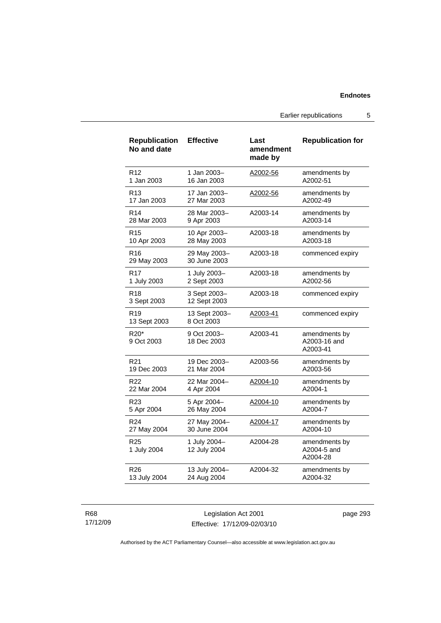Earlier republications 5

| <b>Republication</b><br>No and date        | <b>Effective</b>             | Last<br>amendment<br>made by | <b>Republication for</b>                  |
|--------------------------------------------|------------------------------|------------------------------|-------------------------------------------|
| R <sub>12</sub>                            | 1 Jan 2003-                  | A2002-56                     | amendments by                             |
| 1 Jan 2003                                 | 16 Jan 2003                  |                              | A2002-51                                  |
| R <sub>13</sub>                            | 17 Jan 2003-                 | A2002-56                     | amendments by                             |
| 17 Jan 2003                                | 27 Mar 2003                  |                              | A2002-49                                  |
| R <sub>14</sub>                            | 28 Mar 2003-                 | A2003-14                     | amendments by                             |
| 28 Mar 2003                                | 9 Apr 2003                   |                              | A2003-14                                  |
| R <sub>15</sub>                            | 10 Apr 2003-                 | A2003-18                     | amendments by                             |
| 10 Apr 2003                                | 28 May 2003                  |                              | A2003-18                                  |
| R16<br>29 May 2003                         | 29 May 2003-<br>30 June 2003 | A2003-18                     | commenced expiry                          |
| R17                                        | 1 July 2003-                 | A2003-18                     | amendments by                             |
| 1 July 2003                                | 2 Sept 2003                  |                              | A2002-56                                  |
| R <sub>18</sub><br>3 Sept 2003             | 3 Sept 2003-<br>12 Sept 2003 | A2003-18                     | commenced expiry                          |
| R <sub>19</sub><br>13 Sept 2003            | 13 Sept 2003-<br>8 Oct 2003  | A2003-41                     | commenced expiry                          |
| R <sub>20</sub> <sup>*</sup><br>9 Oct 2003 | 9 Oct 2003-<br>18 Dec 2003   | A2003-41                     | amendments by<br>A2003-16 and<br>A2003-41 |
| R <sub>21</sub>                            | 19 Dec 2003-                 | A2003-56                     | amendments by                             |
| 19 Dec 2003                                | 21 Mar 2004                  |                              | A2003-56                                  |
| R <sub>22</sub>                            | 22 Mar 2004-                 | A2004-10                     | amendments by                             |
| 22 Mar 2004                                | 4 Apr 2004                   |                              | A2004-1                                   |
| R23                                        | 5 Apr 2004-                  | <u>A2004-10</u>              | amendments by                             |
| 5 Apr 2004                                 | 26 May 2004                  |                              | A2004-7                                   |
| R <sub>24</sub>                            | 27 May 2004-                 | A2004-17                     | amendments by                             |
| 27 May 2004                                | 30 June 2004                 |                              | A2004-10                                  |
| R <sub>25</sub><br>1 July 2004             | 1 July 2004-<br>12 July 2004 | A2004-28                     | amendments by<br>A2004-5 and<br>A2004-28  |
| R <sub>26</sub>                            | 13 July 2004-                | A2004-32                     | amendments by                             |
| 13 July 2004                               | 24 Aug 2004                  |                              | A2004-32                                  |

### R68 17/12/09

Legislation Act 2001 Effective: 17/12/09-02/03/10 page 293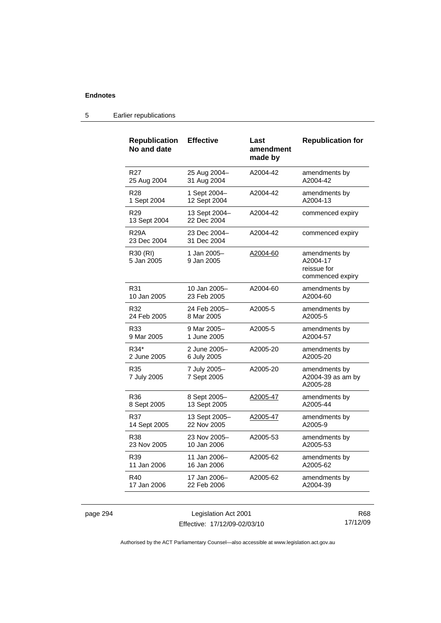| <b>Republication</b><br>No and date | <b>Effective</b>             | Last<br>amendment<br>made by | <b>Republication for</b>                                     |
|-------------------------------------|------------------------------|------------------------------|--------------------------------------------------------------|
| R <sub>27</sub>                     | 25 Aug 2004-                 | A2004-42                     | amendments by                                                |
| 25 Aug 2004                         | 31 Aug 2004                  |                              | A2004-42                                                     |
| R <sub>28</sub>                     | 1 Sept 2004-                 | A2004-42                     | amendments by                                                |
| 1 Sept 2004                         | 12 Sept 2004                 |                              | A2004-13                                                     |
| R <sub>29</sub><br>13 Sept 2004     | 13 Sept 2004-<br>22 Dec 2004 | A2004-42                     | commenced expiry                                             |
| <b>R29A</b><br>23 Dec 2004          | 23 Dec 2004-<br>31 Dec 2004  | A2004-42                     | commenced expiry                                             |
| R30 (RI)<br>5 Jan 2005              | 1 Jan 2005-<br>9 Jan 2005    | A2004-60                     | amendments by<br>A2004-17<br>reissue for<br>commenced expiry |
| R31                                 | 10 Jan 2005-                 | A2004-60                     | amendments by                                                |
| 10 Jan 2005                         | 23 Feb 2005                  |                              | A2004-60                                                     |
| R32                                 | 24 Feb 2005-                 | A2005-5                      | amendments by                                                |
| 24 Feb 2005                         | 8 Mar 2005                   |                              | A2005-5                                                      |
| R33                                 | 9 Mar 2005-                  | A2005-5                      | amendments by                                                |
| 9 Mar 2005                          | 1 June 2005                  |                              | A2004-57                                                     |
| R34*                                | 2 June 2005–                 | A2005-20                     | amendments by                                                |
| 2 June 2005                         | 6 July 2005                  |                              | A2005-20                                                     |
| R35<br>7 July 2005                  | 7 July 2005-<br>7 Sept 2005  | A2005-20                     | amendments by<br>A2004-39 as am by<br>A2005-28               |
| R36                                 | 8 Sept 2005-                 | A2005-47                     | amendments by                                                |
| 8 Sept 2005                         | 13 Sept 2005                 |                              | A2005-44                                                     |
| R37                                 | 13 Sept 2005–                | A2005-47                     | amendments by                                                |
| 14 Sept 2005                        | 22 Nov 2005                  |                              | A2005-9                                                      |
| R38                                 | 23 Nov 2005-                 | A2005-53                     | amendments by                                                |
| 23 Nov 2005                         | 10 Jan 2006                  |                              | A2005-53                                                     |
| R39                                 | 11 Jan 2006–                 | A2005-62                     | amendments by                                                |
| 11 Jan 2006                         | 16 Jan 2006                  |                              | A2005-62                                                     |
| R40                                 | 17 Jan 2006–                 | A2005-62                     | amendments by                                                |
| 17 Jan 2006                         | 22 Feb 2006                  |                              | A2004-39                                                     |

### 5 Earlier republications

page 294 Legislation Act 2001 Effective: 17/12/09-02/03/10

R68 17/12/09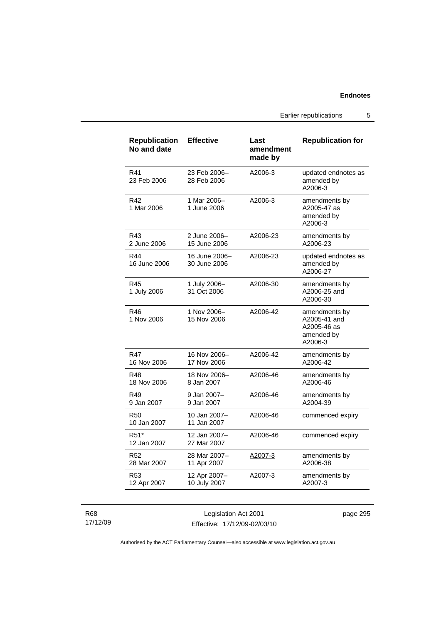Earlier republications 5

| <b>Republication</b><br>No and date | <b>Effective</b>              | Last<br>amendment<br>made by | <b>Republication for</b>                                              |
|-------------------------------------|-------------------------------|------------------------------|-----------------------------------------------------------------------|
| R41<br>23 Feb 2006                  | 23 Feb 2006-<br>28 Feb 2006   | A2006-3                      | updated endnotes as<br>amended by<br>A2006-3                          |
| R42<br>1 Mar 2006                   | 1 Mar 2006-<br>1 June 2006    | A2006-3                      | amendments by<br>A2005-47 as<br>amended by<br>A2006-3                 |
| R43<br>2 June 2006                  | 2 June 2006–<br>15 June 2006  | A2006-23                     | amendments by<br>A2006-23                                             |
| R44<br>16 June 2006                 | 16 June 2006-<br>30 June 2006 | A2006-23                     | updated endnotes as<br>amended by<br>A2006-27                         |
| R45<br>1 July 2006                  | 1 July 2006-<br>31 Oct 2006   | A2006-30                     | amendments by<br>A2006-25 and<br>A2006-30                             |
| R46<br>1 Nov 2006                   | 1 Nov 2006-<br>15 Nov 2006    | A2006-42                     | amendments by<br>A2005-41 and<br>A2005-46 as<br>amended by<br>A2006-3 |
| R47<br>16 Nov 2006                  | 16 Nov 2006-<br>17 Nov 2006   | A2006-42                     | amendments by<br>A2006-42                                             |
| R48<br>18 Nov 2006                  | 18 Nov 2006-<br>8 Jan 2007    | A2006-46                     | amendments by<br>A2006-46                                             |
| R49<br>9 Jan 2007                   | 9 Jan 2007-<br>9 Jan 2007     | A2006-46                     | amendments by<br>A2004-39                                             |
| <b>R50</b><br>10 Jan 2007           | 10 Jan 2007-<br>11 Jan 2007   | A2006-46                     | commenced expiry                                                      |
| R <sub>51</sub> *<br>12 Jan 2007    | 12 Jan 2007-<br>27 Mar 2007   | A2006-46                     | commenced expiry                                                      |
| R52<br>28 Mar 2007                  | 28 Mar 2007-<br>11 Apr 2007   | A2007-3                      | amendments by<br>A2006-38                                             |
| R53<br>12 Apr 2007                  | 12 Apr 2007-<br>10 July 2007  | A2007-3                      | amendments by<br>A2007-3                                              |

R68 17/12/09

Legislation Act 2001 Effective: 17/12/09-02/03/10 page 295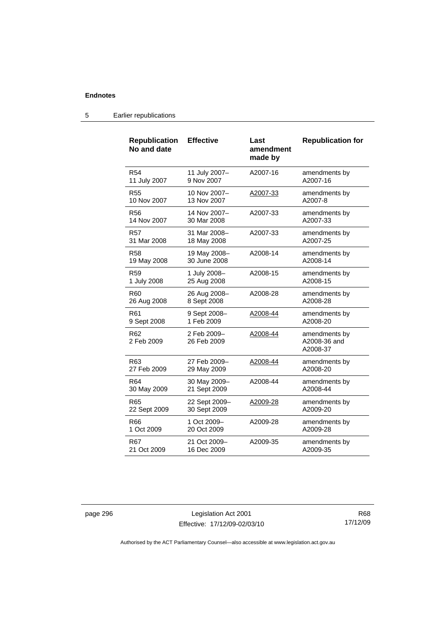| <b>Republication</b><br>No and date | <b>Effective</b>           | Last<br>amendment<br>made by | <b>Republication for</b>                  |
|-------------------------------------|----------------------------|------------------------------|-------------------------------------------|
| <b>R54</b>                          | 11 July 2007-              | A2007-16                     | amendments by                             |
| 11 July 2007                        | 9 Nov 2007                 |                              | A2007-16                                  |
| R <sub>55</sub>                     | 10 Nov 2007-               | A2007-33                     | amendments by                             |
| 10 Nov 2007                         | 13 Nov 2007                |                              | A2007-8                                   |
| <b>R56</b>                          | 14 Nov 2007-               | A2007-33                     | amendments by                             |
| 14 Nov 2007                         | 30 Mar 2008                |                              | A2007-33                                  |
| <b>R57</b>                          | 31 Mar 2008-               | A2007-33                     | amendments by                             |
| 31 Mar 2008                         | 18 May 2008                |                              | A2007-25                                  |
| <b>R58</b>                          | 19 May 2008-               | A2008-14                     | amendments by                             |
| 19 May 2008                         | 30 June 2008               |                              | A2008-14                                  |
| R <sub>59</sub>                     | 1 July 2008-               | A2008-15                     | amendments by                             |
| 1 July 2008                         | 25 Aug 2008                |                              | A2008-15                                  |
| R60                                 | 26 Aug 2008-               | A2008-28                     | amendments by                             |
| 26 Aug 2008                         | 8 Sept 2008                |                              | A2008-28                                  |
| R <sub>61</sub>                     | 9 Sept 2008-               | A2008-44                     | amendments by                             |
| 9 Sept 2008                         | 1 Feb 2009                 |                              | A2008-20                                  |
| R62<br>2 Feb 2009                   | 2 Feb 2009-<br>26 Feb 2009 | A2008-44                     | amendments by<br>A2008-36 and<br>A2008-37 |
| R63                                 | 27 Feb 2009-               | A2008-44                     | amendments by                             |
| 27 Feb 2009                         | 29 May 2009                |                              | A2008-20                                  |
| R64                                 | 30 May 2009-               | A2008-44                     | amendments by                             |
| 30 May 2009                         | 21 Sept 2009               |                              | A2008-44                                  |
| R65                                 | 22 Sept 2009-              | A2009-28                     | amendments by                             |
| 22 Sept 2009                        | 30 Sept 2009               |                              | A2009-20                                  |
| R66                                 | 1 Oct 2009-                | A2009-28                     | amendments by                             |
| 1 Oct 2009                          | 20 Oct 2009                |                              | A2009-28                                  |
| R67                                 | 21 Oct 2009-               | A2009-35                     | amendments by                             |
| 21 Oct 2009                         | 16 Dec 2009                |                              | A2009-35                                  |

### 5 Earlier republications

page 296 Legislation Act 2001 Effective: 17/12/09-02/03/10

R68 17/12/09